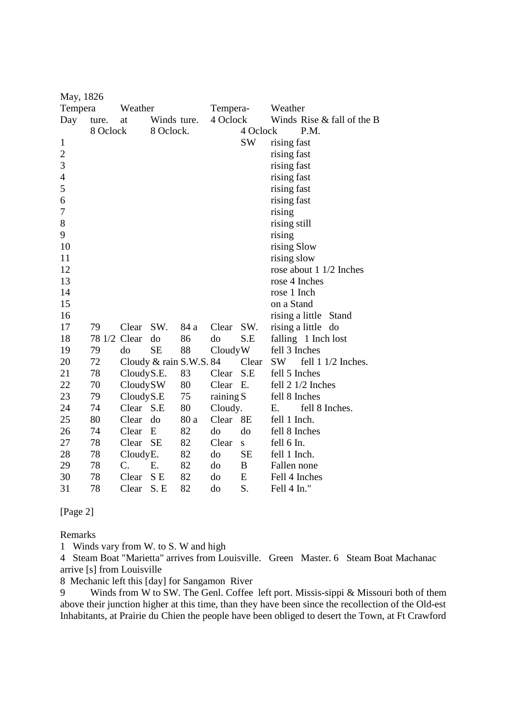| May, 1826      |          |            |                         |      |           |           |                 |                            |
|----------------|----------|------------|-------------------------|------|-----------|-----------|-----------------|----------------------------|
| Tempera        |          | Weather    |                         |      | Tempera-  |           | Weather         |                            |
| Day            | ture.    | at         | Winds ture.             |      | 4 Oclock  |           |                 | Winds Rise & fall of the B |
|                | 8 Oclock |            | 8 Oclock.               |      |           | 4 Oclock  |                 | P.M.                       |
| 1              |          |            |                         |      |           | <b>SW</b> | rising fast     |                            |
| $\overline{c}$ |          |            |                         |      |           |           | rising fast     |                            |
| 3              |          |            |                         |      |           |           | rising fast     |                            |
| $\overline{4}$ |          |            |                         |      |           |           | rising fast     |                            |
| 5              |          |            |                         |      |           |           | rising fast     |                            |
| 6              |          |            |                         |      |           |           | rising fast     |                            |
| 7              |          |            |                         |      |           |           | rising          |                            |
| 8              |          |            |                         |      |           |           | rising still    |                            |
| 9              |          |            |                         |      |           |           | rising          |                            |
| 10             |          |            |                         |      |           |           | rising Slow     |                            |
| 11             |          |            |                         |      |           |           | rising slow     |                            |
| 12             |          |            |                         |      |           |           |                 | rose about $1/2$ Inches    |
| 13             |          |            |                         |      |           |           | rose 4 Inches   |                            |
| 14             |          |            |                         |      |           |           | rose 1 Inch     |                            |
| 15             |          |            |                         |      |           |           | on a Stand      |                            |
| 16             |          |            |                         |      |           |           |                 | rising a little Stand      |
| 17             | 79       | Clear      | SW.                     | 84 a | Clear     | SW.       | rising a little | do                         |
| 18             | 78 1/2   | Clear      | do                      | 86   | do        | S.E       |                 | falling 1 Inch lost        |
| 19             | 79       | do         | <b>SE</b>               | 88   | CloudyW   |           | fell 3 Inches   |                            |
| 20             | 72       |            | Cloudy & rain S.W.S. 84 |      |           | Clear     | <b>SW</b>       | fell 1 1/2 Inches.         |
| 21             | 78       | CloudyS.E. |                         | 83   | Clear     | S.E       | fell 5 Inches   |                            |
| 22             | 70       | CloudySW   |                         | 80   | Clear     | E.        |                 | fell 2 1/2 Inches          |
| 23             | 79       | CloudyS.E  |                         | 75   | raining S |           | fell 8 Inches   |                            |
| 24             | 74       | Clear      | S.E                     | 80   | Cloudy.   |           | Е.              | fell 8 Inches.             |
| 25             | 80       | Clear      | do                      | 80 a | Clear     | <b>8E</b> | fell 1 Inch.    |                            |
| 26             | 74       | Clear      | E                       | 82   | do        | do        | fell 8 Inches   |                            |
| 27             | 78       | Clear      | <b>SE</b>               | 82   | Clear     | S.        | fell 6 In.      |                            |
| 28             | 78       | CloudyE.   |                         | 82   | do        | <b>SE</b> | fell 1 Inch.    |                            |
| 29             | 78       | C.         | Ε.                      | 82   | do        | B         | Fallen none     |                            |
| 30             | 78       | Clear      | S <sub>E</sub>          | 82   | do        | E         | Fell 4 Inches   |                            |
| 31             | 78       | Clear      | S.E                     | 82   | do        | S.        | Fell 4 In."     |                            |

[Page 2]

Remarks

1 Winds vary from W. to S. W and high

4 Steam Boat "Marietta" arrives from Louisville. Green Master. 6 Steam Boat Machanac arrive [s] from Louisville

8 Mechanic left this [day] for Sangamon River

9 Winds from W to SW. The Genl. Coffee left port. Missis-sippi & Missouri both of them above their junction higher at this time, than they have been since the recollection of the Old-est Inhabitants, at Prairie du Chien the people have been obliged to desert the Town, at Ft Crawford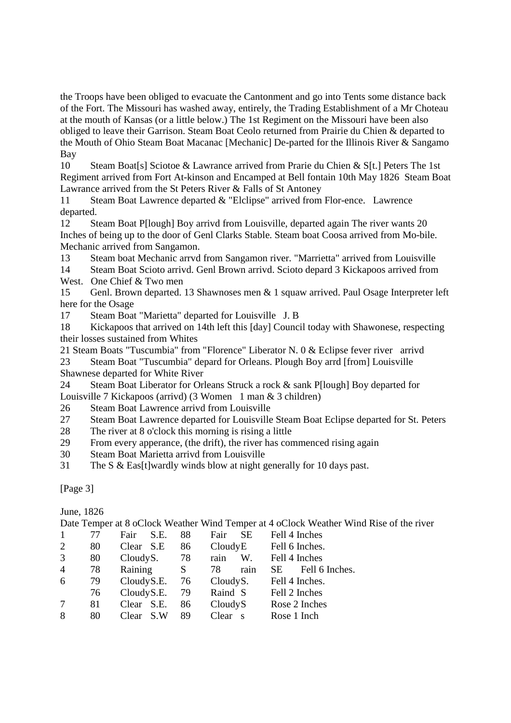the Troops have been obliged to evacuate the Cantonment and go into Tents some distance back of the Fort. The Missouri has washed away, entirely, the Trading Establishment of a Mr Choteau at the mouth of Kansas (or a little below.) The 1st Regiment on the Missouri have been also obliged to leave their Garrison. Steam Boat Ceolo returned from Prairie du Chien & departed to the Mouth of Ohio Steam Boat Macanac [Mechanic] De-parted for the Illinois River & Sangamo Bay

10 Steam Boat[s] Sciotoe & Lawrance arrived from Prarie du Chien & S[t.] Peters The 1st Regiment arrived from Fort At-kinson and Encamped at Bell fontain 10th May 1826 Steam Boat Lawrance arrived from the St Peters River & Falls of St Antoney

11 Steam Boat Lawrence departed & "Elclipse" arrived from Flor-ence. Lawrence departed.

12 Steam Boat P[lough] Boy arrivd from Louisville, departed again The river wants 20 Inches of being up to the door of Genl Clarks Stable. Steam boat Coosa arrived from Mo-bile. Mechanic arrived from Sangamon.

13 Steam boat Mechanic arrvd from Sangamon river. "Marrietta" arrived from Louisville

14 Steam Boat Scioto arrivd. Genl Brown arrivd. Scioto depard 3 Kickapoos arrived from

West. One Chief & Two men

15 Genl. Brown departed. 13 Shawnoses men & 1 squaw arrived. Paul Osage Interpreter left here for the Osage

17 Steam Boat "Marietta" departed for Louisville J. B

18 Kickapoos that arrived on 14th left this [day] Council today with Shawonese, respecting their losses sustained from Whites

21 Steam Boats "Tuscumbia" from "Florence" Liberator N. 0 & Eclipse fever river arrivd

23 Steam Boat "Tuscumbia" depard for Orleans. Plough Boy arrd [from] Louisville Shawnese departed for White River

24 Steam Boat Liberator for Orleans Struck a rock & sank P[lough] Boy departed for Louisville 7 Kickapoos (arrivd) (3 Women 1 man & 3 children)

- 26 Steam Boat Lawrence arrivd from Louisville
- 27 Steam Boat Lawrence departed for Louisville Steam Boat Eclipse departed for St. Peters
- 28 The river at 8 o'clock this morning is rising a little
- 29 From every apperance, (the drift), the river has commenced rising again
- 30 Steam Boat Marietta arrivd from Louisville
- 31 The S & Eas[t]wardly winds blow at night generally for 10 days past.

[Page 3]

June, 1826

Date Temper at 8 oClock Weather Wind Temper at 4 oClock Weather Wind Rise of the river

| $\mathbf{1}$   | 77 | S.E.<br>Fair | 88 | <b>SE</b><br>Fair                | Fell 4 Inches          |
|----------------|----|--------------|----|----------------------------------|------------------------|
| 2              | 80 | Clear S.E    | 86 | CloudyE                          | Fell 6 Inches.         |
| 3              | 80 | CloudyS.     | 78 | rain<br>W.                       | Fell 4 Inches          |
| $\overline{4}$ | 78 | Raining      | S  | rain<br>78                       | Fell 6 Inches.<br>SE - |
| 6              | 79 | CloudyS.E.   | 76 | CloudyS.                         | Fell 4 Inches.         |
|                | 76 | CloudyS.E.   | 79 | Raind S                          | Fell 2 Inches          |
| 7              | 81 | Clear S.E.   | 86 | CloudyS                          | Rose 2 Inches          |
| 8              | 80 | Clear<br>S.W | 89 | Clear<br>$\overline{\mathbf{s}}$ | Rose 1 Inch            |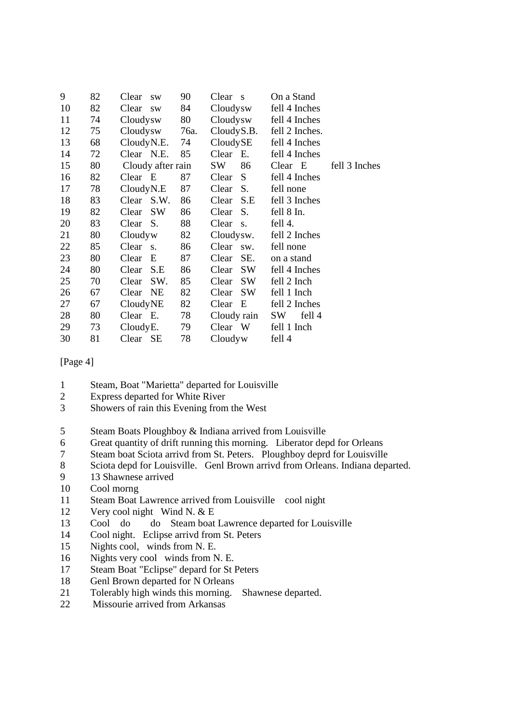| 9  | 82 | Clear<br><b>SW</b> | 90   | Clear s     | On a Stand                  |               |
|----|----|--------------------|------|-------------|-----------------------------|---------------|
| 10 | 82 | Clear sw           | 84   | Cloudysw    | fell 4 Inches               |               |
| 11 | 74 | Cloudysw           | 80   | Cloudysw    | fell 4 Inches               |               |
| 12 | 75 | Cloudysw           | 76a. |             | $CloudyS.B.$ fell 2 Inches. |               |
| 13 | 68 | $CloudyN.E.$ 74    |      | CloudySE    | fell 4 Inches               |               |
| 14 | 72 | Clear N.E.         | 85   | Clear E.    | fell 4 Inches               |               |
| 15 | 80 | Cloudy after rain  |      | SW<br>86    | Clear E                     | fell 3 Inches |
| 16 | 82 | Clear E            | 87   | Clear S     | fell 4 Inches               |               |
| 17 | 78 | CloudyN.E          | 87   | Clear S.    | fell none                   |               |
| 18 | 83 | Clear S.W.         | 86   | Clear S.E   | fell 3 Inches               |               |
| 19 | 82 | Clear SW           | 86   | Clear S.    | fell 8 In.                  |               |
| 20 | 83 | Clear S.           | 88   | Clear s.    | fell 4.                     |               |
| 21 | 80 | Cloudyw            | 82   | Cloudysw.   | fell 2 Inches               |               |
| 22 | 85 | Clear s.           | 86   | Clear sw.   | fell none                   |               |
| 23 | 80 | Clear<br>E         | 87   | Clear SE.   | on a stand                  |               |
| 24 | 80 | Clear<br>S.E       | 86   | SW<br>Clear | fell 4 Inches               |               |
| 25 | 70 | SW.<br>Clear       | 85   | Clear SW    | fell 2 Inch                 |               |
| 26 | 67 | Clear NE           | 82   | Clear SW    | fell 1 Inch                 |               |
| 27 | 67 | CloudyNE           | 82   | $Clear$ E   | fell 2 Inches               |               |
| 28 | 80 | Clear E.           | 78   | Cloudy rain | SW<br>fell 4                |               |
| 29 | 73 | CloudyE.           | 79   | Clear W     | fell 1 Inch                 |               |
| 30 | 81 | Clear SE           | 78   | Cloudyw     | fell 4                      |               |

#### [Page 4]

- 1 Steam, Boat "Marietta" departed for Louisville
- 2 Express departed for White River
- 3 Showers of rain this Evening from the West
- 5 Steam Boats Ploughboy & Indiana arrived from Louisville
- 6 Great quantity of drift running this morning. Liberator depd for Orleans
- 7 Steam boat Sciota arrivd from St. Peters. Ploughboy deprd for Louisville
- 8 Sciota depd for Louisville. Genl Brown arrivd from Orleans. Indiana departed.
- 9 13 Shawnese arrived
- 10 Cool morng
- 11 Steam Boat Lawrence arrived from Louisville cool night
- 12 Very cool night Wind N. & E
- 13 Cool do do Steam boat Lawrence departed for Louisville
- 14 Cool night. Eclipse arrivd from St. Peters
- 15 Nights cool, winds from N. E.
- 16 Nights very cool winds from N. E.
- 17 Steam Boat "Eclipse" depard for St Peters
- 18 Genl Brown departed for N Orleans
- 21 Tolerably high winds this morning. Shawnese departed.
- 22 Missourie arrived from Arkansas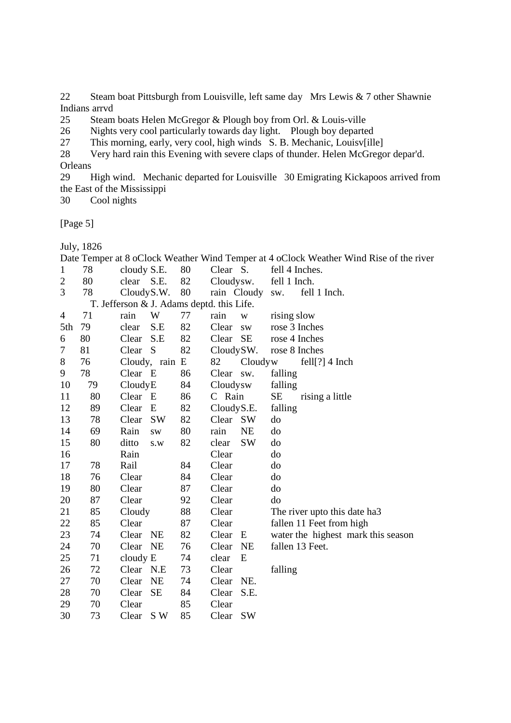22 Steam boat Pittsburgh from Louisville, left same day Mrs Lewis & 7 other Shawnie Indians arrvd<br>25 Steam

Steam boats Helen McGregor & Plough boy from Orl. & Louis-ville

26 Nights very cool particularly towards day light. Plough boy departed

27 This morning, early, very cool, high winds S. B. Mechanic, Louisv[ille]

28 Very hard rain this Evening with severe claps of thunder. Helen McGregor depar'd.

Orleans

29 High wind. Mechanic departed for Louisville 30 Emigrating Kickapoos arrived from the East of the Mississippi

30 Cool nights

[Page 5]

July, 1826

|                |    |             |                                           |    |            |             |                | Date Temper at 8 oClock Weather Wind Temper at 4 oClock Weather Wind Rise of the river |
|----------------|----|-------------|-------------------------------------------|----|------------|-------------|----------------|----------------------------------------------------------------------------------------|
| 1              | 78 | cloudy S.E. |                                           | 80 | Clear S.   |             | fell 4 Inches. |                                                                                        |
| $\overline{c}$ | 80 | clear S.E.  |                                           | 82 | Cloudysw.  |             | fell 1 Inch.   |                                                                                        |
| 3              | 78 | CloudyS.W.  |                                           | 80 |            | rain Cloudy | SW.            | fell 1 Inch.                                                                           |
|                |    |             | T. Jefferson & J. Adams deptd. this Life. |    |            |             |                |                                                                                        |
| 4              | 71 | rain        | W                                         | 77 | rain       | W           | rising slow    |                                                                                        |
| 5th            | 79 | clear       | S.E                                       | 82 | Clear      | <b>SW</b>   | rose 3 Inches  |                                                                                        |
| 6              | 80 | Clear       | S.E                                       | 82 | Clear      | <b>SE</b>   | rose 4 Inches  |                                                                                        |
| 7              | 81 | Clear       | <sub>S</sub>                              | 82 | CloudySW.  |             | rose 8 Inches  |                                                                                        |
| 8              | 76 |             | Cloudy, rain E                            |    | 82         | Cloudyw     |                | $fell[?]$ 4 Inch                                                                       |
| 9              | 78 | Clear E     |                                           | 86 | Clear sw.  |             | falling        |                                                                                        |
| 10             | 79 | CloudyE     |                                           | 84 | Cloudysw   |             | falling        |                                                                                        |
| 11             | 80 | Clear E     |                                           | 86 | C Rain     |             | <b>SE</b>      | rising a little                                                                        |
| 12             | 89 | Clear       | E                                         | 82 | CloudyS.E. |             | falling        |                                                                                        |
| 13             | 78 | Clear       | <b>SW</b>                                 | 82 | Clear SW   |             | do             |                                                                                        |
| 14             | 69 | Rain        | <b>SW</b>                                 | 80 | rain       | <b>NE</b>   | do             |                                                                                        |
| 15             | 80 | ditto       | S.W                                       | 82 | clear      | <b>SW</b>   | do             |                                                                                        |
| 16             |    | Rain        |                                           |    | Clear      |             | do             |                                                                                        |
| 17             | 78 | Rail        |                                           | 84 | Clear      |             | do             |                                                                                        |
| 18             | 76 | Clear       |                                           | 84 | Clear      |             | do             |                                                                                        |
| 19             | 80 | Clear       |                                           | 87 | Clear      |             | do             |                                                                                        |
| 20             | 87 | Clear       |                                           | 92 | Clear      |             | do             |                                                                                        |
| 21             | 85 | Cloudy      |                                           | 88 | Clear      |             |                | The river upto this date ha3                                                           |
| 22             | 85 | Clear       |                                           | 87 | Clear      |             |                | fallen 11 Feet from high                                                               |
| 23             | 74 | Clear       | NE                                        | 82 | Clear      | E           |                | water the highest mark this season                                                     |
| 24             | 70 | Clear NE    |                                           | 76 | Clear      | <b>NE</b>   |                | fallen 13 Feet.                                                                        |
| 25             | 71 | cloudy E    |                                           | 74 | clear      | E           |                |                                                                                        |
| 26             | 72 | Clear N.E   |                                           | 73 | Clear      |             | falling        |                                                                                        |
| 27             | 70 | Clear       | NE                                        | 74 | Clear      | NE.         |                |                                                                                        |
| 28             | 70 | Clear       | <b>SE</b>                                 | 84 | Clear      | S.E.        |                |                                                                                        |
| 29             | 70 | Clear       |                                           | 85 | Clear      |             |                |                                                                                        |
| 30             | 73 | Clear       | S W                                       | 85 | Clear      | <b>SW</b>   |                |                                                                                        |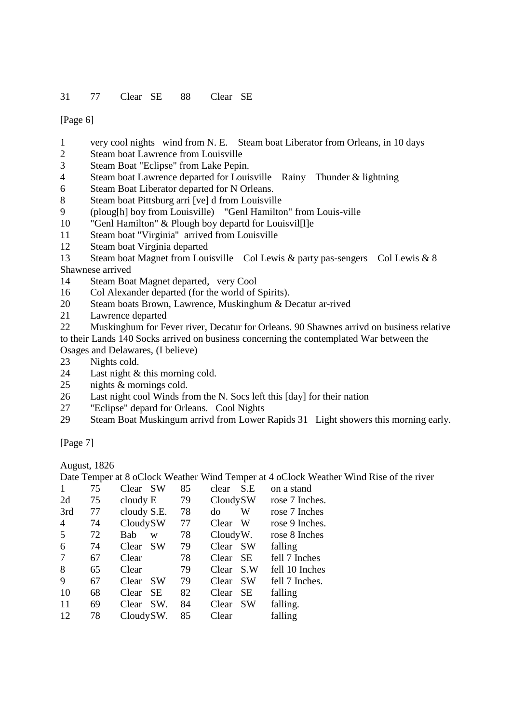[Page 6]

- 1 very cool nights wind from N. E. Steam boat Liberator from Orleans, in 10 days
- 2 Steam boat Lawrence from Louisville
- 3 Steam Boat "Eclipse" from Lake Pepin.
- 4 Steam boat Lawrence departed for Louisville Rainy Thunder & lightning
- 6 Steam Boat Liberator departed for N Orleans.
- 8 Steam boat Pittsburg arri [ve] d from Louisville
- 9 (ploug[h] boy from Louisville) "Genl Hamilton" from Louis-ville
- 10 "Genl Hamilton" & Plough boy departd for Louisvil[l]e
- 11 Steam boat "Virginia" arrived from Louisville
- 12 Steam boat Virginia departed
- 13 Steam boat Magnet from Louisville Col Lewis & party pas-sengers Col Lewis & 8 Shawnese arrived
- 14 Steam Boat Magnet departed, very Cool
- 16 Col Alexander departed (for the world of Spirits).
- 20 Steam boats Brown, Lawrence, Muskinghum & Decatur ar-rived
- 21 Lawrence departed
- 22 Muskinghum for Fever river, Decatur for Orleans. 90 Shawnes arrivd on business relative to their Lands 140 Socks arrived on business concerning the contemplated War between the Osages and Delawares, (I believe)
- 23 Nights cold.
- 24 Last night & this morning cold.
- 25 nights & mornings cold.
- 26 Last night cool Winds from the N. Socs left this [day] for their nation
- 27 "Eclipse" depard for Orleans. Cool Nights
- 29 Steam Boat Muskingum arrivd from Lower Rapids 31 Light showers this morning early.

[Page 7]

August, 1826

Date Temper at 8 oClock Weather Wind Temper at 4 oClock Weather Wind Rise of the river

|                | 75 | Clear SW           | 85 | S.E<br>clear       | on a stand     |
|----------------|----|--------------------|----|--------------------|----------------|
| 2d             | 75 | cloudy E           | 79 | CloudySW           | rose 7 Inches. |
| 3rd            | 77 | cloudy S.E.        | 78 | W<br>do            | rose 7 Inches  |
| $\overline{4}$ | 74 | CloudySW           | 77 | W<br>Clear         | rose 9 Inches. |
| 5              | 72 | Bab<br>W           | 78 | CloudyW.           | rose 8 Inches  |
| 6              | 74 | <b>SW</b><br>Clear | 79 | <b>SW</b><br>Clear | falling        |
| 7              | 67 | Clear              | 78 | <b>SE</b><br>Clear | fell 7 Inches  |
| 8              | 65 | Clear              | 79 | S.W<br>Clear       | fell 10 Inches |
| 9              | 67 | <b>SW</b><br>Clear | 79 | <b>SW</b><br>Clear | fell 7 Inches. |
| 10             | 68 | <b>SE</b><br>Clear | 82 | <b>SE</b><br>Clear | falling        |
| 11             | 69 | SW.<br>Clear       | 84 | <b>SW</b><br>Clear | falling.       |
| 12             | 78 | CloudySW.          | 85 | Clear              | falling        |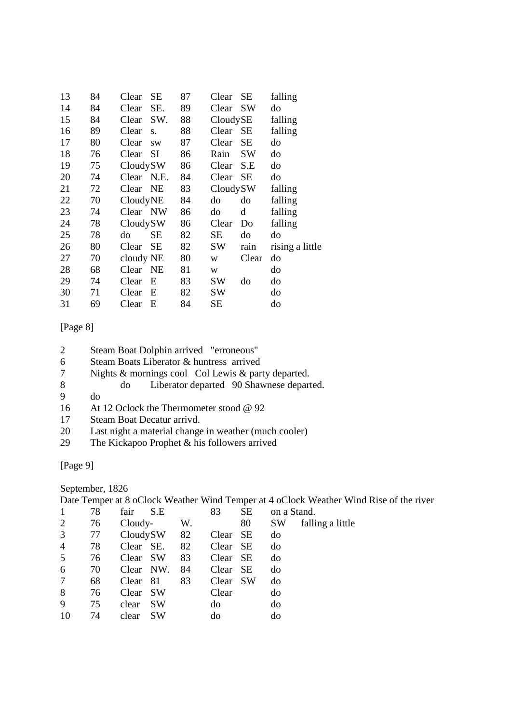| 13 | 84 | Clear      | SE        | 87 | Clear    | SE        | falling         |
|----|----|------------|-----------|----|----------|-----------|-----------------|
| 14 | 84 | Clear      | SE.       | 89 | Clear    | SW        | do              |
| 15 | 84 | Clear      | SW.       | 88 | CloudySE |           | falling         |
| 16 | 89 | Clear      | S.        | 88 | Clear    | <b>SE</b> | falling         |
| 17 | 80 | Clear      | <b>SW</b> | 87 | Clear    | SE        | do              |
| 18 | 76 | Clear      | <b>SI</b> | 86 | Rain     | <b>SW</b> | do              |
| 19 | 75 | CloudySW   |           | 86 | Clear    | S.E       | do              |
| 20 | 74 | Clear N.E. |           | 84 | Clear    | SE        | do              |
| 21 | 72 | Clear      | NE        | 83 | CloudySW |           | falling         |
| 22 | 70 | CloudyNE   |           | 84 | do       | do        | falling         |
| 23 | 74 | Clear NW   |           | 86 | do       | d         | falling         |
| 24 | 78 | CloudySW   |           | 86 | Clear    | Do        | falling         |
| 25 | 78 | do         | SЕ        | 82 | SЕ       | do        | do              |
| 26 | 80 | Clear      | SЕ        | 82 | SW       | rain      | rising a little |
| 27 | 70 | cloudy NE  |           | 80 | W        | Clear     | do              |
| 28 | 68 | Clear      | <b>NE</b> | 81 | W        |           | do              |
| 29 | 74 | Clear      | E         | 83 | SW       | do        | do              |
| 30 | 71 | Clear      | E         | 82 | SW       |           | do              |
| 31 | 69 | Clear      | E         | 84 | SЕ       |           | do              |

### [Page 8]

- 2 Steam Boat Dolphin arrived "erroneous"
- 6 Steam Boats Liberator & huntress arrived<br>
7 Nights & mornings cool Col Lewis & par
- Nights & mornings cool Col Lewis & party departed.
- 8 do Liberator departed 90 Shawnese departed.
- 9 do
- 16 At 12 Oclock the Thermometer stood @ 92
- 17 Steam Boat Decatur arrivd.
- 20 Last night a material change in weather (much cooler)<br>29 The Kickapoo Prophet & his followers arrived
- The Kickapoo Prophet & his followers arrived

# [Page 9]

September, 1826

Date Temper at 8 oClock Weather Wind Temper at 4 oClock Weather Wind Rise of the river

|                | 78 | fair<br>S.E  |    | 83       | SE        | on a Stand. |                  |
|----------------|----|--------------|----|----------|-----------|-------------|------------------|
| $\overline{2}$ | 76 | Cloudy-      | W. |          | 80        | SW          | falling a little |
| 3              | 77 | CloudySW     | 82 | Clear    | SE        | do          |                  |
| $\overline{4}$ | 78 | Clear SE.    | 82 | Clear SE |           | do          |                  |
| 5              | 76 | Clear SW     | 83 | Clear SE |           | do          |                  |
| 6              | 70 | Clear NW.    | 84 | Clear    | - SE      | do          |                  |
|                | 68 | -81<br>Clear | 83 | Clear    | <b>SW</b> | do          |                  |
| 8              | 76 | -SW<br>Clear |    | Clear    |           | do          |                  |
| 9              | 75 | SW<br>clear  |    | do       |           | do          |                  |
| 10             | 74 | clear<br>SW  |    | do       |           | do          |                  |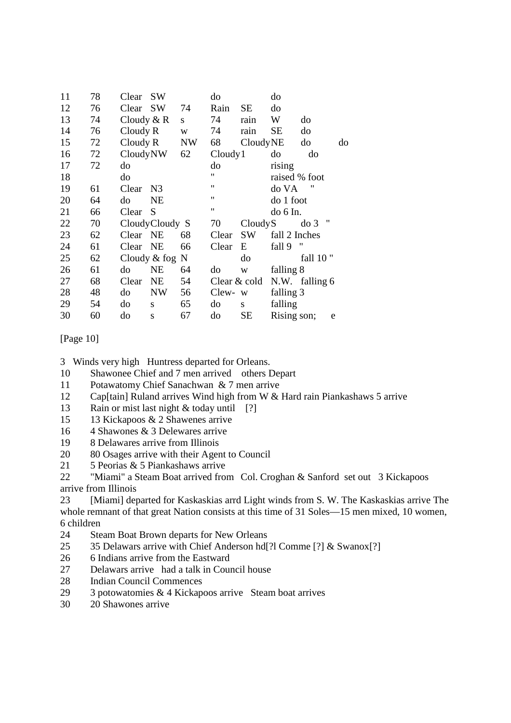| 11 | 78 | Clear        | <b>SW</b>        |    | do                 |           | do            |                                    |    |
|----|----|--------------|------------------|----|--------------------|-----------|---------------|------------------------------------|----|
| 12 | 76 | Clear        | SW               | 74 | Rain               | SE        | do            |                                    |    |
| 13 | 74 | Cloudy $& R$ |                  | S  | 74                 | rain      | W             | do                                 |    |
| 14 | 76 | Cloudy R     |                  | W  | 74                 | rain      | SЕ            | do                                 |    |
| 15 | 72 | Cloudy R     |                  | NW | 68                 | CloudyNE  |               | do                                 | do |
| 16 | 72 | CloudyNW     |                  | 62 | Cloudy1            |           | do            | do                                 |    |
| 17 | 72 | do           |                  |    | do                 |           | rising        |                                    |    |
| 18 |    | do           |                  |    | 11                 |           | raised % foot |                                    |    |
| 19 | 61 | Clear        | N <sub>3</sub>   |    | $\pmb{\mathsf{H}}$ |           | do VA         | "                                  |    |
| 20 | 64 | do           | NE               |    | $\pmb{\mathsf{H}}$ |           | do 1 foot     |                                    |    |
| 21 | 66 | Clear        | S                |    | $\pmb{\mathsf{H}}$ |           | do 6 In.      |                                    |    |
| 22 | 70 |              | Cloudy Cloudy S  |    | 70                 | CloudyS   |               | $^{\prime\prime}$<br>$\frac{d}{d}$ |    |
| 23 | 62 | Clear NE     |                  | 68 | Clear              | <b>SW</b> | fall 2 Inches |                                    |    |
| 24 | 61 | Clear        | <b>NE</b>        | 66 | Clear              | E         | fall 9        | "                                  |    |
| 25 | 62 |              | Cloudy $&$ fog N |    |                    | do        |               | fall 10"                           |    |
| 26 | 61 | do           | NE               | 64 | do                 | W         | falling 8     |                                    |    |
| 27 | 68 | Clear        | <b>NE</b>        | 54 | Clear & cold       |           |               | N.W. falling 6                     |    |
| 28 | 48 | do           | <b>NW</b>        | 56 | Clew-              | W         | falling 3     |                                    |    |
| 29 | 54 | do           | S                | 65 | do                 | S         | falling       |                                    |    |
| 30 | 60 | do           | S                | 67 | do                 | SE        | Rising son;   | e                                  |    |

### [Page 10]

- 3 Winds very high Huntress departed for Orleans.
- 10 Shawonee Chief and 7 men arrived others Depart
- 11 Potawatomy Chief Sanachwan & 7 men arrive
- 12 Cap[tain] Ruland arrives Wind high from W & Hard rain Piankashaws 5 arrive
- 13 Rain or mist last night & today until [?]
- 15 13 Kickapoos & 2 Shawenes arrive
- 16 4 Shawones & 3 Delewares arrive
- 19 8 Delawares arrive from Illinois
- 20 80 Osages arrive with their Agent to Council
- 21 5 Peorias & 5 Piankashaws arrive

22 "Miami" a Steam Boat arrived from Col. Croghan & Sanford set out 3 Kickapoos arrive from Illinois

23 [Miami] departed for Kaskaskias arrd Light winds from S. W. The Kaskaskias arrive The whole remnant of that great Nation consists at this time of 31 Soles—15 men mixed, 10 women, 6 children

- 24 Steam Boat Brown departs for New Orleans
- 25 35 Delawars arrive with Chief Anderson hd[?l Comme [?] & Swanox[?]
- 26 6 Indians arrive from the Eastward
- 27 Delawars arrive had a talk in Council house
- 28 Indian Council Commences
- 29 3 potowatomies & 4 Kickapoos arrive Steam boat arrives
- 30 20 Shawones arrive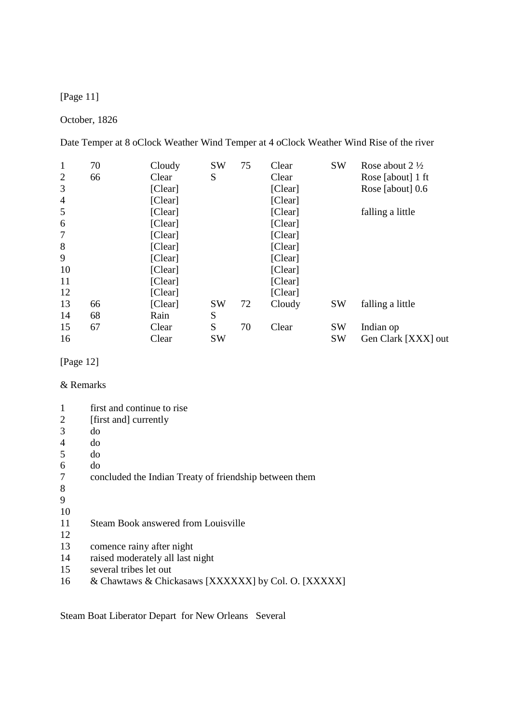[Page 11]

## October, 1826

Date Temper at 8 oClock Weather Wind Temper at 4 oClock Weather Wind Rise of the river

| $\mathbf{1}$   | 70 | Cloudy  | <b>SW</b> | 75 | Clear   | <b>SW</b> | Rose about $2\frac{1}{2}$ |
|----------------|----|---------|-----------|----|---------|-----------|---------------------------|
| $\overline{2}$ | 66 | Clear   | S         |    | Clear   |           | Rose [about] 1 ft         |
| 3              |    | [Clear] |           |    | [Clear] |           | Rose [about] 0.6          |
| $\overline{4}$ |    | [Clear] |           |    | [Clear] |           |                           |
| 5              |    | [Clear] |           |    | [Clear] |           | falling a little          |
| 6              |    | [Clear] |           |    | [Clear] |           |                           |
| 7              |    | [Clear] |           |    | [Clear] |           |                           |
| 8              |    | [Clear] |           |    | [Clear] |           |                           |
| 9              |    | [Clear] |           |    | [Clear] |           |                           |
| 10             |    | [Clear] |           |    | [Clear] |           |                           |
| 11             |    | [Clear] |           |    | [Clear] |           |                           |
| 12             |    | [Clear] |           |    | [Clear] |           |                           |
| 13             | 66 | [Clear] | <b>SW</b> | 72 | Cloudy  | <b>SW</b> | falling a little          |
| 14             | 68 | Rain    | S         |    |         |           |                           |
| 15             | 67 | Clear   | S         | 70 | Clear   | <b>SW</b> | Indian op                 |
| 16             |    | Clear   | <b>SW</b> |    |         | <b>SW</b> | Gen Clark [XXX] out       |

# [Page 12]

## & Remarks

| 1  | first and continue to rise                             |
|----|--------------------------------------------------------|
| 2  | [first and] currently                                  |
| 3  | do                                                     |
| 4  | do                                                     |
| 5  | do                                                     |
| 6  | do                                                     |
| 7  | concluded the Indian Treaty of friendship between them |
| 8  |                                                        |
| 9  |                                                        |
| 10 |                                                        |
| 11 | Steam Book answered from Louisville                    |
| 12 |                                                        |
| 13 | comence rainy after night                              |
| 14 | raised moderately all last night                       |
| 15 | several tribes let out                                 |
| 16 | & Chawtaws & Chickasaws [XXXXXX] by Col. O. [XXXXX]    |

Steam Boat Liberator Depart for New Orleans Several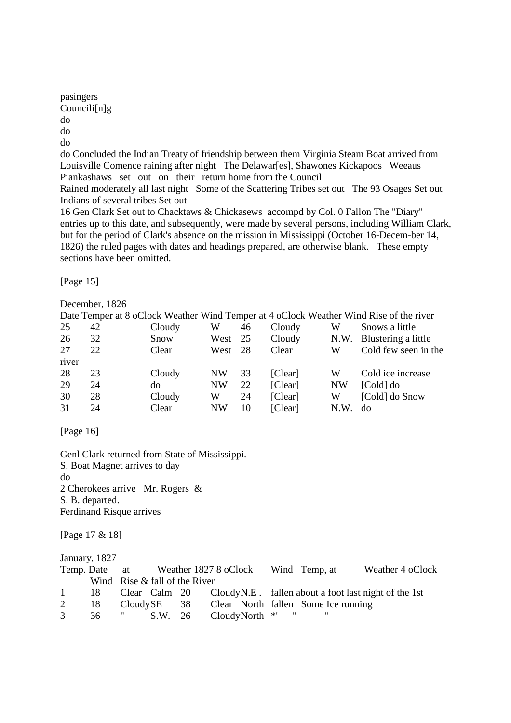pasingers Councili[n]g do do do

do Concluded the Indian Treaty of friendship between them Virginia Steam Boat arrived from Louisville Comence raining after night The Delawar[es], Shawones Kickapoos Weeaus Piankashaws set out on their return home from the Council

Rained moderately all last night Some of the Scattering Tribes set out The 93 Osages Set out Indians of several tribes Set out

16 Gen Clark Set out to Chacktaws & Chickasews accompd by Col. 0 Fallon The "Diary" entries up to this date, and subsequently, were made by several persons, including William Clark, but for the period of Clark's absence on the mission in Mississippi (October 16-Decem-ber 14, 1826) the ruled pages with dates and headings prepared, are otherwise blank. These empty sections have been omitted.

[Page 15]

December, 1826

|       |    |        |           |     |         |           | Date Temper at 8 oClock Weather Wind Temper at 4 oClock Weather Wind Rise of the river |
|-------|----|--------|-----------|-----|---------|-----------|----------------------------------------------------------------------------------------|
| 25    | 42 | Cloudy | W         | 46  | Cloudy  | W         | Snows a little                                                                         |
| 26    | 32 | Snow   | West      | 25  | Cloudy  | N.W.      | Blustering a little                                                                    |
| 27    | 22 | Clear  | West      | -28 | Clear   | W         | Cold few seen in the                                                                   |
| river |    |        |           |     |         |           |                                                                                        |
| 28    | 23 | Cloudy | NW        | 33  | [Clear] | W         | Cold ice increase                                                                      |
| 29    | 24 | do     | <b>NW</b> | 22  | [Clear] | <b>NW</b> | [Cold] do                                                                              |
| 30    | 28 | Cloudy | W         | 24  | [Clear] | W         | [Cold] do Snow                                                                         |
| 31    | 24 | Clear  | <b>NW</b> | 10  | [Clear] | N.W       | do                                                                                     |

[Page 16]

Genl Clark returned from State of Mississippi. S. Boat Magnet arrives to day do 2 Cherokees arrive Mr. Rogers & S. B. departed. Ferdinand Risque arrives

[Page 17 & 18]

January, 1827

|              |    |                                 |  |                             |    | Temp. Date at Weather 1827 8 oClock Wind Temp, at | Weather 4 oClock                                                      |
|--------------|----|---------------------------------|--|-----------------------------|----|---------------------------------------------------|-----------------------------------------------------------------------|
|              |    | Wind Rise $&$ fall of the River |  |                             |    |                                                   |                                                                       |
| $\mathbf{1}$ | 18 |                                 |  |                             |    |                                                   | Clear Calm $20$ Cloudy N.E. fallen about a foot last night of the 1st |
| 2            | 18 |                                 |  |                             |    | CloudySE 38 Clear North fallen Some Ice running   |                                                                       |
| 3            |    |                                 |  | 36 " S.W. 26 CloudyNorth *' | 11 |                                                   |                                                                       |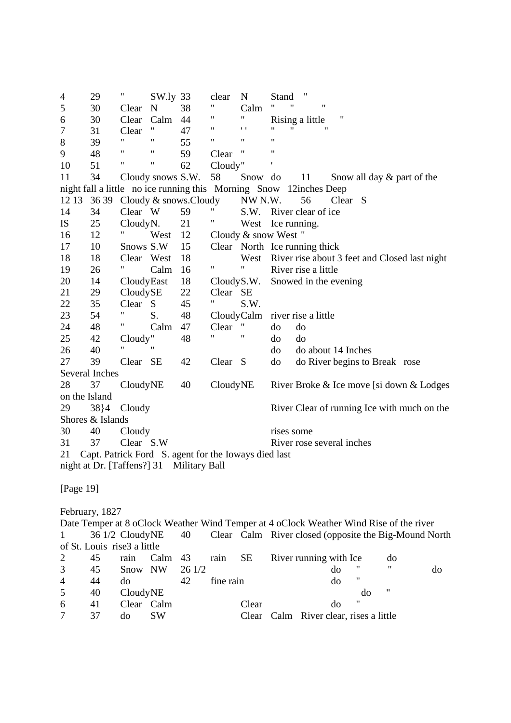4 29 " SW.ly 33 clear N Stand " 5 30 Clear N 38 " Calm " " " 6 30 Clear Calm 44 " " Rising a little "<br>7 31 Clear " 47 " " " " " " 7 31 Clear " 47 " '' " " " 8 39 " " 55 " " " 9 48 " " 59 Clear " " 10 51 " " 62 Cloudy" 11 34 Cloudy snows S.W. 58 Snow do 11 Snow all day & part of the night fall a little no ice running this Morning Snow 12inches Deep 12 13 36 39 Cloudy & snows.Cloudy NW N.W. 56 Clear S 14 34 Clear W 59 " S.W. River clear of ice<br>
IS 25 Cloudy N 21 " West Learning IS 25 Cloudy N. 21 " West Ice running. 16 12 " West 12 Cloudy & snow West " 17 10 Snows S.W 15 Clear North Ice running thick 18 18 Clear West 18 West River rise about 3 feet and Closed last night 19 26 " Calm 16 " " River rise a little 20 14 Cloudy East 18 Cloudy S.W. Snowed in the evening 21 29 Cloudy SE 22 Clear SE 22 35 Clear S 45 " S.W. 23 54 " S. 48 Cloudy Calm river rise a little 24 48 " Calm 47 Clear " do do 25 42 Cloudy " 48 " " do do 26 40 " " do do about 14 Inches 27 39 Clear SE 42 Clear S do do River begins to Break rose Several Inches 28 37 Cloudy NE 40 Cloudy NE River Broke & Ice move [si down & Lodges on the Island 29 38}4 Cloudy River Clear of running Ice with much on the Shores & Islands 30 40 Cloudy rises some 31 37 Clear S.W River rose several inches 21 Capt. Patrick Ford S. agent for the Ioways died last night at Dr. [Taffens?] 31 Military Ball [Page 19] February, 1827 Date Temper at 8 oClock Weather Wind Temper at 4 oClock Weather Wind Rise of the river 1 36 1/2 Cloudy NE 40 Clear Calm River closed (opposite the Big-Mound North of St. Louis rise3 a little 2 45 rain Calm 43 rain SE River running with Ice do

|                | 45 | Snow NW    | 26 1/2 |           | do.                                    | 11 | "   | do |
|----------------|----|------------|--------|-----------|----------------------------------------|----|-----|----|
| 4              | 44 | do         | 42     | fine rain | do                                     | "  |     |    |
| 5 <sup>5</sup> | 40 | CloudyNE   |        |           |                                        | do | -11 |    |
| 6              | 41 | Clear Calm |        | Clear     | do                                     | "  |     |    |
| 7              | 37 | SW<br>do   |        |           | Clear Calm River clear, rises a little |    |     |    |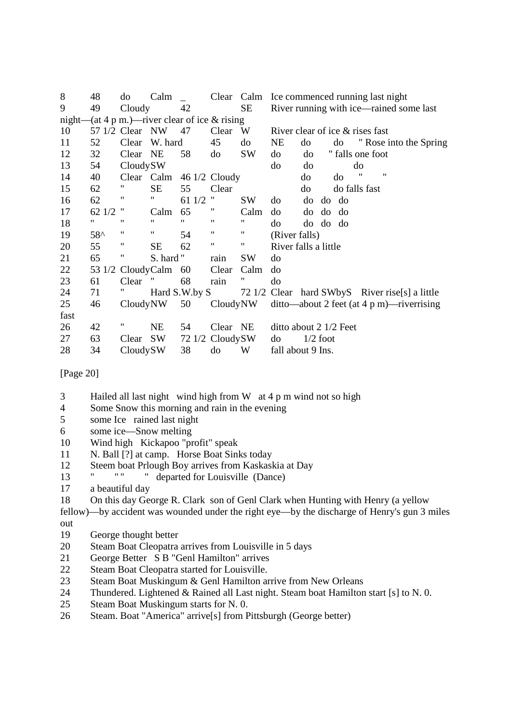| 8    | 48            | do              | Calm      |                   |                                                 |                    |                      |    | Clear Calm Ice commenced running last night    |               |    |                        |
|------|---------------|-----------------|-----------|-------------------|-------------------------------------------------|--------------------|----------------------|----|------------------------------------------------|---------------|----|------------------------|
| 9    | 49            | Cloudy          |           | 42                |                                                 | SE                 |                      |    | River running with ice—rained some last        |               |    |                        |
|      |               |                 |           |                   | night—(at 4 p m.)—river clear of ice $&$ rising |                    |                      |    |                                                |               |    |                        |
| 10   |               | 57 1/2 Clear NW |           | 47                | Clear                                           | W                  |                      |    | River clear of ice $&$ rises fast              |               |    |                        |
| 11   | 52            | Clear           | W. hard   |                   | 45                                              | do                 | NE                   | do | do                                             |               |    | " Rose into the Spring |
| 12   | 32            | Clear           | NE        | 58                | do                                              | SW                 | do                   | do | " falls one foot                               |               |    |                        |
| 13   | 54            | CloudySW        |           |                   |                                                 |                    | do                   | do |                                                | do            |    |                        |
| 14   | 40            |                 |           |                   | Clear Calm 46 1/2 Cloudy                        |                    |                      | do | do                                             | "             | 11 |                        |
| 15   | 62            | "               | SE        | 55                | Clear                                           |                    |                      | do |                                                | do falls fast |    |                        |
| 16   | 62            | 11              | "         | 61 1/2            | Ħ                                               | <b>SW</b>          | do                   | do | do do                                          |               |    |                        |
| 17   | 62 1/2        | Ħ               | Calm      | 65                | Ħ                                               | Calm               | do                   |    | do do do                                       |               |    |                        |
| 18   | Ħ             | 11              | 11        | $^{\prime\prime}$ | $\pmb{\mathsf{H}}$                              | 11                 | do                   |    | do do do                                       |               |    |                        |
| 19   | $58^{\wedge}$ | 11              | 11        | 54                | $\pmb{\mathsf{H}}$                              | 11                 | (River falls)        |    |                                                |               |    |                        |
| 20   | 55            | 11              | <b>SE</b> | 62                | $\pmb{\mathsf{H}}$                              | $\pmb{\mathsf{u}}$ | River falls a little |    |                                                |               |    |                        |
| 21   | 65            | "               | S. hard " |                   | rain                                            | <b>SW</b>          | do                   |    |                                                |               |    |                        |
| 22   | 53 1/2        | CloudyCalm      |           | 60                | Clear                                           | Calm               | do                   |    |                                                |               |    |                        |
| 23   | 61            | Clear           |           | 68                | rain                                            |                    | do                   |    |                                                |               |    |                        |
| 24   | 71            |                 |           | Hard S.W.by S     |                                                 |                    |                      |    | 72 1/2 Clear hard SWbyS River rise[s] a little |               |    |                        |
| 25   | 46            | CloudyNW        |           | 50                | CloudyNW                                        |                    |                      |    | $ditto$ —about 2 feet (at 4 p m)—riverrising   |               |    |                        |
| fast |               |                 |           |                   |                                                 |                    |                      |    |                                                |               |    |                        |
| 26   | 42            |                 | <b>NE</b> | 54                | Clear NE                                        |                    |                      |    | ditto about 2 1/2 Feet                         |               |    |                        |
| 27   | 63            | Clear           | <b>SW</b> |                   | 72 1/2 CloudySW                                 |                    | do                   |    | $1/2$ foot                                     |               |    |                        |
| 28   | 34            | CloudySW        |           | 38                | do                                              | W                  | fall about 9 Ins.    |    |                                                |               |    |                        |

[Page 20]

- 3 Hailed all last night wind high from W at 4 p m wind not so high
- 4 Some Snow this morning and rain in the evening<br>5 some Ice rained last night
- some Ice rained last night
- 6 some ice—Snow melting
- 10 Wind high Kickapoo "profit" speak
- 11 N. Ball [?] at camp. Horse Boat Sinks today
- 12 Steem boat Prlough Boy arrives from Kaskaskia at Day<br>
<sup>13</sup> " " departed for Louisville (Dance)
- 13 " " " " departed for Louisville (Dance)
- 17 a beautiful day
- 18 On this day George R. Clark son of Genl Clark when Hunting with Henry (a yellow

fellow)—by accident was wounded under the right eye—by the discharge of Henry's gun 3 miles out

- 19 George thought better
- 20 Steam Boat Cleopatra arrives from Louisville in 5 days
- 21 George Better S B "Genl Hamilton" arrives
- 22 Steam Boat Cleopatra started for Louisville.
- 23 Steam Boat Muskingum & Genl Hamilton arrive from New Orleans
- 24 Thundered. Lightened & Rained all Last night. Steam boat Hamilton start [s] to N. 0.
- 25 Steam Boat Muskingum starts for N. 0.
- 26 Steam. Boat "America" arrive[s] from Pittsburgh (George better)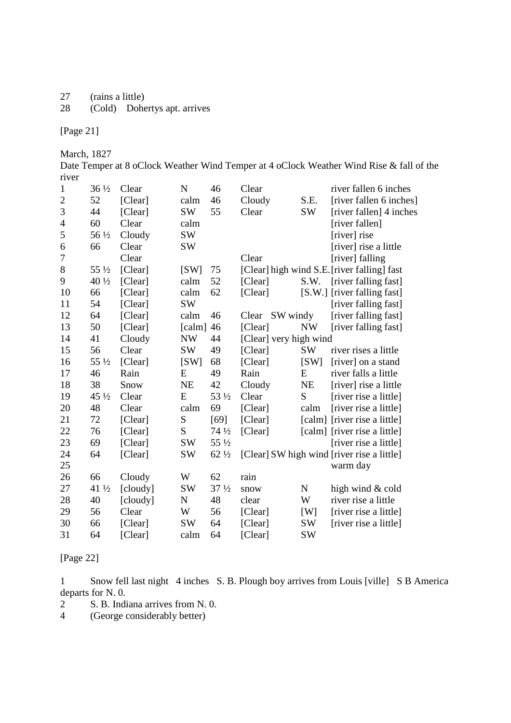- 27 (rains a little)<br>28 (Cold) Dohe
- (Cold) Dohertys apt. arrives

[Page 21]

March, 1827

Date Temper at 8 oClock Weather Wind Temper at 4 oClock Weather Wind Rise & fall of the river

| $\mathbf{1}$   | $36\frac{1}{2}$ | Clear    | N                           | 46              | Clear                  |             | river fallen 6 inches                       |
|----------------|-----------------|----------|-----------------------------|-----------------|------------------------|-------------|---------------------------------------------|
| $\overline{2}$ | 52              | [Clear]  | calm                        | 46              | Cloudy                 | S.E.        | [river fallen 6 inches]                     |
| 3              | 44              | [Clear]  | SW <sub></sub>              | 55              | Clear                  | <b>SW</b>   | [river fallen] 4 inches                     |
| $\overline{4}$ | 60              | Clear    | calm                        |                 |                        |             | [river fallen]                              |
| 5              | 56 1/2          | Cloudy   | SW                          |                 |                        |             | [river] rise                                |
| 6              | 66              | Clear    | SW                          |                 |                        |             | [river] rise a little                       |
| $\tau$         |                 | Clear    |                             |                 | Clear                  |             | [river] falling                             |
| $8\,$          | 55 1/2          | [Clear]  | [SW]                        | 75              |                        |             | [Clear] high wind S.E. [river falling] fast |
| 9              | 40 1/2          | [Clear]  | calm                        | 52              | [Clear]                | S.W.        | [river falling fast]                        |
| 10             | 66              | [Clear]  | calm                        | 62              | [Clear]                |             | [S.W.] [river falling fast]                 |
| 11             | 54              | [Clear]  | <b>SW</b>                   |                 |                        |             | [river falling fast]                        |
| 12             | 64              | [Clear]  | calm                        | 46              | SW windy<br>Clear      |             | [river falling fast]                        |
| 13             | 50              | [Clear]  | $\lceil \text{calm} \rceil$ | 46              | [Clear]                | <b>NW</b>   | [river falling fast]                        |
| 14             | 41              | Cloudy   | <b>NW</b>                   | 44              | [Clear] very high wind |             |                                             |
| 15             | 56              | Clear    | SW <sub></sub>              | 49              | [Clear]                | SW          | river rises a little                        |
| 16             | 55 1/2          | [Clear]  | [SW]                        | 68              | [Clear]                | [SW]        | [river] on a stand                          |
| 17             | 46              | Rain     | ${\bf E}$                   | 49              | Rain                   | E           | river falls a little                        |
| 18             | 38              | Snow     | NE                          | 42              | Cloudy                 | NE          | [river] rise a little                       |
| 19             | $45\frac{1}{2}$ | Clear    | E                           | 53 1/2          | Clear                  | S           | [river rise a little]                       |
| 20             | 48              | Clear    | calm                        | 69              | [Clear]                | calm        | [river rise a little]                       |
| 21             | 72              | [Clear]  | ${\bf S}$                   | [69]            | [Clear]                |             | [calm] [river rise a little]                |
| 22             | 76              | [Clear]  | S                           | $74\frac{1}{2}$ | [Clear]                |             | [calm] [river rise a little]                |
| 23             | 69              | [Clear]  | SW                          | 55 1/2          |                        |             | [river rise a little]                       |
| 24             | 64              | [Clear]  | SW                          | $62\frac{1}{2}$ |                        |             | [Clear] SW high wind [river rise a little]  |
| 25             |                 |          |                             |                 |                        |             | warm day                                    |
| 26             | 66              | Cloudy   | W                           | 62              | rain                   |             |                                             |
| 27             | 41 1/2          | [cloudy] | SW                          | $37\frac{1}{2}$ | snow                   | $\mathbf N$ | high wind & cold                            |
| 28             | 40              | [cloudy] | N                           | 48              | clear                  | W           | river rise a little                         |
| 29             | 56              | Clear    | W                           | 56              | [Clear]                | [W]         | [river rise a little]                       |
| 30             | 66              | [Clear]  | SW                          | 64              | [Clear]                | SW          | [river rise a little]                       |
| 31             | 64              | [Clear]  | calm                        | 64              | [Clear]                | <b>SW</b>   |                                             |

[Page 22]

1 Snow fell last night 4 inches S. B. Plough boy arrives from Louis [ville] S B America departs for N. 0.

2 S. B. Indiana arrives from N. 0.<br>4 (George considerably better)

(George considerably better)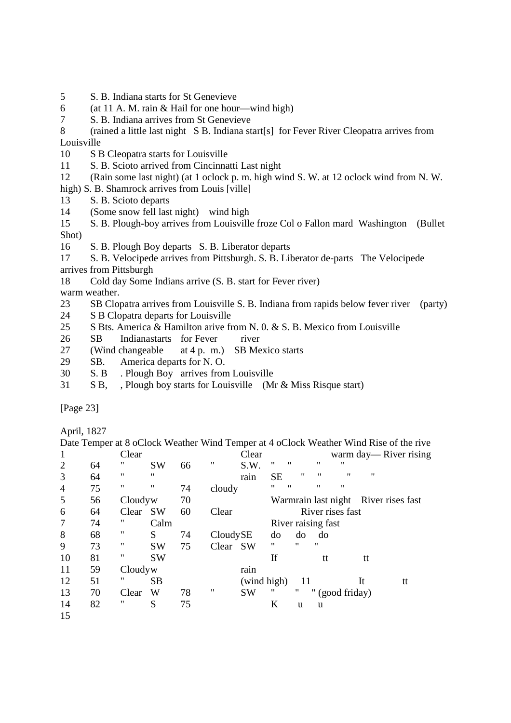- 5 S. B. Indiana starts for St Genevieve
- 6 (at 11 A. M. rain & Hail for one hour—wind high)
- 7 S. B. Indiana arrives from St Genevieve
- 8 (rained a little last night S B. Indiana start[s] for Fever River Cleopatra arrives from Louisville
- 10 S B Cleopatra starts for Louisville
- 11 S. B. Scioto arrived from Cincinnatti Last night
- 12 (Rain some last night) (at 1 oclock p. m. high wind S. W. at 12 oclock wind from N. W.
- high) S. B. Shamrock arrives from Louis [ville]
- 13 S. B. Scioto departs
- 14 (Some snow fell last night) wind high
- 15 S. B. Plough-boy arrives from Louisville froze Col o Fallon mard Washington (Bullet Shot)
- 16 S. B. Plough Boy departs S. B. Liberator departs
- 17 S. B. Velocipede arrives from Pittsburgh. S. B. Liberator de-parts The Velocipede arrives from Pittsburgh
- 18 Cold day Some Indians arrive (S. B. start for Fever river) warm weather.
- 23 SB Clopatra arrives from Louisville S. B. Indiana from rapids below fever river (party)
- 24 S B Clopatra departs for Louisville
- 25 S Bts. America & Hamilton arive from N. 0. & S. B. Mexico from Louisville
- 26 SB Indianastarts for Fever river
- 27 (Wind changeable at 4 p. m.) SB Mexico starts
- 29 SB. America departs for N. O.
- 30 S. B . Plough Boy arrives from Louisville
- 31 S B, , Plough boy starts for Louisville (Mr & Miss Risque start)

[Page 23]

April, 1827

Date Temper at 8 oClock Weather Wind Temper at 4 oClock Weather Wind Rise of the rive 1 Clear Clear Clear warm day— River rising<br>2 64 " SW 66 " S.W. " " " " 2 64 " SW 66 " S.W. " " " " 3 64 " " rain SE " " " " 4 75 " " 74 cloudy " " " " 5 56 Cloudyw 70 Warmrain last night River rises fast 6 64 Clear SW 60 Clear River rises fast 7 74 " Calm River raising fast 8 68 " S 74 Cloudy SE do do do do 9 73 " SW 75 Clear SW " " " 10 81 " SW If tt tt 11 59 Cloudy w rain 12 51 " SB (wind high) 11 It tt 13 70 Clear W 78 " SW " " " (good friday) 14 82 " S 75 K u u 15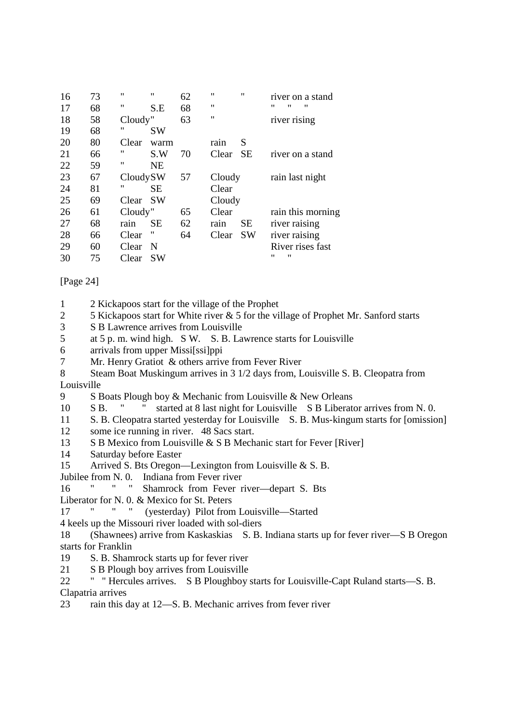| 16 | 73 | $^{\prime\prime}$ | $^{\prime \prime}$ | 62 | $^{\prime\prime}$ | $^{\dagger}$ | river on a stand       |                   |
|----|----|-------------------|--------------------|----|-------------------|--------------|------------------------|-------------------|
| 17 | 68 | $^{\prime\prime}$ | S.E                | 68 | $^{\prime\prime}$ |              | $^{\prime\prime}$<br>" | "                 |
| 18 | 58 | Cloudy"           |                    | 63 | $^{\prime\prime}$ |              | river rising           |                   |
| 19 | 68 | $^{\prime\prime}$ | <b>SW</b>          |    |                   |              |                        |                   |
| 20 | 80 | Clear             | warm               |    | rain              | S            |                        |                   |
| 21 | 66 | "                 | S.W                | 70 | Clear             | <b>SE</b>    | river on a stand       |                   |
| 22 | 59 | 11                | <b>NE</b>          |    |                   |              |                        |                   |
| 23 | 67 | CloudySW          |                    | 57 | Cloudy            |              | rain last night        |                   |
| 24 | 81 | "                 | SЕ                 |    | Clear             |              |                        |                   |
| 25 | 69 | Clear             | <b>SW</b>          |    | Cloudy            |              |                        |                   |
| 26 | 61 | Cloudy"           |                    | 65 | Clear             |              |                        | rain this morning |
| 27 | 68 | rain              | <b>SE</b>          | 62 | rain              | <b>SE</b>    | river raising          |                   |
| 28 | 66 | Clear             | "                  | 64 | Clear             | <b>SW</b>    | river raising          |                   |
| 29 | 60 | Clear             | N                  |    |                   |              | River rises fast       |                   |
| 30 | 75 | Clear             | SW                 |    |                   |              | "<br>11                |                   |

[Page 24]

- 1 2 Kickapoos start for the village of the Prophet
- 2 5 Kickapoos start for White river & 5 for the village of Prophet Mr. Sanford starts
- 3 S B Lawrence arrives from Louisville
- 5 at 5 p. m. wind high. S W. S. B. Lawrence starts for Louisville
- 6 arrivals from upper Missi[ssi]ppi
- 7 Mr. Henry Gratiot & others arrive from Fever River
- 8 Steam Boat Muskingum arrives in 3 1/2 days from, Louisville S. B. Cleopatra from Louisville
- 9 S Boats Plough boy & Mechanic from Louisville & New Orleans
- 10 S B. " " started at 8 last night for Louisville S B Liberator arrives from N. 0.
- 11 S. B. Cleopatra started yesterday for Louisville S. B. Mus-kingum starts for [omission]
- 12 some ice running in river. 48 Sacs start.
- 13 S B Mexico from Louisville & S B Mechanic start for Fever [River]
- 14 Saturday before Easter
- 15 Arrived S. Bts Oregon—Lexington from Louisville & S. B.
- Jubilee from N. 0. Indiana from Fever river
- 16 " " " Shamrock from Fever river—depart S. Bts
- Liberator for N. 0. & Mexico for St. Peters
- 17 " " " (yesterday) Pilot from Louisville—Started
- 4 keels up the Missouri river loaded with sol-diers
- 18 (Shawnees) arrive from Kaskaskias S. B. Indiana starts up for fever river—S B Oregon starts for Franklin
- 19 S. B. Shamrock starts up for fever river
- 21 S B Plough boy arrives from Louisville
- 22 " " Hercules arrives. S B Ploughboy starts for Louisville-Capt Ruland starts—S. B. Clapatria arrives
- 23 rain this day at 12—S. B. Mechanic arrives from fever river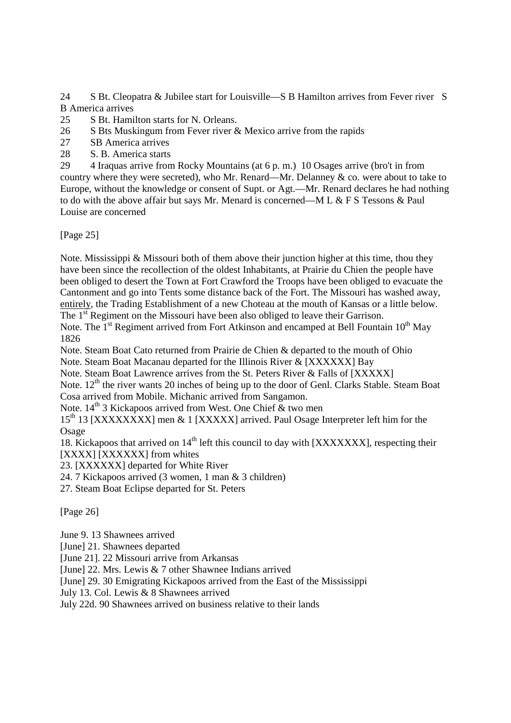24 S Bt. Cleopatra & Jubilee start for Louisville—S B Hamilton arrives from Fever river S B America arrives

25 S Bt. Hamilton starts for N. Orleans.

- 26 S Bts Muskingum from Fever river & Mexico arrive from the rapids
- 27 SB America arrives
- 28 S. B. America starts

29 4 Iraquas arrive from Rocky Mountains (at 6 p. m.) 10 Osages arrive (bro't in from country where they were secreted), who Mr. Renard—Mr. Delanney  $\⊂>$  co. were about to take to Europe, without the knowledge or consent of Supt. or Agt.—Mr. Renard declares he had nothing to do with the above affair but says Mr. Menard is concerned—M L & F S Tessons & Paul Louise are concerned

[Page 25]

Note. Mississippi & Missouri both of them above their junction higher at this time, thou they have been since the recollection of the oldest Inhabitants, at Prairie du Chien the people have been obliged to desert the Town at Fort Crawford the Troops have been obliged to evacuate the Cantonment and go into Tents some distance back of the Fort. The Missouri has washed away, entirely, the Trading Establishment of a new Choteau at the mouth of Kansas or a little below.

The 1<sup>st</sup> Regiment on the Missouri have been also obliged to leave their Garrison.

Note. The 1<sup>st</sup> Regiment arrived from Fort Atkinson and encamped at Bell Fountain 10<sup>th</sup> May 1826

Note. Steam Boat Cato returned from Prairie de Chien & departed to the mouth of Ohio

Note. Steam Boat Macanau departed for the Illinois River & [XXXXXX] Bay

Note. Steam Boat Lawrence arrives from the St. Peters River & Falls of [XXXXX]

Note. 12<sup>th</sup> the river wants 20 inches of being up to the door of Genl. Clarks Stable. Steam Boat Cosa arrived from Mobile. Michanic arrived from Sangamon.

Note.  $14<sup>th</sup>$  3 Kickapoos arrived from West. One Chief & two men

15<sup>th</sup> 13 [XXXXXXXX] men & 1 [XXXXX] arrived. Paul Osage Interpreter left him for the Osage

18. Kickapoos that arrived on 14<sup>th</sup> left this council to day with [XXXXXXX], respecting their [XXXX] [XXXXXX] from whites

23. [XXXXXX] departed for White River

24. 7 Kickapoos arrived (3 women, 1 man & 3 children)

27. Steam Boat Eclipse departed for St. Peters

[Page 26]

June 9. 13 Shawnees arrived

[June] 21. Shawnees departed

[June 21]. 22 Missouri arrive from Arkansas

[June] 22. Mrs. Lewis & 7 other Shawnee Indians arrived

[June] 29. 30 Emigrating Kickapoos arrived from the East of the Mississippi

July 13. Col. Lewis & 8 Shawnees arrived

July 22d. 90 Shawnees arrived on business relative to their lands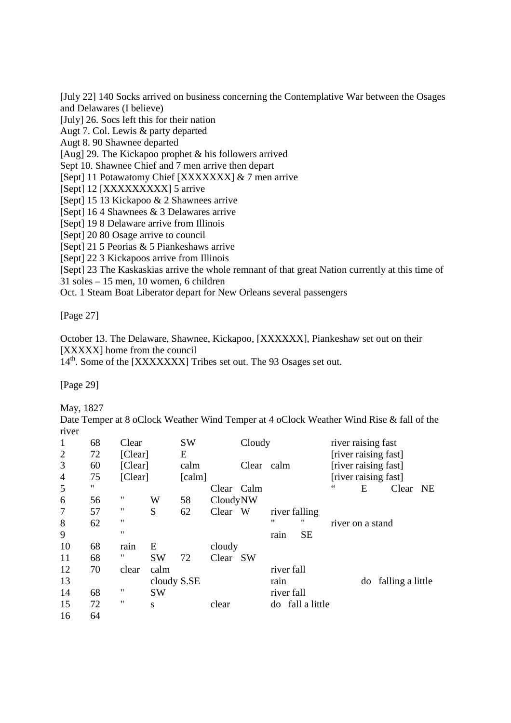[July 22] 140 Socks arrived on business concerning the Contemplative War between the Osages and Delawares (I believe)

[July] 26. Socs left this for their nation

Augt 7. Col. Lewis & party departed

Augt 8. 90 Shawnee departed

[Aug] 29. The Kickapoo prophet & his followers arrived

Sept 10. Shawnee Chief and 7 men arrive then depart

[Sept] 11 Potawatomy Chief [XXXXXXX] & 7 men arrive

[Sept] 12 [XXXXXXXXX] 5 arrive

[Sept] 15 13 Kickapoo & 2 Shawnees arrive

[Sept] 16 4 Shawnees & 3 Delawares arrive

[Sept] 19 8 Delaware arrive from Illinois

[Sept] 20 80 Osage arrive to council

[Sept] 21 5 Peorias & 5 Piankeshaws arrive

[Sept] 22 3 Kickapoos arrive from Illinois

[Sept] 23 The Kaskaskias arrive the whole remnant of that great Nation currently at this time of

31 soles – 15 men, 10 women, 6 children

Oct. 1 Steam Boat Liberator depart for New Orleans several passengers

[Page 27]

October 13. The Delaware, Shawnee, Kickapoo, [XXXXXX], Piankeshaw set out on their [XXXXX] home from the council

14<sup>th</sup>. Some of the [XXXXXXX] Tribes set out. The 93 Osages set out.

[Page 29]

May, 1827

Date Temper at 8 oClock Weather Wind Temper at 4 oClock Weather Wind Rise & fall of the river

| $\mathbf{1}$   | 68 | Clear             |             | <b>SW</b>                   |            | Cloudy     |               |                  | river raising fast   |    |                  |    |
|----------------|----|-------------------|-------------|-----------------------------|------------|------------|---------------|------------------|----------------------|----|------------------|----|
| $\overline{2}$ | 72 | [Clear]           |             | E                           |            |            |               |                  | [river raising fast] |    |                  |    |
| 3              | 60 | [Clear]           |             | calm                        |            | Clear calm |               |                  | [river raising fast] |    |                  |    |
| $\overline{4}$ | 75 | [Clear]           |             | $\lceil \text{calm} \rceil$ |            |            |               |                  | [river raising fast] |    |                  |    |
| 5              | "  |                   |             |                             | Clear Calm |            |               |                  | 66                   | E  | Clear            | NE |
| 6              | 56 | 11                | W           | 58                          | CloudyNW   |            |               |                  |                      |    |                  |    |
| $\overline{7}$ | 57 | "                 | S           | 62                          | Clear W    |            | river falling |                  |                      |    |                  |    |
| 8              | 62 | 11                |             |                             |            |            | 11            | "                | river on a stand     |    |                  |    |
| 9              |    | $^{\prime\prime}$ |             |                             |            |            | rain          | <b>SE</b>        |                      |    |                  |    |
| 10             | 68 | rain              | E           |                             | cloudy     |            |               |                  |                      |    |                  |    |
| 11             | 68 | "                 | <b>SW</b>   | 72                          | Clear SW   |            |               |                  |                      |    |                  |    |
| 12             | 70 | clear             | calm        |                             |            |            | river fall    |                  |                      |    |                  |    |
| 13             |    |                   | cloudy S.SE |                             |            |            | rain          |                  |                      | do | falling a little |    |
| 14             | 68 | "                 | <b>SW</b>   |                             |            |            | river fall    |                  |                      |    |                  |    |
| 15             | 72 | 11                | S           |                             | clear      |            |               | do fall a little |                      |    |                  |    |
| 16             | 64 |                   |             |                             |            |            |               |                  |                      |    |                  |    |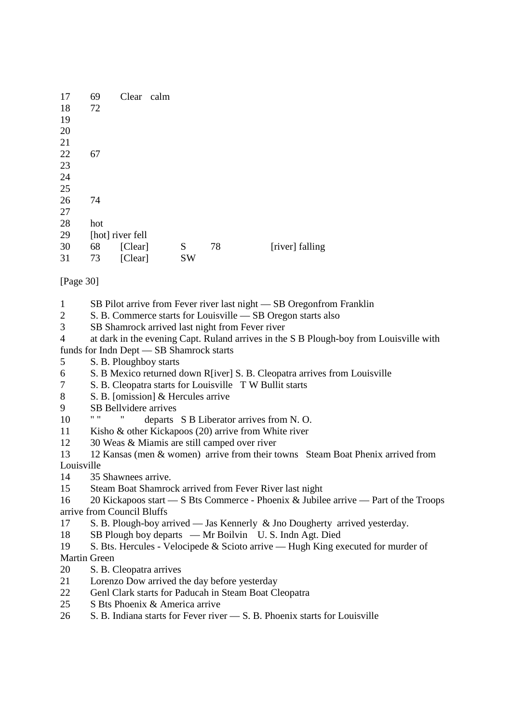| 17 | 69  | Clear            | calm |           |    |                 |
|----|-----|------------------|------|-----------|----|-----------------|
| 18 | 72  |                  |      |           |    |                 |
| 19 |     |                  |      |           |    |                 |
| 20 |     |                  |      |           |    |                 |
| 21 |     |                  |      |           |    |                 |
| 22 | 67  |                  |      |           |    |                 |
| 23 |     |                  |      |           |    |                 |
| 24 |     |                  |      |           |    |                 |
| 25 |     |                  |      |           |    |                 |
| 26 | 74  |                  |      |           |    |                 |
| 27 |     |                  |      |           |    |                 |
| 28 | hot |                  |      |           |    |                 |
| 29 |     | [hot] river fell |      |           |    |                 |
| 30 | 68  | [Clear]          |      | S         | 78 | [river] falling |
| 31 | 73  | [Clear]          |      | <b>SW</b> |    |                 |

[Page 30]

- 1 SB Pilot arrive from Fever river last night SB Oregonfrom Franklin
- 2 S. B. Commerce starts for Louisville SB Oregon starts also
- 3 SB Shamrock arrived last night from Fever river
- 4 at dark in the evening Capt. Ruland arrives in the S B Plough-boy from Louisville with funds for Indn Dept — SB Shamrock starts
- 5 S. B. Ploughboy starts
- 6 S. B Mexico returned down R[iver] S. B. Cleopatra arrives from Louisville
- 7 S. B. Cleopatra starts for Louisville T W Bullit starts
- 8 S. B. [omission] & Hercules arrive
- 9 SB Bellvidere arrives
- 10 " " " departs S B Liberator arrives from N.O.
- 11 Kisho & other Kickapoos (20) arrive from White river
- 12 30 Weas & Miamis are still camped over river
- 13 12 Kansas (men & women) arrive from their towns Steam Boat Phenix arrived from Louisville
- 14 35 Shawnees arrive.
- 15 Steam Boat Shamrock arrived from Fever River last night
- 16 20 Kickapoos start S Bts Commerce Phoenix & Jubilee arrive Part of the Troops arrive from Council Bluffs
- 17 S. B. Plough-boy arrived Jas Kennerly & Jno Dougherty arrived yesterday.
- 18 SB Plough boy departs Mr Boilvin U. S. Indn Agt. Died
- 19 S. Bts. Hercules Velocipede & Scioto arrive Hugh King executed for murder of Martin Green
- 20 S. B. Cleopatra arrives
- 21 Lorenzo Dow arrived the day before yesterday
- 22 Genl Clark starts for Paducah in Steam Boat Cleopatra
- 25 S Bts Phoenix & America arrive
- 26 S. B. Indiana starts for Fever river S. B. Phoenix starts for Louisville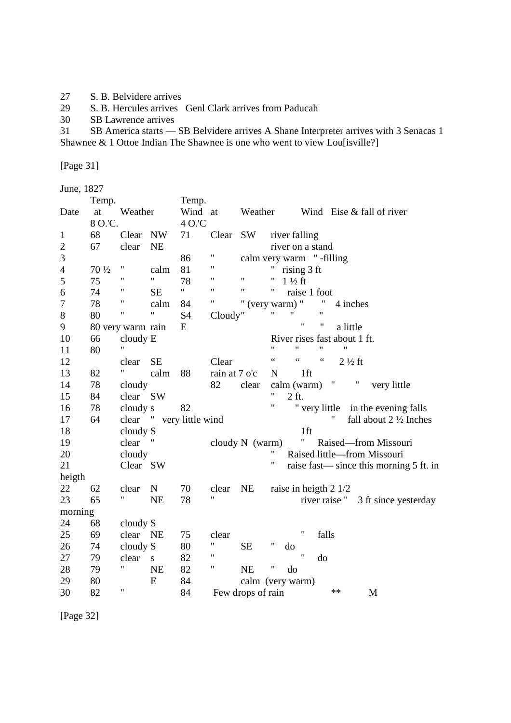- 27 S. B. Belvidere arrives<br>29 S. B. Hercules arrives
- 29 S. B. Hercules arrives Genl Clark arrives from Paducah<br>30 SB Lawrence arrives
- SB Lawrence arrives

31 SB America starts — SB Belvidere arrives A Shane Interpreter arrives with 3 Senacas 1 Shawnee & 1 Ottoe Indian The Shawnee is one who went to view Lou[isville?]

[Page 31]

| June, 1827 |  |
|------------|--|
|------------|--|

|                | Temp.           |                    |             | Temp.            |                    |                   |                                                                           |
|----------------|-----------------|--------------------|-------------|------------------|--------------------|-------------------|---------------------------------------------------------------------------|
| Date           | at              | Weather            |             | Wind at          |                    | Weather           | Wind Eise & fall of river                                                 |
|                | 8 O.C.          |                    |             | 4 O.'C           |                    |                   |                                                                           |
| 1              | 68              | Clear              | NW          | 71               | Clear              | SW                | river falling                                                             |
| $\overline{c}$ | 67              | clear              | <b>NE</b>   |                  |                    |                   | river on a stand                                                          |
| 3              |                 |                    |             | 86               | 11                 |                   | calm very warm "-filling                                                  |
| $\overline{4}$ | $70\frac{1}{2}$ | $^{\prime\prime}$  | calm        | 81               | 11                 |                   | 11<br>rising 3 ft                                                         |
| 5              | 75              | 11                 | 11          | 78               | 11                 | 11                | $\pmb{\mathsf{H}}$<br>$1\frac{1}{2}$ ft                                   |
| 6              | 74              | $\pmb{\mathsf{H}}$ | <b>SE</b>   | $\mathbf{H}$     | $\pmb{\mathsf{H}}$ | 11                | $\pmb{\mathsf{H}}$<br>raise 1 foot                                        |
| 7              | 78              | 11                 | calm        | 84               | 11                 |                   | (very warm) "<br>4 inches                                                 |
| $8\,$          | 80              | $\pmb{\mathsf{H}}$ | 11          | S4               | Cloudy"            |                   | Ħ<br>11<br>$\pmb{\mathsf{H}}$                                             |
| 9              |                 | 80 very warm rain  |             | E                |                    |                   | $\pmb{\mathsf{H}}$<br>$^{\prime\prime}$<br>a little                       |
| 10             | 66              | cloudy E           |             |                  |                    |                   | River rises fast about 1 ft.                                              |
| 11             | 80              | Ħ                  |             |                  |                    |                   | 11<br>11<br>11<br>11                                                      |
| 12             |                 | clear              | <b>SE</b>   |                  | Clear              |                   | $\zeta$ $\zeta$<br>$\zeta$ $\zeta$<br>$\zeta\,\zeta$<br>$2\frac{1}{2}$ ft |
| 13             | 82              | Ħ                  | calm        | 88               | rain at 7 o'c      |                   | $1$ ft<br>N                                                               |
| 14             | 78              | cloudy             |             |                  | 82                 | clear             | Π<br>π<br>calm (warm)<br>very little                                      |
| 15             | 84              | clear SW           |             |                  |                    |                   | 11<br>2 ft.                                                               |
| 16             | 78              | cloudy s           |             | 82               |                    |                   | "<br>" very little<br>in the evening falls                                |
| 17             | 64              | clear "            |             | very little wind |                    |                   | 11<br>fall about $2 \frac{1}{2}$ Inches                                   |
| 18             |                 | cloudy S           |             |                  |                    |                   | $1$ ft                                                                    |
| 19             |                 | clear              |             |                  |                    | cloudy $N$ (warm) | Ħ<br>Raised-from Missouri                                                 |
| 20             |                 | cloudy             |             |                  |                    |                   | 11<br>Raised little-from Missouri                                         |
| 21             |                 | Clear SW           |             |                  |                    |                   | 11<br>raise fast—since this morning 5 ft. in                              |
| heigth         |                 |                    |             |                  |                    |                   |                                                                           |
| 22             | 62              | clear              | $\mathbf N$ | 70               | clear              | <b>NE</b>         | raise in heigth $2 \frac{1}{2}$                                           |
| 23             | 65              | Ħ                  | <b>NE</b>   | 78               | 11                 |                   | river raise "<br>3 ft since yesterday                                     |
| morning        |                 |                    |             |                  |                    |                   |                                                                           |
| 24             | 68              | cloudy S           |             |                  |                    |                   |                                                                           |
| 25             | 69              | clear NE           |             | 75               | clear              |                   | $\pmb{\mathsf{H}}$<br>falls                                               |
| 26             | 74              | cloudy S           |             | 80               | 11                 | <b>SE</b>         | 11<br>do                                                                  |
| 27             | 79              | clear              | S           | 82               | 11                 |                   | $\pmb{\mathsf{H}}$<br>do                                                  |
| 28             | 79              | Ħ                  | <b>NE</b>   | 82               | Ħ                  | <b>NE</b>         | Ħ<br>do                                                                   |
| 29             | 80              |                    | E           | 84               |                    |                   | calm (very warm)                                                          |
| 30             | 82              | $\pmb{\mathsf{H}}$ |             | 84               |                    | Few drops of rain | $***$<br>M                                                                |

[Page 32]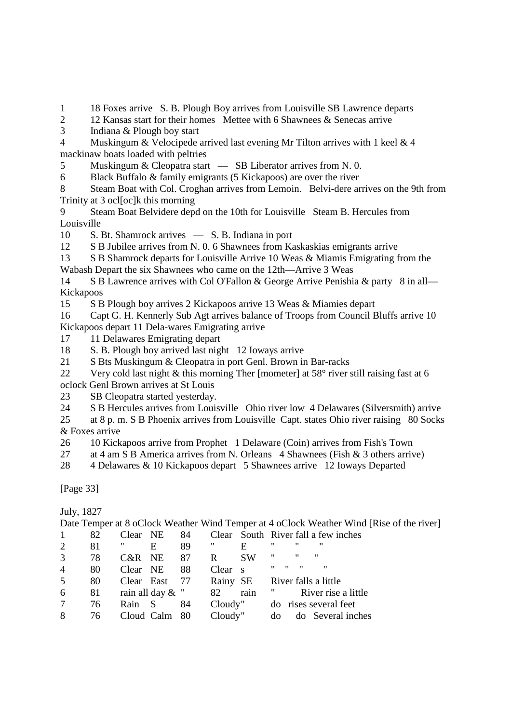1 18 Foxes arrive S. B. Plough Boy arrives from Louisville SB Lawrence departs

2 12 Kansas start for their homes Mettee with 6 Shawnees & Senecas arrive

3 Indiana & Plough boy start

4 Muskingum & Velocipede arrived last evening Mr Tilton arrives with 1 keel & 4 mackinaw boats loaded with peltries

5 Muskingum & Cleopatra start — SB Liberator arrives from N. 0.

6 Black Buffalo & family emigrants (5 Kickapoos) are over the river

8 Steam Boat with Col. Croghan arrives from Lemoin. Belvi-dere arrives on the 9th from Trinity at 3 ocl[oc]k this morning

9 Steam Boat Belvidere depd on the 10th for Louisville Steam B. Hercules from Louisville

10 S. Bt. Shamrock arrives — S. B. Indiana in port

12 S B Jubilee arrives from N. 0. 6 Shawnees from Kaskaskias emigrants arrive

13 S B Shamrock departs for Louisville Arrive 10 Weas & Miamis Emigrating from the

Wabash Depart the six Shawnees who came on the 12th—Arrive 3 Weas

14 S B Lawrence arrives with Col O'Fallon & George Arrive Penishia & party 8 in all— Kickapoos

15 S B Plough boy arrives 2 Kickapoos arrive 13 Weas & Miamies depart

16 Capt G. H. Kennerly Sub Agt arrives balance of Troops from Council Bluffs arrive 10 Kickapoos depart 11 Dela-wares Emigrating arrive

17 11 Delawares Emigrating depart

18 S. B. Plough boy arrived last night 12 Ioways arrive

21 S Bts Muskingum & Cleopatra in port Genl. Brown in Bar-racks

22 Very cold last night & this morning Ther [mometer] at 58° river still raising fast at 6 oclock Genl Brown arrives at St Louis

23 SB Cleopatra started yesterday.

24 S B Hercules arrives from Louisville Ohio river low 4 Delawares (Silversmith) arrive

25 at 8 p. m. S B Phoenix arrives from Louisville Capt. states Ohio river raising 80 Socks & Foxes arrive

26 10 Kickapoos arrive from Prophet 1 Delaware (Coin) arrives from Fish's Town

27 at 4 am S B America arrives from N. Orleans 4 Shawnees (Fish & 3 others arrive)

28 4 Delawares & 10 Kickapoos depart 5 Shawnees arrive 12 Ioways Departed

[Page 33]

July, 1827

Date Temper at 8 oClock Weather Wind Temper at 4 oClock Weather Wind [Rise of the river]

|                | 82  | Clear NE  |                     | 84 |          |              | Clear South River fall a few inches                         |
|----------------|-----|-----------|---------------------|----|----------|--------------|-------------------------------------------------------------|
| 2              | 81  |           | E                   | 89 | 11       | E            | "<br>"<br>,,                                                |
| 3              | 78  | $C\&R$ NE |                     | 87 | R        | <b>SW</b>    | $^{\prime\prime}$<br>$^{\prime\prime}$<br>"                 |
| $\overline{4}$ | 80  | Clear NE  |                     | 88 | Clear    | $^{\circ}$ S | $^{\prime\prime}$<br>$\mathbf{u}$<br>"<br>$^{\prime\prime}$ |
| 5              | 80  |           | Clear East 77       |    | Rainy SE |              | River falls a little                                        |
| 6              | -81 |           | rain all day $\&$ " |    | 82       | rain         | River rise a little                                         |
|                | 76  | Rain      | S                   | 84 | Cloudy"  |              | do rises several feet                                       |
| 8              | 76  |           | Cloud Calm 80       |    | Cloudy"  |              | do Several inches<br>do                                     |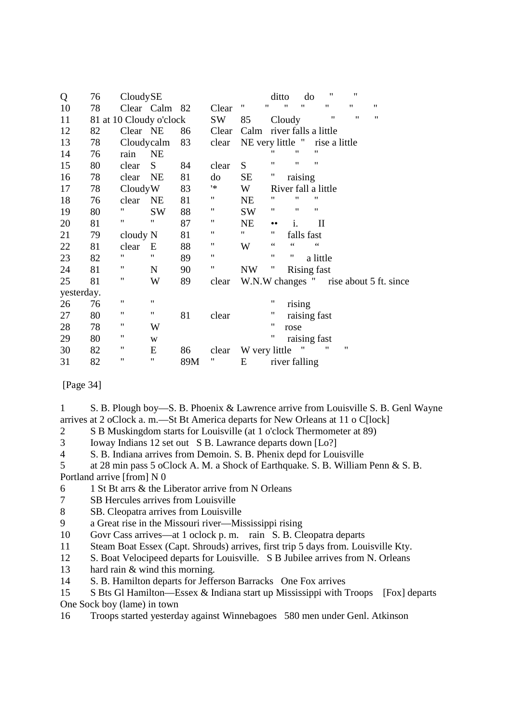| Q          | 76 | CloudySE                |                    |     |                    |                    | ditto            |                   | do                   | 11            | 11 |                                        |
|------------|----|-------------------------|--------------------|-----|--------------------|--------------------|------------------|-------------------|----------------------|---------------|----|----------------------------------------|
| 10         | 78 |                         | Clear Calm 82      |     | Clear              | $\pmb{\mathsf{H}}$ |                  | 11                | "                    | $^{\dagger}$  | 11 | 11                                     |
| 11         |    | 81 at 10 Cloudy o'clock |                    |     | SW                 | 85                 |                  | Cloudy            |                      | 11            | 11 | $\pmb{\mathsf{H}}$                     |
| 12         | 82 | Clear NE                |                    | 86  | Clear              | Calm               |                  |                   | river falls a little |               |    |                                        |
| 13         | 78 | Cloudycalm              |                    | 83  | clear              | NE very little "   |                  |                   |                      | rise a little |    |                                        |
| 14         | 76 | rain                    | <b>NE</b>          |     |                    |                    | "                | "                 | 11                   |               |    |                                        |
| 15         | 80 | clear                   | S                  | 84  | clear              | S                  | 11               | "                 | 11                   |               |    |                                        |
| 16         | 78 | clear                   | <b>NE</b>          | 81  | do                 | <b>SE</b>          | Ħ                | raising           |                      |               |    |                                        |
| 17         | 78 | CloudyW                 |                    | 83  | '*                 | W                  |                  |                   | River fall a little  |               |    |                                        |
| 18         | 76 | clear                   | <b>NE</b>          | 81  | 11                 | <b>NE</b>          | "                | "                 | 11                   |               |    |                                        |
| 19         | 80 | 11                      | <b>SW</b>          | 88  | 11                 | <b>SW</b>          | "                | $^{\prime\prime}$ | 11                   |               |    |                                        |
| 20         | 81 | 11                      | 11                 | 87  | "                  | <b>NE</b>          | $\bullet\bullet$ | i.                | $\mathbf{I}$         |               |    |                                        |
| 21         | 79 | cloudy N                |                    | 81  | $\pmb{\mathsf{H}}$ | 11                 | 11               |                   | falls fast           |               |    |                                        |
| 22         | 81 | clear                   | E                  | 88  | $\pmb{\mathsf{H}}$ | W                  | $\zeta$ $\zeta$  | $\zeta$ $\zeta$   | $\zeta$ $\zeta$      |               |    |                                        |
| 23         | 82 | 11                      | $\pmb{\mathsf{H}}$ | 89  | $\pmb{\mathsf{H}}$ |                    | 11               | 11                | a little             |               |    |                                        |
| 24         | 81 | "                       | N                  | 90  | π                  | <b>NW</b>          |                  |                   | Rising fast          |               |    |                                        |
| 25         | 81 | 11                      | W                  | 89  | clear              |                    |                  |                   |                      |               |    | W.N.W changes " rise about 5 ft. since |
| yesterday. |    |                         |                    |     |                    |                    |                  |                   |                      |               |    |                                        |
| 26         | 76 | 11                      | 11                 |     |                    |                    | "                | rising            |                      |               |    |                                        |
| 27         | 80 | 11                      | 11                 | 81  | clear              |                    | 11               |                   | raising fast         |               |    |                                        |
| 28         | 78 | 11                      | W                  |     |                    |                    | 11               | rose              |                      |               |    |                                        |
| 29         | 80 | 11                      | W                  |     |                    |                    | 11               |                   | raising fast         |               |    |                                        |
| 30         | 82 | 11                      | E                  | 86  | clear              | W very little      |                  |                   |                      | 11            | 11 |                                        |
| 31         | 82 | 11                      | 11                 | 89M |                    | E                  |                  |                   | river falling        |               |    |                                        |

[Page 34]

1 S. B. Plough boy—S. B. Phoenix & Lawrence arrive from Louisville S. B. Genl Wayne arrives at 2 oClock a. m.—St Bt America departs for New Orleans at 11 o C[lock]

2 S B Muskingdom starts for Louisville (at 1 o'clock Thermometer at 89)

3 Ioway Indians 12 set out S B. Lawrance departs down [Lo?]

4 S. B. Indiana arrives from Demoin. S. B. Phenix depd for Louisville

5 at 28 min pass 5 oClock A. M. a Shock of Earthquake. S. B. William Penn & S. B. Portland arrive [from] N 0

- 6 1 St Bt arrs & the Liberator arrive from N Orleans
- 7 SB Hercules arrives from Louisville
- 8 SB. Cleopatra arrives from Louisville
- 9 a Great rise in the Missouri river—Mississippi rising
- 10 Govr Cass arrives—at 1 oclock p. m. rain S. B. Cleopatra departs
- 11 Steam Boat Essex (Capt. Shrouds) arrives, first trip 5 days from. Louisville Kty.
- 12 S. Boat Velocipeed departs for Louisville. S B Jubilee arrives from N. Orleans
- 13 hard rain & wind this morning.
- 14 S. B. Hamilton departs for Jefferson Barracks One Fox arrives
- 15 S Bts Gl Hamilton—Essex & Indiana start up Mississippi with Troops [Fox] departs One Sock boy (lame) in town

16 Troops started yesterday against Winnebagoes 580 men under Genl. Atkinson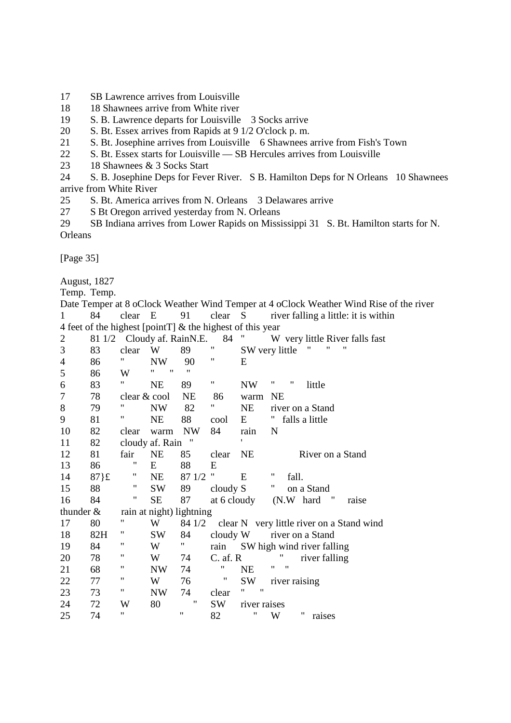- 17 SB Lawrence arrives from Louisville
- 18 18 Shawnees arrive from White river
- 19 S. B. Lawrence departs for Louisville 3 Socks arrive
- 20 S. Bt. Essex arrives from Rapids at 9 1/2 O'clock p. m.
- 21 S. Bt. Josephine arrives from Louisville 6 Shawnees arrive from Fish's Town
- 22 S. Bt. Essex starts for Louisville SB Hercules arrives from Louisville
- 23 18 Shawnees & 3 Socks Start

24 S. B. Josephine Deps for Fever River. S B. Hamilton Deps for N Orleans 10 Shawnees arrive from White River

- 25 S. Bt. America arrives from N. Orleans 3 Delawares arrive<br>27 S Bt Oregon arrived vesterday from N. Orleans
- S Bt Oregon arrived yesterday from N. Orleans

29 SB Indiana arrives from Lower Rapids on Mississippi 31 S. Bt. Hamilton starts for N. Orleans

[Page 35]

August, 1827

Temp. Temp.

Date Temper at 8 oClock Weather Wind Temper at 4 oClock Weather Wind Rise of the river 1 84 clear E 91 clear S river falling a little: it is within 4 feet of the highest [pointT]  $\&$  the highest of this year

| $\overline{2}$ | 81 1/2   |                    | Cloudy af. RainN.E.      |                    | 84                 | $^{\prime\prime}$        | W very little River falls fast            |
|----------------|----------|--------------------|--------------------------|--------------------|--------------------|--------------------------|-------------------------------------------|
| 3              | 83       | clear              | W                        | 89                 | 11                 |                          | 11<br>"<br>SW very little                 |
| $\overline{4}$ | 86       | 11                 | NW                       | 90                 | Ħ                  | E                        |                                           |
| 5              | 86       | W                  | $\pmb{\mathsf{H}}$<br>11 | $\pmb{\mathsf{H}}$ |                    |                          |                                           |
| 6              | 83       | $\pmb{\mathsf{H}}$ | <b>NE</b>                | 89                 | Ħ                  | <b>NW</b>                | 11<br>"<br>little                         |
| 7              | 78       | clear & cool       |                          | <b>NE</b>          | 86                 | warm                     | <b>NE</b>                                 |
| 8              | 79       | 11                 | <b>NW</b>                | 82                 | 11                 | <b>NE</b>                | river on a Stand                          |
| 9              | 81       | "                  | <b>NE</b>                | 88                 | cool               | E                        | η.<br>falls a little                      |
| 10             | 82       | clear              | warm                     | NW                 | 84                 | rain                     | N                                         |
| 11             | 82       |                    | cloudy af. Rain          | $^{\prime}$        |                    | $\mathbf{r}$             |                                           |
| 12             | 81       | fair               | <b>NE</b>                | 85                 | clear              | NE                       | River on a Stand                          |
| 13             | 86       | 11                 | E                        | 88                 | E                  |                          |                                           |
| 14             | $87\}$ £ | π                  | NE                       | 87 1/2             |                    | E                        | 11<br>fall.                               |
| 15             | 88       | $\pmb{\mathsf{H}}$ | SW                       | 89                 | cloudy S           |                          | Ħ<br>on a Stand                           |
| 16             | 84       | $\pmb{\mathsf{H}}$ | SE                       | 87                 | at 6 cloudy        |                          | (N.W hard<br>raise                        |
| thunder $&$    |          |                    | rain at night) lightning |                    |                    |                          |                                           |
| 17             | 80       | "                  | W                        | 84 1/2             |                    |                          | clear N very little river on a Stand wind |
| 18             | 82H      | 11                 | SW                       | 84                 | $cloudy$ W         |                          | river on a Stand                          |
| 19             | 84       | Ħ                  | W                        | Ħ                  | rain               |                          | SW high wind river falling                |
| 20             | 78       | 11                 | W                        | 74                 | $C.$ af. $R$       |                          | "<br>river falling                        |
| 21             | 68       | 11                 | NW                       | 74                 | 11                 | NE                       | $^{\prime\prime}$<br>"                    |
| 22             | 77       | 11                 | W                        | 76                 | $\pmb{\mathsf{H}}$ | <b>SW</b>                | river raising                             |
| 23             | 73       | $^{\prime\prime}$  | NW                       | 74                 | clear              | $\pmb{\mathsf{H}}$<br>11 |                                           |
| 24             | 72       | W                  | 80                       | 11                 | SW                 | river raises             |                                           |
| 25             | 74       | Ħ                  |                          | 11                 | 82                 | Ħ                        | "<br>W<br>raises                          |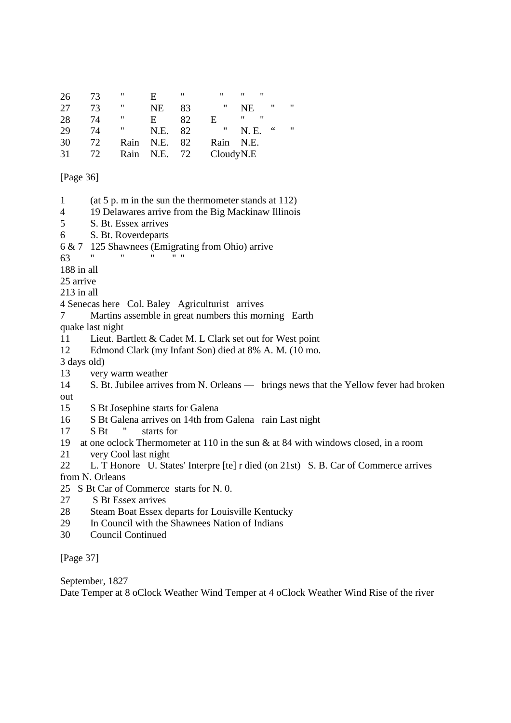| 26 | 73 | 11   | E            | 11 | $^{\prime\prime}$ | $^{\prime\prime}$ | ,, |    |     |
|----|----|------|--------------|----|-------------------|-------------------|----|----|-----|
| 27 | 73 | 11   | NE           | 83 | ,,                | <b>NE</b>         |    | "  | -11 |
| 28 | 74 | "    | E.           | 82 | E                 | "                 | ,, |    |     |
| 29 | 74 | Ħ    | N.E.         | 82 | $\mathbf{H}$      | N. E.             |    | 66 | ,,, |
| 30 | 72 | Rain | N.E.         | 82 | Rain              | N.E.              |    |    |     |
| 31 | 72 |      | Rain N.E. 72 |    | CloudyN.E         |                   |    |    |     |

[Page 36]

- 1 (at 5 p. m in the sun the thermometer stands at 112)
- 4 19 Delawares arrive from the Big Mackinaw Illinois
- 5 S. Bt. Essex arrives
- 6 S. Bt. Roverdeparts
- 6 & 7 125 Shawnees (Emigrating from Ohio) arrive
- $63$  " "  $\ldots$  " "
- 188 in all
- 25 arrive
- 213 in all
- 4 Senecas here Col. Baley Agriculturist arrives
- 7 Martins assemble in great numbers this morning Earth
- quake last night
- 11 Lieut. Bartlett & Cadet M. L Clark set out for West point
- 12 Edmond Clark (my Infant Son) died at 8% A. M. (10 mo.
- 3 days old)
- 13 very warm weather
- 14 S. Bt. Jubilee arrives from N. Orleans brings news that the Yellow fever had broken out
- 15 S Bt Josephine starts for Galena
- 16 S Bt Galena arrives on 14th from Galena rain Last night
- 17 S Bt " starts for
- 19 at one oclock Thermometer at 110 in the sun & at 84 with windows closed, in a room
- 21 very Cool last night
- 22 L. T Honore U. States' Interpre [te] r died (on 21st) S. B. Car of Commerce arrives from N. Orleans
- 25 S Bt Car of Commerce starts for N. 0.
- 27 S Bt Essex arrives
- 28 Steam Boat Essex departs for Louisville Kentucky
- 29 In Council with the Shawnees Nation of Indians
- 30 Council Continued

[Page 37]

September, 1827

Date Temper at 8 oClock Weather Wind Temper at 4 oClock Weather Wind Rise of the river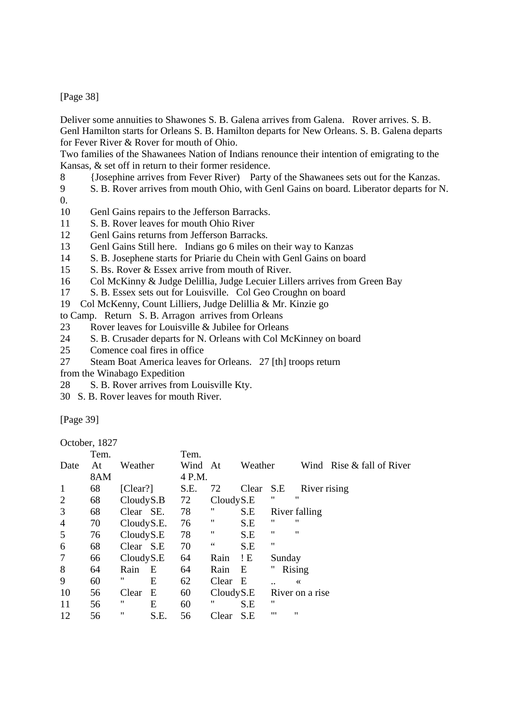[Page 38]

Deliver some annuities to Shawones S. B. Galena arrives from Galena. Rover arrives. S. B. Genl Hamilton starts for Orleans S. B. Hamilton departs for New Orleans. S. B. Galena departs for Fever River & Rover for mouth of Ohio.

Two families of the Shawanees Nation of Indians renounce their intention of emigrating to the Kansas, & set off in return to their former residence.

8 {Josephine arrives from Fever River) Party of the Shawanees sets out for the Kanzas.

9 S. B. Rover arrives from mouth Ohio, with Genl Gains on board. Liberator departs for N.

- $\overline{0}$ .
- 10 Genl Gains repairs to the Jefferson Barracks.
- 11 S. B. Rover leaves for mouth Ohio River
- 12 Genl Gains returns from Jefferson Barracks.
- 13 Genl Gains Still here. Indians go 6 miles on their way to Kanzas
- 14 S. B. Josephene starts for Priarie du Chein with Genl Gains on board
- 15 S. Bs. Rover & Essex arrive from mouth of River.
- 16 Col McKinny & Judge Delillia, Judge Lecuier Lillers arrives from Green Bay
- 17 S. B. Essex sets out for Louisville. Col Geo Croughn on board
- 19 Col McKenny, Count Lilliers, Judge Delillia & Mr. Kinzie go
- to Camp. Return S. B. Arragon arrives from Orleans
- 23 Rover leaves for Louisville & Jubilee for Orleans
- 24 S. B. Crusader departs for N. Orleans with Col McKinney on board
- 25 Comence coal fires in office
- 27 Steam Boat America leaves for Orleans. 27 [th] troops return
- from the Winabago Expedition
- 28 S. B. Rover arrives from Louisville Kty.
- 30 S. B. Rover leaves for mouth River.

[Page 39]

October, 1827

|                | Tem. |            | Tem.    |                     |         |        |                   |                             |
|----------------|------|------------|---------|---------------------|---------|--------|-------------------|-----------------------------|
| Date           | At   | Weather    | Wind At |                     | Weather |        |                   | Wind Rise $&$ fall of River |
|                | 8AM  |            | 4 P.M.  |                     |         |        |                   |                             |
| 1              | 68   | [Clear!]   | S.E.    | 72                  | Clear   | S.E    | River rising      |                             |
| 2              | 68   | CloudyS.B  | 72      | CloudyS.E           |         | "      | "                 |                             |
| 3              | 68   | Clear SE.  | 78      | "                   | S.E     |        | River falling     |                             |
| $\overline{4}$ | 70   | CloudyS.E. | 76      | "                   | S.E     | "      | "                 |                             |
| 5              | 76   | CloudyS.E  | 78      | "                   | S.E     | "      | $^{\prime\prime}$ |                             |
| 6              | 68   | Clear S.E  | 70      | $\,$ $\,$ $\,$ $\,$ | S.E     | "      |                   |                             |
| 7              | 66   | CloudyS.E  | 64      | Rain                | !E      | Sunday |                   |                             |
| 8              | 64   | E<br>Rain  | 64      | Rain                | E       |        | Rising            |                             |
| 9              | 60   | "<br>Ε     | 62      | Clear               | E       |        | $\ll$             |                             |
| 10             | 56   | E<br>Clear | 60      | CloudyS.E           |         |        | River on a rise   |                             |
| 11             | 56   | "<br>Ε     | 60      | "                   | S.E     | "      |                   |                             |
| 12             | 56   | "<br>S.E.  | 56      | Clear               | S.E     | "      | 11                |                             |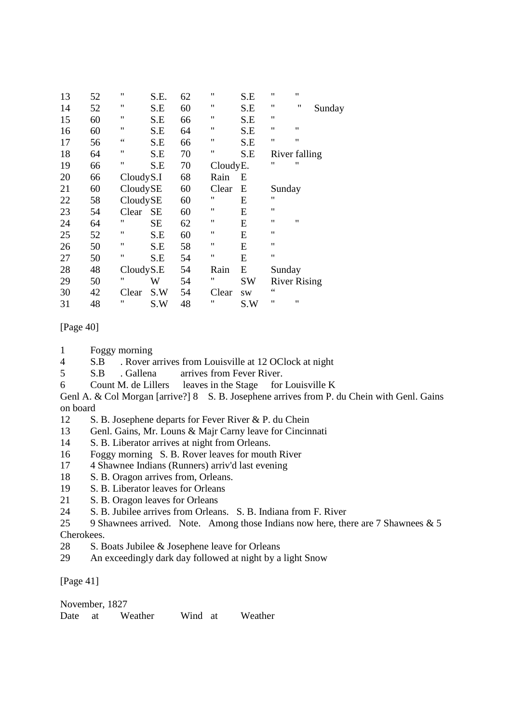| 13 | 52 | 11        | S.E.      | 62 | $^{\prime\prime}$ | S.E       | $^{\prime\prime}$  | "                   |        |
|----|----|-----------|-----------|----|-------------------|-----------|--------------------|---------------------|--------|
| 14 | 52 | 11        | S.E       | 60 | 11                | S.E       | 11                 | $^{\prime\prime}$   | Sunday |
| 15 | 60 | 11        | S.E       | 66 | $^{\prime\prime}$ | S.E       | $^{\prime\prime}$  |                     |        |
| 16 | 60 | 11        | S.E       | 64 | 11                | S.E       | $^{\prime\prime}$  | $\pmb{\mathsf{H}}$  |        |
| 17 | 56 |           | S.E       | 66 | $^{\prime\prime}$ | S.E       | $^{\prime\prime}$  | "                   |        |
| 18 | 64 | 11        | S.E       | 70 | 11                | S.E       |                    | River falling       |        |
| 19 | 66 | 11        | S.E       | 70 | CloudyE.          |           | 11                 | "                   |        |
| 20 | 66 | CloudyS.I |           | 68 | Rain              | E         |                    |                     |        |
| 21 | 60 | CloudySE  |           | 60 | Clear             | E         | Sunday             |                     |        |
| 22 | 58 | CloudySE  |           | 60 | 11                | E         | "                  |                     |        |
| 23 | 54 | Clear     | <b>SE</b> | 60 | $^{\prime\prime}$ | E         | $\pmb{\mathsf{H}}$ |                     |        |
| 24 | 64 | "         | SЕ        | 62 | $^{\prime\prime}$ | E         | $^{\prime\prime}$  | $\pmb{\mathsf{H}}$  |        |
| 25 | 52 | 11        | S.E       | 60 | $^{\prime\prime}$ | E         | "                  |                     |        |
| 26 | 50 | 11        | S.E       | 58 | $^{\prime\prime}$ | E         | $^{\prime\prime}$  |                     |        |
| 27 | 50 | 11        | S.E       | 54 | $^{\prime\prime}$ | E         | $^{\prime\prime}$  |                     |        |
| 28 | 48 | CloudyS.E |           | 54 | Rain              | E         | Sunday             |                     |        |
| 29 | 50 | "         | W         | 54 | "                 | <b>SW</b> |                    | <b>River Rising</b> |        |
| 30 | 42 | Clear     | S.W       | 54 | Clear             | SW        | $\zeta$ $\zeta$    |                     |        |
| 31 | 48 | "         | S.W       | 48 | "                 | S.W       | $^{\prime\prime}$  | $^{\prime\prime}$   |        |

## [Page 40]

- 1 Foggy morning
- 4 S.B . Rover arrives from Louisville at 12 OClock at night<br>5 S.B Gallena arrives from Fever River
- S.B . Gallena arrives from Fever River.
- 6 Count M. de Lillers leaves in the Stage for Louisville K

Genl A. & Col Morgan [arrive?] 8 S. B. Josephene arrives from P. du Chein with Genl. Gains on board

- 12 S. B. Josephene departs for Fever River & P. du Chein
- 13 Genl. Gains, Mr. Louns & Majr Carny leave for Cincinnati
- 14 S. B. Liberator arrives at night from Orleans.
- 16 Foggy morning S. B. Rover leaves for mouth River
- 17 4 Shawnee Indians (Runners) arriv'd last evening
- 18 S. B. Oragon arrives from, Orleans.
- 19 S. B. Liberator leaves for Orleans
- 21 S. B. Oragon leaves for Orleans
- 24 S. B. Jubilee arrives from Orleans. S. B. Indiana from F. River
- 25 9 Shawnees arrived. Note. Among those Indians now here, there are 7 Shawnees & 5 Cherokees.
- 28 S. Boats Jubilee & Josephene leave for Orleans
- 29 An exceedingly dark day followed at night by a light Snow

[Page 41]

| November, 1827 |      |         |         |         |
|----------------|------|---------|---------|---------|
| Date           | - at | Weather | Wind at | Weather |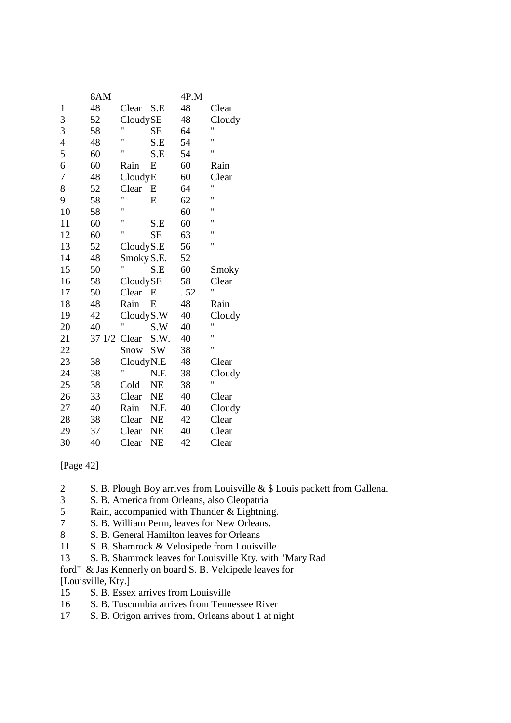|                | 8AM    |            |           | 4P.M |              |
|----------------|--------|------------|-----------|------|--------------|
| $\mathbf{1}$   | 48     | Clear      | S.E       | 48   | Clear        |
| 3              | 52     | CloudySE   |           | 48   | Cloudy       |
| 3              | 58     | Ħ          | <b>SE</b> | 64   | Ħ            |
| $\overline{4}$ | 48     | 11         | S.E       | 54   | 11           |
| 5              | 60     | Ħ          | S.E       | 54   | Ħ            |
| 6              | 60     | Rain       | E         | 60   | Rain         |
| 7              | 48     | CloudyE    |           | 60   | Clear        |
| 8              | 52     | Clear      | E         | 64   | 11           |
| 9              | 58     | Ħ          | E         | 62   | 11           |
| 10             | 58     | Ħ          |           | 60   | $^{\dagger}$ |
| 11             | 60     | Ħ          | S.E       | 60   | 11           |
| 12             | 60     | Ħ          | <b>SE</b> | 63   | Ħ            |
| 13             | 52     | CloudyS.E  |           | 56   | 11           |
| 14             | 48     | Smoky S.E. |           | 52   |              |
| 15             | 50     | Ħ          | S.E       | 60   | Smoky        |
| 16             | 58     | CloudySE   |           | 58   | Clear        |
| 17             | 50     | Clear      | E         | .52  | Ħ            |
| 18             | 48     | Rain       | E         | 48   | Rain         |
| 19             | 42     | CloudyS.W  |           | 40   | Cloudy       |
| 20             | 40     | Ħ          | S.W       | 40   | 11           |
| 21             | 37 1/2 | Clear      | S.W.      | 40   | Ħ            |
| 22             |        | Snow       | <b>SW</b> | 38   | Ħ            |
| 23             | 38     | CloudyN.E  |           | 48   | Clear        |
| 24             | 38     | Ħ          | N.E       | 38   | Cloudy       |
| 25             | 38     | Cold       | <b>NE</b> | 38   | 11           |
| 26             | 33     | Clear      | <b>NE</b> | 40   | Clear        |
| 27             | 40     | Rain       | N.E       | 40   | Cloudy       |
| 28             | 38     | Clear      | <b>NE</b> | 42   | Clear        |
| 29             | 37     | Clear      | <b>NE</b> | 40   | Clear        |
| 30             | 40     | Clear      | <b>NE</b> | 42   | Clear        |

[Page 42]

- 2 S. B. Plough Boy arrives from Louisville & \$ Louis packett from Gallena.
- 3 S. B. America from Orleans, also Cleopatria
- 5 Rain, accompanied with Thunder & Lightning.<br>
5 S. B. William Perm. leaves for New Orleans.
- S. B. William Perm, leaves for New Orleans.
- 8 S. B. General Hamilton leaves for Orleans
- 11 S. B. Shamrock & Velosipede from Louisville
- 13 S. B. Shamrock leaves for Louisville Kty. with "Mary Rad
- ford" & Jas Kennerly on board S. B. Velcipede leaves for

[Louisville, Kty.]

- 15 S. B. Essex arrives from Louisville
- 16 S. B. Tuscumbia arrives from Tennessee River
- 17 S. B. Origon arrives from, Orleans about 1 at night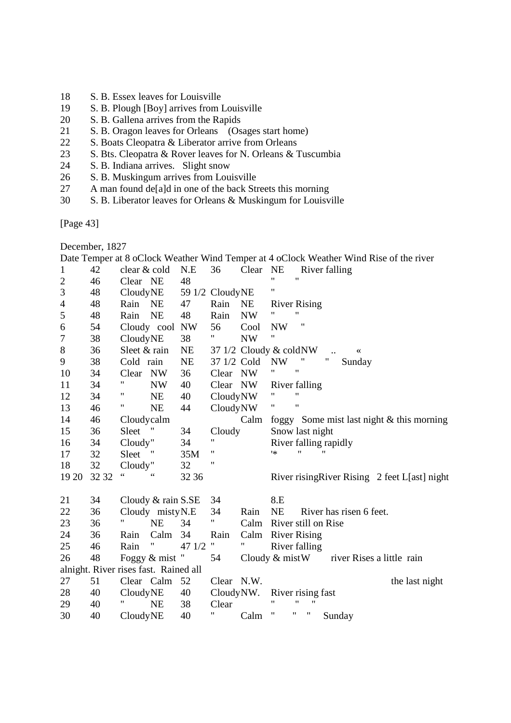- 18 S. B. Essex leaves for Louisville
- 19 S. B. Plough [Boy] arrives from Louisville<br>20 S. B. Gallena arrives from the Rapids
- S. B. Gallena arrives from the Rapids
- 21 S. B. Oragon leaves for Orleans (Osages start home)
- 22 S. Boats Cleopatra & Liberator arrive from Orleans
- 23 S. Bts. Cleopatra & Rover leaves for N. Orleans & Tuscumbia
- 24 S. B. Indiana arrives. Slight snow
- 26 S. B. Muskingum arrives from Louisville<br>27 A man found delald in one of the back Str
- A man found de[a]d in one of the back Streets this morning
- 30 S. B. Liberator leaves for Orleans & Muskingum for Louisville

[Page 43]

December, 1827

Date Temper at 8 oClock Weather Wind Temper at 4 oClock Weather Wind Rise of the river

| $\mathbf{1}$   | 42    | clear & cold |                                       | N.E    | 36              | Clear                     | <b>NE</b> | River falling                                   |
|----------------|-------|--------------|---------------------------------------|--------|-----------------|---------------------------|-----------|-------------------------------------------------|
| $\overline{c}$ | 46    | Clear NE     |                                       | 48     |                 |                           | Ħ         | $\mathbf{H}$                                    |
| 3              | 48    | CloudyNE     |                                       |        | 59 1/2 CloudyNE |                           | 11        |                                                 |
| 4              | 48    | Rain         | <b>NE</b>                             | 47     | Rain            | <b>NE</b>                 |           | <b>River Rising</b>                             |
| 5              | 48    | Rain         | <b>NE</b>                             | 48     | Rain            | <b>NW</b>                 |           | $^{\dagger}$                                    |
| 6              | 54    |              | Cloudy cool NW                        |        | 56              | Cool                      | <b>NW</b> | "                                               |
| 7              | 38    | CloudyNE     |                                       | 38     | Ħ               | <b>NW</b>                 | 11        |                                                 |
| $8\,$          | 36    | Sleet & rain |                                       | NE     |                 | 37 $1/2$ Cloudy & cold NW |           | ≪                                               |
| 9              | 38    | Cold rain    |                                       | NE     | 37 1/2 Cold     |                           | <b>NW</b> | 11<br>"<br>Sunday                               |
| 10             | 34    | Clear        | <b>NW</b>                             | 36     | Clear           | NW                        | 11        | 11                                              |
| 11             | 34    | Ħ            | <b>NW</b>                             | 40     | Clear           | NW                        |           | River falling                                   |
| 12             | 34    | 11           | <b>NE</b>                             | 40     | CloudyNW        |                           | "         | $^{\dagger}$                                    |
| 13             | 46    | Η            | <b>NE</b>                             | 44     | CloudyNW        |                           | 11        | $^{\dagger}$                                    |
| 14             | 46    | Cloudycalm   |                                       |        |                 | Calm                      |           | foggy Some mist last night & this morning       |
| 15             | 36    | Sleet        |                                       | 34     | Cloudy          |                           |           | Snow last night                                 |
| 16             | 34    | Cloudy"      |                                       | 34     | 11              |                           |           | River falling rapidly                           |
| 17             | 32    | Sleet        |                                       | 35M    | 11              |                           | **        | "                                               |
| 18             | 32    | Cloudy"      |                                       | 32     | "               |                           |           |                                                 |
| 19 20          | 32 32 | 66           |                                       | 32 36  |                 |                           |           | River rising River Rising 2 feet L[ast] night   |
|                |       |              |                                       |        |                 |                           |           |                                                 |
| 21             | 34    |              | Cloudy & rain S.SE                    |        | 34              |                           | 8.E       |                                                 |
| 22             | 36    |              | Cloudy mistyN.E                       |        | 34              | Rain                      | NE        | River has risen 6 feet.                         |
| 23             | 36    |              | NE                                    | 34     | Ħ               | Calm                      |           | River still on Rise                             |
| 24             | 36    | Rain         | Calm                                  | 34     | Rain            | Calm River Rising         |           |                                                 |
| 25             | 46    | Rain         | Ħ                                     | 47 1/2 | Ħ               | Ħ                         |           | River falling                                   |
| 26             | 48    |              | Foggy & mist "                        |        | 54              |                           |           | Cloudy $\&$ mist W<br>river Rises a little rain |
|                |       |              | alnight. River rises fast. Rained all |        |                 |                           |           |                                                 |
| 27             | 51    | Clear Calm   |                                       | 52     | Clear N.W.      |                           |           | the last night                                  |
| 28             | 40    | CloudyNE     |                                       | 40     | CloudyNW.       |                           |           | River rising fast                               |
| 29             | 40    |              | NE                                    | 38     | Clear           |                           | 11        | $^{\dagger}$<br>11                              |
| 30             | 40    | CloudyNE     |                                       | 40     | 11              | Calm                      | "         | "<br>Sunday                                     |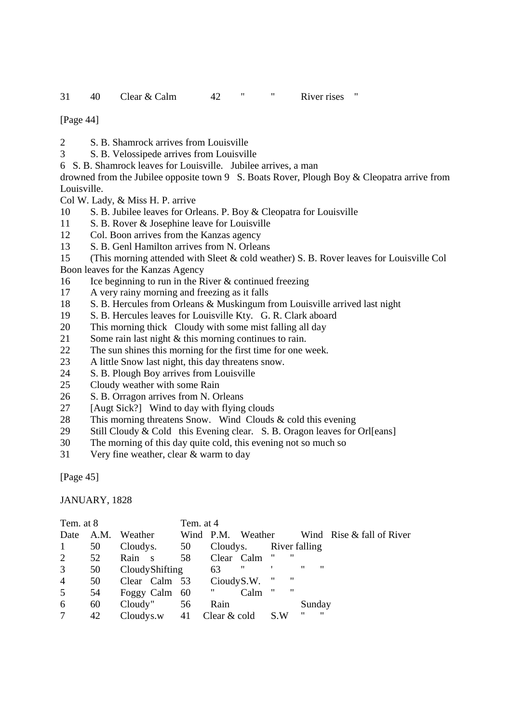[Page 44]

- 2 S. B. Shamrock arrives from Louisville
- 3 S. B. Velossipede arrives from Louisville
- 6 S. B. Shamrock leaves for Louisville. Jubilee arrives, a man

drowned from the Jubilee opposite town 9 S. Boats Rover, Plough Boy & Cleopatra arrive from Louisville.

Col W. Lady, & Miss H. P. arrive

- 10 S. B. Jubilee leaves for Orleans. P. Boy & Cleopatra for Louisville
- 11 S. B. Rover & Josephine leave for Louisville
- 12 Col. Boon arrives from the Kanzas agency
- 13 S. B. Genl Hamilton arrives from N. Orleans
- 15 (This morning attended with Sleet & cold weather) S. B. Rover leaves for Louisville Col

Boon leaves for the Kanzas Agency

- 16 Ice beginning to run in the River & continued freezing
- 17 A very rainy morning and freezing as it falls
- 18 S. B. Hercules from Orleans & Muskingum from Louisville arrived last night
- 19 S. B. Hercules leaves for Louisville Kty. G. R. Clark aboard
- 20 This morning thick Cloudy with some mist falling all day
- 21 Some rain last night & this morning continues to rain.
- 22 The sun shines this morning for the first time for one week.
- 23 A little Snow last night, this day threatens snow.
- 24 S. B. Plough Boy arrives from Louisville
- 25 Cloudy weather with some Rain
- 26 S. B. Orragon arrives from N. Orleans
- 27 [Augt Sick?] Wind to day with flying clouds
- 28 This morning threatens Snow. Wind Clouds & cold this evening
- 29 Still Cloudy & Cold this Evening clear. S. B. Oragon leaves for Orl[eans]
- 30 The morning of this day quite cold, this evening not so much so
- 31 Very fine weather, clear & warm to day

[Page 45]

JANUARY, 1828

| Tem. at 8       |      |                             | Tem. at 4 |                        |      |                    |                   |                   |                   |                           |
|-----------------|------|-----------------------------|-----------|------------------------|------|--------------------|-------------------|-------------------|-------------------|---------------------------|
| Date            | A.M. | Weather                     |           | Wind P.M. Weather      |      |                    |                   |                   |                   | Wind Rise & fall of River |
| $\mathbf{1}$    | 50   | Cloudys. 50                 |           | Cloudys. River falling |      |                    |                   |                   |                   |                           |
| 2               | 52   | Rain s                      | 58        | Clear Calm             |      |                    | "                 |                   |                   |                           |
| 3 <sup>1</sup>  | 50   | CloudyShifting              |           | 63                     | -11  |                    |                   | $^{\prime\prime}$ | $^{\prime\prime}$ |                           |
| $\overline{4}$  | 50   | Clear Calm 53 Cioudy S.W.   |           |                        |      | 11                 | $^{\prime\prime}$ |                   |                   |                           |
| $5\overline{)}$ | 54   | Foggy Calm 60               |           | π                      | Calm | $\pmb{\mathsf{H}}$ | $^{\prime\prime}$ |                   |                   |                           |
| 6               | 60   | Cloudy"                     | - 56      | Rain                   |      |                    |                   | Sunday            |                   |                           |
| $\tau$          | 42   | Cloudys.w $41$ Clear & cold |           |                        |      | S.W                |                   | "                 | $^{\prime\prime}$ |                           |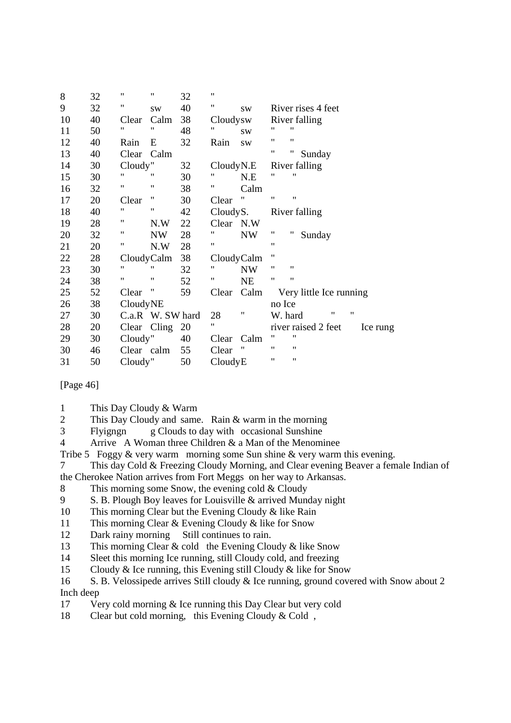| 8  | 32 | 11                 | 11                 | 32 | 11         |                    |                                         |
|----|----|--------------------|--------------------|----|------------|--------------------|-----------------------------------------|
| 9  | 32 | $\pmb{\mathsf{H}}$ | <b>SW</b>          | 40 | 11         | <b>SW</b>          | River rises 4 feet                      |
| 10 | 40 | Clear              | Calm               | 38 | Cloudysw   |                    | River falling                           |
| 11 | 50 | 11                 | 11                 | 48 | 11         | <b>SW</b>          | 11<br>"                                 |
| 12 | 40 | Rain               | E                  | 32 | Rain       | <b>SW</b>          | $^{\prime\prime}$<br>11                 |
| 13 | 40 | Clear              | Calm               |    |            |                    | $\pmb{\mathsf{H}}$<br>"<br>Sunday       |
| 14 | 30 | Cloudy"            |                    | 32 | CloudyN.E  |                    | River falling                           |
| 15 | 30 | 11                 | "                  | 30 | "          | N.E                | "<br>"                                  |
| 16 | 32 | 11                 | $\pmb{\mathsf{H}}$ | 38 | 11         | Calm               |                                         |
| 17 | 20 | Clear              | 11                 | 30 | Clear      | $\pmb{\mathsf{H}}$ | $^{\prime\prime}$<br>"                  |
| 18 | 40 | 11                 | 11                 | 42 | CloudyS.   |                    | River falling                           |
| 19 | 28 | 11                 | N.W                | 22 | Clear N.W  |                    |                                         |
| 20 | 32 | Ħ                  | <b>NW</b>          | 28 | Ħ          | <b>NW</b>          | $\pmb{\mathsf{H}}$<br>"<br>Sunday       |
| 21 | 20 | Ħ                  | N.W                | 28 | 11         |                    | 11                                      |
| 22 | 28 | CloudyCalm         |                    | 38 | CloudyCalm |                    | $^{\prime\prime}$                       |
| 23 | 30 | 11                 | 11                 | 32 | 11         | <b>NW</b>          | $^{\prime\prime}$<br>$^{\prime\prime}$  |
| 24 | 38 | $\pmb{\mathsf{H}}$ | 11                 | 52 | 11         | <b>NE</b>          | $^{\prime\prime}$<br>"                  |
| 25 | 52 | Clear              |                    | 59 | Clear      | Calm               | Very little Ice running                 |
| 26 | 38 | CloudyNE           |                    |    |            |                    | no Ice                                  |
| 27 | 30 | C.a.R W. SW hard   |                    |    | 28         | 11                 | "<br>"<br>W. hard                       |
| 28 | 20 | Clear Cling        |                    | 20 | 11         |                    | river raised 2 feet<br>Ice rung         |
| 29 | 30 | Cloudy"            |                    | 40 | Clear      | Calm               | $^{\prime\prime}$<br>11                 |
| 30 | 46 | Clear calm         |                    | 55 | Clear      | 11                 | 11<br>11                                |
| 31 | 50 | Cloudy"            |                    | 50 | CloudyE    |                    | $^{\prime\prime}$<br>$\pmb{\mathsf{H}}$ |

[Page 46]

1 This Day Cloudy & Warm

2 This Day Cloudy and same. Rain & warm in the morning

3 Flyigngn g Clouds to day with occasional Sunshine

4 Arrive A Woman three Children & a Man of the Menominee

Tribe 5 Foggy & very warm morning some Sun shine & very warm this evening.

7 This day Cold & Freezing Cloudy Morning, and Clear evening Beaver a female Indian of the Cherokee Nation arrives from Fort Meggs on her way to Arkansas.

8 This morning some Snow, the evening cold & Cloudy

9 S. B. Plough Boy leaves for Louisville & arrived Munday night

10 This morning Clear but the Evening Cloudy & like Rain

11 This morning Clear & Evening Cloudy & like for Snow

12 Dark rainy morning Still continues to rain.

13 This morning Clear & cold the Evening Cloudy & like Snow

14 Sleet this morning Ice running, still Cloudy cold, and freezing

15 Cloudy & Ice running, this Evening still Cloudy & like for Snow

16 S. B. Velossipede arrives Still cloudy & Ice running, ground covered with Snow about 2 Inch deep

17 Very cold morning & Ice running this Day Clear but very cold

18 Clear but cold morning, this Evening Cloudy & Cold ,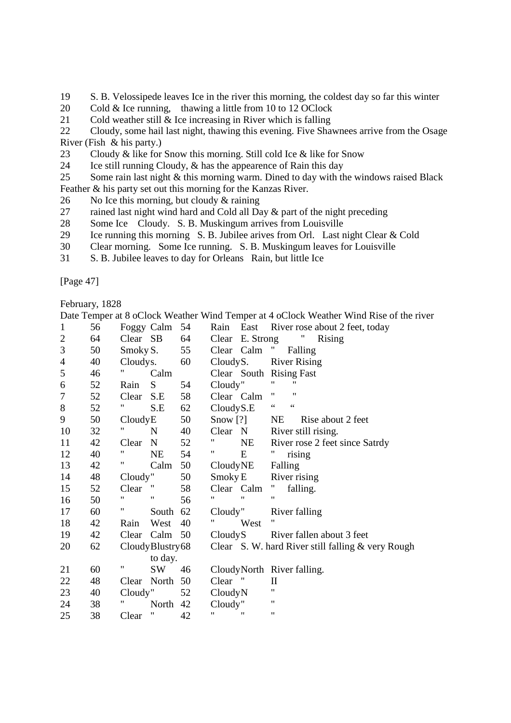- 19 S. B. Velossipede leaves Ice in the river this morning, the coldest day so far this winter
- 20 Cold & Ice running, thawing a little from 10 to 12 OClock
- 21 Cold weather still & Ice increasing in River which is falling

22 Cloudy, some hail last night, thawing this evening. Five Shawnees arrive from the Osage River (Fish & his party.)

- 23 Cloudy & like for Snow this morning. Still cold Ice & like for Snow
- 24 Ice still running Cloudy, & has the appearence of Rain this day

25 Some rain last night & this morning warm. Dined to day with the windows raised Black Feather & his party set out this morning for the Kanzas River.

- 26 No Ice this morning, but cloudy & raining
- 27 rained last night wind hard and Cold all Day & part of the night preceding
- 28 Some Ice Cloudy. S. B. Muskingum arrives from Louisville
- 29 Ice running this morning S. B. Jubilee arives from Orl. Last night Clear & Cold
- 30 Clear morning. Some Ice running. S. B. Muskingum leaves for Louisville
- 31 S. B. Jubilee leaves to day for Orleans Rain, but little Ice

[Page 47]

February, 1828

|                |    |          |                 |    |            |                   | Date Temper at 8 oClock Weather Wind Temper at 4 oClock Weather Wind Rise of the river |
|----------------|----|----------|-----------------|----|------------|-------------------|----------------------------------------------------------------------------------------|
| $\mathbf{1}$   | 56 |          | Foggy Calm 54   |    |            |                   | Rain East River rose about 2 feet, today                                               |
| $\mathbf{2}$   | 64 | Clear SB |                 | 64 | Clear      | E. Strong         | $\mathbf{u}_{\perp}$<br><b>Rising</b>                                                  |
| 3              | 50 | Smoky S. |                 | 55 | Clear Calm |                   | $\mathbf{u}_\perp$<br>Falling                                                          |
| $\overline{4}$ | 40 | Cloudys. |                 | 60 | CloudyS.   |                   | <b>River Rising</b>                                                                    |
| 5              | 46 |          | Calm            |    |            |                   | Clear South Rising Fast                                                                |
| 6              | 52 | Rain     | S               | 54 | Cloudy"    |                   | Ħ<br>11                                                                                |
| $\tau$         | 52 | Clear    | S.E             | 58 | Clear Calm |                   | $^{\dagger}$<br>11                                                                     |
| $8\,$          | 52 |          | S.E             | 62 | CloudyS.E  |                   | $\zeta$ $\zeta$<br>$\zeta$ $\zeta$                                                     |
| 9              | 50 | CloudyE  |                 | 50 | Snow $[?]$ |                   | <b>NE</b><br>Rise about 2 feet                                                         |
| 10             | 32 | Ħ        | N               | 40 | Clear N    |                   | River still rising.                                                                    |
| 11             | 42 | Clear    | N               | 52 | 11         | NE                | River rose 2 feet since Satrdy                                                         |
| 12             | 40 | 11       | <b>NE</b>       | 54 | Ħ          | E                 | $^{\prime\prime}$<br>rising                                                            |
| 13             | 42 | Ħ        | Calm            | 50 | CloudyNE   |                   | Falling                                                                                |
| 14             | 48 | Cloudy"  |                 | 50 | Smoky E    |                   | River rising                                                                           |
| 15             | 52 | Clear    | $^{\prime}$     | 58 | Clear Calm |                   | $^{\prime\prime}$<br>falling.                                                          |
| 16             | 50 | 11       | "               | 56 | 11         | $^{\prime\prime}$ | 11                                                                                     |
| 17             | 60 | Ħ        | South           | 62 | Cloudy"    |                   | River falling                                                                          |
| 18             | 42 | Rain     | West            | 40 |            | West              |                                                                                        |
| 19             | 42 | Clear    | Calm            | 50 | CloudyS    |                   | River fallen about 3 feet                                                              |
| 20             | 62 |          | CloudyBlustry68 |    |            |                   | Clear S. W. hard River still falling & very Rough                                      |
|                |    |          | to day.         |    |            |                   |                                                                                        |
| 21             | 60 | Π        | <b>SW</b>       | 46 |            |                   | CloudyNorth River falling.                                                             |
| 22             | 48 |          | Clear North     | 50 | Clear "    |                   | $\mathbf{I}$                                                                           |
| 23             | 40 | Cloudy"  |                 | 52 | CloudyN    |                   | 11                                                                                     |
| 24             | 38 |          | North           | 42 | Cloudy"    |                   | $\pmb{\mathsf{H}}$                                                                     |
| 25             | 38 | Clear    |                 | 42 | "          | 11                | 11                                                                                     |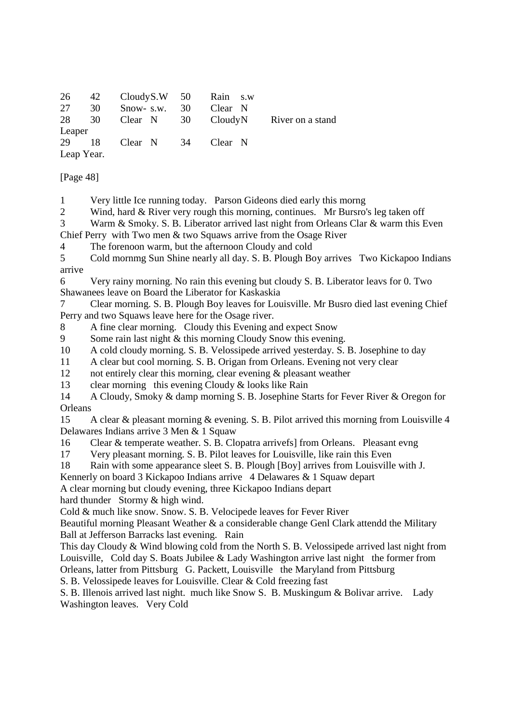|            | 26 42 Cloudy S.W 50 Rain s.w |                       |  |                                            |
|------------|------------------------------|-----------------------|--|--------------------------------------------|
| 27 30      |                              | Snow- s.w. 30 Clear N |  |                                            |
|            |                              |                       |  | 28 30 Clear N 30 Cloudy N River on a stand |
| Leaper     |                              |                       |  |                                            |
|            | 29 18 Clear N 34 Clear N     |                       |  |                                            |
| Leap Year. |                              |                       |  |                                            |

[Page 48]

1 Very little Ice running today. Parson Gideons died early this morng

2 Wind, hard & River very rough this morning, continues. Mr Bursro's leg taken off

3 Warm & Smoky. S. B. Liberator arrived last night from Orleans Clar & warm this Even

Chief Perry with Two men & two Squaws arrive from the Osage River

4 The forenoon warm, but the afternoon Cloudy and cold

5 Cold mornmg Sun Shine nearly all day. S. B. Plough Boy arrives Two Kickapoo Indians arrive

6 Very rainy morning. No rain this evening but cloudy S. B. Liberator leavs for 0. Two Shawanees leave on Board the Liberator for Kaskaskia

7 Clear morning. S. B. Plough Boy leaves for Louisville. Mr Busro died last evening Chief Perry and two Squaws leave here for the Osage river.

8 A fine clear morning. Cloudy this Evening and expect Snow

9 Some rain last night & this morning Cloudy Snow this evening.

- 10 A cold cloudy morning. S. B. Velossipede arrived yesterday. S. B. Josephine to day
- 11 A clear but cool morning. S. B. Origan from Orleans. Evening not very clear
- 12 not entirely clear this morning, clear evening & pleasant weather

13 clear morning this evening Cloudy & looks like Rain

14 A Cloudy, Smoky & damp morning S. B. Josephine Starts for Fever River & Oregon for **Orleans** 

15 A clear & pleasant morning & evening. S. B. Pilot arrived this morning from Louisville 4 Delawares Indians arrive 3 Men & 1 Squaw

16 Clear & temperate weather. S. B. Clopatra arrivefs] from Orleans. Pleasant evng

17 Very pleasant morning. S. B. Pilot leaves for Louisville, like rain this Even

18 Rain with some appearance sleet S. B. Plough [Boy] arrives from Louisville with J.

Kennerly on board 3 Kickapoo Indians arrive 4 Delawares & 1 Squaw depart

A clear morning but cloudy evening, three Kickapoo Indians depart

hard thunder Stormy & high wind.

Cold & much like snow. Snow. S. B. Velocipede leaves for Fever River

Beautiful morning Pleasant Weather & a considerable change Genl Clark attendd the Military Ball at Jefferson Barracks last evening. Rain

This day Cloudy & Wind blowing cold from the North S. B. Velossipede arrived last night from Louisville, Cold day S. Boats Jubilee & Lady Washington arrive last night the former from Orleans, latter from Pittsburg G. Packett, Louisville the Maryland from Pittsburg

S. B. Velossipede leaves for Louisville. Clear & Cold freezing fast

S. B. Illenois arrived last night. much like Snow S. B. Muskingum & Bolivar arrive. Lady Washington leaves. Very Cold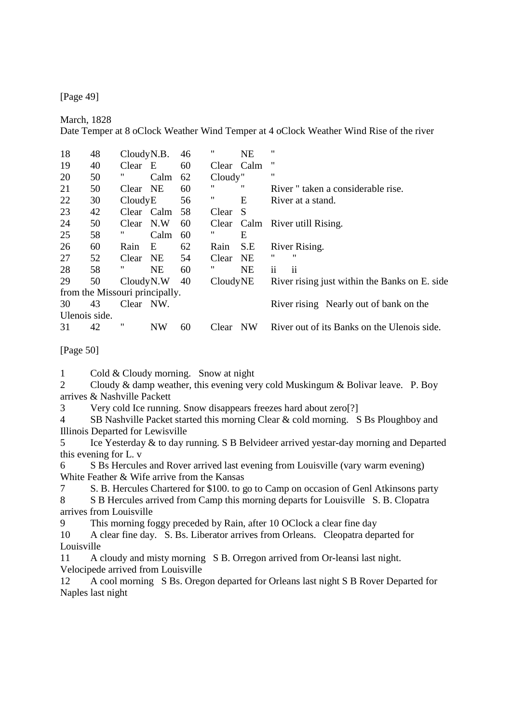[Page 49]

March, 1828

Date Temper at 8 oClock Weather Wind Temper at 4 oClock Weather Wind Rise of the river

| 18            | 48                             | CloudyN.B. |           | 46 | "          | <b>NE</b>    | "                                             |
|---------------|--------------------------------|------------|-----------|----|------------|--------------|-----------------------------------------------|
| 19            | 40                             | Clear      | E         | 60 | Clear Calm |              | "                                             |
| 20            | 50                             | 11         | Calm      | 62 | Cloudy"    |              | 11                                            |
| 21            | 50                             | Clear NE   |           | 60 | "          | "            | River " taken a considerable rise.            |
| 22            | 30                             | CloudyE    |           | 56 | "          | E            | River at a stand.                             |
| 23            | 42                             | Clear Calm |           | 58 | Clear      | <sup>S</sup> |                                               |
| 24            | 50                             | Clear      | N.W       | 60 | Clear      | Calm         | River utill Rising.                           |
| 25            | 58                             | 11         | Calm      | 60 | "          | E            |                                               |
| 26            | 60                             | Rain       | E         | 62 | Rain       | S.E          | River Rising.                                 |
| 27            | 52                             | Clear      | NE        | 54 | Clear      | <b>NE</b>    | "<br>"                                        |
| 28            | 58                             | 11         | <b>NE</b> | 60 | "          | <b>NE</b>    | ii<br>$\mathbf{ii}$                           |
| 29            | 50                             | CloudyN.W  |           | 40 | CloudyNE   |              | River rising just within the Banks on E. side |
|               | from the Missouri principally. |            |           |    |            |              |                                               |
| 30            | 43                             | Clear      | NW.       |    |            |              | River rising Nearly out of bank on the        |
| Ulenois side. |                                |            |           |    |            |              |                                               |
| 31            | 42                             | 11         | <b>NW</b> | 60 | Clear      | NW           | River out of its Banks on the Ulenois side.   |
|               |                                |            |           |    |            |              |                                               |

[Page 50]

1 Cold & Cloudy morning. Snow at night

2 Cloudy & damp weather, this evening very cold Muskingum & Bolivar leave. P. Boy arrives & Nashville Packett

3 Very cold Ice running. Snow disappears freezes hard about zero[?]

4 SB Nashville Packet started this morning Clear & cold morning. S Bs Ploughboy and Illinois Departed for Lewisville

5 Ice Yesterday & to day running. S B Belvideer arrived yestar-day morning and Departed this evening for L. v

6 S Bs Hercules and Rover arrived last evening from Louisville (vary warm evening) White Feather & Wife arrive from the Kansas

7 S. B. Hercules Chartered for \$100. to go to Camp on occasion of Genl Atkinsons party

8 S B Hercules arrived from Camp this morning departs for Louisville S. B. Clopatra arrives from Louisville

9 This morning foggy preceded by Rain, after 10 OClock a clear fine day

10 A clear fine day. S. Bs. Liberator arrives from Orleans. Cleopatra departed for Louisville

11 A cloudy and misty morning S B. Orregon arrived from Or-leansi last night. Velocipede arrived from Louisville

12 A cool morning S Bs. Oregon departed for Orleans last night S B Rover Departed for Naples last night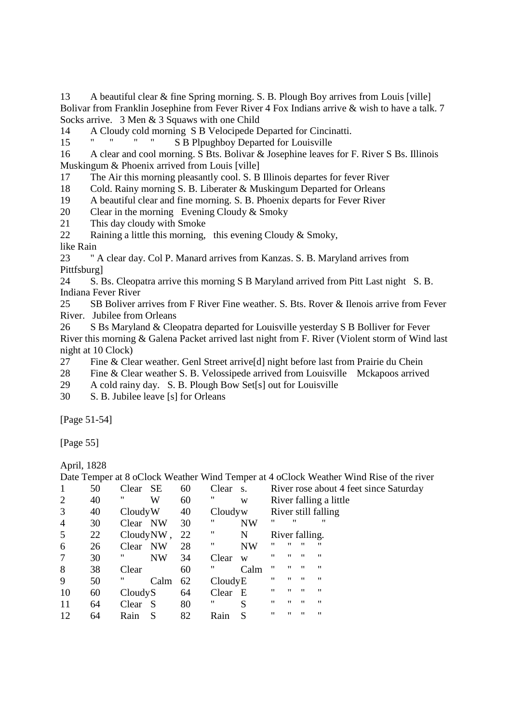13 A beautiful clear & fine Spring morning. S. B. Plough Boy arrives from Louis [ville] Bolivar from Franklin Josephine from Fever River 4 Fox Indians arrive & wish to have a talk. 7 Socks arrive. 3 Men & 3 Squaws with one Child

14 A Cloudy cold morning S B Velocipede Departed for Cincinatti.

15 " " " " S B Plpughboy Departed for Louisville

16 A clear and cool morning. S Bts. Bolivar & Josephine leaves for F. River S Bs. Illinois Muskingum & Phoenix arrived from Louis [ville]

17 The Air this morning pleasantly cool. S. B Illinois departes for fever River

18 Cold. Rainy morning S. B. Liberater & Muskingum Departed for Orleans

19 A beautiful clear and fine morning. S. B. Phoenix departs for Fever River

20 Clear in the morning Evening Cloudy & Smoky

21 This day cloudy with Smoke

22 Raining a little this morning, this evening Cloudy & Smoky,

like Rain

23 " A clear day. Col P. Manard arrives from Kanzas. S. B. Maryland arrives from Pittfsburg]

24 S. Bs. Cleopatra arrive this morning S B Maryland arrived from Pitt Last night S. B. Indiana Fever River

25 SB Boliver arrives from F River Fine weather. S. Bts. Rover & Ilenois arrive from Fever River. Jubilee from Orleans

26 S Bs Maryland & Cleopatra departed for Louisville yesterday S B Bolliver for Fever River this morning & Galena Packet arrived last night from F. River (Violent storm of Wind last night at 10 Clock)

27 Fine & Clear weather. Genl Street arrive[d] night before last from Prairie du Chein

28 Fine & Clear weather S. B. Velossipede arrived from Louisville Mckapoos arrived

29 A cold rainy day. S. B. Plough Bow Set[s] out for Louisville

30 S. B. Jubilee leave [s] for Orleans

[Page 51-54]

[Page 55]

April, 1828

|                |    |                    |    |          |           |                   |                   |                   | Date Temper at 8 oClock Weather Wind Temper at 4 oClock Weather Wind Rise of the river |
|----------------|----|--------------------|----|----------|-----------|-------------------|-------------------|-------------------|----------------------------------------------------------------------------------------|
| 1              | 50 | <b>SE</b><br>Clear | 60 | Clear s. |           |                   |                   |                   | River rose about 4 feet since Saturday                                                 |
| 2              | 40 | "<br>W             | 60 | "        | W         |                   |                   |                   | River falling a little                                                                 |
| 3              | 40 | CloudyW            | 40 | Cloudyw  |           |                   |                   |                   | River still falling                                                                    |
| $\overline{4}$ | 30 | Clear NW           | 30 | π        | <b>NW</b> | "                 | "                 |                   | "                                                                                      |
| 5              | 22 | CloudyNW,          | 22 | π        | N         | River falling.    |                   |                   |                                                                                        |
| 6              | 26 | NW<br>Clear        | 28 | "        | <b>NW</b> | "                 | 11                | "                 | "                                                                                      |
| 7              | 30 | "<br><b>NW</b>     | 34 | Clear    | W         | "                 | 11                | $^{\prime\prime}$ | 11                                                                                     |
| 8              | 38 | Clear              | 60 | "        | Calm      | "                 | "                 | $^{\prime\prime}$ | "                                                                                      |
| 9              | 50 | Calm               | 62 | CloudyE  |           | "                 | $^{\prime\prime}$ | $^{\prime\prime}$ | "                                                                                      |
| 10             | 60 | CloudyS            | 64 | Clear E  |           | $^{\prime\prime}$ | "                 | $^{\prime\prime}$ | "                                                                                      |
| 11             | 64 | - S<br>Clear       | 80 | "        | S         | 11                | 11                | $^{\prime\prime}$ | "                                                                                      |
| 12             | 64 | S<br>Rain          | 82 | Rain     | S         | "                 | "                 | $^{\prime\prime}$ | "                                                                                      |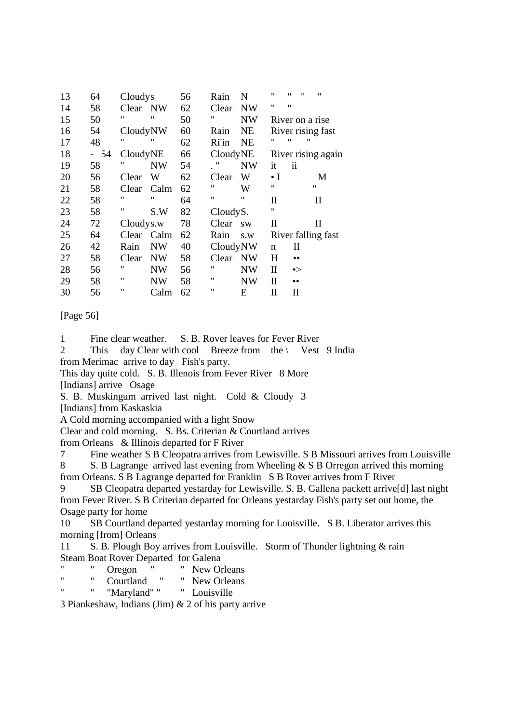| 13 | 64 | Cloudys           |                   | 56 | Rain              | N         | "                 | "<br>"           | "                  |
|----|----|-------------------|-------------------|----|-------------------|-----------|-------------------|------------------|--------------------|
| 14 | 58 | Clear NW          |                   | 62 | Clear             | <b>NW</b> | "                 | 11               |                    |
| 15 | 50 | "                 | $^{\prime\prime}$ | 50 | 11                | <b>NW</b> |                   |                  | River on a rise    |
| 16 | 54 | CloudyNW          |                   | 60 | Rain              | <b>NE</b> |                   |                  | River rising fast  |
| 17 | 48 | $^{\prime\prime}$ | "                 | 62 | Ri'in             | <b>NE</b> | "                 | 11               | $^{\prime\prime}$  |
| 18 | 54 | CloudyNE          |                   | 66 | CloudyNE          |           |                   |                  | River rising again |
| 19 | 58 | "                 | NW                | 54 | $^{\prime\prime}$ | <b>NW</b> | it                | ii               |                    |
| 20 | 56 | Clear             | W                 | 62 | Clear             | W         | $\bullet$ I       |                  | M                  |
| 21 | 58 | Clear             | Calm              | 62 | "                 | W         | $^{\prime\prime}$ |                  | 11                 |
| 22 | 58 | 11                | 11                | 64 | 11                | 11        | $\mathbf{I}$      |                  | $\rm{II}$          |
| 23 | 58 | 11                | S.W               | 82 | CloudyS.          |           | $^{\prime\prime}$ |                  |                    |
| 24 | 72 | Cloudys.w         |                   | 78 | Clear             | <b>SW</b> | $_{\rm II}$       |                  | П                  |
| 25 | 64 | Clear             | Calm              | 62 | Rain              | S.W       |                   |                  | River falling fast |
| 26 | 42 | Rain              | <b>NW</b>         | 40 | CloudyNW          |           | n                 | $\rm _{II}$      |                    |
| 27 | 58 | Clear             | <b>NW</b>         | 58 | Clear             | <b>NW</b> | H                 | $\bullet\bullet$ |                    |
| 28 | 56 | "                 | <b>NW</b>         | 56 | "                 | <b>NW</b> | П                 | $\bullet$        |                    |
| 29 | 58 | 11                | NW                | 58 | "                 | NW        | П                 | $\bullet\bullet$ |                    |
| 30 | 56 | 11                | Calm              | 62 | "                 | E         | П                 | П                |                    |

[Page 56]

1 Fine clear weather. S. B. Rover leaves for Fever River

2 This day Clear with cool Breeze from the \ Vest 9 India from Merimac arrive to day Fish's party.

This day quite cold. S. B. Illenois from Fever River 8 More

[Indians] arrive Osage

S. B. Muskingum arrived last night. Cold & Cloudy 3

[Indians] from Kaskaskia

A Cold morning accompanied with a light Snow

Clear and cold morning. S. Bs. Criterian & Courtland arrives

from Orleans & Illinois departed for F River

7 Fine weather S B Cleopatra arrives from Lewisville. S B Missouri arrives from Louisville 8 S. B Lagrange arrived last evening from Wheeling & S B Orregon arrived this morning

from Orleans. S B Lagrange departed for Franklin S B Rover arrives from F River

9 SB Cleopatra departed yestarday for Lewisville. S. B. Gallena packett arrive[d] last night from Fever River. S B Criterian departed for Orleans yestarday Fish's party set out home, the Osage party for home

10 SB Courtland departed yestarday morning for Louisville. S B. Liberator arrives this morning [from] Orleans

11 S. B. Plough Boy arrives from Louisville. Storm of Thunder lightning & rain Steam Boat Rover Departed for Galena

- " " Oregon " " New Orleans"<br>" Courtland " " New Orleans
- " " Courtland " " New Orleans<br>" " " " " " " " " Louisville

" Louisville

3 Piankeshaw, Indians (Jim) & 2 of his party arrive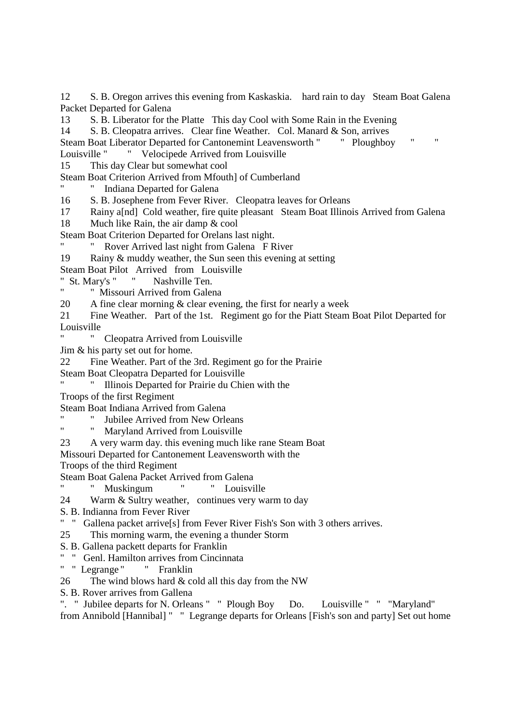12 S. B. Oregon arrives this evening from Kaskaskia. hard rain to day Steam Boat Galena Packet Departed for Galena

13 S. B. Liberator for the Platte This day Cool with Some Rain in the Evening

14 S. B. Cleopatra arrives. Clear fine Weather. Col. Manard & Son, arrives

Steam Boat Liberator Departed for Cantonemint Leavensworth " " Ploughboy " " Louisville " " Velocipede Arrived from Louisville

15 This day Clear but somewhat cool

Steam Boat Criterion Arrived from Mfouth] of Cumberland

Indiana Departed for Galena

16 S. B. Josephene from Fever River. Cleopatra leaves for Orleans

- 17 Rainy a[nd] Cold weather, fire quite pleasant Steam Boat Illinois Arrived from Galena
- 18 Much like Rain, the air damp & cool

Steam Boat Criterion Departed for Orelans last night.

- " Rover Arrived last night from Galena F River
- 19 Rainy & muddy weather, the Sun seen this evening at setting

Steam Boat Pilot Arrived from Louisville

" St. Mary's " " Nashville Ten.

" Missouri Arrived from Galena

20 A fine clear morning & clear evening, the first for nearly a week

21 Fine Weather. Part of the 1st. Regiment go for the Piatt Steam Boat Pilot Departed for Louisville

" Cleopatra Arrived from Louisville

Jim & his party set out for home.

22 Fine Weather. Part of the 3rd. Regiment go for the Prairie

Steam Boat Cleopatra Departed for Louisville

- " " Illinois Departed for Prairie du Chien with the
- Troops of the first Regiment

Steam Boat Indiana Arrived from Galena

" Jubilee Arrived from New Orleans"<br>"Margland Agriculture Louisville

Maryland Arrived from Louisville

23 A very warm day. this evening much like rane Steam Boat

Missouri Departed for Cantonement Leavensworth with the

Troops of the third Regiment

Steam Boat Galena Packet Arrived from Galena

" " Muskingum " " Louisville

- 24 Warm & Sultry weather, continues very warm to day
- S. B. Indianna from Fever River
- " " Gallena packet arrive[s] from Fever River Fish's Son with 3 others arrives.

25 This morning warm, the evening a thunder Storm

- S. B. Gallena packett departs for Franklin
- " " Genl. Hamilton arrives from Cincinnata
- " " Legrange " " Franklin
- 26 The wind blows hard  $&$  cold all this day from the NW
- S. B. Rover arrives from Gallena

". " Jubilee departs for N. Orleans " " Plough Boy Do. Louisville " " "Maryland" from Annibold [Hannibal] " " Legrange departs for Orleans [Fish's son and party] Set out home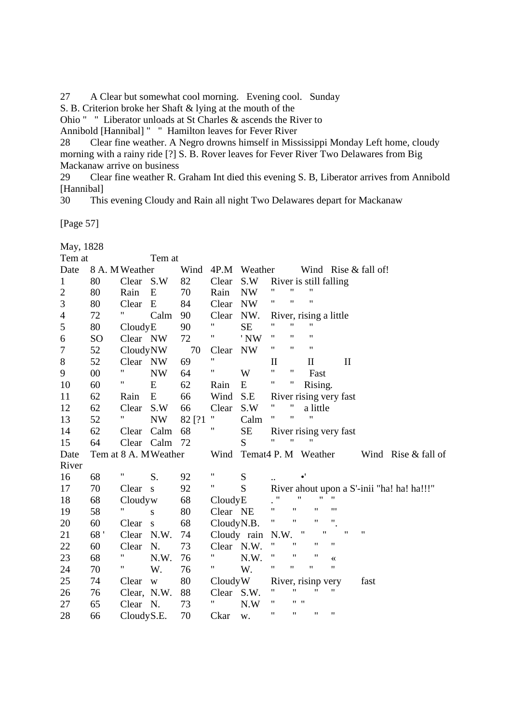27 A Clear but somewhat cool morning. Evening cool. Sunday

S. B. Criterion broke her Shaft & lying at the mouth of the

Ohio " " Liberator unloads at St Charles & ascends the River to

Annibold [Hannibal] " " Hamilton leaves for Fever River

28 Clear fine weather. A Negro drowns himself in Mississippi Monday Left home, cloudy morning with a rainy ride [?] S. B. Rover leaves for Fever River Two Delawares from Big Mackanaw arrive on business

29 Clear fine weather R. Graham Int died this evening S. B, Liberator arrives from Annibold [Hannibal]

30 This evening Cloudy and Rain all night Two Delawares depart for Mackanaw

[Page 57]

| May, 1828        |                      |                           |           |        |                          |                   |                    |                    |                     |                           |                           |                        |                      |                                            |
|------------------|----------------------|---------------------------|-----------|--------|--------------------------|-------------------|--------------------|--------------------|---------------------|---------------------------|---------------------------|------------------------|----------------------|--------------------------------------------|
| Tem at<br>Tem at |                      |                           |           |        |                          |                   |                    |                    |                     |                           |                           |                        |                      |                                            |
| Date             |                      | 8 A. M Weather            |           |        |                          | Wind 4P.M Weather |                    |                    |                     |                           |                           |                        | Wind Rise & fall of! |                                            |
| $\mathbf{1}$     | 80                   | Clear S.W                 |           | 82     | Clear                    | S.W               |                    |                    |                     |                           | River is still falling    |                        |                      |                                            |
| $\overline{c}$   | 80                   | Rain                      | E         | 70     | Rain                     | <b>NW</b>         | 11                 | $\pmb{\mathsf{H}}$ |                     | $\pmb{\mathsf{H}}$        |                           |                        |                      |                                            |
| 3                | 80                   | Clear                     | E         | 84     | Clear                    | <b>NW</b>         | 11                 | $\pmb{\mathsf{H}}$ |                     | $\pmb{\mathsf{H}}$        |                           |                        |                      |                                            |
| 4                | 72                   | $\mathbf{u}_\parallel$    | Calm      | 90     | Clear                    | NW.               |                    |                    |                     |                           | River, rising a little    |                        |                      |                                            |
| 5                | 80                   | CloudyE                   |           | 90     | Ħ                        | <b>SE</b>         | Ħ                  | $\mathbf{H}$       |                     | $\pmb{\mathsf{H}}$        |                           |                        |                      |                                            |
| 6                | SO <sub>1</sub>      | Clear NW                  |           | 72     | Ħ                        | 'NW               | 11                 | $^{\prime\prime}$  |                     | $\pmb{\mathsf{H}}$        |                           |                        |                      |                                            |
| $\boldsymbol{7}$ | 52                   | CloudyNW                  |           | 70     | Clear                    | <b>NW</b>         | 11                 | $\pmb{\mathsf{H}}$ |                     | $\pmb{\mathsf{H}}$        |                           |                        |                      |                                            |
| 8                | 52                   | Clear NW                  |           | 69     | $\pmb{\mathsf{H}}$       |                   | $\mathbf{I}$       |                    |                     | $\mathbf{I}$              |                           | $\mathbf{I}$           |                      |                                            |
| 9                | $00\,$               | $^{\prime\prime}$         | <b>NW</b> | 64     | $^{\prime\prime}$        | W                 | $\mathbf{H}$       | $\pmb{\mathsf{H}}$ |                     | Fast                      |                           |                        |                      |                                            |
| 10               | 60                   | Ħ                         | E         | 62     | Rain                     | E                 | Ħ                  | Ħ                  |                     | Rising.                   |                           |                        |                      |                                            |
| 11               | 62                   | Rain                      | ${\bf E}$ | 66     | Wind                     | S.E               |                    |                    |                     |                           |                           | River rising very fast |                      |                                            |
| 12               | 62                   | Clear                     | S.W       | 66     | Clear                    | S.W               | $^{\prime\prime}$  | 11                 |                     | a little                  |                           |                        |                      |                                            |
| 13               | 52                   | $\mathbf{H}_{\mathbb{R}}$ | <b>NW</b> | 82 [?1 | Ħ                        | Calm              | 11                 | $\pmb{\mathsf{H}}$ |                     | $\pmb{\mathsf{H}}$        |                           |                        |                      |                                            |
| 14               | 62                   | Clear                     | Calm      | 68     | 11                       | <b>SE</b>         |                    |                    |                     |                           |                           | River rising very fast |                      |                                            |
| 15               | 64                   | Clear Calm                |           | 72     |                          | S                 | $^{\prime\prime}$  | $\pmb{\mathsf{H}}$ |                     | $\mathbf{H}$              |                           |                        |                      |                                            |
| Date             | Tem at 8 A. MWeather |                           |           |        | Wind Temat4 P. M Weather |                   |                    |                    | Wind Rise & fall of |                           |                           |                        |                      |                                            |
| River            |                      |                           |           |        |                          |                   |                    |                    |                     |                           |                           |                        |                      |                                            |
| 16               | 68                   | $\mathbf{u}_\parallel$    | S.        | 92     | Ħ                        | ${\bf S}$         |                    |                    | $\bullet'$          |                           |                           |                        |                      |                                            |
| 17               | 70                   | Clear <sub>s</sub>        |           | 92     | Ħ                        | S                 |                    |                    |                     |                           |                           |                        |                      | River ahout upon a S'-inii "ha! ha! ha!!!" |
| 18               | 68                   | Cloudyw                   |           | 68     | CloudyE                  |                   | $\pmb{\mathsf{H}}$ |                    | $\pmb{\mathsf{H}}$  |                           | $\mathbf{H} = \mathbf{H}$ |                        |                      |                                            |
| 19               | 58                   |                           | S         | 80     | Clear NE                 |                   | 11                 | $\mathbf{H}$       |                     | $\boldsymbol{\mathsf{H}}$ | $\cdots$                  |                        |                      |                                            |
| 20               | 60                   | Clear s                   |           | 68     | CloudyN.B.               |                   | Ħ                  | $\pmb{\mathsf{H}}$ |                     | 11                        | $^{\prime\prime}$         |                        |                      |                                            |
| 21               | 68'                  | Clear                     | N.W.      | 74     | Cloudy rain              |                   | N.W.               |                    | $\pmb{\mathsf{H}}$  |                           | $\pmb{\mathsf{H}}$        | $^{\dagger}$           | $\pmb{\mathsf{H}}$   |                                            |
| 22               | 60                   | Clear                     | N.        | 73     | Clear N.W.               |                   | 11                 | $^{\dagger}$       |                     | 11                        | 11                        |                        |                      |                                            |
| 23               | 68                   | Ħ                         | N.W.      | 76     | Ħ                        | N.W.              | 11                 | $\pmb{\mathsf{H}}$ |                     | $\pmb{\mathsf{H}}$        |                           |                        |                      |                                            |
| 24               | 70                   | Ħ                         | W.        | 76     | "                        | W.                | Ħ                  | 11                 |                     | $\pmb{\mathsf{H}}$        | $\pmb{\mathsf{H}}$        |                        |                      |                                            |
| 25               | 74                   | Clear                     | W         | 80     | CloudyW                  |                   |                    |                    |                     |                           | River, risinp very        |                        | fast                 |                                            |
| 26               | 76                   | Clear, N.W.               |           | 88     | Clear                    | S.W.              | $\pmb{\mathsf{H}}$ | $^{\prime\prime}$  |                     | Ħ.                        | Ħ                         |                        |                      |                                            |
| 27               | 65                   | Clear N.                  |           | 73     | Ħ                        | N.W               | 11                 |                    | $11 - 11$           |                           |                           |                        |                      |                                            |
| 28               | 66                   | Cloudy S.E.               |           | 70     | Ckar                     | w.                | 11                 | 11                 |                     | 11                        | $\pmb{\mathsf{H}}$        |                        |                      |                                            |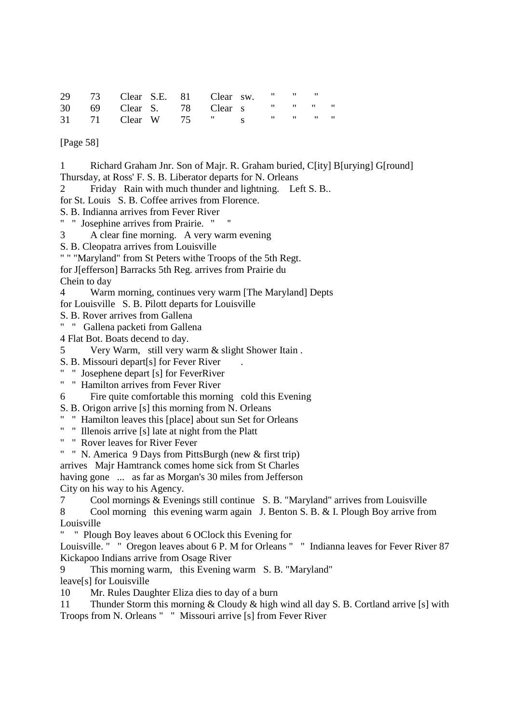|  | 29 73 Clear S.E. 81 Clear sw. " " " |  |  |  |
|--|-------------------------------------|--|--|--|
|  | 30 69 Clear S. 78 Clear s " " " "   |  |  |  |
|  | 31 71 Clear W 75 " s " " " "        |  |  |  |

[Page 58]

1 Richard Graham Jnr. Son of Majr. R. Graham buried, C[ity] B[urying] G[round] Thursday, at Ross' F. S. B. Liberator departs for N. Orleans 2 Friday Rain with much thunder and lightning. Left S. B.. for St. Louis S. B. Coffee arrives from Florence. S. B. Indianna arrives from Fever River " " Josephine arrives from Prairie. " '' 3 A clear fine morning. A very warm evening

S. B. Cleopatra arrives from Louisville

" " "Maryland" from St Peters withe Troops of the 5th Regt.

for J[efferson] Barracks 5th Reg. arrives from Prairie du

Chein to day

4 Warm morning, continues very warm [The Maryland] Depts

for Louisville S. B. Pilott departs for Louisville

S. B. Rover arrives from Gallena

" " Gallena packeti from Gallena

4 Flat Bot. Boats decend to day.

5 Very Warm, still very warm & slight Shower Itain .

S. B. Missouri depart[s] for Fever River

" " Josephene depart [s] for FeverRiver

" " Hamilton arrives from Fever River

6 Fire quite comfortable this morning cold this Evening

S. B. Origon arrive [s] this morning from N. Orleans

" " Hamilton leaves this [place] about sun Set for Orleans

" " Illenois arrive [s] late at night from the Platt

" " Rover leaves for River Fever

" " N. America 9 Days from PittsBurgh (new & first trip)

arrives Majr Hamtranck comes home sick from St Charles

having gone ... as far as Morgan's 30 miles from Jefferson

City on his way to his Agency.

7 Cool mornings & Evenings still continue S. B. "Maryland" arrives from Louisville

8 Cool morning this evening warm again J. Benton S. B. & I. Plough Boy arrive from Louisville

" Plough Boy leaves about 6 OClock this Evening for

Louisville. " " Oregon leaves about 6 P. M for Orleans " " Indianna leaves for Fever River 87 Kickapoo Indians arrive from Osage River

9 This morning warm, this Evening warm S. B. "Maryland" leave[s] for Louisville

10 Mr. Rules Daughter Eliza dies to day of a burn

11 Thunder Storm this morning & Cloudy & high wind all day S. B. Cortland arrive [s] with Troops from N. Orleans " " Missouri arrive [s] from Fever River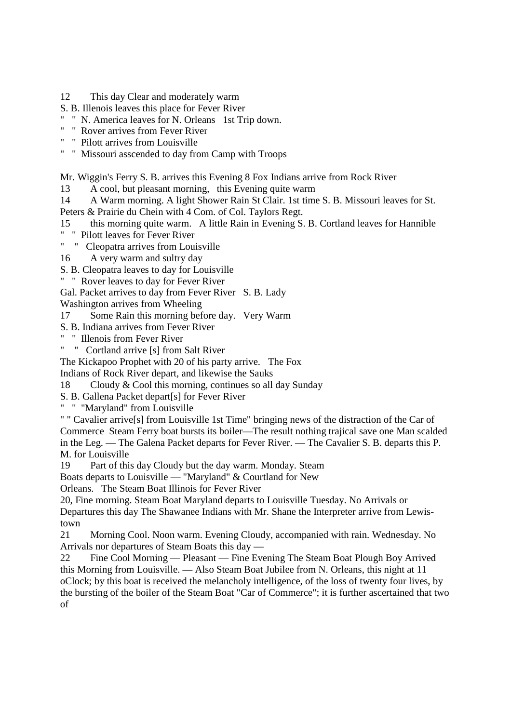- 12 This day Clear and moderately warm
- S. B. Illenois leaves this place for Fever River
- " " N. America leaves for N. Orleans 1st Trip down.
- " " Rover arrives from Fever River
- " " Pilott arrives from Louisville
- " " Missouri asscended to day from Camp with Troops

Mr. Wiggin's Ferry S. B. arrives this Evening 8 Fox Indians arrive from Rock River

13 A cool, but pleasant morning, this Evening quite warm

14 A Warm morning. A light Shower Rain St Clair. 1st time S. B. Missouri leaves for St.

Peters & Prairie du Chein with 4 Com. of Col. Taylors Regt.

15 this morning quite warm. A little Rain in Evening S. B. Cortland leaves for Hannible

" " Pilott leaves for Fever River

" " Cleopatra arrives from Louisville

16 A very warm and sultry day

S. B. Cleopatra leaves to day for Louisville

" " Rover leaves to day for Fever River

Gal. Packet arrives to day from Fever River S. B. Lady

Washington arrives from Wheeling

17 Some Rain this morning before day. Very Warm

S. B. Indiana arrives from Fever River

" " Illenois from Fever River

" " Cortland arrive [s] from Salt River

The Kickapoo Prophet with 20 of his party arrive. The Fox

Indians of Rock River depart, and likewise the Sauks

18 Cloudy & Cool this morning, continues so all day Sunday

S. B. Gallena Packet depart[s] for Fever River

" " "Maryland" from Louisville

" " Cavalier arrive[s] from Louisville 1st Time" bringing news of the distraction of the Car of Commerce Steam Ferry boat bursts its boiler—The result nothing trajical save one Man scalded in the Leg. — The Galena Packet departs for Fever River. — The Cavalier S. B. departs this P. M. for Louisville

19 Part of this day Cloudy but the day warm. Monday. Steam

Boats departs to Louisville — "Maryland" & Courtland for New

Orleans. The Steam Boat Illinois for Fever River

20, Fine morning. Steam Boat Maryland departs to Louisville Tuesday. No Arrivals or Departures this day The Shawanee Indians with Mr. Shane the Interpreter arrive from Lewistown

21 Morning Cool. Noon warm. Evening Cloudy, accompanied with rain. Wednesday. No Arrivals nor departures of Steam Boats this day —

22 Fine Cool Morning — Pleasant — Fine Evening The Steam Boat Plough Boy Arrived this Morning from Louisville. — Also Steam Boat Jubilee from N. Orleans, this night at 11 oClock; by this boat is received the melancholy intelligence, of the loss of twenty four lives, by the bursting of the boiler of the Steam Boat "Car of Commerce"; it is further ascertained that two of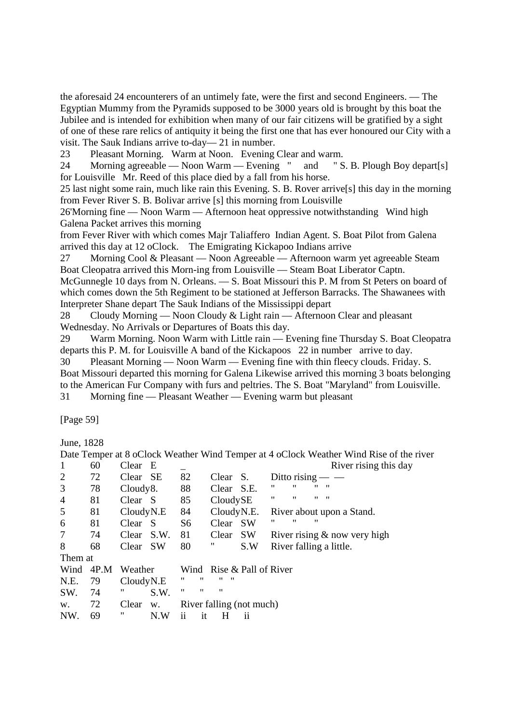the aforesaid 24 encounterers of an untimely fate, were the first and second Engineers. — The Egyptian Mummy from the Pyramids supposed to be 3000 years old is brought by this boat the Jubilee and is intended for exhibition when many of our fair citizens will be gratified by a sight of one of these rare relics of antiquity it being the first one that has ever honoured our City with a visit. The Sauk Indians arrive to-day— 21 in number.

23 Pleasant Morning. Warm at Noon. Evening Clear and warm.

24 Morning agreeable — Noon Warm — Evening " and " S. B. Plough Boy depart[s] for Louisville Mr. Reed of this place died by a fall from his horse.

25 last night some rain, much like rain this Evening. S. B. Rover arrive[s] this day in the morning from Fever River S. B. Bolivar arrive [s] this morning from Louisville

26'Morning fine — Noon Warm — Afternoon heat oppressive notwithstanding Wind high Galena Packet arrives this morning

from Fever River with which comes Majr Taliaffero Indian Agent. S. Boat Pilot from Galena arrived this day at 12 oClock. The Emigrating Kickapoo Indians arrive

27 Morning Cool & Pleasant — Noon Agreeable — Afternoon warm yet agreeable Steam Boat Cleopatra arrived this Morn-ing from Louisville — Steam Boat Liberator Captn.

McGunnegle 10 days from N. Orleans. — S. Boat Missouri this P. M from St Peters on board of which comes down the 5th Regiment to be stationed at Jefferson Barracks. The Shawanees with Interpreter Shane depart The Sauk Indians of the Mississippi depart

28 Cloudy Morning — Noon Cloudy & Light rain — Afternoon Clear and pleasant Wednesday. No Arrivals or Departures of Boats this day.

29 Warm Morning. Noon Warm with Little rain — Evening fine Thursday S. Boat Cleopatra departs this P. M. for Louisville A band of the Kickapoos 22 in number arrive to day.

30 Pleasant Morning — Noon Warm — Evening fine with thin fleecy clouds. Friday. S. Boat Missouri departed this morning for Galena Likewise arrived this morning 3 boats belonging to the American Fur Company with furs and peltries. The S. Boat "Maryland" from Louisville.

31 Morning fine — Pleasant Weather — Evening warm but pleasant

[Page 59]

June, 1828

| 60<br>72<br>78 | Clear<br>Clear SE | E    |                                         |             |            |     |                        |   |                                                       | River rising this day |                                                                                        |
|----------------|-------------------|------|-----------------------------------------|-------------|------------|-----|------------------------|---|-------------------------------------------------------|-----------------------|----------------------------------------------------------------------------------------|
|                |                   |      |                                         |             |            |     |                        |   |                                                       |                       |                                                                                        |
|                |                   |      | 82                                      |             | Clear      | S.  |                        |   | Ditto rising $-$                                      |                       |                                                                                        |
|                | Cloudy8.          |      | 88                                      |             | Clear S.E. |     | "                      | " | "<br>$\mathbf{H}$                                     |                       |                                                                                        |
| 81             | Clear S           |      | 85                                      |             | CloudySE   |     | "                      | " | $\overline{\mathbf{u}}$<br>"                          |                       |                                                                                        |
| 81             | CloudyN.E         |      | 84                                      |             | CloudyN.E. |     |                        |   |                                                       |                       |                                                                                        |
| 81             | Clear             |      | S <sub>6</sub>                          |             | Clear      |     | "                      | " | "                                                     |                       |                                                                                        |
| 74             | Clear             | S.W. | 81                                      |             | Clear      |     |                        |   |                                                       |                       |                                                                                        |
| 68             |                   |      | 80                                      |             | "          | S.W |                        |   |                                                       |                       |                                                                                        |
| Them at        |                   |      |                                         |             |            |     |                        |   |                                                       |                       |                                                                                        |
| 4P.M<br>Wind   |                   |      |                                         |             |            |     |                        |   |                                                       |                       |                                                                                        |
| 79             |                   |      | "                                       | "           | ,,<br>"    |     |                        |   |                                                       |                       |                                                                                        |
| 74             | "                 | S.W. | "                                       | 11          | "          |     |                        |   |                                                       |                       |                                                                                        |
|                |                   |      |                                         |             |            |     |                        |   |                                                       |                       |                                                                                        |
| 72             |                   |      |                                         |             |            |     |                        |   |                                                       |                       |                                                                                        |
|                |                   |      | - S<br>Clear SW<br>Weather<br>CloudyN.E | Clear<br>W. |            |     | <b>SW</b><br><b>SW</b> |   | Wind Rise & Pall of River<br>River falling (not much) |                       | River about upon a Stand.<br>River rising $&$ now very high<br>River falling a little. |

Date Temper at 8 oClock Weather Wind Temper at 4 oClock Weather Wind Rise of the river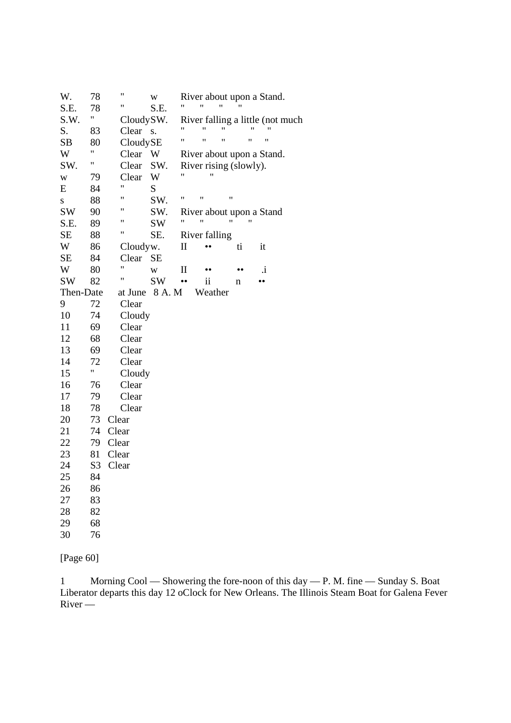| W.        | 78             | Ħ         | W         |                  | River about upon a Stand. |    |    |    |                  |                                  |
|-----------|----------------|-----------|-----------|------------------|---------------------------|----|----|----|------------------|----------------------------------|
| S.E.      | 78             | Ħ         | S.E.      |                  | $^{\dagger}$              | 11 |    |    |                  |                                  |
| S.W.      | Ħ              | CloudySW. |           |                  |                           |    |    |    |                  | River falling a little (not much |
| S.        | 83             | Clear     | S.        |                  |                           | 11 |    |    |                  |                                  |
| SB        | 80             | CloudySE  |           | Ħ                | 11                        | 11 |    | "  | "                |                                  |
| W         | Ħ              | Clear     | W         |                  | River about upon a Stand. |    |    |    |                  |                                  |
| SW.       | Ħ              | Clear     | SW.       |                  | River rising (slowly).    |    |    |    |                  |                                  |
| W         | 79             | Clear     | W         | 11               |                           |    |    |    |                  |                                  |
| E         | 84             | Ħ         | S         |                  |                           |    |    |    |                  |                                  |
| S         | 88             | Ħ         | SW.       | 11               | $^{\prime}$               | 11 |    |    |                  |                                  |
| <b>SW</b> | 90             | 11        | SW.       |                  | River about upon a Stand  |    |    |    |                  |                                  |
| S.E.      | 89             | 11        | SW        | "                |                           | "  |    | 11 |                  |                                  |
| SE        | 88             | Ħ         | SE.       |                  | River falling             |    |    |    |                  |                                  |
| W         | 86             | Cloudyw.  |           | П                |                           |    | ti |    | it               |                                  |
| SE        | 84             | Clear     | SЕ        |                  |                           |    |    |    |                  |                                  |
| W         | 80             | Ħ         | W         | П                |                           |    |    |    | i.               |                                  |
| SW        | 82             | Ħ         | <b>SW</b> | $\bullet\bullet$ | $\overline{\mathbf{1}}$   |    | n  |    | $\bullet\bullet$ |                                  |
| Then-Date |                | at June   | 8 A.M     |                  | Weather                   |    |    |    |                  |                                  |
| 9         | 72             | Clear     |           |                  |                           |    |    |    |                  |                                  |
| 10        | 74             | Cloudy    |           |                  |                           |    |    |    |                  |                                  |
| 11        | 69             | Clear     |           |                  |                           |    |    |    |                  |                                  |
| 12        | 68             | Clear     |           |                  |                           |    |    |    |                  |                                  |
| 13        | 69             | Clear     |           |                  |                           |    |    |    |                  |                                  |
| 14        | 72             | Clear     |           |                  |                           |    |    |    |                  |                                  |
| 15        | "              | Cloudy    |           |                  |                           |    |    |    |                  |                                  |
| 16        | 76             | Clear     |           |                  |                           |    |    |    |                  |                                  |
| 17        | 79             | Clear     |           |                  |                           |    |    |    |                  |                                  |
| 18        | 78             | Clear     |           |                  |                           |    |    |    |                  |                                  |
| 20        | 73             | Clear     |           |                  |                           |    |    |    |                  |                                  |
| 21        | 74             | Clear     |           |                  |                           |    |    |    |                  |                                  |
| 22        | 79             | Clear     |           |                  |                           |    |    |    |                  |                                  |
| 23        | 81             | Clear     |           |                  |                           |    |    |    |                  |                                  |
| 24        | S <sub>3</sub> | Clear     |           |                  |                           |    |    |    |                  |                                  |
| 25        | 84             |           |           |                  |                           |    |    |    |                  |                                  |
| 26        | 86             |           |           |                  |                           |    |    |    |                  |                                  |
| 27        | 83             |           |           |                  |                           |    |    |    |                  |                                  |
| 28        | 82             |           |           |                  |                           |    |    |    |                  |                                  |
| 29        | 68             |           |           |                  |                           |    |    |    |                  |                                  |
| 30        | 76             |           |           |                  |                           |    |    |    |                  |                                  |
|           |                |           |           |                  |                           |    |    |    |                  |                                  |

[Page 60]

1 Morning Cool — Showering the fore-noon of this day — P. M. fine — Sunday S. Boat Liberator departs this day 12 oClock for New Orleans. The Illinois Steam Boat for Galena Fever River —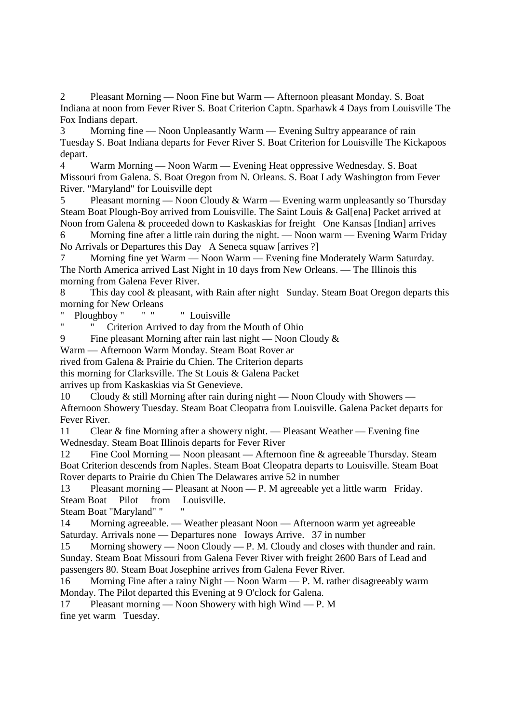2 Pleasant Morning — Noon Fine but Warm — Afternoon pleasant Monday. S. Boat Indiana at noon from Fever River S. Boat Criterion Captn. Sparhawk 4 Days from Louisville The Fox Indians depart.

3 Morning fine — Noon Unpleasantly Warm — Evening Sultry appearance of rain Tuesday S. Boat Indiana departs for Fever River S. Boat Criterion for Louisville The Kickapoos depart.

4 Warm Morning — Noon Warm — Evening Heat oppressive Wednesday. S. Boat Missouri from Galena. S. Boat Oregon from N. Orleans. S. Boat Lady Washington from Fever River. "Maryland" for Louisville dept

5 Pleasant morning — Noon Cloudy & Warm — Evening warm unpleasantly so Thursday Steam Boat Plough-Boy arrived from Louisville. The Saint Louis & Gallenal Packet arrived at Noon from Galena & proceeded down to Kaskaskias for freight One Kansas [Indian] arrives

6 Morning fine after a little rain during the night. — Noon warm — Evening Warm Friday No Arrivals or Departures this Day A Seneca squaw [arrives ?]

Morning fine yet Warm — Noon Warm — Evening fine Moderately Warm Saturday. The North America arrived Last Night in 10 days from New Orleans. — The Illinois this morning from Galena Fever River.

8 This day cool & pleasant, with Rain after night Sunday. Steam Boat Oregon departs this morning for New Orleans

Ploughboy " " " " Louisville

Criterion Arrived to day from the Mouth of Ohio

9 Fine pleasant Morning after rain last night — Noon Cloudy  $\&$ 

Warm — Afternoon Warm Monday. Steam Boat Rover ar

rived from Galena & Prairie du Chien. The Criterion departs

this morning for Clarksville. The St Louis & Galena Packet

arrives up from Kaskaskias via St Genevieve.

10 Cloudy & still Morning after rain during night — Noon Cloudy with Showers — Afternoon Showery Tuesday. Steam Boat Cleopatra from Louisville. Galena Packet departs for Fever River.

11 Clear & fine Morning after a showery night. — Pleasant Weather — Evening fine Wednesday. Steam Boat Illinois departs for Fever River

12 Fine Cool Morning — Noon pleasant — Afternoon fine & agreeable Thursday. Steam Boat Criterion descends from Naples. Steam Boat Cleopatra departs to Louisville. Steam Boat Rover departs to Prairie du Chien The Delawares arrive 52 in number

13 Pleasant morning — Pleasant at Noon — P. M agreeable yet a little warm Friday. Steam Boat Pilot from Louisville.

Steam Boat "Maryland" " "

14 Morning agreeable. — Weather pleasant Noon — Afternoon warm yet agreeable Saturday. Arrivals none — Departures none Ioways Arrive. 37 in number

15 Morning showery — Noon Cloudy — P. M. Cloudy and closes with thunder and rain. Sunday. Steam Boat Missouri from Galena Fever River with freight 2600 Bars of Lead and passengers 80. Steam Boat Josephine arrives from Galena Fever River.

16 Morning Fine after a rainy Night — Noon Warm — P. M. rather disagreeably warm Monday. The Pilot departed this Evening at 9 O'clock for Galena.

17 Pleasant morning — Noon Showery with high Wind — P. M fine yet warm Tuesday.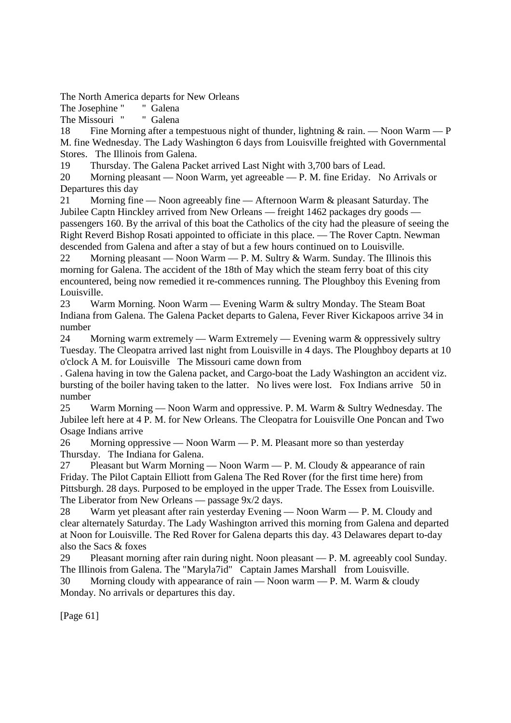The North America departs for New Orleans

The Josephine " " Galena

The Missouri " " Galena

18 Fine Morning after a tempestuous night of thunder, lightning & rain. — Noon Warm — P M. fine Wednesday. The Lady Washington 6 days from Louisville freighted with Governmental Stores. The Illinois from Galena.

19 Thursday. The Galena Packet arrived Last Night with 3,700 bars of Lead.

20 Morning pleasant — Noon Warm, yet agreeable — P. M. fine Eriday. No Arrivals or Departures this day

21 Morning fine — Noon agreeably fine — Afternoon Warm & pleasant Saturday. The Jubilee Captn Hinckley arrived from New Orleans — freight 1462 packages dry goods passengers 160. By the arrival of this boat the Catholics of the city had the pleasure of seeing the Right Reverd Bishop Rosati appointed to officiate in this place. — The Rover Captn. Newman descended from Galena and after a stay of but a few hours continued on to Louisville.

22 Morning pleasant — Noon Warm — P. M. Sultry & Warm. Sunday. The Illinois this morning for Galena. The accident of the 18th of May which the steam ferry boat of this city encountered, being now remedied it re-commences running. The Ploughboy this Evening from Louisville.

23 Warm Morning. Noon Warm — Evening Warm & sultry Monday. The Steam Boat Indiana from Galena. The Galena Packet departs to Galena, Fever River Kickapoos arrive 34 in number

24 Morning warm extremely — Warm Extremely — Evening warm & oppressively sultry Tuesday. The Cleopatra arrived last night from Louisville in 4 days. The Ploughboy departs at 10 o'clock A M. for Louisville The Missouri came down from

. Galena having in tow the Galena packet, and Cargo-boat the Lady Washington an accident viz. bursting of the boiler having taken to the latter. No lives were lost. Fox Indians arrive 50 in number

25 Warm Morning — Noon Warm and oppressive. P. M. Warm & Sultry Wednesday. The Jubilee left here at 4 P. M. for New Orleans. The Cleopatra for Louisville One Poncan and Two Osage Indians arrive

26 Morning oppressive — Noon Warm — P. M. Pleasant more so than yesterday Thursday. The Indiana for Galena.

27 Pleasant but Warm Morning — Noon Warm — P. M. Cloudy & appearance of rain Friday. The Pilot Captain Elliott from Galena The Red Rover (for the first time here) from Pittsburgh. 28 days. Purposed to be employed in the upper Trade. The Essex from Louisville. The Liberator from New Orleans — passage 9x/2 days.

28 Warm yet pleasant after rain yesterday Evening — Noon Warm — P. M. Cloudy and clear alternately Saturday. The Lady Washington arrived this morning from Galena and departed at Noon for Louisville. The Red Rover for Galena departs this day. 43 Delawares depart to-day also the Sacs & foxes

29 Pleasant morning after rain during night. Noon pleasant — P. M. agreeably cool Sunday. The Illinois from Galena. The "Maryla7id" Captain James Marshall from Louisville. 30 Morning cloudy with appearance of rain — Noon warm — P. M. Warm  $\&$  cloudy

Monday. No arrivals or departures this day.

[Page 61]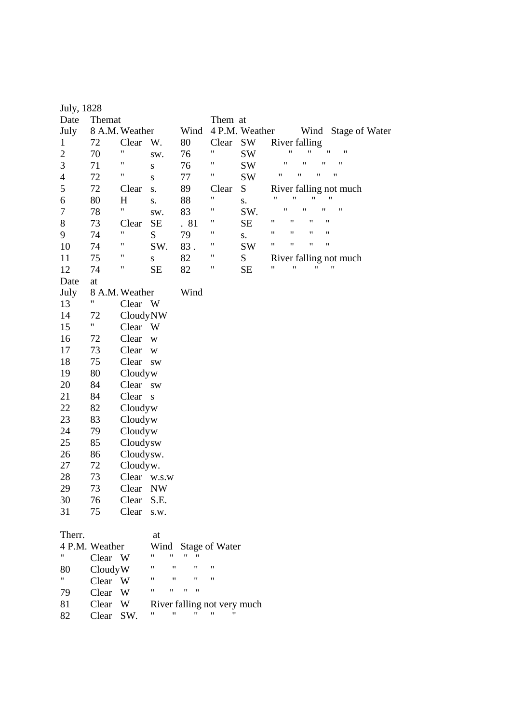| July, 1828       |                |                |                          |                    |                             |                |                                                                      |
|------------------|----------------|----------------|--------------------------|--------------------|-----------------------------|----------------|----------------------------------------------------------------------|
| Date             | Themat         |                |                          |                    | Them at                     |                |                                                                      |
| July             |                | 8 A.M. Weather |                          | Wind               |                             | 4 P.M. Weather | Wind Stage of Water                                                  |
| $\mathbf{1}$     | 72             | Clear          | W.                       | 80                 | Clear                       | SW             | River falling                                                        |
| $\overline{c}$   | 70             | Ħ              | SW.                      | 76                 | 11                          | SW             | $\pmb{\mathsf{H}}$<br>$\pmb{\mathsf{H}}$<br>11<br>$\pmb{\mathsf{H}}$ |
| 3                | 71             | Ħ              | ${\bf S}$                | 76                 | 11                          | SW             | $\pmb{\mathsf{H}}$<br>$\pmb{\mathsf{H}}$<br>$\pmb{\mathsf{H}}$<br>"  |
| 4                | 72             | Ħ              | ${\bf S}$                | 77                 | Ħ                           | <b>SW</b>      | 11<br>$\pmb{\mathsf{H}}$<br>$^{\prime}$<br>"                         |
| 5                | 72             | Clear          | S.                       | 89                 | Clear                       | ${\bf S}$      | River falling not much                                               |
| 6                | 80             | H              | S.                       | 88                 | $\pmb{\mathsf{H}}$          | S.             | Ħ<br>$\pmb{\mathsf{H}}$<br>Ħ<br>11                                   |
| $\boldsymbol{7}$ | 78             | $\mathbf{u}$   | sw.                      | 83                 | 11                          | SW.            | Ħ<br>11<br>$^{\dagger}$<br>11                                        |
| 8                | 73             | Clear          | <b>SE</b>                | . 81               | "                           | <b>SE</b>      | 11<br>11<br>11<br>11                                                 |
| 9                | 74             | 11             | ${\bf S}$                | 79                 | 11                          | S.             | "<br>11<br>11<br>11                                                  |
| 10               | 74             | Ħ              | SW.                      | 83.                | 11                          | <b>SW</b>      | $\pmb{\mathsf{H}}$<br>$\pmb{\mathsf{H}}$<br>11<br>$\pmb{\mathsf{H}}$ |
| 11               | 75             | 11             | ${\bf S}$                | 82                 | 11                          | ${\bf S}$      | River falling not much                                               |
| 12               | 74             | Ħ              | <b>SE</b>                | 82                 | "                           | <b>SE</b>      | $\pmb{\mathsf{H}}$<br>11<br>Ħ<br>11                                  |
| Date             | at             |                |                          |                    |                             |                |                                                                      |
| July             |                | 8 A.M. Weather |                          | Wind               |                             |                |                                                                      |
| 13               | Ħ              | Clear W        |                          |                    |                             |                |                                                                      |
| 14               | 72             | CloudyNW       |                          |                    |                             |                |                                                                      |
| 15               | Ħ              | Clear W        |                          |                    |                             |                |                                                                      |
| 16               | 72             | Clear          | $\mathbf W$              |                    |                             |                |                                                                      |
| 17               | 73             | Clear          | $\mathbf W$              |                    |                             |                |                                                                      |
| 18               | 75             | Clear          | <b>SW</b>                |                    |                             |                |                                                                      |
| 19               | 80             | Cloudyw        |                          |                    |                             |                |                                                                      |
| 20               | 84             | Clear          | <b>SW</b>                |                    |                             |                |                                                                      |
| 21               | 84             | Clear s        |                          |                    |                             |                |                                                                      |
| 22               | 82             | Cloudyw        |                          |                    |                             |                |                                                                      |
| 23               | 83             | Cloudyw        |                          |                    |                             |                |                                                                      |
| 24               | 79             | Cloudyw        |                          |                    |                             |                |                                                                      |
| 25               | 85             | Cloudysw       |                          |                    |                             |                |                                                                      |
| 26               | 86             | Cloudysw.      |                          |                    |                             |                |                                                                      |
| 27               | 72             | Cloudyw.       |                          |                    |                             |                |                                                                      |
| 28               | 73             |                | Clear w.s.w              |                    |                             |                |                                                                      |
| 29               | 73             | Clear          | $\ensuremath{\text{NW}}$ |                    |                             |                |                                                                      |
| 30               | 76             | Clear          | S.E.                     |                    |                             |                |                                                                      |
| 31               | 75             | Clear          | s.w.                     |                    |                             |                |                                                                      |
|                  |                |                |                          |                    |                             |                |                                                                      |
| Therr.           |                |                | at                       |                    |                             |                |                                                                      |
|                  | 4 P.M. Weather |                | Wind                     |                    | Stage of Water              |                |                                                                      |
| 11               | Clear W        |                | Ħ<br>"                   | 11                 |                             |                |                                                                      |
| 80               | CloudyW        |                | "                        | "                  | "                           |                |                                                                      |
| Ħ                | Clear          | W              | "<br>11                  | 11                 | 11                          |                |                                                                      |
| 79               | Clear          | W              | 11<br>11                 | 11<br>11           |                             |                |                                                                      |
| 81               | Clear          | W              |                          |                    | River falling not very much |                |                                                                      |
| 82               | Clear          | SW.            | Ħ                        | $\pmb{\mathsf{H}}$ | $^{\dagger}$                |                |                                                                      |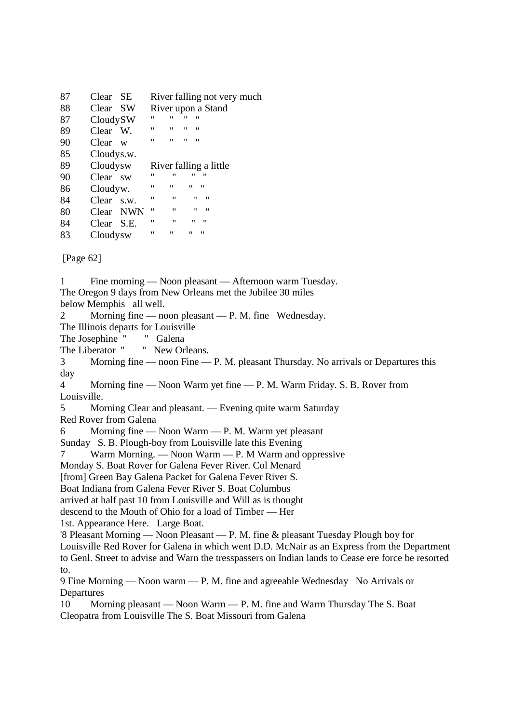| 87 | Clear SE      | River falling not very much                       |  |
|----|---------------|---------------------------------------------------|--|
| 88 | Clear SW      | River upon a Stand                                |  |
| 87 | CloudySW      | "<br>11<br>"<br>"                                 |  |
| 89 | Clear W.      | $^{\prime\prime}$<br>11<br>11<br>11               |  |
| 90 | Clear w       | $^{\prime\prime}$<br>11<br>11<br>11               |  |
| 85 | Cloudys.w.    |                                                   |  |
| 89 | Cloudysw      | River falling a little                            |  |
| 90 | Clear sw      | $^{\prime\prime}$<br>11<br>"<br>"                 |  |
| 86 | Cloudyw.      | $^{\prime\prime}$<br>11<br>"<br>"                 |  |
| 84 | Clear<br>S.W. | $^{\prime\prime}$<br>11<br>11<br>"                |  |
| 80 | Clear NWN     | 11<br>"<br>11<br>"                                |  |
| 84 | Clear S.E.    | $^{\prime\prime}$<br>$^{\prime\prime}$<br>"<br>11 |  |
| 83 | Cloudysw      | 11<br>11<br>"<br>"                                |  |

[Page 62]

1 Fine morning — Noon pleasant — Afternoon warm Tuesday. The Oregon 9 days from New Orleans met the Jubilee 30 miles below Memphis all well. 2 Morning fine — noon pleasant — P. M. fine Wednesday. The Illinois departs for Louisville<br>The Josephine " Galena The Josephine " The Liberator " " New Orleans. 3 Morning fine — noon Fine — P. M. pleasant Thursday. No arrivals or Departures this day 4 Morning fine — Noon Warm yet fine — P. M. Warm Friday. S. B. Rover from Louisville. 5 Morning Clear and pleasant. — Evening quite warm Saturday Red Rover from Galena 6 Morning fine — Noon Warm — P. M. Warm yet pleasant Sunday S. B. Plough-boy from Louisville late this Evening 7 Warm Morning. — Noon Warm — P. M Warm and oppressive Monday S. Boat Rover for Galena Fever River. Col Menard [from] Green Bay Galena Packet for Galena Fever River S. Boat Indiana from Galena Fever River S. Boat Columbus arrived at half past 10 from Louisville and Will as is thought descend to the Mouth of Ohio for a load of Timber — Her 1st. Appearance Here. Large Boat. '8 Pleasant Morning — Noon Pleasant — P. M. fine & pleasant Tuesday Plough boy for Louisville Red Rover for Galena in which went D.D. McNair as an Express from the Department to Genl. Street to advise and Warn the tresspassers on Indian lands to Cease ere force be resorted to. 9 Fine Morning — Noon warm — P. M. fine and agreeable Wednesday No Arrivals or Departures 10 Morning pleasant — Noon Warm — P. M. fine and Warm Thursday The S. Boat Cleopatra from Louisville The S. Boat Missouri from Galena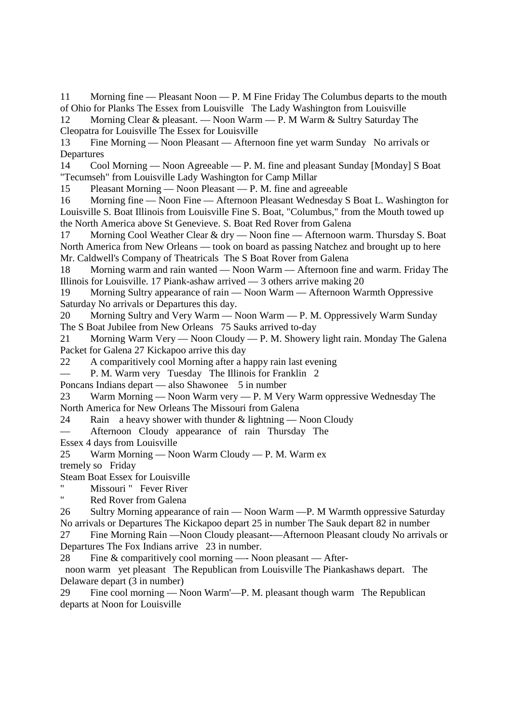11 Morning fine — Pleasant Noon — P. M Fine Friday The Columbus departs to the mouth of Ohio for Planks The Essex from Louisville The Lady Washington from Louisville

12 Morning Clear & pleasant. — Noon Warm — P. M Warm & Sultry Saturday The Cleopatra for Louisville The Essex for Louisville

13 Fine Morning — Noon Pleasant — Afternoon fine yet warm Sunday No arrivals or Departures

14 Cool Morning — Noon Agreeable — P. M. fine and pleasant Sunday [Monday] S Boat "Tecumseh" from Louisville Lady Washington for Camp Millar

15 Pleasant Morning — Noon Pleasant — P. M. fine and agreeable

16 Morning fine — Noon Fine — Afternoon Pleasant Wednesday S Boat L. Washington for Louisville S. Boat Illinois from Louisville Fine S. Boat, "Columbus," from the Mouth towed up the North America above St Genevieve. S. Boat Red Rover from Galena

17 Morning Cool Weather Clear & dry — Noon fine — Afternoon warm. Thursday S. Boat North America from New Orleans — took on board as passing Natchez and brought up to here Mr. Caldwell's Company of Theatricals The S Boat Rover from Galena

18 Morning warm and rain wanted — Noon Warm — Afternoon fine and warm. Friday The Illinois for Louisville. 17 Piank-ashaw arrived — 3 others arrive making 20

19 Morning Sultry appearance of rain — Noon Warm — Afternoon Warmth Oppressive Saturday No arrivals or Departures this day.

20 Morning Sultry and Very Warm — Noon Warm — P. M. Oppressively Warm Sunday The S Boat Jubilee from New Orleans 75 Sauks arrived to-day

21 Morning Warm Very — Noon Cloudy — P. M. Showery light rain. Monday The Galena Packet for Galena 27 Kickapoo arrive this day

22 A comparitively cool Morning after a happy rain last evening

— P. M. Warm very Tuesday The Illinois for Franklin 2

Poncans Indians depart — also Shawonee 5 in number

23 Warm Morning — Noon Warm very — P. M Very Warm oppressive Wednesday The North America for New Orleans The Missouri from Galena

24 Rain a heavy shower with thunder & lightning — Noon Cloudy

— Afternoon Cloudy appearance of rain Thursday The

Essex 4 days from Louisville

25 Warm Morning — Noon Warm Cloudy — P. M. Warm ex

tremely so Friday

Steam Boat Essex for Louisville

" Missouri " Fever River"<br>" Bed Boyer from Galana

Red Rover from Galena

26 Sultry Morning appearance of rain — Noon Warm —P. M Warmth oppressive Saturday No arrivals or Departures The Kickapoo depart 25 in number The Sauk depart 82 in number

27 Fine Morning Rain —Noon Cloudy pleasant-—Afternoon Pleasant cloudy No arrivals or Departures The Fox Indians arrive 23 in number.

28 Fine & comparitively cool morning —- Noon pleasant — After-

 noon warm yet pleasant The Republican from Louisville The Piankashaws depart. The Delaware depart (3 in number)

29 Fine cool morning — Noon Warm'—P. M. pleasant though warm The Republican departs at Noon for Louisville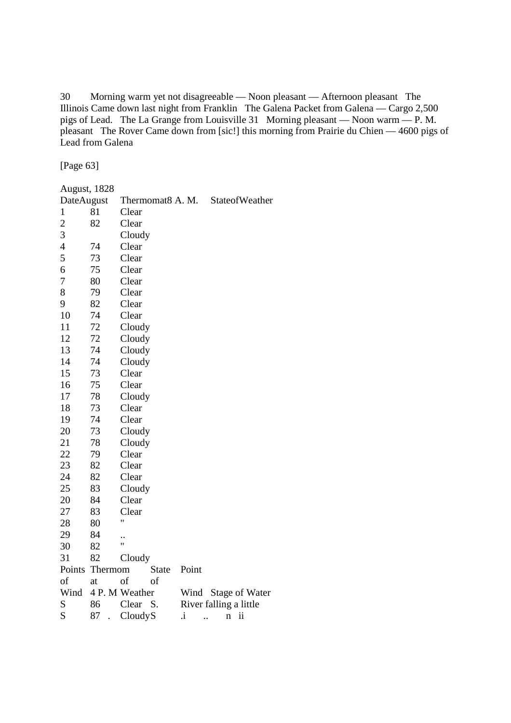30 Morning warm yet not disagreeable — Noon pleasant — Afternoon pleasant The Illinois Came down last night from Franklin The Galena Packet from Galena — Cargo 2,500 pigs of Lead. The La Grange from Louisville 31 Morning pleasant — Noon warm — P. M. pleasant The Rover Came down from [sic!] this morning from Prairie du Chien — 4600 pigs of Lead from Galena

[Page 63]

| <b>August, 1828</b> |         |                  |                            |                        |
|---------------------|---------|------------------|----------------------------|------------------------|
| DateAugust          |         | Thermomat8 A. M. |                            | StateofWeather         |
| $\mathbf{1}$        | 81      | Clear            |                            |                        |
| $\overline{c}$      | 82      | Clear            |                            |                        |
| 3                   |         | Cloudy           |                            |                        |
| $\overline{4}$      | 74      | Clear            |                            |                        |
| 5                   | 73      | Clear            |                            |                        |
| 6                   | 75      | Clear            |                            |                        |
| 7                   | 80      | Clear            |                            |                        |
| 8                   | 79      | Clear            |                            |                        |
| 9                   | 82      | Clear            |                            |                        |
| 10                  | 74      | Clear            |                            |                        |
| 11                  | 72      | Cloudy           |                            |                        |
| 12                  | 72      | Cloudy           |                            |                        |
| 13                  | 74      | Cloudy           |                            |                        |
| 14                  | 74      | Cloudy           |                            |                        |
| 15                  | 73      | Clear            |                            |                        |
| 16                  | 75      | Clear            |                            |                        |
| 17                  | 78      | Cloudy           |                            |                        |
| 18                  | 73      | Clear            |                            |                        |
| 19                  | 74      | Clear            |                            |                        |
| 20                  | 73      | Cloudy           |                            |                        |
| 21                  | 78      | Cloudy           |                            |                        |
| 22                  | 79      | Clear            |                            |                        |
| 23                  | 82      | Clear            |                            |                        |
| 24                  | 82      | Clear            |                            |                        |
| 25                  | 83      | Cloudy           |                            |                        |
| 20                  | 84      | Clear            |                            |                        |
| 27                  | 83      | Clear            |                            |                        |
| 28                  | 80      | Ħ                |                            |                        |
| 29                  | 84      |                  |                            |                        |
| 30                  | 82      | Ħ                |                            |                        |
| 31                  | 82      | Cloudy           |                            |                        |
| Points              | Thermom | <b>State</b>     | Point                      |                        |
| of                  | at      | of<br>of         |                            |                        |
| Wind                |         | 4 P. M Weather   | Wind                       | <b>Stage of Water</b>  |
| S                   | 86      | Clear<br>S.      |                            | River falling a little |
| S                   | 87      | CloudyS          | i.<br>$\sim$ $\sim$ $\sim$ | ii<br>n                |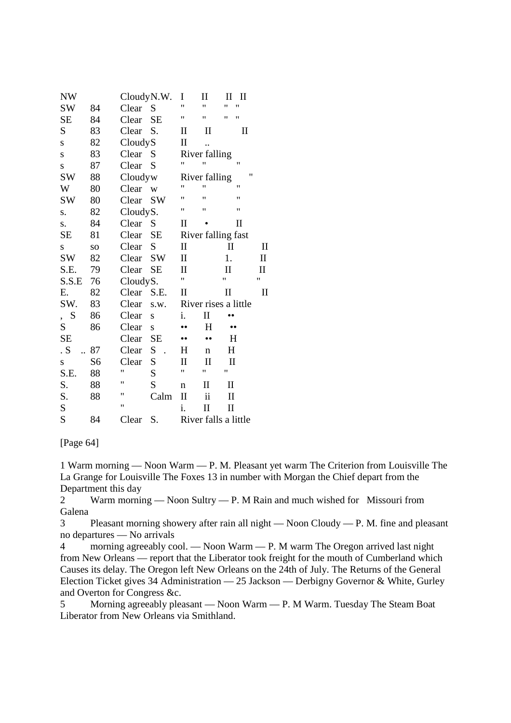| <b>NW</b>                     |                | CloudyN.W. |             | I                               | П                    | Н            | $_{\rm II}$ |             |
|-------------------------------|----------------|------------|-------------|---------------------------------|----------------------|--------------|-------------|-------------|
| <b>SW</b>                     | 84             | Clear      | $\mathbf S$ | 11                              | Ħ                    | Ħ            |             |             |
| <b>SE</b>                     | 84             | Clear      | <b>SE</b>   | 11                              | 11                   | 11<br>"      |             |             |
| S                             | 83             | Clear      | S.          | П                               | $\rm _{II}$          |              | $\rm _{II}$ |             |
| S                             | 82             | CloudyS    |             | П                               |                      |              |             |             |
| S                             | 83             | Clear      | S           |                                 | River falling        |              |             |             |
| S                             | 87             | Clear      | S           | Ħ                               | 11                   | $^{\dagger}$ |             |             |
| <b>SW</b>                     | 88             | Cloudyw    |             |                                 | River falling        |              | Ħ           |             |
| W                             | 80             | Clear      | W           | 11                              | 11                   | 11           |             |             |
| <b>SW</b>                     | 80             | Clear      | <b>SW</b>   | Ħ                               | Ħ                    | Ħ            |             |             |
| S.                            | 82             | CloudyS.   |             | Ħ                               | Ħ                    | $^{\dagger}$ |             |             |
| S.                            | 84             | Clear      | S           | П                               |                      | $\mathbf{I}$ |             |             |
| SE                            | 81             | Clear      | <b>SE</b>   |                                 | River falling fast   |              |             |             |
| S                             | SO.            | Clear      | S           | $\mathbf H$                     |                      | $\mathbf H$  |             | $\rm{II}$   |
| <b>SW</b>                     | 82             | Clear      | <b>SW</b>   | П                               |                      | 1.           |             | $\rm II$    |
| S.E.                          | 79             | Clear      | <b>SE</b>   | П                               |                      | П            |             | $\rm II$    |
| S.S.E                         | 76             | CloudyS.   |             | Ħ                               |                      | 11           |             | 11          |
| Е.                            | 82             | Clear      | S.E.        | $\mathop{\mathrm{II}}\nolimits$ |                      | $\mathbf H$  |             | $_{\rm II}$ |
| SW.                           | 83             | Clear      | s.w.        |                                 | River rises a little |              |             |             |
| S<br>$\overline{\phantom{a}}$ | 86             | Clear      | S           | i.                              | П                    |              |             |             |
| S                             | 86             | Clear      | S           |                                 | $H_{\rm}$            |              |             |             |
| <b>SE</b>                     |                | Clear      | <b>SE</b>   |                                 |                      | H            |             |             |
| . S                           | 87             | Clear      | S           | $H_{\rm}$                       | $\mathbf n$          | $H_{\rm}$    |             |             |
| S                             | S <sub>6</sub> | Clear      | S           | П                               | П                    | П            |             |             |
| S.E.                          | 88             | Ħ          | S           | Ħ                               | Ħ                    | Ħ            |             |             |
| S.                            | 88             | 11         | S           | n                               | $\rm II$             | $\rm II$     |             |             |
| S.                            | 88             | Ħ          | Calm        | $\mathbf{I}$                    | ii                   | $\rm II$     |             |             |
| S                             |                | Ħ          |             | i.                              | П                    | П            |             |             |
| S                             | 84             | Clear      | S.          |                                 | River falls a little |              |             |             |

[Page 64]

1 Warm morning — Noon Warm — P. M. Pleasant yet warm The Criterion from Louisville The La Grange for Louisville The Foxes 13 in number with Morgan the Chief depart from the Department this day

2 Warm morning — Noon Sultry — P. M Rain and much wished for Missouri from Galena

3 Pleasant morning showery after rain all night — Noon Cloudy — P. M. fine and pleasant no departures — No arrivals

4 morning agreeably cool. — Noon Warm — P. M warm The Oregon arrived last night from New Orleans — report that the Liberator took freight for the mouth of Cumberland which Causes its delay. The Oregon left New Orleans on the 24th of July. The Returns of the General Election Ticket gives 34 Administration — 25 Jackson — Derbigny Governor & White, Gurley and Overton for Congress &c.

5 Morning agreeably pleasant — Noon Warm — P. M Warm. Tuesday The Steam Boat Liberator from New Orleans via Smithland.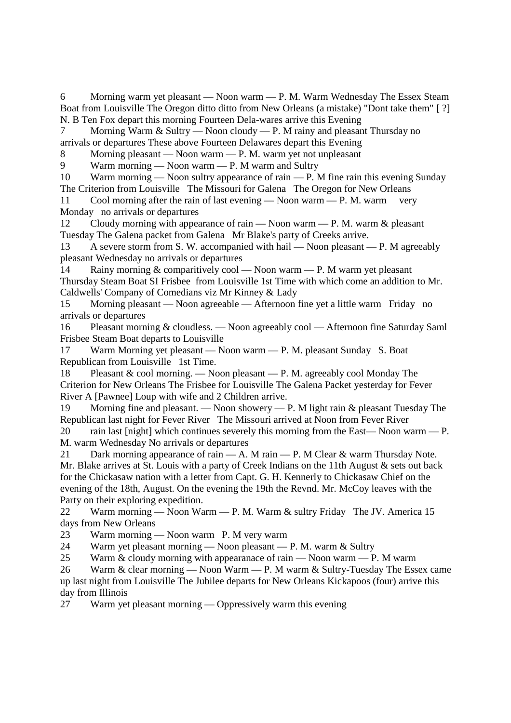6 Morning warm yet pleasant — Noon warm — P. M. Warm Wednesday The Essex Steam Boat from Louisville The Oregon ditto ditto from New Orleans (a mistake) "Dont take them" [ ?] N. B Ten Fox depart this morning Fourteen Dela-wares arrive this Evening

7 Morning Warm & Sultry — Noon cloudy — P. M rainy and pleasant Thursday no arrivals or departures These above Fourteen Delawares depart this Evening

8 Morning pleasant — Noon warm — P. M. warm yet not unpleasant

9 Warm morning — Noon warm — P. M warm and Sultry

10 Warm morning — Noon sultry appearance of rain — P. M fine rain this evening Sunday The Criterion from Louisville The Missouri for Galena The Oregon for New Orleans

11 Cool morning after the rain of last evening — Noon warm — P. M. warm very Monday no arrivals or departures

12 Cloudy morning with appearance of rain — Noon warm — P. M. warm & pleasant Tuesday The Galena packet from Galena Mr Blake's party of Creeks arrive.

13 A severe storm from S. W. accompanied with hail — Noon pleasant — P. M agreeably pleasant Wednesday no arrivals or departures

14 Rainy morning & comparitively cool — Noon warm — P. M warm yet pleasant Thursday Steam Boat SI Frisbee from Louisville 1st Time with which come an addition to Mr. Caldwells' Company of Comedians viz Mr Kinney & Lady

15 Morning pleasant — Noon agreeable — Afternoon fine yet a little warm Friday no arrivals or departures

16 Pleasant morning & cloudless. — Noon agreeably cool — Afternoon fine Saturday Saml Frisbee Steam Boat departs to Louisville

17 Warm Morning yet pleasant — Noon warm — P. M. pleasant Sunday S. Boat Republican from Louisville 1st Time.

18 Pleasant & cool morning. — Noon pleasant — P. M. agreeably cool Monday The Criterion for New Orleans The Frisbee for Louisville The Galena Packet yesterday for Fever River A [Pawnee] Loup with wife and 2 Children arrive.

19 Morning fine and pleasant. — Noon showery — P. M light rain & pleasant Tuesday The Republican last night for Fever River The Missouri arrived at Noon from Fever River

20 rain last [night] which continues severely this morning from the East—Noon warm — P. M. warm Wednesday No arrivals or departures

21 Dark morning appearance of rain - A. M rain - P. M Clear & warm Thursday Note. Mr. Blake arrives at St. Louis with a party of Creek Indians on the 11th August & sets out back for the Chickasaw nation with a letter from Capt. G. H. Kennerly to Chickasaw Chief on the evening of the 18th, August. On the evening the 19th the Revnd. Mr. McCoy leaves with the Party on their exploring expedition.

22 Warm morning — Noon Warm — P. M. Warm & sultry Friday The JV. America 15 days from New Orleans

23 Warm morning — Noon warm P. M very warm

24 Warm yet pleasant morning — Noon pleasant — P. M. warm & Sultry

25 Warm & cloudy morning with appearanace of rain — Noon warm — P. M warm

26 Warm & clear morning — Noon Warm — P. M warm & Sultry-Tuesday The Essex came up last night from Louisville The Jubilee departs for New Orleans Kickapoos (four) arrive this day from Illinois

27 Warm yet pleasant morning — Oppressively warm this evening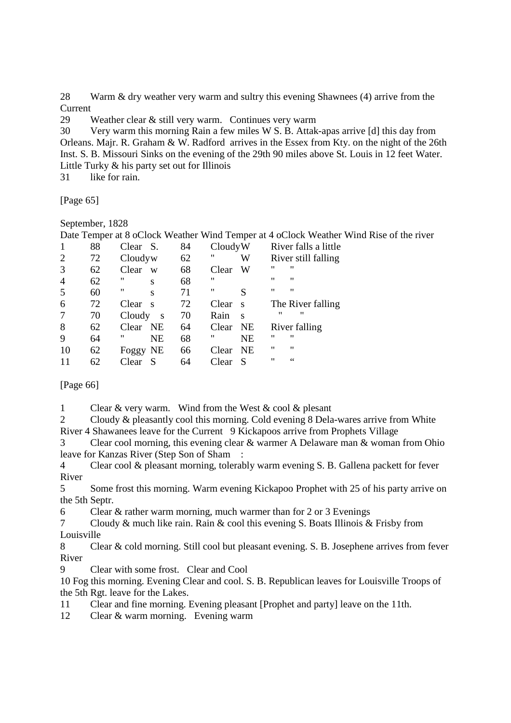28 Warm & dry weather very warm and sultry this evening Shawnees (4) arrive from the Current

29 Weather clear & still very warm. Continues very warm

30 Very warm this morning Rain a few miles W S. B. Attak-apas arrive [d] this day from Orleans. Majr. R. Graham & W. Radford arrives in the Essex from Kty. on the night of the 26th Inst. S. B. Missouri Sinks on the evening of the 29th 90 miles above St. Louis in 12 feet Water. Little Turky & his party set out for Illinois

31 like for rain.

[Page 65]

September, 1828

Date Temper at 8 oClock Weather Wind Temper at 4 oClock Weather Wind Rise of the river

|                | 88 | Clear S. |                         | 84 | CloudyW |           |                   | River falls a little |
|----------------|----|----------|-------------------------|----|---------|-----------|-------------------|----------------------|
| $\overline{2}$ | 72 | Cloudyw  |                         | 62 | "       | W         |                   | River still falling  |
| 3              | 62 | Clear    | W                       | 68 | Clear   | W         | "                 | $^{\prime\prime}$    |
| $\overline{4}$ | 62 | 11       | S                       | 68 | "       |           | $^{\prime\prime}$ | $^{\prime\prime}$    |
| 5              | 60 | 11       | S                       | 71 | "       | S         | $^{\prime\prime}$ | $^{\prime\prime}$    |
| 6              | 72 | Clear    | $\overline{\mathbf{s}}$ | 72 | Clear   | S         |                   | The River falling    |
|                | 70 | Cloudy   | $\mathbf{s}$            | 70 | Rain    | S         | "                 | 11                   |
| 8              | 62 | Clear    | NE                      | 64 | Clear   | NE        |                   | River falling        |
| 9              | 64 | "        | <b>NE</b>               | 68 | "       | <b>NE</b> | 11                | $^{\prime\prime}$    |
| 10             | 62 | Foggy NE |                         | 66 | Clear   | <b>NE</b> | "                 | "                    |
|                | 62 | Clear    | S                       | 64 | Clear   | S         | "                 | $\zeta$ $\zeta$      |

[Page 66]

1 Clear & very warm. Wind from the West & cool & plesant

2 Cloudy & pleasantly cool this morning. Cold evening 8 Dela-wares arrive from White River 4 Shawanees leave for the Current 9 Kickapoos arrive from Prophets Village

Clear cool morning, this evening clear  $&$  warmer A Delaware man  $&$  woman from Ohio leave for Kanzas River (Step Son of Sham :

4 Clear cool & pleasant morning, tolerably warm evening S. B. Gallena packett for fever River

5 Some frost this morning. Warm evening Kickapoo Prophet with 25 of his party arrive on the 5th Septr.

6 Clear & rather warm morning, much warmer than for 2 or 3 Evenings

7 Cloudy & much like rain. Rain & cool this evening S. Boats Illinois & Frisby from Louisville

8 Clear & cold morning. Still cool but pleasant evening. S. B. Josephene arrives from fever River

9 Clear with some frost. Clear and Cool

10 Fog this morning. Evening Clear and cool. S. B. Republican leaves for Louisville Troops of the 5th Rgt. leave for the Lakes.

11 Clear and fine morning. Evening pleasant [Prophet and party] leave on the 11th.

12 Clear & warm morning. Evening warm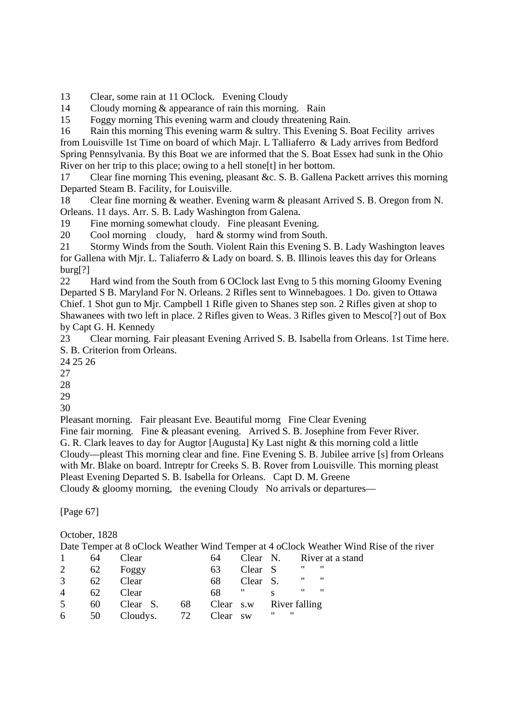13 Clear, some rain at 11 OClock. Evening Cloudy

14 Cloudy morning & appearance of rain this morning. Rain

15 Foggy morning This evening warm and cloudy threatening Rain.

16 Rain this morning This evening warm & sultry. This Evening S. Boat Fecility arrives from Louisville 1st Time on board of which Majr. L Talliaferro & Lady arrives from Bedford Spring Pennsylvania. By this Boat we are informed that the S. Boat Essex had sunk in the Ohio River on her trip to this place; owing to a hell stone[t] in her bottom.

17 Clear fine morning This evening, pleasant &c. S. B. Gallena Packett arrives this morning Departed Steam B. Facility, for Louisville.

18 Clear fine morning & weather. Evening warm & pleasant Arrived S. B. Oregon from N. Orleans. 11 days. Arr. S. B. Lady Washington from Galena.

19 Fine morning somewhat cloudy. Fine pleasant Evening.

20 Cool morning cloudy, hard & stormy wind from South.

21 Stormy Winds from the South. Violent Rain this Evening S. B. Lady Washington leaves for Gallena with Mjr. L. Taliaferro & Lady on board. S. B. Illinois leaves this day for Orleans burg[?]

22 Hard wind from the South from 6 OClock last Evng to 5 this morning Gloomy Evening Departed S B. Maryland For N. Orleans. 2 Rifles sent to Winnebagoes. 1 Do. given to Ottawa Chief. 1 Shot gun to Mjr. Campbell 1 Rifle given to Shanes step son. 2 Rifles given at shop to Shawanees with two left in place. 2 Rifles given to Weas. 3 Rifles given to Mesco[?] out of Box by Capt G. H. Kennedy

23 Clear morning. Fair pleasant Evening Arrived S. B. Isabella from Orleans. 1st Time here. S. B. Criterion from Orleans.

24 25 26

27

28

29

30

Pleasant morning. Fair pleasant Eve. Beautiful morng Fine Clear Evening

Fine fair morning. Fine & pleasant evening. Arrived S. B. Josephine from Fever River. G. R. Clark leaves to day for Augtor [Augusta] Ky Last night & this morning cold a little Cloudy—pleast This morning clear and fine. Fine Evening S. B. Jubilee arrive [s] from Orleans with Mr. Blake on board. Intreptr for Creeks S. B. Rover from Louisville. This morning pleast Pleast Evening Departed S. B. Isabella for Orleans. Capt D. M. Greene Cloudy & gloomy morning, the evening Cloudy No arrivals or departures—

[Page 67]

## October, 1828

|   | 64 | Clear    |    | 64    |           |                         |   | Clear N. River at a stand |
|---|----|----------|----|-------|-----------|-------------------------|---|---------------------------|
| 2 | 62 | Foggy    |    | 63    | Clear S   |                         | " | ,,,                       |
| 3 | 62 | Clear    |    | 68    | Clear S.  |                         | " | ,,                        |
|   | 62 | Clear    |    | 68    | ,,        |                         | " | $\mathbf{H}$              |
| 5 | 60 | Clear S. | 68 |       |           | Clear s.w River falling |   |                           |
| 6 | 50 | Cloudys. | 72 | Clear | <b>SW</b> | "<br>$^{\prime\prime}$  |   |                           |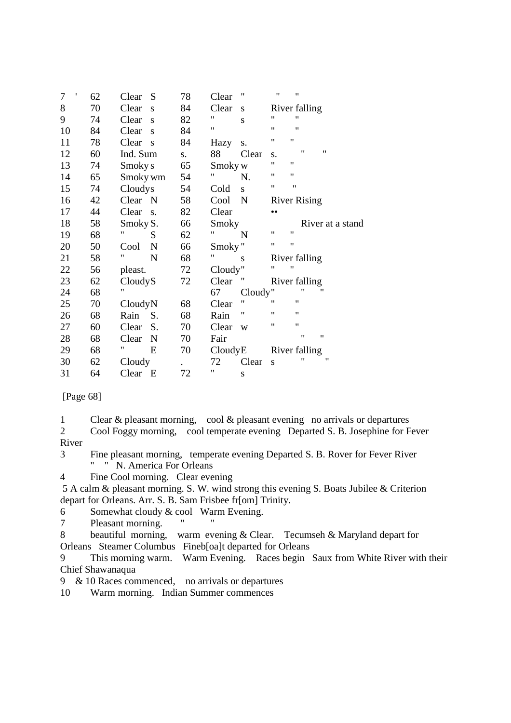| t<br>7 | 62 | Clear    | S           | 78 | Clear              | 11                 | 11<br>"                 |                  |
|--------|----|----------|-------------|----|--------------------|--------------------|-------------------------|------------------|
| 8      | 70 | Clear    | S           | 84 | Clear              | S                  | River falling           |                  |
| 9      | 74 | Clear    | S           | 82 | 11                 | S                  | "                       | Ħ                |
| 10     | 84 | Clear    | S           | 84 | $\pmb{\mathsf{H}}$ |                    | 11<br>"                 |                  |
| 11     | 78 | Clear    | S           | 84 | Hazy               | S.                 | 11<br>$^{\dagger}$      |                  |
| 12     | 60 | Ind. Sum |             | S. | 88                 | Clear              | S.                      | 11<br>11         |
| 13     | 74 | Smoky s  |             | 65 | Smoky w            |                    | 11<br>11                |                  |
| 14     | 65 | Smoky wm |             | 54 | 11                 | N.                 | 11<br>11                |                  |
| 15     | 74 | Cloudys  |             | 54 | Cold               | S.                 | 11<br>$^{\prime\prime}$ |                  |
| 16     | 42 | Clear N  |             | 58 | Cool               | N                  | <b>River Rising</b>     |                  |
| 17     | 44 | Clear    | S.          | 82 | Clear              |                    |                         |                  |
| 18     | 58 | Smoky S. |             | 66 | Smoky              |                    |                         | River at a stand |
| 19     | 68 | Ħ        | S           | 62 | 11                 | N                  | $^{\prime\prime}$<br>11 |                  |
| 20     | 50 | Cool     | N           | 66 | Smoky"             |                    | "<br>11                 |                  |
| 21     | 58 | 11       | $\mathbf N$ | 68 | 11                 | S                  | River falling           |                  |
| 22     | 56 | pleast.  |             | 72 | Cloudy"            |                    | 11<br>$^{\dagger}$      |                  |
| 23     | 62 | CloudyS  |             | 72 | Clear              |                    | River falling           |                  |
| 24     | 68 | Ħ        |             |    | 67                 | Cloudy"            |                         | "<br>11          |
| 25     | 70 | CloudyN  |             | 68 | Clear              | $\pmb{\mathsf{H}}$ | 11<br>$^{\dagger}$      |                  |
| 26     | 68 | Rain     | S.          | 68 | Rain               | Ħ                  | "                       | 11               |
| 27     | 60 | Clear    | S.          | 70 | Clear              | W                  | "                       | 11               |
| 28     | 68 | Clear    | N           | 70 | Fair               |                    |                         | 11<br>11         |
| 29     | 68 | Ħ        | E           | 70 | CloudyE            |                    | River falling           |                  |
| 30     | 62 | Cloudy   |             |    | 72                 | Clear              | S                       | 11<br>11         |
| 31     | 64 | Clear E  |             | 72 | 11                 | S                  |                         |                  |

[Page 68]

1 Clear & pleasant morning, cool & pleasant evening no arrivals or departures

2 Cool Foggy morning, cool temperate evening Departed S. B. Josephine for Fever River

3 Fine pleasant morning, temperate evening Departed S. B. Rover for Fever River " " N. America For Orleans

4 Fine Cool morning. Clear evening

 5 A calm & pleasant morning. S. W. wind strong this evening S. Boats Jubilee & Criterion depart for Orleans. Arr. S. B. Sam Frisbee fr[om] Trinity.

6 Somewhat cloudy & cool Warm Evening.

7 Pleasant morning.

8 beautiful morning, warm evening & Clear. Tecumseh & Maryland depart for Orleans Steamer Columbus Fineb[oa]t departed for Orleans

9 This morning warm. Warm Evening. Races begin Saux from White River with their Chief Shawanaqua

9 & 10 Races commenced, no arrivals or departures

10 Warm morning. Indian Summer commences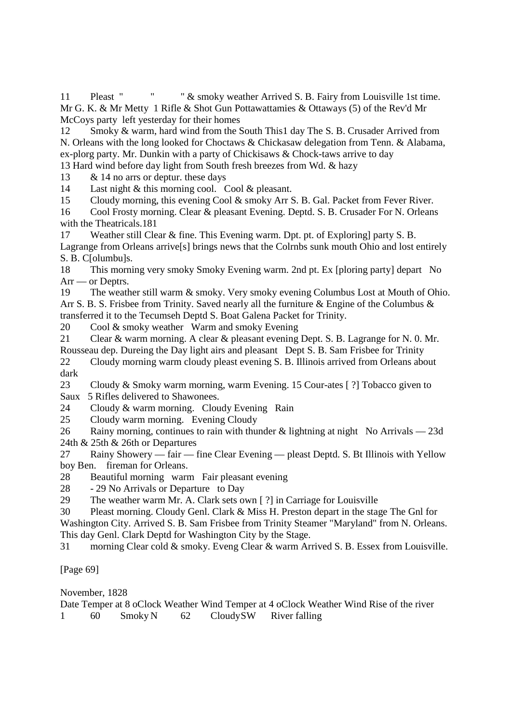11 Pleast " " & smoky weather Arrived S. B. Fairy from Louisville 1st time. Mr G. K. & Mr Metty 1 Rifle & Shot Gun Pottawattamies & Ottaways (5) of the Rev'd Mr McCoys party left yesterday for their homes

12 Smoky & warm, hard wind from the South This1 day The S. B. Crusader Arrived from N. Orleans with the long looked for Choctaws & Chickasaw delegation from Tenn. & Alabama, ex-plorg party. Mr. Dunkin with a party of Chickisaws & Chock-taws arrive to day 13 Hard wind before day light from South fresh breezes from Wd. & hazy

13 & 14 no arrs or deptur. these days

14 Last night & this morning cool. Cool & pleasant.

15 Cloudy morning, this evening Cool & smoky Arr S. B. Gal. Packet from Fever River.

16 Cool Frosty morning. Clear & pleasant Evening. Deptd. S. B. Crusader For N. Orleans with the Theatricals.181

17 Weather still Clear & fine. This Evening warm. Dpt. pt. of Exploring] party S. B. Lagrange from Orleans arrive[s] brings news that the Colrnbs sunk mouth Ohio and lost entirely S. B. C[olumbu]s.

18 This morning very smoky Smoky Evening warm. 2nd pt. Ex [ploring party] depart No Arr — or Deptrs.

19 The weather still warm & smoky. Very smoky evening Columbus Lost at Mouth of Ohio. Arr S. B. S. Frisbee from Trinity. Saved nearly all the furniture & Engine of the Columbus & transferred it to the Tecumseh Deptd S. Boat Galena Packet for Trinity.

20 Cool & smoky weather Warm and smoky Evening

21 Clear & warm morning. A clear & pleasant evening Dept. S. B. Lagrange for N. 0. Mr. Rousseau dep. Dureing the Day light airs and pleasant Dept S. B. Sam Frisbee for Trinity 22 Cloudy morning warm cloudy pleast evening S. B. Illinois arrived from Orleans about

dark

23 Cloudy & Smoky warm morning, warm Evening. 15 Cour-ates [ ?] Tobacco given to

Saux 5 Rifles delivered to Shawonees.

24 Cloudy & warm morning. Cloudy Evening Rain

25 Cloudy warm morning. Evening Cloudy

26 Rainy morning, continues to rain with thunder & lightning at night No Arrivals — 23d 24th & 25th & 26th or Departures

27 Rainy Showery — fair — fine Clear Evening — pleast Deptd. S. Bt Illinois with Yellow boy Ben. fireman for Orleans.

28 Beautiful morning warm Fair pleasant evening

28 - 29 No Arrivals or Departure to Day

29 The weather warm Mr. A. Clark sets own [ ?] in Carriage for Louisville

30 Pleast morning. Cloudy Genl. Clark & Miss H. Preston depart in the stage The Gnl for Washington City. Arrived S. B. Sam Frisbee from Trinity Steamer "Maryland" from N. Orleans. This day Genl. Clark Deptd for Washington City by the Stage.

31 morning Clear cold & smoky. Eveng Clear & warm Arrived S. B. Essex from Louisville.

[Page 69]

November, 1828

Date Temper at 8 oClock Weather Wind Temper at 4 oClock Weather Wind Rise of the river 1 60 Smoky N 62 Cloudy SW River falling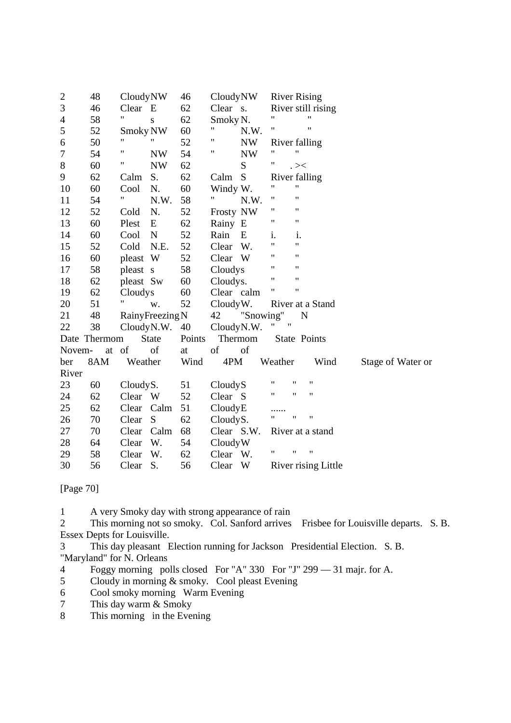| $\overline{c}$   | 48           | CloudyNW             |                                                                                                    | 46     | CloudyNW   |           | <b>River Rising</b> |                    |                     |                   |
|------------------|--------------|----------------------|----------------------------------------------------------------------------------------------------|--------|------------|-----------|---------------------|--------------------|---------------------|-------------------|
| 3                | 46           | Clear E              |                                                                                                    | 62     | Clear s.   |           |                     |                    | River still rising  |                   |
| $\overline{4}$   | 58           | 11                   | ${\bf S}$                                                                                          | 62     | Smoky N.   |           | 11                  |                    | 11                  |                   |
| 5                | 52           | Smoky NW             |                                                                                                    | 60     | 11         | N.W.      | Ħ                   |                    | $\pmb{\mathsf{H}}$  |                   |
| 6                | 50           | 11                   | 11                                                                                                 | 52     | Ħ          | <b>NW</b> | River falling       |                    |                     |                   |
| $\boldsymbol{7}$ | 54           | $\blacksquare$       | <b>NW</b>                                                                                          | 54     | Ħ          | <b>NW</b> | 11                  | 11                 |                     |                   |
| $8\,$            | 60           | Ħ                    | <b>NW</b>                                                                                          | 62     |            | ${\bf S}$ | Ħ                   | $\cdot > <$        |                     |                   |
| 9                | 62           | Calm                 | S.                                                                                                 | 62     | Calm       | S         | River falling       |                    |                     |                   |
| 10               | 60           | Cool                 | N.                                                                                                 | 60     | Windy W.   |           | Ħ                   | Ħ                  |                     |                   |
| 11               | 54           | $\pmb{\mathfrak{m}}$ | N.W.                                                                                               | 58     | "          | N.W.      | 11                  | 11                 |                     |                   |
| 12               | 52           | Cold                 | N.                                                                                                 | 52     | Frosty NW  |           | 11                  | $^{\dagger}$       |                     |                   |
| 13               | 60           | Plest                | E                                                                                                  | 62     | Rainy E    |           | Ħ                   | $\mathbf{H}$       |                     |                   |
| 14               | 60           | Cool                 | N                                                                                                  | 52     | Rain       | E         | i.                  | i.                 |                     |                   |
| 15               | 52           | Cold                 | N.E.                                                                                               | 52     | Clear      | W.        | 11                  | Ħ                  |                     |                   |
| 16               | 60           | pleast W             |                                                                                                    | 52     | Clear      | W         | 11                  | $\pmb{\mathsf{H}}$ |                     |                   |
| 17               | 58           | pleast s             |                                                                                                    | 58     | Cloudys    |           | 11                  | $^{\dagger}$       |                     |                   |
| 18               | 62           | pleast Sw            |                                                                                                    | 60     | Cloudys.   |           | 11                  | Ħ                  |                     |                   |
| 19               | 62           | Cloudys              |                                                                                                    | 60     | Clear calm |           | 11                  | 11                 |                     |                   |
| 20               | 51           | Ħ                    | W.                                                                                                 | 52     | Cloudy W.  |           |                     |                    | River at a Stand    |                   |
| 21               | 48           | RainyFreezing N      |                                                                                                    |        | 42         | "Snowing" |                     | N                  |                     |                   |
| 22               | 38           | CloudyN.W.           |                                                                                                    | 40     | CloudyN.W. |           | Ħ<br>11             |                    |                     |                   |
|                  | Date Thermom |                      | <b>State</b>                                                                                       | Points |            | Thermom   | State Points        |                    |                     |                   |
| Novem-           | at           | of                   | $% \left( \left( \mathcal{A},\mathcal{A}\right) \right) =\left( \mathcal{A},\mathcal{A}\right)$ of | at     | of         | of        |                     |                    |                     |                   |
| ber              | 8AM          | Weather              |                                                                                                    | Wind   | 4PM        |           | Weather             |                    | Wind                | Stage of Water or |
| River            |              |                      |                                                                                                    |        |            |           |                     |                    |                     |                   |
| 23               | 60           | CloudyS.             |                                                                                                    | 51     | CloudyS    |           | 11                  | 11                 | 11                  |                   |
| 24               | 62           | Clear                | W                                                                                                  | 52     | Clear S    |           | 11                  | $\pmb{\mathsf{H}}$ | 11                  |                   |
| 25               | 62           | Clear                | Calm                                                                                               | 51     | CloudyE    |           |                     |                    |                     |                   |
| 26               | 70           | Clear                | S                                                                                                  | 62     | CloudyS.   |           |                     | "                  | 11                  |                   |
| 27               | 70           | Clear                | Calm                                                                                               | 68     | Clear S.W. |           |                     |                    | River at a stand    |                   |
| 28               | 64           | Clear                | W.                                                                                                 | 54     | CloudyW    |           |                     |                    |                     |                   |
| 29               | 58           | Clear                | W.                                                                                                 | 62     | Clear W.   |           | 11                  | $\pmb{\mathsf{H}}$ | $\pmb{\mathsf{H}}$  |                   |
| 30               | 56           | Clear                | S.                                                                                                 | 56     | Clear      | W         |                     |                    | River rising Little |                   |

[Page 70]

1 A very Smoky day with strong appearance of rain

2 This morning not so smoky. Col. Sanford arrives Frisbee for Louisville departs. S. B. Essex Depts for Louisville.

3 This day pleasant Election running for Jackson Presidential Election. S. B. "Maryland" for N. Orleans

- 4 Foggy morning polls closed For "A" 330 For "J" 299 31 majr. for A.
- 5 Cloudy in morning & smoky. Cool pleast Evening
- 6 Cool smoky morning Warm Evening
- 7 This day warm & Smoky

8 This morning in the Evening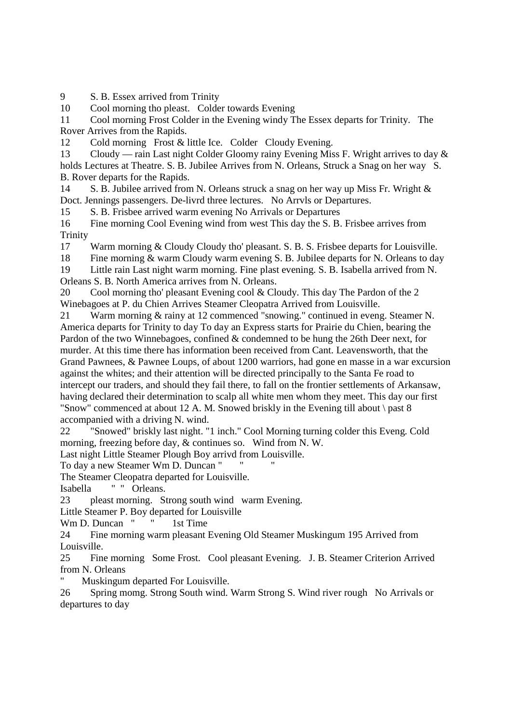9 S. B. Essex arrived from Trinity

10 Cool morning tho pleast. Colder towards Evening

11 Cool morning Frost Colder in the Evening windy The Essex departs for Trinity. The Rover Arrives from the Rapids.

12 Cold morning Frost & little Ice. Colder Cloudy Evening.

13 Cloudy — rain Last night Colder Gloomy rainy Evening Miss F. Wright arrives to day & holds Lectures at Theatre. S. B. Jubilee Arrives from N. Orleans, Struck a Snag on her way S. B. Rover departs for the Rapids.

14 S. B. Jubilee arrived from N. Orleans struck a snag on her way up Miss Fr. Wright & Doct. Jennings passengers. De-livrd three lectures. No Arrvls or Departures.

15 S. B. Frisbee arrived warm evening No Arrivals or Departures

16 Fine morning Cool Evening wind from west This day the S. B. Frisbee arrives from **Trinity** 

17 Warm morning & Cloudy Cloudy tho' pleasant. S. B. S. Frisbee departs for Louisville.

18 Fine morning & warm Cloudy warm evening S. B. Jubilee departs for N. Orleans to day

19 Little rain Last night warm morning. Fine plast evening. S. B. Isabella arrived from N. Orleans S. B. North America arrives from N. Orleans.

20 Cool morning tho' pleasant Evening cool & Cloudy. This day The Pardon of the 2 Winebagoes at P. du Chien Arrives Steamer Cleopatra Arrived from Louisville.

21 Warm morning & rainy at 12 commenced "snowing." continued in eveng. Steamer N. America departs for Trinity to day To day an Express starts for Prairie du Chien, bearing the Pardon of the two Winnebagoes, confined & condemned to be hung the 26th Deer next, for murder. At this time there has information been received from Cant. Leavensworth, that the Grand Pawnees, & Pawnee Loups, of about 1200 warriors, had gone en masse in a war excursion against the whites; and their attention will be directed principally to the Santa Fe road to intercept our traders, and should they fail there, to fall on the frontier settlements of Arkansaw, having declared their determination to scalp all white men whom they meet. This day our first "Snow" commenced at about 12 A. M. Snowed briskly in the Evening till about \ past 8 accompanied with a driving N. wind.

22 "Snowed" briskly last night. "1 inch." Cool Morning turning colder this Eveng. Cold morning, freezing before day, & continues so. Wind from N. W.

Last night Little Steamer Plough Boy arrivd from Louisville.

To day a new Steamer Wm D. Duncan "

The Steamer Cleopatra departed for Louisville.

Isabella " " Orleans.

23 pleast morning. Strong south wind warm Evening.

Little Steamer P. Boy departed for Louisville

Wm D. Duncan " " 1st Time

24 Fine morning warm pleasant Evening Old Steamer Muskingum 195 Arrived from Louisville.

25 Fine morning Some Frost. Cool pleasant Evening. J. B. Steamer Criterion Arrived from N. Orleans

Muskingum departed For Louisville.

26 Spring momg. Strong South wind. Warm Strong S. Wind river rough No Arrivals or departures to day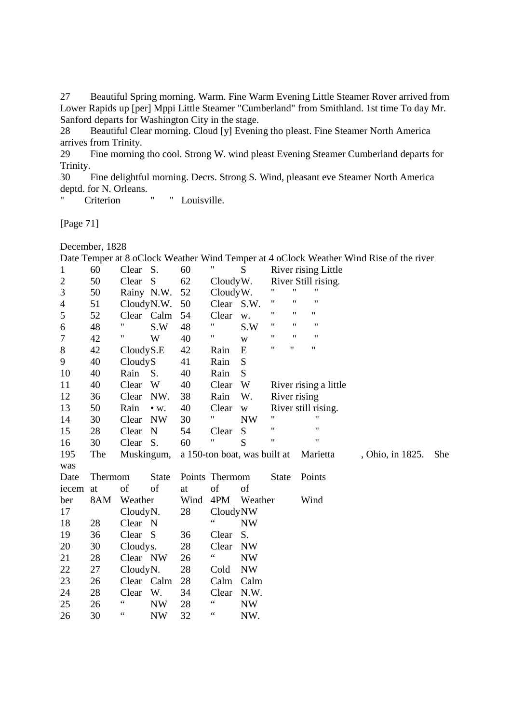27 Beautiful Spring morning. Warm. Fine Warm Evening Little Steamer Rover arrived from Lower Rapids up [per] Mppi Little Steamer "Cumberland" from Smithland. 1st time To day Mr. Sanford departs for Washington City in the stage.

28 Beautiful Clear morning. Cloud [y] Evening tho pleast. Fine Steamer North America arrives from Trinity.

29 Fine morning tho cool. Strong W. wind pleast Evening Steamer Cumberland departs for Trinity.

30 Fine delightful morning. Decrs. Strong S. Wind, pleasant eve Steamer North America deptd. for N. Orleans.

" Criterion " " Louisville.

[Page 71]

December, 1828

|                |         |                    |              |      |                              |                         |                   |                    |                       | Date Temper at 8 OCTOCK Weather Wind Temper at 4 OCTOCK Weather Wind Kise of the fryer |     |
|----------------|---------|--------------------|--------------|------|------------------------------|-------------------------|-------------------|--------------------|-----------------------|----------------------------------------------------------------------------------------|-----|
| 1              | 60      | Clear S.           |              | 60   | Ħ                            | S                       |                   |                    | River rising Little   |                                                                                        |     |
| $\overline{c}$ | 50      | Clear              | <sub>S</sub> | 62   | CloudyW.                     |                         |                   |                    | River Still rising.   |                                                                                        |     |
| 3              | 50      | Rainy N.W.         |              | 52   | Cloudy W.                    |                         |                   | $^{\dagger}$       | 11                    |                                                                                        |     |
| $\overline{4}$ | 51      | CloudyN.W.         |              | 50   | Clear S.W.                   |                         | 11                | $\pmb{\mathsf{H}}$ | $\pmb{\mathsf{H}}$    |                                                                                        |     |
| 5              | 52      | Clear Calm         |              | 54   | Clear                        | w.                      | 11                | 11                 | Ħ                     |                                                                                        |     |
| 6              | 48      | $\pmb{\mathsf{H}}$ | S.W          | 48   | 11                           | S.W                     | 11                | $\pmb{\mathsf{H}}$ | $\pmb{\mathsf{H}}$    |                                                                                        |     |
| 7              | 42      | Ħ                  | W            | 40   | Ħ                            | W                       | 11                | $^{\prime\prime}$  | $\pmb{\mathsf{H}}$    |                                                                                        |     |
| 8              | 42      | CloudyS.E          |              | 42   | Rain                         | E                       | 11                | "                  | 11                    |                                                                                        |     |
| 9              | 40      | CloudyS            |              | 41   | Rain                         | S                       |                   |                    |                       |                                                                                        |     |
| 10             | 40      | Rain               | S.           | 40   | Rain                         | S                       |                   |                    |                       |                                                                                        |     |
| 11             | 40      | Clear              | W            | 40   | Clear                        | W                       |                   |                    | River rising a little |                                                                                        |     |
| 12             | 36      | Clear              | NW.          | 38   | Rain                         | W.                      | River rising      |                    |                       |                                                                                        |     |
| 13             | 50      | Rain               | $\bullet$ W. | 40   | Clear                        | $\ensuremath{\text{W}}$ |                   |                    | River still rising.   |                                                                                        |     |
| 14             | 30      | Clear              | <b>NW</b>    | 30   | Ħ                            | <b>NW</b>               | 11                |                    | $^{\prime\prime}$     |                                                                                        |     |
| 15             | 28      | Clear              | $\mathbf N$  | 54   | Clear                        | S                       | $^{\prime\prime}$ |                    | $^{\prime\prime}$     |                                                                                        |     |
| 16             | 30      | Clear              | S.           | 60   | Ħ                            | S                       | 11                |                    | $^{\dagger}$          |                                                                                        |     |
| 195            | The     | Muskingum,         |              |      | a 150-ton boat, was built at |                         |                   |                    | Marietta              | , Ohio, in 1825.                                                                       | She |
| was            |         |                    |              |      |                              |                         |                   |                    |                       |                                                                                        |     |
| Date           | Thermom |                    | <b>State</b> |      | Points Thermom               |                         | <b>State</b>      |                    | Points                |                                                                                        |     |
| iecem          | at      | of                 | of           | at   | of                           | of                      |                   |                    |                       |                                                                                        |     |
| ber            | 8AM     | Weather            |              | Wind | 4PM                          | Weather                 |                   |                    | Wind                  |                                                                                        |     |
| 17             |         | CloudyN.           |              | 28   | CloudyNW                     |                         |                   |                    |                       |                                                                                        |     |
| 18             | 28      | Clear N            |              |      | 66                           | <b>NW</b>               |                   |                    |                       |                                                                                        |     |
| 19             | 36      | Clear S            |              | 36   | Clear                        | S.                      |                   |                    |                       |                                                                                        |     |
| 20             | 30      | Cloudys.           |              | 28   | Clear                        | <b>NW</b>               |                   |                    |                       |                                                                                        |     |
| 21             | 28      | Clear NW           |              | 26   | 66                           | <b>NW</b>               |                   |                    |                       |                                                                                        |     |
| 22             | 27      | CloudyN.           |              | 28   | Cold                         | <b>NW</b>               |                   |                    |                       |                                                                                        |     |
| 23             | 26      | Clear Calm         |              | 28   | Calm                         | Calm                    |                   |                    |                       |                                                                                        |     |
| 24             | 28      | Clear              | W.           | 34   | Clear                        | N.W.                    |                   |                    |                       |                                                                                        |     |
| 25             | 26      | 66                 | <b>NW</b>    | 28   | 66                           | <b>NW</b>               |                   |                    |                       |                                                                                        |     |
| 26             | 30      | 66                 | <b>NW</b>    | 32   | 66                           | NW.                     |                   |                    |                       |                                                                                        |     |
|                |         |                    |              |      |                              |                         |                   |                    |                       |                                                                                        |     |

Date Temper at 8 oClock Weather Wind Temper at 4 oClock Weather Wind Rise of the river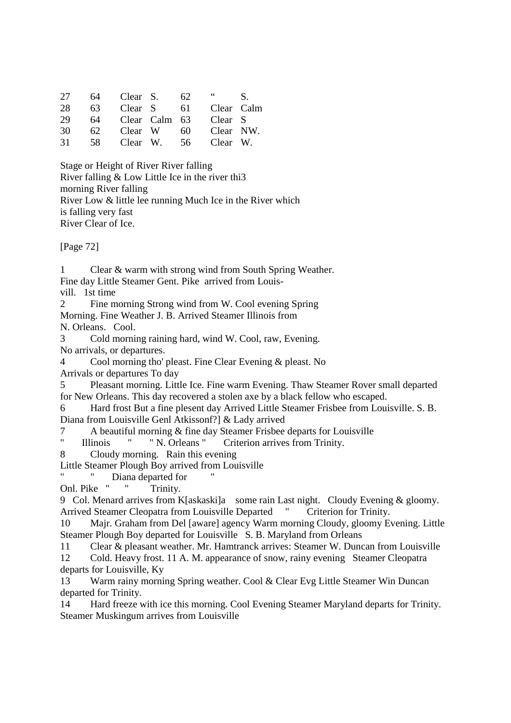| 27 |    | 64 Clear S. | -62 | 66                       | S. |
|----|----|-------------|-----|--------------------------|----|
| 28 |    |             |     | 63 Clear S 61 Clear Calm |    |
| 29 |    |             |     | 64 Clear Calm 63 Clear S |    |
| 30 | 62 |             |     | Clear W 60 Clear NW.     |    |
| 31 | 58 |             |     | Clear W. 56 Clear W.     |    |

Stage or Height of River River falling River falling & Low Little Ice in the river thi3 morning River falling River Low & little lee running Much Ice in the River which is falling very fast River Clear of Ice.

[Page 72]

1 Clear & warm with strong wind from South Spring Weather. Fine day Little Steamer Gent. Pike arrived from Louis-

vill. 1st time

2 Fine morning Strong wind from W. Cool evening Spring Morning. Fine Weather J. B. Arrived Steamer Illinois from N. Orleans. Cool.

3 Cold morning raining hard, wind W. Cool, raw, Evening. No arrivals, or departures.

4 Cool morning tho' pleast. Fine Clear Evening & pleast. No Arrivals or departures To day

5 Pleasant morning. Little Ice. Fine warm Evening. Thaw Steamer Rover small departed for New Orleans. This day recovered a stolen axe by a black fellow who escaped.

6 Hard frost But a fine plesent day Arrived Little Steamer Frisbee from Louisville. S. B. Diana from Louisville Genl Atkissonf?] & Lady arrived

7 A beautiful morning & fine day Steamer Frisbee departs for Louisville

" Illinois " " N. Orleans " Criterion arrives from Trinity.

8 Cloudy morning. Rain this evening

Little Steamer Plough Boy arrived from Louisville

Diana departed for

Onl. Pike " " Trinity.

9 Col. Menard arrives from K[askaski]a some rain Last night. Cloudy Evening & gloomy. Arrived Steamer Cleopatra from Louisville Departed "Criterion for Trinity.

10 Majr. Graham from Del [aware] agency Warm morning Cloudy, gloomy Evening. Little Steamer Plough Boy departed for Louisville S. B. Maryland from Orleans

11 Clear & pleasant weather. Mr. Hamtranck arrives: Steamer W. Duncan from Louisville

12 Cold. Heavy frost. 11 A. M. appearance of snow, rainy evening Steamer Cleopatra departs for Louisville, Ky

13 Warm rainy morning Spring weather. Cool & Clear Evg Little Steamer Win Duncan departed for Trinity.

14 Hard freeze with ice this morning. Cool Evening Steamer Maryland departs for Trinity. Steamer Muskingum arrives from Louisville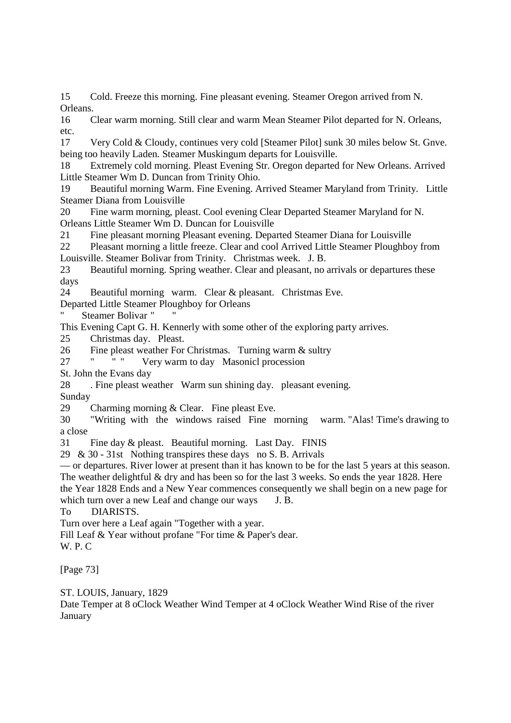15 Cold. Freeze this morning. Fine pleasant evening. Steamer Oregon arrived from N. Orleans.

16 Clear warm morning. Still clear and warm Mean Steamer Pilot departed for N. Orleans, etc.

17 Very Cold & Cloudy, continues very cold [Steamer Pilot] sunk 30 miles below St. Gnve. being too heavily Laden. Steamer Muskingum departs for Louisville.

18 Extremely cold morning. Pleast Evening Str. Oregon departed for New Orleans. Arrived Little Steamer Wm D. Duncan from Trinity Ohio.

19 Beautiful morning Warm. Fine Evening. Arrived Steamer Maryland from Trinity. Little Steamer Diana from Louisville

20 Fine warm morning, pleast. Cool evening Clear Departed Steamer Maryland for N. Orleans Little Steamer Wm D. Duncan for Louisville

21 Fine pleasant morning Pleasant evening. Departed Steamer Diana for Louisville

22 Pleasant morning a little freeze. Clear and cool Arrived Little Steamer Ploughboy from Louisville. Steamer Bolivar from Trinity. Christmas week. J. B.

23 Beautiful morning. Spring weather. Clear and pleasant, no arrivals or departures these days

24 Beautiful morning warm. Clear & pleasant. Christmas Eve.

Departed Little Steamer Ploughboy for Orleans

" Steamer Bolivar " "

This Evening Capt G. H. Kennerly with some other of the exploring party arrives.

25 Christmas day. Pleast.

26 Fine pleast weather For Christmas. Turning warm & sultry<br>27 Fig. 1. Next warm to day. Masonial procession

27 " " " Very warm to day Masonicl procession

St. John the Evans day

28 . Fine pleast weather Warm sun shining day. pleasant evening.

Sunday

29 Charming morning & Clear. Fine pleast Eve.

30 "Writing with the windows raised Fine morning warm. "Alas! Time's drawing to a close

31 Fine day & pleast. Beautiful morning. Last Day. FINIS

29 & 30 - 31st Nothing transpires these days no S. B. Arrivals

— or departures. River lower at present than it has known to be for the last 5 years at this season. The weather delightful & dry and has been so for the last 3 weeks. So ends the year 1828. Here the Year 1828 Ends and a New Year commences consequently we shall begin on a new page for

which turn over a new Leaf and change our ways J. B.

To DIARISTS.

Turn over here a Leaf again "Together with a year.

Fill Leaf & Year without profane "For time & Paper's dear.

W. P. C

[Page 73]

ST. LOUIS, January, 1829

Date Temper at 8 oClock Weather Wind Temper at 4 oClock Weather Wind Rise of the river January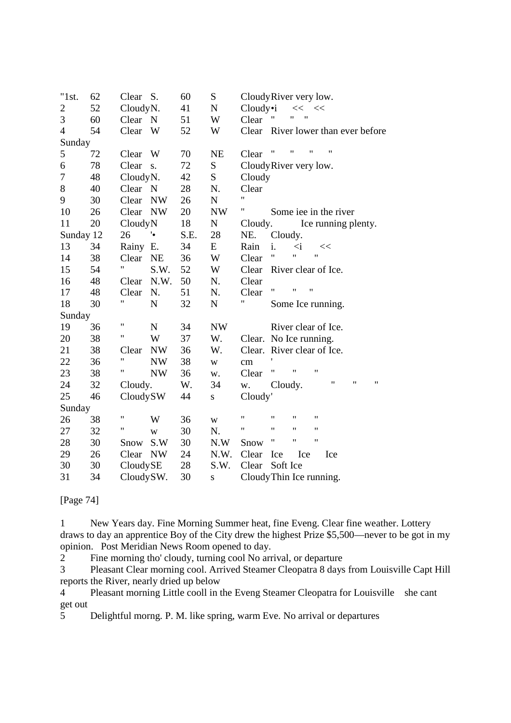| "1st.          | 62 | Clear S.                | 60   | ${\bf S}$   | CloudyRiver very low.                                                                |
|----------------|----|-------------------------|------|-------------|--------------------------------------------------------------------------------------|
| 2              | 52 | CloudyN.                | 41   | $\mathbf N$ | Cloudy•i<br>$<<$ $<<$                                                                |
| 3              | 60 | Clear N                 | 51   | W           | $^{\prime}$<br>11<br>Clear                                                           |
| $\overline{4}$ | 54 | Clear<br>W              | 52   | W           | Clear River lower than ever before                                                   |
| Sunday         |    |                         |      |             |                                                                                      |
| 5              | 72 | W<br>Clear              | 70   | <b>NE</b>   | $\pmb{\mathsf{H}}$<br>"<br>11<br>Clear                                               |
| 6              | 78 | Clear<br>S.             | 72   | ${\bf S}$   | CloudyRiver very low.                                                                |
| $\overline{7}$ | 48 | CloudyN.                | 42   | ${\bf S}$   | Cloudy                                                                               |
| 8              | 40 | Clear N                 | 28   | N.          | Clear                                                                                |
| 9              | 30 | Clear<br><b>NW</b>      | 26   | ${\bf N}$   | 11                                                                                   |
| 10             | 26 | Clear<br><b>NW</b>      | 20   | <b>NW</b>   | Ħ<br>Some iee in the river                                                           |
| 11             | 20 | CloudyN                 | 18   | ${\bf N}$   | Ice running plenty.<br>Cloudy.                                                       |
| Sunday 12      |    | ۰.<br>26                | S.E. | 28          | NE.<br>Cloudy.                                                                       |
| 13             | 34 | Rainy E.                | 34   | E           | i.<br>Rain<br>$\overline{a}$<br><<                                                   |
| 14             | 38 | Clear<br><b>NE</b>      | 36   | W           | Ħ<br>$\pmb{\mathsf{H}}$<br>$\mathbf{H}$<br>Clear                                     |
| 15             | 54 | 11<br>S.W.              | 52   | W           | Clear<br>River clear of Ice.                                                         |
| 16             | 48 | N.W.<br>Clear           | 50   | N.          | Clear                                                                                |
| 17             | 48 | N.<br>Clear             | 51   | N.          | 11<br>"<br>11<br>Clear                                                               |
| 18             | 30 | 11<br>${\bf N}$         | 32   | ${\bf N}$   | 11<br>Some Ice running.                                                              |
| Sunday         |    |                         |      |             |                                                                                      |
| 19             | 36 | $\pmb{\mathsf{H}}$<br>N | 34   | <b>NW</b>   | River clear of Ice.                                                                  |
| 20             | 38 | Ħ<br>W                  | 37   | W.          | No Ice running.<br>Clear.                                                            |
| 21             | 38 | <b>NW</b><br>Clear      | 36   | W.          | Clear.<br>River clear of Ice.                                                        |
| 22             | 36 | Ħ<br><b>NW</b>          | 38   | $\mathbf W$ | $\,\rm cm$                                                                           |
| 23             | 38 | Ħ<br><b>NW</b>          | 36   | w.          | $\pmb{\mathsf{H}}$<br>11<br>$^{\prime}$<br>Clear                                     |
| 24             | 32 | Cloudy.                 | W.   | 34          | $\pmb{\mathsf{H}}$<br>$\pmb{\mathsf{H}}$<br>11<br>Cloudy.<br>w.                      |
| 25             | 46 | CloudySW                | 44   | ${\bf S}$   | Cloudy'                                                                              |
| Sunday         |    |                         |      |             |                                                                                      |
| 26             | 38 | Ħ<br>W                  | 36   | $\mathbf W$ | $\mathbf{H}$<br>$\pmb{\mathsf{H}}$<br>Ħ<br>11                                        |
| 27             | 32 | 11<br>W                 | 30   | N.          | $\pmb{\mathsf{H}}$<br>$\pmb{\mathsf{H}}$<br>$\pmb{\mathsf{H}}$<br>$\pmb{\mathsf{H}}$ |
| 28             | 30 | S.W<br>Snow             | 30   | N.W         | Ħ<br>$\pmb{\mathsf{H}}$<br>$\pmb{\mathsf{H}}$<br>Snow                                |
| 29             | 26 | <b>NW</b><br>Clear      | 24   | N.W.        | Clear<br>Ice<br>Ice<br>Ice                                                           |
| 30             | 30 | CloudySE                | 28   | S.W.        | Clear<br>Soft Ice                                                                    |
| 31             | 34 | CloudySW.               | 30   | ${\bf S}$   | Cloudy Thin Ice running.                                                             |

[Page 74]

1 New Years day. Fine Morning Summer heat, fine Eveng. Clear fine weather. Lottery draws to day an apprentice Boy of the City drew the highest Prize \$5,500—never to be got in my opinion. Post Meridian News Room opened to day.

2 Fine morning tho' cloudy, turning cool No arrival, or departure

3 Pleasant Clear morning cool. Arrived Steamer Cleopatra 8 days from Louisville Capt Hill reports the River, nearly dried up below

4 Pleasant morning Little cooll in the Eveng Steamer Cleopatra for Louisville she cant get out

5 Delightful morng. P. M. like spring, warm Eve. No arrival or departures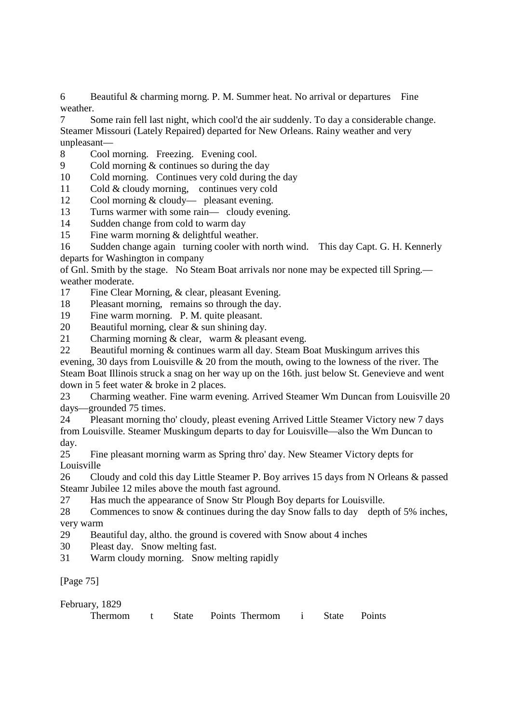6 Beautiful & charming morng. P. M. Summer heat. No arrival or departures Fine weather.

7 Some rain fell last night, which cool'd the air suddenly. To day a considerable change. Steamer Missouri (Lately Repaired) departed for New Orleans. Rainy weather and very unpleasant—

8 Cool morning. Freezing. Evening cool.

9 Cold morning & continues so during the day

10 Cold morning. Continues very cold during the day

11 Cold & cloudy morning, continues very cold

12 Cool morning & cloudy— pleasant evening.

13 Turns warmer with some rain— cloudy evening.

14 Sudden change from cold to warm day

15 Fine warm morning & delightful weather.

16 Sudden change again turning cooler with north wind. This day Capt. G. H. Kennerly departs for Washington in company

of Gnl. Smith by the stage. No Steam Boat arrivals nor none may be expected till Spring. weather moderate.

17 Fine Clear Morning, & clear, pleasant Evening.

18 Pleasant morning, remains so through the day.

19 Fine warm morning. P. M. quite pleasant.

20 Beautiful morning, clear & sun shining day.

21 Charming morning & clear, warm & pleasant eveng.

22 Beautiful morning & continues warm all day. Steam Boat Muskingum arrives this evening, 30 days from Louisville & 20 from the mouth, owing to the lowness of the river. The Steam Boat Illinois struck a snag on her way up on the 16th. just below St. Genevieve and went down in 5 feet water & broke in 2 places.

23 Charming weather. Fine warm evening. Arrived Steamer Wm Duncan from Louisville 20 days—grounded 75 times.

24 Pleasant morning tho' cloudy, pleast evening Arrived Little Steamer Victory new 7 days from Louisville. Steamer Muskingum departs to day for Louisville—also the Wm Duncan to day.

25 Fine pleasant morning warm as Spring thro' day. New Steamer Victory depts for Louisville

26 Cloudy and cold this day Little Steamer P. Boy arrives 15 days from N Orleans & passed Steamr Jubilee 12 miles above the mouth fast aground.

27 Has much the appearance of Snow Str Plough Boy departs for Louisville.

28 Commences to snow & continues during the day Snow falls to day depth of 5% inches, very warm

29 Beautiful day, altho. the ground is covered with Snow about 4 inches

30 Pleast day. Snow melting fast.

31 Warm cloudy morning. Snow melting rapidly

[Page 75]

| February, 1829 |  |                                       |  |  |
|----------------|--|---------------------------------------|--|--|
| Thermom        |  | t State Points Thermom i State Points |  |  |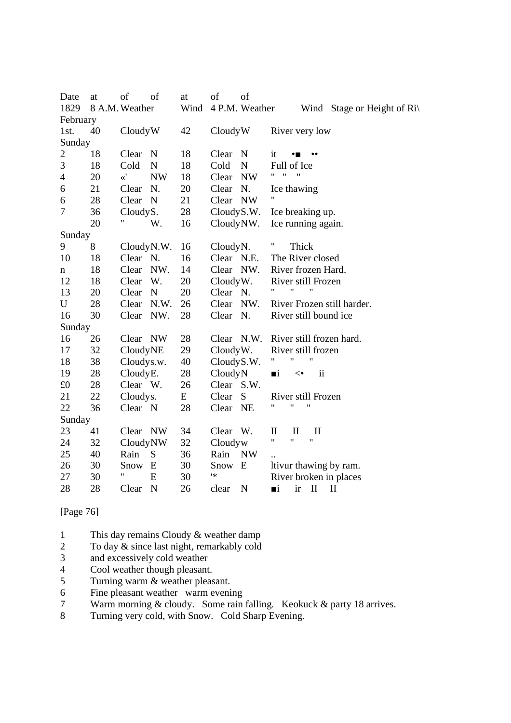| Date           | at | of<br>of             | at   | of<br>of             |                                                                    |
|----------------|----|----------------------|------|----------------------|--------------------------------------------------------------------|
| 1829           |    | 8 A.M. Weather       | Wind | 4 P.M. Weather       | Wind Stage or Height of $\text{Ri} \setminus$                      |
| February       |    |                      |      |                      |                                                                    |
| 1st.           | 40 | CloudyW              | 42   | CloudyW              | River very low                                                     |
| Sunday         |    |                      |      |                      |                                                                    |
| $\overline{c}$ | 18 | Clear<br>$\mathbf N$ | 18   | Clear<br>$\mathbf N$ | it<br>$\bullet$ m<br>                                              |
| 3              | 18 | Cold<br>$\mathbf N$  | 18   | Cold<br>N            | Full of Ice                                                        |
| $\overline{4}$ | 20 | $\ll'$<br><b>NW</b>  | 18   | <b>NW</b><br>Clear   | $\pmb{\mathsf{H}}$<br>$\mathbf{H}$<br>$^{\dagger}$                 |
| 6              | 21 | Clear<br>N.          | 20   | Clear<br>N.          | Ice thawing                                                        |
| 6              | 28 | Clear<br>N           | 21   | <b>NW</b><br>Clear   | 11                                                                 |
| $\overline{7}$ | 36 | CloudyS.             | 28   | Cloudy S.W.          | Ice breaking up.                                                   |
|                | 20 | 11<br>W.             | 16   | CloudyNW.            | Ice running again.                                                 |
| Sunday         |    |                      |      |                      |                                                                    |
| 9              | 8  | CloudyN.W.           | 16   | CloudyN.             | υ<br>Thick                                                         |
| 10             | 18 | Clear <sub>N.</sub>  | 16   | Clear N.E.           | The River closed                                                   |
| n              | 18 | NW.<br>Clear         | 14   | Clear<br>NW.         | River frozen Hard.                                                 |
| 12             | 18 | W.<br>Clear          | 20   | Cloudy W.            | River still Frozen                                                 |
| 13             | 20 | Clear<br>N           | 20   | Clear N.             | $\pmb{\mathsf{H}}$<br>$^{\prime}$                                  |
| U              | 28 | Clear<br>N.W.        | 26   | Clear<br>NW.         | River Frozen still harder.                                         |
| 16             | 30 | Clear<br>NW.         | 28   | Clear<br>N.          | River still bound ice                                              |
| Sunday         |    |                      |      |                      |                                                                    |
| 16             | 26 | Clear NW             | 28   | Clear                | N.W.<br>River still frozen hard.                                   |
| 17             | 32 | CloudyNE             | 29   | CloudyW.             | River still frozen                                                 |
| 18             | 38 | Cloudys.w.           | 40   | Cloudy S.W.          | "<br>11                                                            |
| 19             | 28 | CloudyE.             | 28   | CloudyN              | $\overline{\mathbf{u}}$<br>$\blacksquare$<br>$\operatorname{\lhd}$ |
| £0             | 28 | Clear W.             | 26   | Clear S.W.           |                                                                    |
| 21             | 22 | Cloudys.             | E    | Clear<br>S           | River still Frozen                                                 |
| 22             | 36 | Clear N              | 28   | Clear<br><b>NE</b>   | 11<br>$^{\dagger}$<br>"                                            |
| Sunday         |    |                      |      |                      |                                                                    |
| 23             | 41 | Clear NW             | 34   | Clear<br>W.          | $\mathbf{I}$<br>$\mathbf{I}$<br>$\mathbf H$                        |
| 24             | 32 | CloudyNW             | 32   | Cloudyw              | 11<br>11<br>11                                                     |
| 25             | 40 | Rain<br>S            | 36   | Rain<br><b>NW</b>    |                                                                    |
| 26             | 30 | E<br>Snow            | 30   | Snow E               | ltivur thawing by ram.                                             |
| 27             | 30 | Ħ<br>E               | 30   | ١*                   | River broken in places                                             |
| 28             | 28 | Clear<br>N           | 26   | N<br>clear           | $\blacksquare$<br>ir<br>$\mathbf{I}$<br>$\mathbf{I}$               |

[Page 76]

- 1 This day remains Cloudy & weather damp
- 2 To day  $&$  since last night, remarkably cold
- 3 and excessively cold weather
- 4 Cool weather though pleasant.
- 5 Turning warm & weather pleasant.
- 6 Fine pleasant weather warm evening
- 7 Warm morning & cloudy. Some rain falling. Keokuck & party 18 arrives.
- 8 Turning very cold, with Snow. Cold Sharp Evening.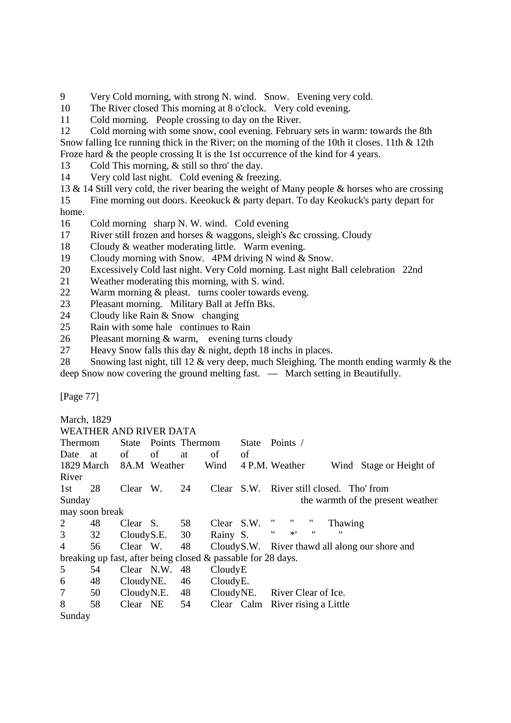9 Very Cold morning, with strong N. wind. Snow. Evening very cold.

10 The River closed This morning at 8 o'clock. Very cold evening.

11 Cold morning. People crossing to day on the River.

12 Cold morning with some snow, cool evening. February sets in warm: towards the 8th Snow falling Ice running thick in the River; on the morning of the 10th it closes. 11th & 12th Froze hard & the people crossing It is the 1st occurrence of the kind for 4 years.

13 Cold This morning, & still so thro' the day.

14 Very cold last night. Cold evening & freezing.

13 & 14 Still very cold, the river bearing the weight of Many people & horses who are crossing

15 Fine morning out doors. Keeokuck & party depart. To day Keokuck's party depart for home.

16 Cold morning sharp N. W. wind. Cold evening

17 River still frozen and horses & waggons, sleigh's &c crossing. Cloudy

18 Cloudy & weather moderating little. Warm evening.

19 Cloudy morning with Snow. 4PM driving N wind & Snow.

20 Excessively Cold last night. Very Cold morning. Last night Ball celebration 22nd

21 Weather moderating this morning, with S. wind.

22 Warm morning & pleast. turns cooler towards eveng.

23 Pleasant morning. Military Ball at Jeffn Bks.

24 Cloudy like Rain & Snow changing

25 Rain with some hale continues to Rain

26 Pleasant morning & warm, evening turns cloudy

27 Heavy Snow falls this day & night, depth 18 inchs in places.

28 Snowing last night, till 12 & very deep, much Sleighing. The month ending warmly & the deep Snow now covering the ground melting fast. — March setting in Beautifully.

[Page 77]

| March, 1829    |                                                              |               |    |                      |                      |       |                                                       |
|----------------|--------------------------------------------------------------|---------------|----|----------------------|----------------------|-------|-------------------------------------------------------|
|                | WEATHER AND RIVER DATA                                       |               |    |                      |                      |       |                                                       |
| <b>Thermom</b> |                                                              |               |    | State Points Thermom |                      | State | Points /                                              |
| Date           | at                                                           | of            | of | at                   | οf                   | of    |                                                       |
|                | 1829 March                                                   | 8A.M Weather  |    |                      | Wind                 |       | 4 P.M. Weather<br>Wind Stage or Height of             |
| River          |                                                              |               |    |                      |                      |       |                                                       |
| 1st            | 28                                                           | Clear W.      |    | 24                   |                      |       | Clear S.W. River still closed. Tho' from              |
| Sunday         |                                                              |               |    |                      |                      |       | the warmth of the present weather                     |
|                | may soon break                                               |               |    |                      |                      |       |                                                       |
| 2              | 48                                                           | Clear S. 58   |    |                      | Clear S.W.           |       | "<br>Thawing                                          |
| 3              | 32                                                           | CloudyS.E. 30 |    |                      | Rainy S.             |       | $*$ '<br>$\pmb{\mathsf{H}}$<br>$^{\prime\prime}$<br>" |
| 4              | 56                                                           | Clear W.      |    | 48                   |                      |       | Cloudy S.W. River thawd all along our shore and       |
|                | breaking up fast, after being closed & passable for 28 days. |               |    |                      |                      |       |                                                       |
| 5              | 54                                                           | Clear N.W.    |    | 48                   | CloudyE              |       |                                                       |
| 6              | 48                                                           | CloudyNE.     |    | 46                   | Cloudy <sub>E.</sub> |       |                                                       |
| 7              | 50                                                           | CloudyN.E.    |    | 48                   |                      |       | CloudyNE. River Clear of Ice.                         |
| 8              | 58                                                           | Clear NE 54   |    |                      |                      |       | Clear Calm River rising a Little                      |
| Sunday         |                                                              |               |    |                      |                      |       |                                                       |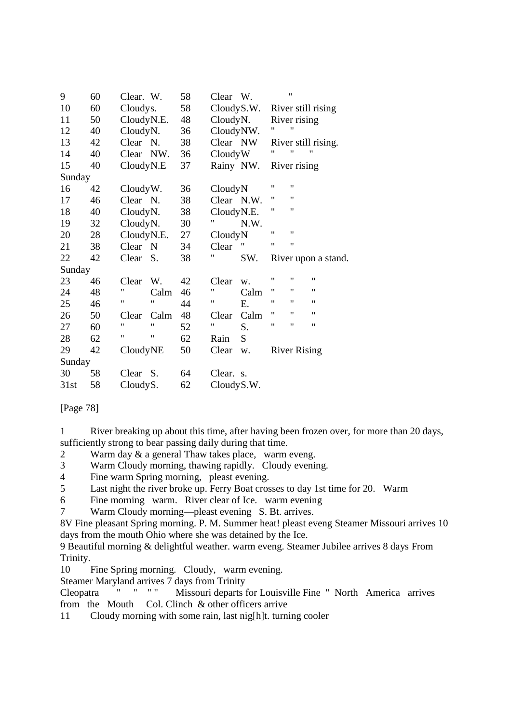| 9      | 60 | Clear. W.           | 58 | Clear W.           |      |    | $^{\dagger}$        |                     |
|--------|----|---------------------|----|--------------------|------|----|---------------------|---------------------|
| 10     | 60 | Cloudys.            | 58 | CloudyS.W.         |      |    |                     | River still rising  |
| 11     | 50 | CloudyN.E.          | 48 | CloudyN.           |      |    | River rising        |                     |
| 12     | 40 | CloudyN.            | 36 | CloudyNW.          |      | "  | 11                  |                     |
| 13     | 42 | Clear <sub>N.</sub> | 38 | Clear NW           |      |    |                     | River still rising. |
| 14     | 40 | Clear NW.           | 36 | CloudyW            |      | "  | "                   |                     |
| 15     | 40 | CloudyN.E           | 37 | Rainy NW.          |      |    | River rising        |                     |
| Sunday |    |                     |    |                    |      |    |                     |                     |
| 16     | 42 | CloudyW.            | 36 | CloudyN            |      | 11 | "                   |                     |
| 17     | 46 | Clear N.            | 38 | Clear N.W.         |      | 11 | "                   |                     |
| 18     | 40 | CloudyN.            | 38 | CloudyN.E.         |      | 11 | 11                  |                     |
| 19     | 32 | CloudyN.            | 30 | 11                 | N.W. |    |                     |                     |
| 20     | 28 | CloudyN.E.          | 27 | CloudyN            |      | 11 | "                   |                     |
| 21     | 38 | Clear N             | 34 | Clear              |      | 11 | "                   |                     |
| 22     | 42 | S.<br>Clear         | 38 | "                  | SW.  |    |                     | River upon a stand. |
| Sunday |    |                     |    |                    |      |    |                     |                     |
| 23     | 46 | Clear<br>W.         | 42 | Clear              | w.   | 11 | 11                  | 11                  |
| 24     | 48 | 11<br>Calm          | 46 | 11                 | Calm | 11 | 11                  | $\pmb{\mathsf{H}}$  |
| 25     | 46 | $^{\dagger}$<br>11  | 44 | $\pmb{\mathsf{H}}$ | Е.   | 11 | 11                  | $\pmb{\mathsf{H}}$  |
| 26     | 50 | Clear<br>Calm       | 48 | Clear              | Calm | 11 | 11                  | $\pmb{\mathsf{H}}$  |
| 27     | 60 | 11<br>"             | 52 | 11                 | S.   | 11 | "                   | Ħ                   |
| 28     | 62 | 11<br>11            | 62 | Rain               | S    |    |                     |                     |
| 29     | 42 | CloudyNE            | 50 | Clear              | w.   |    | <b>River Rising</b> |                     |
| Sunday |    |                     |    |                    |      |    |                     |                     |
| 30     | 58 | Clear S.            | 64 | Clear. s.          |      |    |                     |                     |
| 31st   | 58 | CloudyS.            | 62 | Cloudy S.W.        |      |    |                     |                     |

[Page 78]

1 River breaking up about this time, after having been frozen over, for more than 20 days, sufficiently strong to bear passing daily during that time.

- 2 Warm day & a general Thaw takes place, warm eveng.<br>3 Warm Cloudy morning, thawing rapidly. Cloudy events
- Warm Cloudy morning, thawing rapidly. Cloudy evening.
- 4 Fine warm Spring morning, pleast evening.
- 5 Last night the river broke up. Ferry Boat crosses to day 1st time for 20. Warm
- 6 Fine morning warm. River clear of Ice. warm evening
- 7 Warm Cloudy morning—pleast evening S. Bt. arrives.

8V Fine pleasant Spring morning. P. M. Summer heat! pleast eveng Steamer Missouri arrives 10 days from the mouth Ohio where she was detained by the Ice.

9 Beautiful morning & delightful weather. warm eveng. Steamer Jubilee arrives 8 days From Trinity.

10 Fine Spring morning. Cloudy, warm evening.

Steamer Maryland arrives 7 days from Trinity<br>Cleopatra " " " Missouri departs f

Cleopatra " " " " Missouri departs for Louisville Fine " North America arrives from the Mouth Col. Clinch & other officers arrive

11 Cloudy morning with some rain, last nig[h]t. turning cooler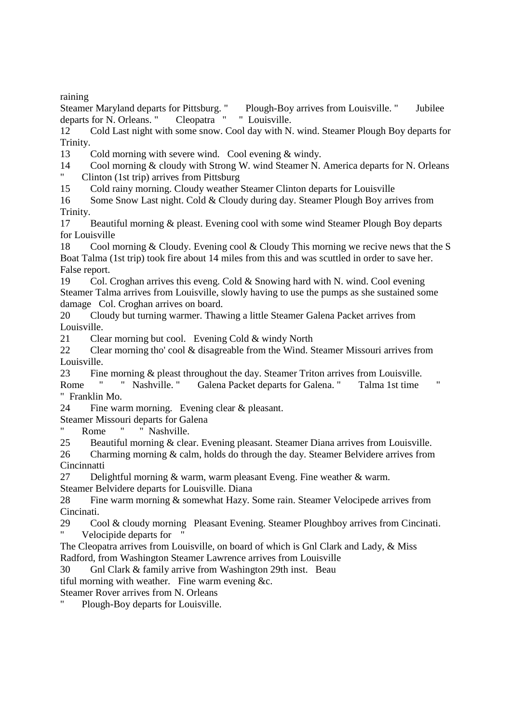raining

Steamer Maryland departs for Pittsburg. " Plough-Boy arrives from Louisville. " Jubilee departs for N. Orleans. " Cleopatra " " Louisville.

12 Cold Last night with some snow. Cool day with N. wind. Steamer Plough Boy departs for Trinity.

13 Cold morning with severe wind. Cool evening & windy.

14 Cool morning & cloudy with Strong W. wind Steamer N. America departs for N. Orleans " Clinton (1st trip) arrives from Pittsburg

15 Cold rainy morning. Cloudy weather Steamer Clinton departs for Louisville

16 Some Snow Last night. Cold & Cloudy during day. Steamer Plough Boy arrives from Trinity.

17 Beautiful morning & pleast. Evening cool with some wind Steamer Plough Boy departs for Louisville

18 Cool morning & Cloudy. Evening cool & Cloudy This morning we recive news that the S Boat Talma (1st trip) took fire about 14 miles from this and was scuttled in order to save her. False report.

19 Col. Croghan arrives this eveng. Cold & Snowing hard with N. wind. Cool evening Steamer Talma arrives from Louisville, slowly having to use the pumps as she sustained some damage Col. Croghan arrives on board.

20 Cloudy but turning warmer. Thawing a little Steamer Galena Packet arrives from Louisville.

21 Clear morning but cool. Evening Cold & windy North

22 Clear morning tho' cool & disagreable from the Wind. Steamer Missouri arrives from Louisville.

23 Fine morning & pleast throughout the day. Steamer Triton arrives from Louisville. Rome " " Nashville. " Galena Packet departs for Galena. " Talma 1st time " Franklin Mo.

24 Fine warm morning. Evening clear & pleasant.

Steamer Missouri departs for Galena

" Rome " " Nashville.

25 Beautiful morning & clear. Evening pleasant. Steamer Diana arrives from Louisville.

26 Charming morning & calm, holds do through the day. Steamer Belvidere arrives from **Cincinnatti** 

27 Delightful morning & warm, warm pleasant Eveng. Fine weather & warm.

Steamer Belvidere departs for Louisville. Diana

28 Fine warm morning & somewhat Hazy. Some rain. Steamer Velocipede arrives from Cincinati.

29 Cool & cloudy morning Pleasant Evening. Steamer Ploughboy arrives from Cincinati. Velocipide departs for

The Cleopatra arrives from Louisville, on board of which is Gnl Clark and Lady, & Miss Radford, from Washington Steamer Lawrence arrives from Louisville

30 Gnl Clark & family arrive from Washington 29th inst. Beau

tiful morning with weather. Fine warm evening &c.

Steamer Rover arrives from N. Orleans

Plough-Boy departs for Louisville.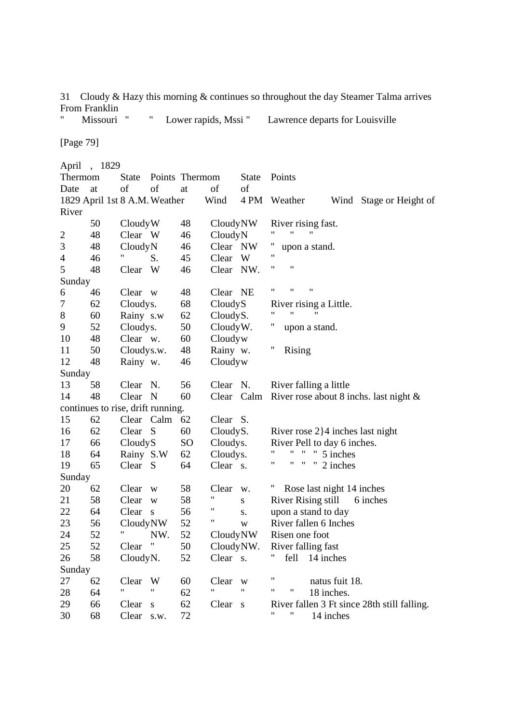31 Cloudy & Hazy this morning & continues so throughout the day Steamer Talma arrives From Franklin<br>" Missouri "

" Lower rapids, Mssi " Lawrence departs for Louisville

[Page 79]

|                | April , 1829                      |              |              |                 |                   |            |                                             |
|----------------|-----------------------------------|--------------|--------------|-----------------|-------------------|------------|---------------------------------------------|
| Thermom        |                                   | <b>State</b> |              | Points Thermom  |                   | State      | Points                                      |
| Date           | at                                | of           | of           | at              | of                | of         |                                             |
|                | 1829 April 1st 8 A.M. Weather     |              |              |                 | Wind              | 4 PM       | Weather<br>Wind<br>Stage or Height of       |
| River          |                                   |              |              |                 |                   |            |                                             |
|                | 50                                | CloudyW      |              | 48              | CloudyNW          |            | River rising fast.                          |
| $\overline{2}$ | 48                                | Clear W      |              | 46              | CloudyN           |            | 11<br>$^{\dagger}$<br>"                     |
| 3              | 48                                | CloudyN      |              | 46              | Clear NW          |            | Π<br>upon a stand.                          |
| $\overline{4}$ | 46                                |              | S.           | 45              | Clear             | W          | 11                                          |
| $\mathfrak s$  | 48                                | Clear        | W            | 46              | Clear NW.         |            | 11<br>11                                    |
| Sunday         |                                   |              |              |                 |                   |            |                                             |
| 6              | 46                                | Clear w      |              | 48              | Clear NE          |            | 11<br>"<br>11                               |
| 7              | 62                                | Cloudys.     |              | 68              | CloudyS           |            | River rising a Little.                      |
| 8              | 60                                | Rainy s.w    |              | 62              | CloudyS.          |            | 11<br>"<br>11                               |
| 9              | 52                                | Cloudys.     |              | 50              | Cloudy W.         |            | $^{\prime}$<br>upon a stand.                |
| 10             | 48                                | Clear w.     |              | 60              | Cloudyw           |            |                                             |
| 11             | 50                                | Cloudys.w.   |              | 48              | Rainy w.          |            | 11<br>Rising                                |
| 12             | 48                                | Rainy w.     |              | 46              | Cloudyw           |            |                                             |
| Sunday         |                                   |              |              |                 |                   |            |                                             |
| 13             | 58                                | Clear        | N.           | 56              | Clear N.          |            | River falling a little                      |
| 14             | 48                                | Clear        | N            | 60              |                   | Clear Calm | River rose about 8 inchs. last night $\&$   |
|                | continues to rise, drift running. |              |              |                 |                   |            |                                             |
| 15             | 62                                |              | Clear Calm   | 62              | Clear S.          |            |                                             |
| 16             | 62                                | Clear S      |              | 60              | CloudyS.          |            | River rose $2$ } 4 inches last night        |
| 17             | 66                                | CloudyS      |              | SO <sub>1</sub> | Cloudys.          |            | River Pell to day 6 inches.                 |
| 18             | 64                                | Rainy S.W    |              | 62              | Cloudys.          |            | 11<br>11<br>11<br>5 inches                  |
| 19             | 65                                | Clear S      |              | 64              | Clear s.          |            | 11<br>11<br>"<br>.,<br>2 inches             |
| Sunday         |                                   |              |              |                 |                   |            |                                             |
| 20             | 62                                | Clear        | W            | 58              | Clear             | W.         | Rose last night 14 inches                   |
| 21             | 58                                | Clear        | W            | 58              | "                 | S          | <b>River Rising still</b><br>6 inches       |
| 22             | 64                                | Clear        | $\mathbf{s}$ | 56              | "                 | S.         | upon a stand to day                         |
| 23             | 56                                | CloudyNW     |              | 52              | Π                 | W          | River fallen 6 Inches                       |
| 24             | 52                                |              | NW.          | 52              | CloudyNW          |            | Risen one foot                              |
| 25             | 52                                | Clear "      |              | 50              | CloudyNW.         |            | River falling fast                          |
| 26             | 58                                | CloudyN.     |              | 52              | Clear s.          |            | fell<br>14 inches                           |
| Sunday         |                                   |              |              |                 |                   |            |                                             |
| 27             | 62                                | Clear        | W            | 60              | Clear             | W          | 11<br>natus fuit 18.                        |
| 28             | 64                                |              | 11           | 62              | $^{\prime\prime}$ | 11         | 11<br>11<br>18 inches.                      |
| 29             | 66                                | Clear        | ${\bf S}$    | 62              | Clear s           |            | River fallen 3 Ft since 28th still falling. |
| 30             | 68                                | Clear        | S.W.         | 72              |                   |            | 11<br>11<br>14 inches                       |
|                |                                   |              |              |                 |                   |            |                                             |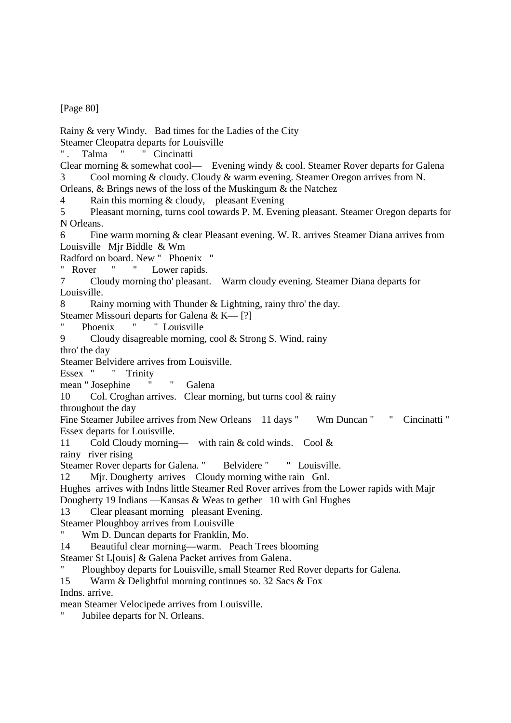[Page 80]

Rainy & very Windy. Bad times for the Ladies of the City

Steamer Cleopatra departs for Louisville

". Talma " " Cincinatti

Clear morning & somewhat cool— Evening windy & cool. Steamer Rover departs for Galena 3 Cool morning & cloudy. Cloudy & warm evening. Steamer Oregon arrives from N. Orleans, & Brings news of the loss of the Muskingum & the Natchez

4 Rain this morning & cloudy, pleasant Evening

5 Pleasant morning, turns cool towards P. M. Evening pleasant. Steamer Oregon departs for N Orleans.

6 Fine warm morning & clear Pleasant evening. W. R. arrives Steamer Diana arrives from Louisville Mjr Biddle & Wm

Radford on board. New " Phoenix "

Rover " " Lower rapids.

7 Cloudy morning tho' pleasant. Warm cloudy evening. Steamer Diana departs for Louisville.

8 Rainy morning with Thunder & Lightning, rainy thro' the day.

Steamer Missouri departs for Galena & K— [?]

Phoenix " " Louisville

9 Cloudy disagreable morning, cool & Strong S. Wind, rainy

thro' the day

Steamer Belvidere arrives from Louisville.

Essex " " Trinity

mean " Josephine " " Galena

10 Col. Croghan arrives. Clear morning, but turns cool & rainy

throughout the day

Fine Steamer Jubilee arrives from New Orleans 11 days " Wm Duncan " " Cincinatti " Essex departs for Louisville.

11 Cold Cloudy morning— with rain & cold winds. Cool &

rainy river rising

Steamer Rover departs for Galena. " Belvidere " " Louisville.

12 Mjr. Dougherty arrives Cloudy morning withe rain Gnl.

Hughes arrives with Indns little Steamer Red Rover arrives from the Lower rapids with Majr

Dougherty 19 Indians —Kansas & Weas to gether 10 with Gnl Hughes

13 Clear pleasant morning pleasant Evening.

Steamer Ploughboy arrives from Louisville

Wm D. Duncan departs for Franklin, Mo.

14 Beautiful clear morning—warm. Peach Trees blooming

Steamer St L[ouis] & Galena Packet arrives from Galena.

Ploughboy departs for Louisville, small Steamer Red Rover departs for Galena.

15 Warm & Delightful morning continues so. 32 Sacs & Fox

Indns. arrive.

mean Steamer Velocipede arrives from Louisville.

Jubilee departs for N. Orleans.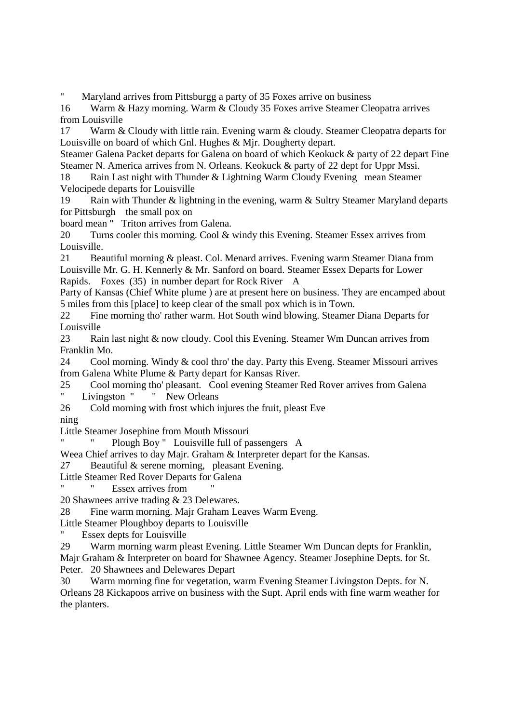Maryland arrives from Pittsburgg a party of 35 Foxes arrive on business

16 Warm & Hazy morning. Warm & Cloudy 35 Foxes arrive Steamer Cleopatra arrives from Louisville

17 Warm & Cloudy with little rain. Evening warm & cloudy. Steamer Cleopatra departs for Louisville on board of which Gnl. Hughes & Mjr. Dougherty depart.

Steamer Galena Packet departs for Galena on board of which Keokuck & party of 22 depart Fine Steamer N. America arrives from N. Orleans. Keokuck & party of 22 dept for Uppr Mssi.

18 Rain Last night with Thunder & Lightning Warm Cloudy Evening mean Steamer Velocipede departs for Louisville

19 Rain with Thunder & lightning in the evening, warm & Sultry Steamer Maryland departs for Pittsburgh the small pox on

board mean " Triton arrives from Galena.

20 Turns cooler this morning. Cool & windy this Evening. Steamer Essex arrives from Louisville.

21 Beautiful morning & pleast. Col. Menard arrives. Evening warm Steamer Diana from Louisville Mr. G. H. Kennerly & Mr. Sanford on board. Steamer Essex Departs for Lower Rapids. Foxes (35) in number depart for Rock River A

Party of Kansas (Chief White plume ) are at present here on business. They are encamped about 5 miles from this [place] to keep clear of the small pox which is in Town.

22 Fine morning tho' rather warm. Hot South wind blowing. Steamer Diana Departs for Louisville

23 Rain last night & now cloudy. Cool this Evening. Steamer Wm Duncan arrives from Franklin Mo.

24 Cool morning. Windy & cool thro' the day. Party this Eveng. Steamer Missouri arrives from Galena White Plume & Party depart for Kansas River.

25 Cool morning tho' pleasant. Cool evening Steamer Red Rover arrives from Galena " Livingston " " New Orleans

- 26 Cold morning with frost which injures the fruit, pleast Eve
- ning

Little Steamer Josephine from Mouth Missouri

Plough Boy " Louisville full of passengers A

Weea Chief arrives to day Majr. Graham & Interpreter depart for the Kansas.

27 Beautiful & serene morning, pleasant Evening.

Little Steamer Red Rover Departs for Galena

Essex arrives from

20 Shawnees arrive trading & 23 Delewares.

28 Fine warm morning. Majr Graham Leaves Warm Eveng.

Little Steamer Ploughboy departs to Louisville

" Essex depts for Louisville

29 Warm morning warm pleast Evening. Little Steamer Wm Duncan depts for Franklin, Majr Graham & Interpreter on board for Shawnee Agency. Steamer Josephine Depts. for St. Peter. 20 Shawnees and Delewares Depart

30 Warm morning fine for vegetation, warm Evening Steamer Livingston Depts. for N. Orleans 28 Kickapoos arrive on business with the Supt. April ends with fine warm weather for the planters.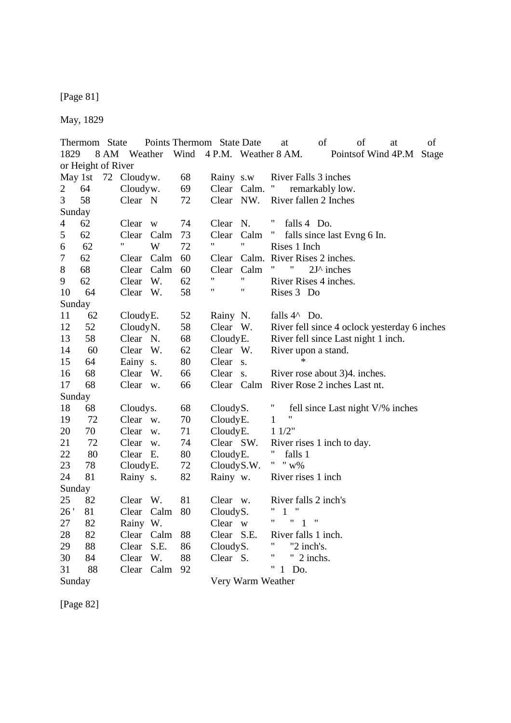[Page 81]

May, 1829

Thermom State Points Thermom State Date at of of at of 1829 8 AM Weather Wind 4 P.M. Weather 8 AM. Pointsof Wind 4P.M Stage or Height of River May 1st 72 Cloudyw. 68 Rainy s.w River Falls 3 inches 2 64 Cloudyw. 69 Clear Calm. " remarkably low. 3 58 Clear N 72 Clear NW. River fallen 2 Inches Sunday 4 62 Clear w 74 Clear N. " falls 4 Do. 5 62 Clear Calm 73 Clear Calm " falls since last Evng 6 In. 6 62 " W 72 " " Rises 1 Inch 7 62 Clear Calm 60 Clear Calm. River Rises 2 inches. 8 68 Clear Calm 60 Clear Calm " " 2J^ inches 9 62 Clear W. 62 "  $\cdots$  River Rises 4 inches.<br>10 64 Clear W. 58 "  $\cdots$  Rises 3 Do. 10 64 Clear W. 58 " " Rises 3 Do Sunday 11 62 Cloudy E. 52 Rainy N. falls 4^ Do. 12 52 Cloudy N. 58 Clear W. River fell since 4 oclock yesterday 6 inches 13 58 Clear N. 68 Cloudy E. River fell since Last night 1 inch. 14 60 Clear W. 62 Clear W. River upon a stand. 15 64 Eainy s. 80 Clear s. \* 16 68 Clear W. 66 Clear s. River rose about 3)4. inches. 17 68 Clear w. 66 Clear Calm River Rose 2 inches Last nt. Sunday 18 68 Cloudys. 68 Cloudy S. " fell since Last night V/% inches 19 72 Clear w. 70 Cloudy E. 1 " 20 70 Clear w. 71 Cloudy E. 1 1/2"<br>21 72 Clear w. 74 Clear SW. River 21 72 Clear w. 74 Clear SW. River rises 1 inch to day. 22 80 Clear E. 80 Cloudy E. " falls 1<br>23 78 Cloudy E. 72 Cloudy S.W. " " w% 23 78 Cloudy E. 72 Cloudy S.W. 24 81 Rainy s. 82 Rainy w. River rises 1 inch Sunday 25 82 Clear W. 81 Clear w. River falls 2 inch's 26 ' 81 Clear Calm 80 Cloudy S. " 1 "<br>27 82 Rainy W Clear w " " 1 " 27 82 Rainy W. Clear w 28 82 Clear Calm 88 Clear S.E. River falls 1 inch. 29 88 Clear S.E. 86 Cloudy S. " "2 inch's.<br>30 84 Clear W. 88 Clear S. " "2 inchs. 30 84 Clear W. 88 Clear S. " 31 88 Clear Calm 92 " 1 Do. Sunday Very Warm Weather

[Page 82]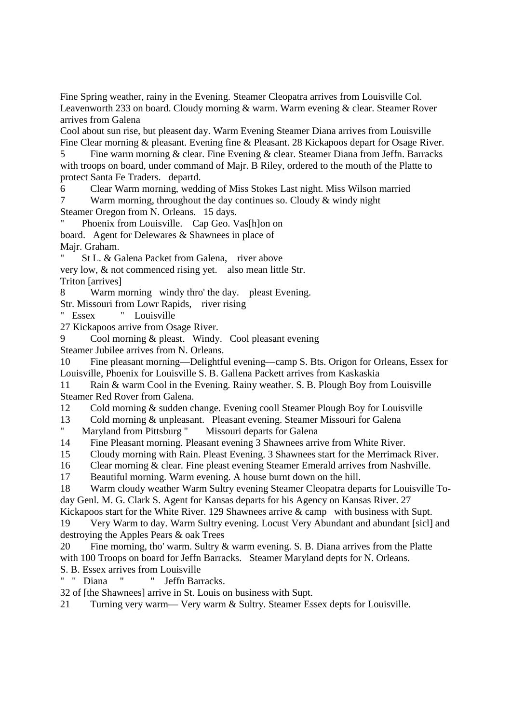Fine Spring weather, rainy in the Evening. Steamer Cleopatra arrives from Louisville Col. Leavenworth 233 on board. Cloudy morning & warm. Warm evening & clear. Steamer Rover arrives from Galena

Cool about sun rise, but pleasent day. Warm Evening Steamer Diana arrives from Louisville Fine Clear morning & pleasant. Evening fine & Pleasant. 28 Kickapoos depart for Osage River.

5 Fine warm morning & clear. Fine Evening & clear. Steamer Diana from Jeffn. Barracks with troops on board, under command of Majr. B Riley, ordered to the mouth of the Platte to protect Santa Fe Traders. departd.

6 Clear Warm morning, wedding of Miss Stokes Last night. Miss Wilson married

7 Warm morning, throughout the day continues so. Cloudy & windy night Steamer Oregon from N. Orleans. 15 days.

Phoenix from Louisville. Cap Geo. Vas[h]on on board. Agent for Delewares & Shawnees in place of

Majr. Graham.

St L. & Galena Packet from Galena, river above

very low, & not commenced rising yet. also mean little Str. Triton [arrives]

8 Warm morning windy thro' the day. pleast Evening.

Str. Missouri from Lowr Rapids, river rising

" Essex " Louisville

27 Kickapoos arrive from Osage River.

9 Cool morning & pleast. Windy. Cool pleasant evening

Steamer Jubilee arrives from N. Orleans.

10 Fine pleasant morning—Delightful evening—camp S. Bts. Origon for Orleans, Essex for Louisville, Phoenix for Louisville S. B. Gallena Packett arrives from Kaskaskia

11 Rain & warm Cool in the Evening. Rainy weather. S. B. Plough Boy from Louisville Steamer Red Rover from Galena.

12 Cold morning & sudden change. Evening cooll Steamer Plough Boy for Louisville

13 Cold morning & unpleasant. Pleasant evening. Steamer Missouri for Galena<br>
"Maryland from Pittsburg" Missouri departs for Galena

Maryland from Pittsburg " Missouri departs for Galena

14 Fine Pleasant morning. Pleasant evening 3 Shawnees arrive from White River.

15 Cloudy morning with Rain. Pleast Evening. 3 Shawnees start for the Merrimack River.

16 Clear morning & clear. Fine pleast evening Steamer Emerald arrives from Nashville.

17 Beautiful morning. Warm evening. A house burnt down on the hill.

18 Warm cloudy weather Warm Sultry evening Steamer Cleopatra departs for Louisville Today Genl. M. G. Clark S. Agent for Kansas departs for his Agency on Kansas River. 27

Kickapoos start for the White River. 129 Shawnees arrive & camp with business with Supt.

19 Very Warm to day. Warm Sultry evening. Locust Very Abundant and abundant [sicl] and destroying the Apples Pears & oak Trees

20 Fine morning, tho' warm. Sultry & warm evening. S. B. Diana arrives from the Platte with 100 Troops on board for Jeffn Barracks. Steamer Maryland depts for N. Orleans.

S. B. Essex arrives from Louisville<br>" "Diana " " Jeffn Barı " Jeffn Barracks.

32 of [the Shawnees] arrive in St. Louis on business with Supt.

21 Turning very warm— Very warm & Sultry. Steamer Essex depts for Louisville.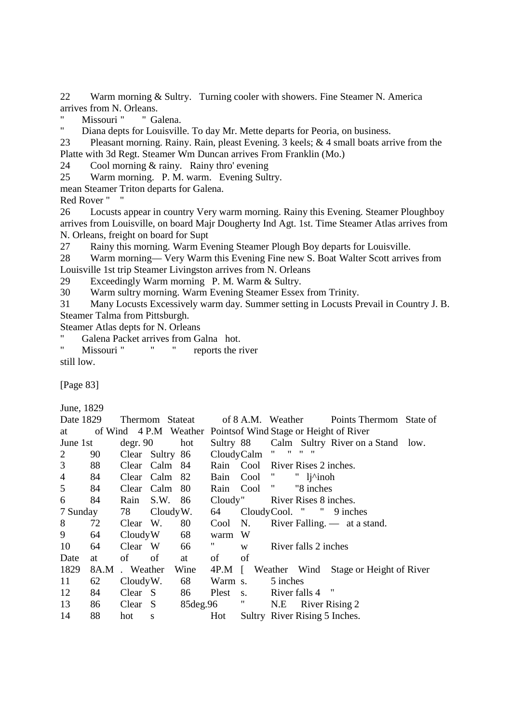22 Warm morning & Sultry. Turning cooler with showers. Fine Steamer N. America arrives from N. Orleans.

" Missouri " " Galena.<br>" Diana dents for Louisville

Diana depts for Louisville. To day Mr. Mette departs for Peoria, on business.

23 Pleasant morning. Rainy. Rain, pleast Evening. 3 keels; & 4 small boats arrive from the Platte with 3d Regt. Steamer Wm Duncan arrives From Franklin (Mo.)

24 Cool morning & rainy. Rainy thro' evening

25 Warm morning. P. M. warm. Evening Sultry.

mean Steamer Triton departs for Galena.

Red Rover " "

26 Locusts appear in country Very warm morning. Rainy this Evening. Steamer Ploughboy arrives from Louisville, on board Majr Dougherty Ind Agt. 1st. Time Steamer Atlas arrives from N. Orleans, freight on board for Supt

27 Rainy this morning. Warm Evening Steamer Plough Boy departs for Louisville.

28 Warm morning— Very Warm this Evening Fine new S. Boat Walter Scott arrives from Louisville 1st trip Steamer Livingston arrives from N. Orleans

29 Exceedingly Warm morning P. M. Warm & Sultry.

30 Warm sultry morning. Warm Evening Steamer Essex from Trinity.

31 Many Locusts Excessively warm day. Summer setting in Locusts Prevail in Country J. B. Steamer Talma from Pittsburgh.

Steamer Atlas depts for N. Orleans

Galena Packet arrives from Galna hot.

" Missouri " " " reports the river still low.

[Page 83]

June, 1829

| Date 1829      |      |             |                        | Thermom Stateat |                           |             | of 8 A.M. Weather                                             | Points Thermom State of                     |  |
|----------------|------|-------------|------------------------|-----------------|---------------------------|-------------|---------------------------------------------------------------|---------------------------------------------|--|
| at             |      |             |                        |                 |                           |             | of Wind 4 P.M Weather Points of Wind Stage or Height of River |                                             |  |
| June 1st       |      |             | $\text{degr. } 90$ hot |                 |                           |             |                                                               | Sultry 88 Calm Sultry River on a Stand low. |  |
| $\overline{2}$ | 90   |             | Clear Sultry 86        |                 |                           | CloudyCalm  | $\mathbf{H}$<br>"<br>,,                                       |                                             |  |
| 3 <sup>7</sup> | 88   |             | Clear Calm 84          |                 |                           |             | Rain Cool River Rises 2 inches.                               |                                             |  |
| $\overline{4}$ | 84   |             | Clear Calm 82          |                 |                           | Bain Cool " | " $1j$ <sup><math>\land</math></sup> inoh                     |                                             |  |
| 5 <sup>5</sup> | 84   |             | Clear Calm 80          |                 |                           |             | Rain Cool " "8 inches                                         |                                             |  |
| 6              | 84   |             | Rain S.W. 86           |                 | Cloudy"                   |             | River Rises 8 inches.                                         |                                             |  |
| 7 Sunday       |      | 78 CloudyW. |                        |                 | 64                        |             | CloudyCool. " "9 inches                                       |                                             |  |
| 8              |      | 72 Clear W. |                        | 80              |                           |             | Cool N. River Falling. $-$ at a stand.                        |                                             |  |
| 9              | 64   |             | CloudyW 68             |                 | warm W                    |             |                                                               |                                             |  |
| 10             | 64   |             | Clear W 66             |                 | $\mathbf{u}_{\text{max}}$ | W           | River falls 2 inches                                          |                                             |  |
| Date           | at   | of          | of                     | at              | of                        | of          |                                                               |                                             |  |
| 1829           | 8A.M | . Weather   |                        | Wine            | $4P.M \quad \Box$         |             |                                                               | Weather Wind Stage or Height of River       |  |
| 11             | 62   | CloudyW.    |                        | 68              | Warm s.                   |             | 5 inches                                                      |                                             |  |
| 12             | 84   | Clear S     |                        | 86              |                           |             | Plest s. River falls 4 "                                      |                                             |  |
| 13             | 86   | Clear S     |                        |                 |                           |             | 85 deg. 96 " N.E River Rising 2                               |                                             |  |
| 14             | 88   | hot         | S                      |                 | Hot                       |             | Sultry River Rising 5 Inches.                                 |                                             |  |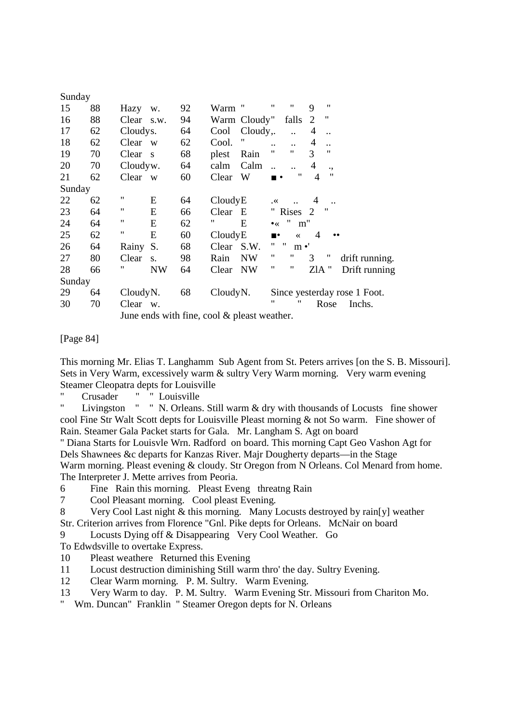| Sunday |    |                      |              |    |          |                                             |                    |                            |                |                   |                              |
|--------|----|----------------------|--------------|----|----------|---------------------------------------------|--------------------|----------------------------|----------------|-------------------|------------------------------|
| 15     | 88 | Hazy w.              |              | 92 | Warm "   |                                             | $\pmb{\mathsf{H}}$ | Ħ                          | 9              | $^{\prime\prime}$ |                              |
| 16     | 88 | Clear s.w.           |              | 94 |          | Warm Cloudy"                                |                    | falls                      | 2              | $\pmb{\cdot}$     |                              |
| 17     | 62 | Cloudys.             |              | 64 | Cool     | Cloudy,.                                    |                    |                            | 4              |                   |                              |
| 18     | 62 | Clear                | W            | 62 | Cool.    | 11                                          | $\ddotsc$          | $\dddot{\phantom{0}}$      | $\overline{4}$ |                   |                              |
| 19     | 70 | Clear                | $\mathbf{s}$ | 68 | plest    | Rain                                        | $\pmb{\mathsf{H}}$ | 11                         | 3              | $^{\prime\prime}$ |                              |
| 20     | 70 | Cloudyw.             |              | 64 | calm     | Calm                                        |                    |                            | $\overline{4}$ | .,                |                              |
| 21     | 62 | Clear w              |              | 60 | Clear    | W                                           | ▪■                 | $^{\prime\prime}$          | 4              | 11                |                              |
| Sunday |    |                      |              |    |          |                                             |                    |                            |                |                   |                              |
| 22     | 62 | $\pmb{\mathsf{H}}$   | E            | 64 | CloudyE  |                                             | $\cdot^{\times}$   |                            | 4              |                   |                              |
| 23     | 64 | 11                   | E            | 66 | Clear    | E                                           |                    | " Rises 2                  |                | $^{\prime\prime}$ |                              |
| 24     | 64 | $\pmb{\mathsf{u}}$   | E            | 62 | "        | E                                           | $\bullet$          | $^{\prime}$<br>m"          |                |                   |                              |
| 25     | 62 | 11                   | E            | 60 | CloudyE  |                                             | $\blacksquare$     | $\ll$                      | $\overline{4}$ | $\bullet\bullet$  |                              |
| 26     | 64 | Rainy                | S.           | 68 | Clear    | S.W.                                        | Π.                 | $\mathbf{H}$<br>$m \cdot'$ |                |                   |                              |
| 27     | 80 | Clear                | S.           | 98 | Rain     | <b>NW</b>                                   | 11                 | Ħ                          | 3              | $^{\prime\prime}$ | drift running.               |
| 28     | 66 | "                    | <b>NW</b>    | 64 | Clear NW |                                             | $^{\prime\prime}$  | "                          | ZIA "          |                   | Drift running                |
| Sunday |    |                      |              |    |          |                                             |                    |                            |                |                   |                              |
| 29     | 64 | Cloudy <sub>N.</sub> |              | 68 | CloudyN. |                                             |                    |                            |                |                   | Since yesterday rose 1 Foot. |
| 30     | 70 | Clear w.             |              |    |          |                                             | "                  | "                          |                | Rose              | Inchs.                       |
|        |    |                      |              |    |          | June ends with fine, cool & pleast weather. |                    |                            |                |                   |                              |

[Page 84]

This morning Mr. Elias T. Langhamm Sub Agent from St. Peters arrives [on the S. B. Missouri]. Sets in Very Warm, excessively warm & sultry Very Warm morning. Very warm evening Steamer Cleopatra depts for Louisville

" Crusader " " Louisville

" Livingston " " N. Orleans. Still warm & dry with thousands of Locusts fine shower cool Fine Str Walt Scott depts for Louisville Pleast morning & not So warm. Fine shower of Rain. Steamer Gala Packet starts for Gala. Mr. Langham S. Agt on board

" Diana Starts for Louisvle Wrn. Radford on board. This morning Capt Geo Vashon Agt for Dels Shawnees &c departs for Kanzas River. Majr Dougherty departs—in the Stage Warm morning. Pleast evening & cloudy. Str Oregon from N Orleans. Col Menard from home. The Interpreter J. Mette arrives from Peoria.

6 Fine Rain this morning. Pleast Eveng threatng Rain

7 Cool Pleasant morning. Cool pleast Evening.

8 Very Cool Last night & this morning. Many Locusts destroyed by rain[y] weather Str. Criterion arrives from Florence "Gnl. Pike depts for Orleans. McNair on board

9 Locusts Dying off & Disappearing Very Cool Weather. Go

To Edwdsville to overtake Express.

- 10 Pleast weathere Returned this Evening
- 11 Locust destruction diminishing Still warm thro' the day. Sultry Evening.
- 12 Clear Warm morning. P. M. Sultry. Warm Evening.
- 13 Very Warm to day. P. M. Sultry. Warm Evening Str. Missouri from Chariton Mo.

" Wm. Duncan" Franklin " Steamer Oregon depts for N. Orleans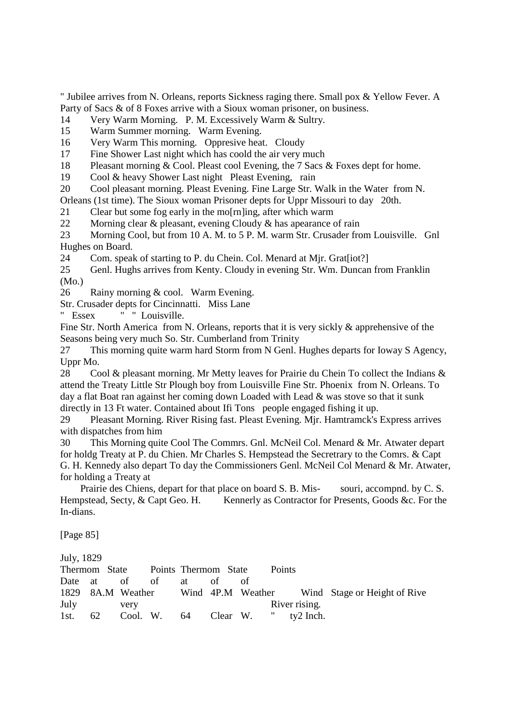" Jubilee arrives from N. Orleans, reports Sickness raging there. Small pox & Yellow Fever. A Party of Sacs & of 8 Foxes arrive with a Sioux woman prisoner, on business.

14 Very Warm Morning. P. M. Excessively Warm & Sultry.

15 Warm Summer morning. Warm Evening.

16 Very Warm This morning. Oppresive heat. Cloudy

17 Fine Shower Last night which has coold the air very much

18 Pleasant morning & Cool. Pleast cool Evening, the 7 Sacs & Foxes dept for home.

19 Cool & heavy Shower Last night Pleast Evening, rain

20 Cool pleasant morning. Pleast Evening. Fine Large Str. Walk in the Water from N.

Orleans (1st time). The Sioux woman Prisoner depts for Uppr Missouri to day 20th.

21 Clear but some fog early in the mo[rn]ing, after which warm

22 Morning clear & pleasant, evening Cloudy & has apearance of rain

23 Morning Cool, but from 10 A. M. to 5 P. M. warm Str. Crusader from Louisville. Gnl Hughes on Board.

24 Com. speak of starting to P. du Chein. Col. Menard at Mir. Gratfiot?

25 Genl. Hughs arrives from Kenty. Cloudy in evening Str. Wm. Duncan from Franklin (Mo.)

26 Rainy morning & cool. Warm Evening.

Str. Crusader depts for Cincinnatti. Miss Lane

" Essex " " Louisville.

Fine Str. North America from N. Orleans, reports that it is very sickly & apprehensive of the Seasons being very much So. Str. Cumberland from Trinity

27 This morning quite warm hard Storm from N Genl. Hughes departs for Ioway S Agency, Uppr Mo.

28 Cool & pleasant morning. Mr Metty leaves for Prairie du Chein To collect the Indians & attend the Treaty Little Str Plough boy from Louisville Fine Str. Phoenix from N. Orleans. To day a flat Boat ran against her coming down Loaded with Lead & was stove so that it sunk directly in 13 Ft water. Contained about Ifi Tons people engaged fishing it up.

29 Pleasant Morning. River Rising fast. Pleast Evening. Mjr. Hamtramck's Express arrives with dispatches from him

30 This Morning quite Cool The Commrs. Gnl. McNeil Col. Menard & Mr. Atwater depart for holdg Treaty at P. du Chien. Mr Charles S. Hempstead the Secretrary to the Comrs. & Capt G. H. Kennedy also depart To day the Commissioners Genl. McNeil Col Menard & Mr. Atwater, for holding a Treaty at

 Prairie des Chiens, depart for that place on board S. B. Mis- souri, accompnd. by C. S. Hempstead, Secty, & Capt Geo. H. Kennerly as Contractor for Presents, Goods &c. For the In-dians.

[Page 85]

July, 1829

|           |    | Thermom State Points Thermom State |  |                                  | <b>Points</b> |                                                                  |  |
|-----------|----|------------------------------------|--|----------------------------------|---------------|------------------------------------------------------------------|--|
|           |    | Date at of of at of                |  | - ot                             |               |                                                                  |  |
|           |    |                                    |  |                                  |               | 1829 8A.M Weather Wind 4P.M Weather Wind Stage or Height of Rive |  |
| July very |    |                                    |  |                                  | River rising. |                                                                  |  |
| 1st.      | 62 |                                    |  | Cool. W. 64 Clear W. " ty2 Inch. |               |                                                                  |  |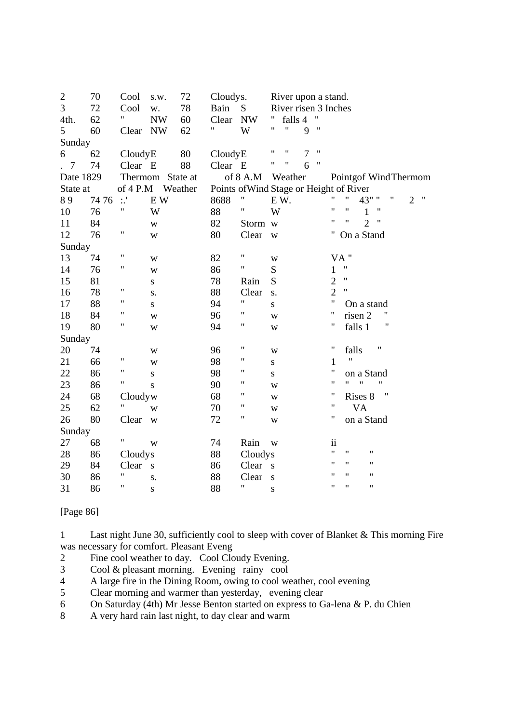| $\boldsymbol{2}$ | 70   | Cool               | s.w.                     | 72      | Cloudys. |                                         |           | River upon a stand.  |                |                   |                          |                    |                    |                       |                |                   |
|------------------|------|--------------------|--------------------------|---------|----------|-----------------------------------------|-----------|----------------------|----------------|-------------------|--------------------------|--------------------|--------------------|-----------------------|----------------|-------------------|
| 3                | 72   | Cool               | w.                       | 78      | Bain     | S                                       |           | River risen 3 Inches |                |                   |                          |                    |                    |                       |                |                   |
| 4th.             | 62   | Ħ                  | $\ensuremath{\text{NW}}$ | 60      | Clear    | <b>NW</b>                               |           | falls 4              |                | 11                |                          |                    |                    |                       |                |                   |
| 5                | 60   | Clear NW           |                          | 62      | 11       | W                                       | 11        | $\mathbf{H}$         | 9              | $^{\prime}$       |                          |                    |                    |                       |                |                   |
| Sunday           |      |                    |                          |         |          |                                         |           |                      |                |                   |                          |                    |                    |                       |                |                   |
| 6                | 62   | CloudyE            |                          | 80      | CloudyE  |                                         | 11        | $\pmb{\mathsf{H}}$   | $\overline{7}$ | $^{\prime\prime}$ |                          |                    |                    |                       |                |                   |
| $\overline{7}$   | 74   | Clear E            |                          | 88      | Clear E  |                                         | Ħ         | 11                   | 6              | 11                |                          |                    |                    |                       |                |                   |
| Date 1829        |      |                    | Thermom State at         |         |          | of 8 A.M                                |           | Weather              |                |                   |                          |                    |                    | Pointgof Wind Thermom |                |                   |
| State at         |      | of $4$ P.M         |                          | Weather |          | Points of Wind Stage or Height of River |           |                      |                |                   |                          |                    |                    |                       |                |                   |
| 89               | 7476 | $\mathbb{R}^3$     | E W                      |         | 8688     | Ħ                                       | EW.       |                      |                |                   | 11                       | 11                 | 43" "              | 11                    | $\overline{2}$ | $^{\prime\prime}$ |
| 10               | 76   | Ħ                  | W                        |         | 88       | Ħ                                       | W         |                      |                |                   | $\pmb{\mathsf{H}}$       | Ħ                  | 1                  | $^{\prime}$           |                |                   |
| 11               | 84   |                    | W                        |         | 82       | Storm w                                 |           |                      |                |                   | 11                       | 11                 | $\overline{2}$     | "                     |                |                   |
| 12               | 76   | 11                 | W                        |         | 80       | Clear                                   | W         |                      |                |                   |                          |                    | On a Stand         |                       |                |                   |
| Sunday           |      |                    |                          |         |          |                                         |           |                      |                |                   |                          |                    |                    |                       |                |                   |
| 13               | 74   | Ħ                  | W                        |         | 82       | $\mathbf{H}$                            | W         |                      |                |                   |                          | VA"                |                    |                       |                |                   |
| 14               | 76   | Ħ                  | W                        |         | 86       | Ħ                                       | ${\bf S}$ |                      |                |                   | 1                        | $\pmb{\mathsf{H}}$ |                    |                       |                |                   |
| 15               | 81   |                    | ${\bf S}$                |         | 78       | Rain                                    | S         |                      |                |                   | $\overline{2}$           | $\mathbf{H}$       |                    |                       |                |                   |
| 16               | 78   | 11                 | S.                       |         | 88       | Clear                                   | S.        |                      |                |                   | $\overline{2}$           | 11                 |                    |                       |                |                   |
| 17               | 88   | "                  | ${\bf S}$                |         | 94       | $\pmb{\mathsf{H}}$                      | ${\bf S}$ |                      |                |                   | $\pmb{\mathsf{H}}$       |                    | On a stand         |                       |                |                   |
| 18               | 84   | 11                 | W                        |         | 96       | Ħ                                       | W         |                      |                |                   | $\pmb{\mathsf{H}}$       |                    | risen 2            |                       |                |                   |
| 19               | 80   | 11                 | W                        |         | 94       | Ħ                                       | W         |                      |                |                   | 11                       |                    | falls 1            | Ħ                     |                |                   |
| Sunday           |      |                    |                          |         |          |                                         |           |                      |                |                   |                          |                    |                    |                       |                |                   |
| 20               | 74   |                    | W                        |         | 96       | 11                                      | W         |                      |                |                   | 11                       | falls              |                    | "                     |                |                   |
| 21               | 66   | Ħ                  | W                        |         | 98       | Ħ                                       | S         |                      |                |                   | 1                        | $^{\dagger}$       |                    |                       |                |                   |
| 22               | 86   | Ħ                  | S                        |         | 98       | Ħ                                       | ${\bf S}$ |                      |                |                   | "                        |                    | on a Stand         |                       |                |                   |
| 23               | 86   | Π                  | S                        |         | 90       | 11                                      | W         |                      |                |                   | $\pmb{\mathsf{H}}$       | 11                 | Ħ                  | $^{\prime\prime}$     |                |                   |
| 24               | 68   | Cloudyw            |                          |         | 68       | 11                                      | W         |                      |                |                   | 11                       |                    | Rises 8            | Ħ                     |                |                   |
| 25               | 62   | 11                 | W                        |         | 70       | 11                                      | W         |                      |                |                   | 11                       |                    | <b>VA</b>          |                       |                |                   |
| 26               | 80   | Clear              | W                        |         | 72       | 11                                      | W         |                      |                |                   | 11                       |                    | on a Stand         |                       |                |                   |
| Sunday           |      |                    |                          |         |          |                                         |           |                      |                |                   |                          |                    |                    |                       |                |                   |
| 27               | 68   | Ħ                  | W                        |         | 74       | Rain                                    | W         |                      |                |                   | $\overline{\textbf{ii}}$ |                    |                    |                       |                |                   |
| 28               | 86   | Cloudys            |                          |         | 88       | Cloudys                                 |           |                      |                |                   | $\pmb{\mathsf{H}}$       | $\pmb{\mathsf{H}}$ | $\pmb{\mathsf{H}}$ |                       |                |                   |
| 29               | 84   | Clear              | S                        |         | 86       | Clear                                   | S         |                      |                |                   | 11                       | 11                 | $^{\prime\prime}$  |                       |                |                   |
| 30               | 86   | $\pmb{\mathsf{H}}$ | S.                       |         | 88       | Clear                                   | S         |                      |                |                   | $^{\prime\prime}$        | 11                 | $^{\prime}$        |                       |                |                   |
| 31               | 86   | 11                 | S                        |         | 88       | 11                                      | ${\bf S}$ |                      |                |                   | 11                       | Ħ                  | $^{\prime\prime}$  |                       |                |                   |

[Page 86]

1 Last night June 30, sufficiently cool to sleep with cover of Blanket & This morning Fire was necessary for comfort. Pleasant Eveng

- 2 Fine cool weather to day. Cool Cloudy Evening.
- 3 Cool & pleasant morning. Evening rainy cool
- 4 A large fire in the Dining Room, owing to cool weather, cool evening
- 5 Clear morning and warmer than yesterday, evening clear
- 6 On Saturday (4th) Mr Jesse Benton started on express to Ga-lena & P. du Chien
- 8 A very hard rain last night, to day clear and warm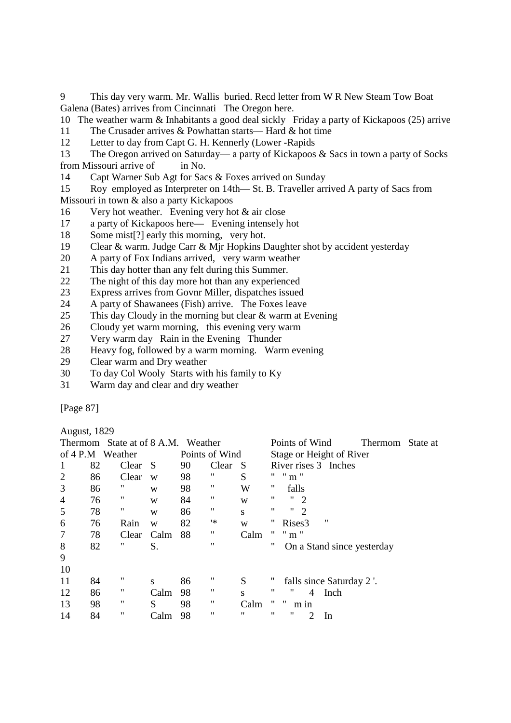9 This day very warm. Mr. Wallis buried. Recd letter from W R New Steam Tow Boat Galena (Bates) arrives from Cincinnati The Oregon here.

10 The weather warm & Inhabitants a good deal sickly Friday a party of Kickapoos (25) arrive 11 The Crusader arrives & Powhattan starts— Hard & hot time

12 Letter to day from Capt G. H. Kennerly (Lower -Rapids

13 The Oregon arrived on Saturday— a party of Kickapoos & Sacs in town a party of Socks from Missouri arrive of in No.

14 Capt Warner Sub Agt for Sacs & Foxes arrived on Sunday

15 Roy employed as Interpreter on 14th— St. B. Traveller arrived A party of Sacs from Missouri in town & also a party Kickapoos

- 16 Very hot weather. Evening very hot & air close
- 17 a party of Kickapoos here— Evening intensely hot
- 18 Some mist[?] early this morning, very hot.
- 19 Clear & warm. Judge Carr & Mjr Hopkins Daughter shot by accident yesterday
- 20 A party of Fox Indians arrived, very warm weather
- 21 This day hotter than any felt during this Summer.
- 22 The night of this day more hot than any experienced
- 23 Express arrives from Govnr Miller, dispatches issued
- 24 A party of Shawanees (Fish) arrive. The Foxes leave
- 25 This day Cloudy in the morning but clear & warm at Evening
- 26 Cloudy yet warm morning, this evening very warm
- 27 Very warm day Rain in the Evening Thunder
- 28 Heavy fog, followed by a warm morning. Warm evening
- 29 Clear warm and Dry weather
- 30 To day Col Wooly Starts with his family to Ky
- 31 Warm day and clear and dry weather

[Page 87]

August, 1829

|                |    | Thermom State at of 8 A.M. Weather |      |    |                   |      | Points of Wind<br>Thermom<br>State at   |  |
|----------------|----|------------------------------------|------|----|-------------------|------|-----------------------------------------|--|
|                |    | of 4 P.M Weather                   |      |    | Points of Wind    |      | Stage or Height of River                |  |
|                | 82 | Clear                              | -S   | 90 | Clear             | - S  | River rises 3 Inches                    |  |
| $\overline{2}$ | 86 | Clear                              | W    | 98 | "                 | S    | $"$ m $"$                               |  |
| 3              | 86 | "                                  | W    | 98 | 11                | W    | "<br>falls                              |  |
| $\overline{4}$ | 76 | "                                  | W    | 84 | "                 | W    | "<br>11<br>-2                           |  |
| 5              | 78 | 11                                 | W    | 86 | 11                | S    | 11<br>11<br>$\mathcal{D}_{\mathcal{L}}$ |  |
| 6              | 76 | Rain                               | W    | 82 | 1*                | W    | "<br>"<br>Rises3                        |  |
| $\overline{7}$ | 78 | Clear                              | Calm | 88 | 11                | Calm | $m$ "                                   |  |
| 8              | 82 | "                                  | S.   |    | $^{\prime\prime}$ |      | "<br>On a Stand since yesterday         |  |
| 9              |    |                                    |      |    |                   |      |                                         |  |
| 10             |    |                                    |      |    |                   |      |                                         |  |
| 11             | 84 | 11                                 | S    | 86 | "                 | S    | falls since Saturday 2.                 |  |
| 12             | 86 | "                                  | Calm | 98 | 11                | S    | "<br>"<br>$\overline{4}$<br>Inch        |  |
| 13             | 98 | "                                  | S    | 98 | 11                | Calm | ,,<br>"<br>m in                         |  |
| 14             | 84 | 11                                 | Calm | 98 | "                 | "    | "<br>"<br>2<br>In                       |  |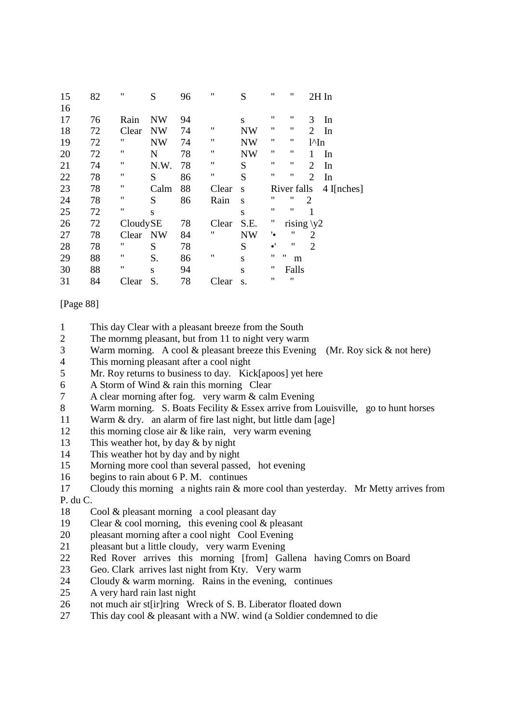| 15 | 82 | $^{\dagger}$       | S         | 96 | $\pmb{\mathsf{H}}$ | S         | 11                | 11                     |                 | 2H In        |
|----|----|--------------------|-----------|----|--------------------|-----------|-------------------|------------------------|-----------------|--------------|
| 16 |    |                    |           |    |                    |           |                   |                        |                 |              |
| 17 | 76 | Rain               | <b>NW</b> | 94 |                    | S         | 11                | "                      | 3               | In           |
| 18 | 72 | Clear              | <b>NW</b> | 74 | $\pmb{\mathsf{H}}$ | <b>NW</b> | 11                | "                      | $\overline{2}$  | In           |
| 19 | 72 | 11                 | <b>NW</b> | 74 | $\pmb{\mathsf{H}}$ | <b>NW</b> | 11                | 11                     | $1^{\wedge}$ In |              |
| 20 | 72 | Ħ                  | N         | 78 | $\pmb{\mathsf{H}}$ | <b>NW</b> | 11                | "                      | 1               | In           |
| 21 | 74 | Ħ                  | N.W.      | 78 | $\pmb{\mathsf{H}}$ | S         | 11                | 11                     | 2               | In           |
| 22 | 78 | 11                 | S         | 86 | $\pmb{\mathsf{H}}$ | S         | 11                | $^{\prime\prime}$      | $\overline{2}$  | In           |
| 23 | 78 | $\pmb{\mathsf{H}}$ | Calm      | 88 | Clear              | S         |                   | River falls            |                 | $4$ I[nches] |
| 24 | 78 | $\pmb{\mathsf{H}}$ | S         | 86 | Rain               | S         | 11                | 11                     | $\overline{c}$  |              |
| 25 | 72 | $\pmb{\mathsf{H}}$ | S         |    |                    | S         | 11                | "                      | 1               |              |
| 26 | 72 | CloudySE           |           | 78 | Clear              | S.E.      | "                 | rising $y2$            |                 |              |
| 27 | 78 | Clear NW           |           | 84 | $^{\prime\prime}$  | <b>NW</b> | ٠.                | "                      | 2               |              |
| 28 | 78 | 11                 | S         | 78 |                    | S         | $\bullet'$        | "                      | $\overline{2}$  |              |
| 29 | 88 | $\pmb{\mathsf{H}}$ | S.        | 86 | $\pmb{\mathsf{H}}$ | S         | 11                | $^{\prime\prime}$<br>m |                 |              |
| 30 | 88 | 11                 | S         | 94 |                    | S         | "                 | Falls                  |                 |              |
| 31 | 84 | Clear              | S.        | 78 | Clear              | S.        | $^{\prime\prime}$ | 11                     |                 |              |

### [Page 88]

- 1 This day Clear with a pleasant breeze from the South
- 2 The mornmg pleasant, but from 11 to night very warm
- 3 Warm morning. A cool & pleasant breeze this Evening (Mr. Roy sick & not here)
- 4 This morning pleasant after a cool night
- 5 Mr. Roy returns to business to day. Kick[apoos] yet here
- 6 A Storm of Wind & rain this morning Clear
- 7 A clear morning after fog. very warm & calm Evening
- 8 Warm morning. S. Boats Fecility & Essex arrive from Louisville, go to hunt horses
- 11 Warm & dry. an alarm of fire last night, but little dam [age]
- 12 this morning close air & like rain, very warm evening
- 13 This weather hot, by day & by night
- 14 This weather hot by day and by night
- 15 Morning more cool than several passed, hot evening
- 16 begins to rain about 6 P. M. continues
- 17 Cloudy this morning a nights rain & more cool than yesterday. Mr Metty arrives from P. du C.
- 18 Cool & pleasant morning a cool pleasant day
- 19 Clear & cool morning, this evening cool & pleasant
- 20 pleasant morning after a cool night Cool Evening
- 21 pleasant but a little cloudy, very warm Evening
- 22 Red Rover arrives this morning [from] Gallena having Comrs on Board
- 23 Geo. Clark arrives last night from Kty. Very warm
- 24 Cloudy & warm morning. Rains in the evening, continues
- 25 A very hard rain last night
- 26 not much air st[ir]ring Wreck of S. B. Liberator floated down
- 27 This day cool & pleasant with a NW. wind (a Soldier condemned to die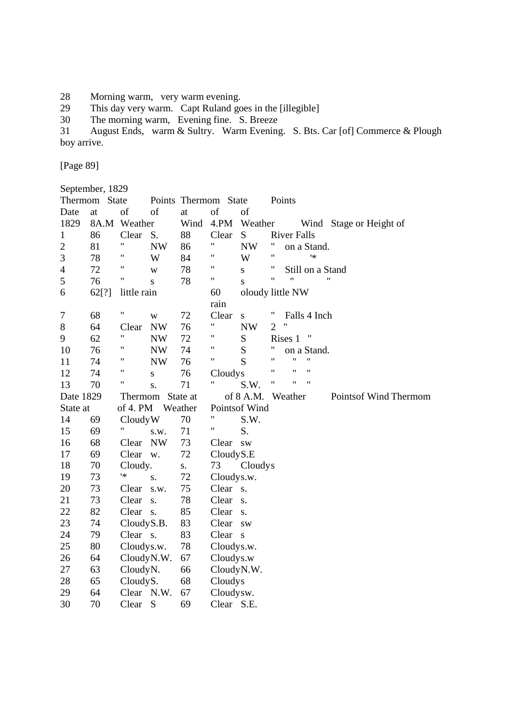- 28 Morning warm, very warm evening.
- 29 This day very warm. Capt Ruland goes in the [illegible]
- 30 The morning warm, Evening fine. S. Breeze

31 August Ends, warm & Sultry. Warm Evening. S. Bts. Car [of] Commerce & Plough boy arrive.

[Page 89]

|                                  | September, 1829 |                    |           |         |                      |                                   |                                          |
|----------------------------------|-----------------|--------------------|-----------|---------|----------------------|-----------------------------------|------------------------------------------|
|                                  | Thermom State   |                    |           |         | Points Thermom State |                                   | Points                                   |
| Date                             | at              | of                 | of        | at      | of                   | of                                |                                          |
| 1829                             | 8A.M            | Weather            |           | Wind    | 4.PM                 | Weather                           | Wind Stage or Height of                  |
| 1                                | 86              | Clear              | S.        | 88      | Clear                | S                                 | <b>River Falls</b>                       |
| $\overline{2}$                   | 81              | 11                 | <b>NW</b> | 86      | 11                   | <b>NW</b>                         | "<br>on a Stand.                         |
| 3                                | 78              | "                  | W         | 84      | 11                   | W                                 | $\pmb{\mathsf{H}}$<br>1*                 |
| 4                                | 72              | "                  | W         | 78      | 11                   | S                                 | 11<br>Still on a Stand                   |
| 5                                | 76              | Ħ                  | S         | 78      | Ħ                    | S                                 | $\pmb{\mathsf{H}}$<br>"<br>$^{\prime}$   |
| 6                                | 62[?]           | little rain        |           |         | 60                   |                                   | oloudy little NW                         |
|                                  |                 |                    |           |         | rain                 |                                   |                                          |
| 7                                | 68              | Ħ                  | W         | 72      | Clear                | ${\bf S}$                         | Π<br>Falls 4 Inch                        |
| 8                                | 64              | Clear              | <b>NW</b> | 76      | Ħ                    | <b>NW</b>                         | $\pmb{\mathsf{H}}$<br>2                  |
| 9                                | 62              | $\pmb{\mathsf{H}}$ | <b>NW</b> | 72      | 11                   | S                                 | Ħ<br>Rises 1                             |
| 10                               | 76              | 11                 | <b>NW</b> | 74      | Ħ                    | S                                 | "<br>on a Stand.                         |
| 11                               | 74              | 11                 | <b>NW</b> | 76      | Ħ                    | S                                 | $^{\dagger}$<br>$\pmb{\mathsf{H}}$<br>11 |
| 12                               | 74              | 11                 | S         | 76      | Cloudys              |                                   | $^{\prime}$<br>11<br>$^{\prime}$         |
| 13                               | 70              | Ħ                  | S.        | 71      | Ħ                    | S.W.                              | $\pmb{\mathsf{H}}$<br>11<br>$^{\dagger}$ |
| Date 1829<br>State at<br>Thermom |                 |                    |           |         | of $8$ A.M.          | Weather<br>Points of Wind Thermom |                                          |
| State at                         |                 | of 4. PM           |           | Weather |                      | Pointsof Wind                     |                                          |
| 14                               | 69              | CloudyW            |           | 70      | "                    | S.W.                              |                                          |
| 15                               | 69              |                    | S.W.      | 71      | Ħ                    | S.                                |                                          |
| 16                               | 68              | Clear              | <b>NW</b> | 73      | Clear sw             |                                   |                                          |
| 17                               | 69              | Clear              | W.        | 72      | CloudyS.E            |                                   |                                          |
| 18                               | 70              | Cloudy.            |           | S.      | 73                   | Cloudys                           |                                          |
| 19                               | 73              | ١*                 | S.        | 72      | Cloudys.w.           |                                   |                                          |
| 20                               | 73              | Clear              | S.W.      | 75      | Clear s.             |                                   |                                          |
| 21                               | 73              | Clear              | S.        | 78      | Clear s.             |                                   |                                          |
| 22                               | 82              | Clear s.           |           | 85      | Clear                | S.                                |                                          |
| 23                               | 74              | CloudyS.B.         |           | 83      | Clear                | <b>SW</b>                         |                                          |
| 24                               | 79              | Clear s.           |           | 83      | Clear s              |                                   |                                          |
| 25                               | 80              | Cloudys.w.         |           | 78      | Cloudys.w.           |                                   |                                          |
| 26                               | 64              | CloudyN.W.         |           | 67      | Cloudys.w            |                                   |                                          |
| 27                               | 63              | CloudyN.           |           | 66      | CloudyN.W.           |                                   |                                          |
| 28                               | 65              | CloudyS.           |           | 68      | Cloudys              |                                   |                                          |
| 29                               | 64              | Clear N.W.         |           | 67      | Cloudysw.            |                                   |                                          |
| 30                               | 70              | Clear              | S         | 69      | Clear S.E.           |                                   |                                          |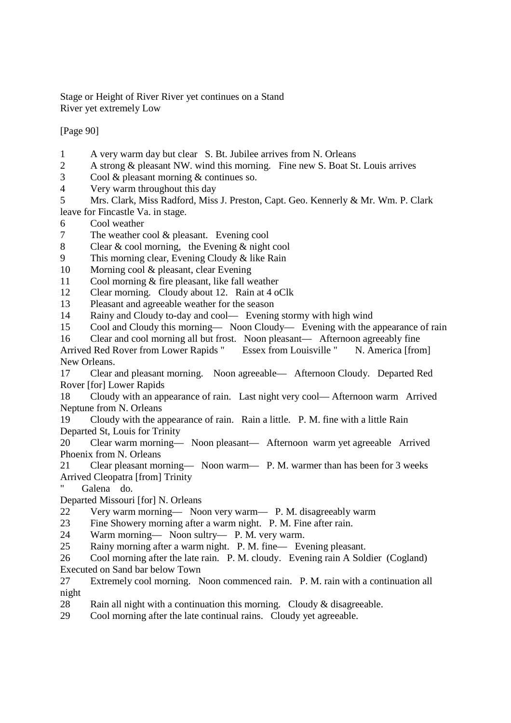Stage or Height of River River yet continues on a Stand River yet extremely Low

[Page 90]

- 1 A very warm day but clear S. Bt. Jubilee arrives from N. Orleans
- 2 A strong & pleasant NW. wind this morning. Fine new S. Boat St. Louis arrives
- 3 Cool & pleasant morning & continues so.
- 4 Very warm throughout this day
- 5 Mrs. Clark, Miss Radford, Miss J. Preston, Capt. Geo. Kennerly & Mr. Wm. P. Clark leave for Fincastle Va. in stage.
- 6 Cool weather
- 7 The weather cool & pleasant. Evening cool
- 8 Clear & cool morning, the Evening & night cool
- 9 This morning clear, Evening Cloudy & like Rain
- 10 Morning cool & pleasant, clear Evening
- 11 Cool morning & fire pleasant, like fall weather
- 12 Clear morning. Cloudy about 12. Rain at 4 oClk
- 13 Pleasant and agreeable weather for the season

14 Rainy and Cloudy to-day and cool— Evening stormy with high wind

15 Cool and Cloudy this morning— Noon Cloudy— Evening with the appearance of rain

16 Clear and cool morning all but frost. Noon pleasant— Afternoon agreeably fine Arrived Red Rover from Lower Rapids " Essex from Louisville " N. America [from] New Orleans.

17 Clear and pleasant morning. Noon agreeable— Afternoon Cloudy. Departed Red Rover [for] Lower Rapids

18 Cloudy with an appearance of rain. Last night very cool— Afternoon warm Arrived Neptune from N. Orleans

19 Cloudy with the appearance of rain. Rain a little. P. M. fine with a little Rain Departed St, Louis for Trinity

20 Clear warm morning— Noon pleasant— Afternoon warm yet agreeable Arrived Phoenix from N. Orleans

21 Clear pleasant morning— Noon warm— P. M. warmer than has been for 3 weeks Arrived Cleopatra [from] Trinity

Galena do.

Departed Missouri [for] N. Orleans

- 22 Very warm morning— Noon very warm— P. M. disagreeably warm
- 23 Fine Showery morning after a warm night. P. M. Fine after rain.
- 24 Warm morning— Noon sultry— P. M. very warm.

25 Rainy morning after a warm night. P. M. fine— Evening pleasant.

26 Cool morning after the late rain. P. M. cloudy. Evening rain A Soldier (Cogland) Executed on Sand bar below Town

27 Extremely cool morning. Noon commenced rain. P. M. rain with a continuation all night

28 Rain all night with a continuation this morning. Cloudy & disagreeable.

29 Cool morning after the late continual rains. Cloudy yet agreeable.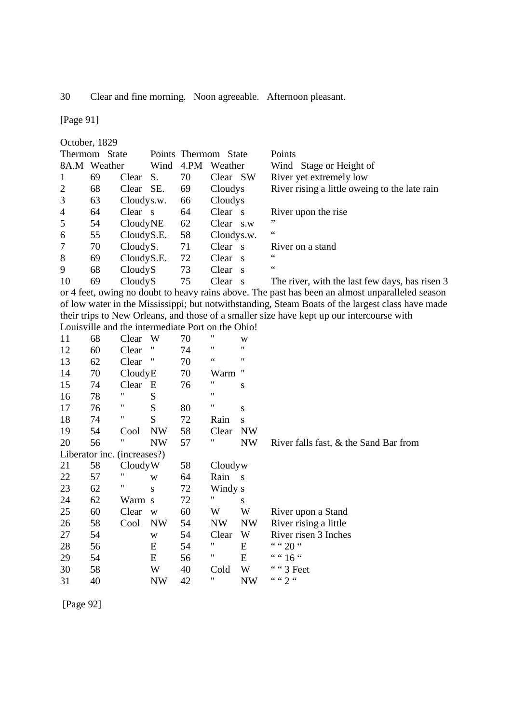30 Clear and fine morning. Noon agreeable. Afternoon pleasant.

[Page 91]

October, 1829 Thermom State Points Thermom State Points 8A.M Weather Wind 4.PM Weather Wind Stage or Height of<br>1 69 Clear S. 70 Clear SW River yet extremely low 1 69 Clear S. 70 Clear SW River yet extremely low 2 68 Clear SE. 69 Cloudys River rising a little oweing to the late rain 3 63 Cloudys.w. 66 Cloudys 4 64 Clear s 64 Clear s River upon the rise  $5 \qquad 54 \qquad \text{CloudyNE} \qquad 62 \qquad \text{Clear} \qquad \text{s.w} \qquad \text{``}$ 6 55 Cloudy S.E. 58 Cloudy s.w. 7 70 Cloudy S. 71 Clear s River on a stand 8 69 Cloudy S.E. 72 Clear s " 9 68 Cloudy S 73 Clear s 10 69 Cloudy S 75 Clear s The river, with the last few days, has risen 3

or 4 feet, owing no doubt to heavy rains above. The past has been an almost unparalleled season of low water in the Mississippi; but notwithstanding, Steam Boats of the largest class have made their trips to New Orleans, and those of a smaller size have kept up our intercourse with Louisville and the intermediate Port on the Ohio!

| 11 | 68                          | Clear   | W         | 70 | $^{\prime\prime}$ | W         |                                          |
|----|-----------------------------|---------|-----------|----|-------------------|-----------|------------------------------------------|
| 12 | 60                          | Clear   | "         | 74 | 11                | 11        |                                          |
| 13 | 62                          | Clear   | "         | 70 | $\zeta$ $\zeta$   | 11        |                                          |
| 14 | 70                          | CloudyE |           | 70 | Warm              | "         |                                          |
| 15 | 74                          | Clear   | E         | 76 | "                 | S         |                                          |
| 16 | 78                          | 11      | S         |    | 11                |           |                                          |
| 17 | 76                          | Ħ       | S         | 80 | 11                | S         |                                          |
| 18 | 74                          | Ħ       | S         | 72 | Rain              | S         |                                          |
| 19 | 54                          | Cool    | <b>NW</b> | 58 | Clear             | <b>NW</b> |                                          |
| 20 | 56                          | 11      | <b>NW</b> | 57 | "                 | <b>NW</b> | River falls fast, $\&$ the Sand Bar from |
|    | Liberator inc. (increases?) |         |           |    |                   |           |                                          |
| 21 | 58                          | CloudyW |           | 58 | Cloudyw           |           |                                          |
| 22 | 57                          | 11      | W         | 64 | Rain              | S         |                                          |
| 23 | 62                          | "       | S         | 72 | Windy s           |           |                                          |
| 24 | 62                          | Warm s  |           | 72 | 11                | S         |                                          |
| 25 | 60                          | Clear   | W         | 60 | W                 | W         | River upon a Stand                       |
| 26 | 58                          | Cool    | <b>NW</b> | 54 | <b>NW</b>         | <b>NW</b> | River rising a little                    |
| 27 | 54                          |         | W         | 54 | Clear             | W         | River risen 3 Inches                     |
| 28 | 56                          |         | E         | 54 | "                 | E         | " " 20 "                                 |
| 29 | 54                          |         | E         | 56 | 11                | E         | "" 16 "                                  |
| 30 | 58                          |         | W         | 40 | Cold              | W         | " " 3 Feet                               |
| 31 | 40                          |         | <b>NW</b> | 42 | "                 | <b>NW</b> | ""2"                                     |

[Page 92]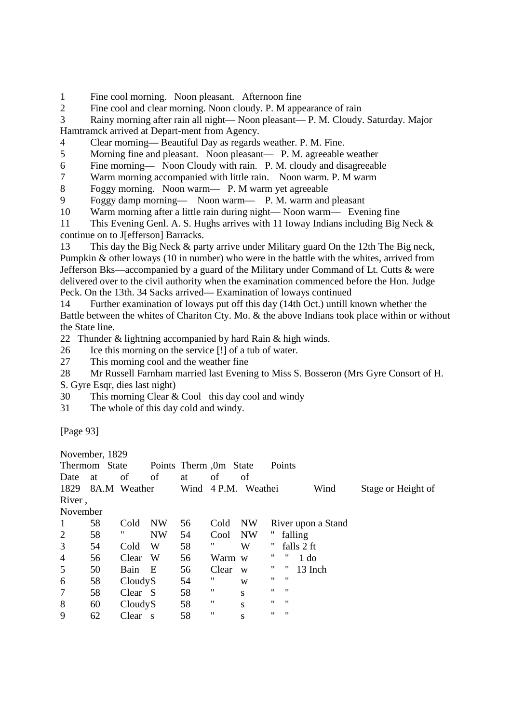1 Fine cool morning. Noon pleasant. Afternoon fine

2 Fine cool and clear morning. Noon cloudy. P. M appearance of rain

3 Rainy morning after rain all night— Noon pleasant— P. M. Cloudy. Saturday. Major Hamtramck arrived at Depart-ment from Agency.

4 Clear morning— Beautiful Day as regards weather. P. M. Fine.

5 Morning fine and pleasant. Noon pleasant— P. M. agreeable weather

6 Fine morning— Noon Cloudy with rain. P. M. cloudy and disagreeable

7 Warm morning accompanied with little rain. Noon warm. P. M warm

8 Foggy morning. Noon warm— P. M warm yet agreeable

9 Foggy damp morning— Noon warm— P. M. warm and pleasant

10 Warm morning after a little rain during night— Noon warm— Evening fine

11 This Evening Genl. A. S. Hughs arrives with 11 Ioway Indians including Big Neck & continue on to J[efferson] Barracks.

13 This day the Big Neck & party arrive under Military guard On the 12th The Big neck, Pumpkin & other loways (10 in number) who were in the battle with the whites, arrived from Jefferson Bks—accompanied by a guard of the Military under Command of Lt. Cutts & were delivered over to the civil authority when the examination commenced before the Hon. Judge Peck. On the 13th. 34 Sacks arrived— Examination of loways continued

14 Further examination of loways put off this day (14th Oct.) untill known whether the Battle between the whites of Chariton Cty. Mo. & the above Indians took place within or without the State line.

22 Thunder & lightning accompanied by hard Rain & high winds.

26 Ice this morning on the service [!] of a tub of water.

27 This morning cool and the weather fine

28 Mr Russell Farnham married last Evening to Miss S. Bosseron (Mrs Gyre Consort of H.

S. Gyre Esqr, dies last night)

30 This morning Clear & Cool this day cool and windy

31 The whole of this day cold and windy.

[Page 93]

November, 1829

|                | 110100111001  |              |             |                        |        |           |    |                   |                    |                    |
|----------------|---------------|--------------|-------------|------------------------|--------|-----------|----|-------------------|--------------------|--------------------|
|                | Thermom State |              |             | Points Therm ,0m State |        |           |    | Points            |                    |                    |
| Date           | at            | of           | of          | at                     | οf     | of        |    |                   |                    |                    |
| 1829           |               | 8A.M Weather |             | Wind                   | 4 P.M. | Weathei   |    |                   | Wind               | Stage or Height of |
| River,         |               |              |             |                        |        |           |    |                   |                    |                    |
| November       |               |              |             |                        |        |           |    |                   |                    |                    |
| 1              | 58            | Cold         | <b>NW</b>   | 56                     | Cold   | <b>NW</b> |    |                   | River upon a Stand |                    |
| 2              | 58            | "            | <b>NW</b>   | 54                     | Cool   | <b>NW</b> |    |                   | falling            |                    |
| 3              | 54            | Cold         | W           | 58                     | "      | W         | π  |                   | falls 2 ft         |                    |
| $\overline{4}$ | 56            | Clear        | W           | 56                     | Warm w |           | "  | $^{\prime\prime}$ | 1 <sub>do</sub>    |                    |
| 5              | 50            | Bain         | E           | 56                     | Clear  | W         | "  | "                 | 13 Inch            |                    |
| 6              | 58            | CloudyS      |             | 54                     | "      | W         | "  | - 11              |                    |                    |
| $\overline{7}$ | 58            | Clear S      |             | 58                     | 11     | S         | 11 | $^{\prime\prime}$ |                    |                    |
| 8              | 60            | CloudyS      |             | 58                     | 11     | S         | 11 | $^{\prime\prime}$ |                    |                    |
| 9              | 62            | Clear        | $\mathbf S$ | 58                     | 11     | S         | 11 | $^{\prime\prime}$ |                    |                    |
|                |               |              |             |                        |        |           |    |                   |                    |                    |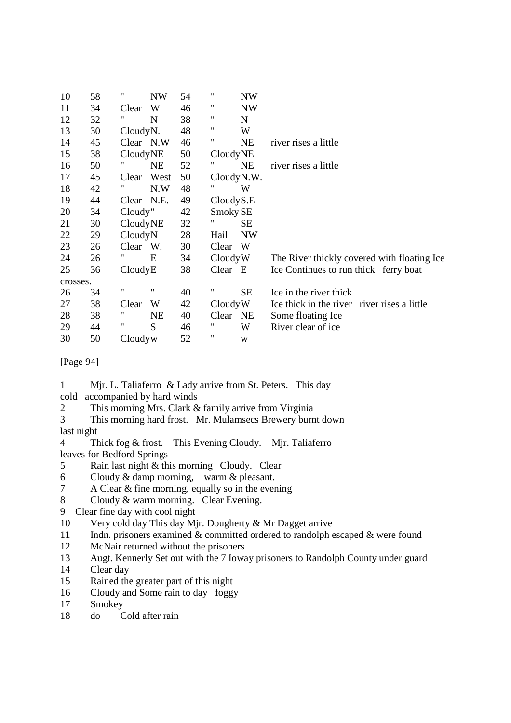| 10       | 58 | 11        | <b>NW</b> | 54 | 11         | <b>NW</b>   |                                             |
|----------|----|-----------|-----------|----|------------|-------------|---------------------------------------------|
| 11       | 34 | Clear     | W         | 46 | 11         | <b>NW</b>   |                                             |
| 12       | 32 | 11        | N         | 38 | "          | $\mathbf N$ |                                             |
| 13       | 30 | CloudyN.  |           | 48 | "          | W           |                                             |
| 14       | 45 | Clear N.W |           | 46 | "          | <b>NE</b>   | river rises a little                        |
| 15       | 38 | CloudyNE  |           | 50 | CloudyNE   |             |                                             |
| 16       | 50 | 11        | <b>NE</b> | 52 |            | <b>NE</b>   | river rises a little                        |
| 17       | 45 | Clear     | West      | 50 | CloudyN.W. |             |                                             |
| 18       | 42 | "         | N.W       | 48 |            | W           |                                             |
| 19       | 44 | Clear     | N.E.      | 49 | CloudyS.E  |             |                                             |
| 20       | 34 | Cloudy"   |           | 42 | Smoky SE   |             |                                             |
| 21       | 30 | CloudyNE  |           | 32 | "          | SE          |                                             |
| 22       | 29 | CloudyN   |           | 28 | Hail       | <b>NW</b>   |                                             |
| 23       | 26 | Clear W.  |           | 30 | Clear      | W           |                                             |
| 24       | 26 |           | E         | 34 | CloudyW    |             | The River thickly covered with floating Ice |
| 25       | 36 | CloudyE   |           | 38 | Clear E    |             | Ice Continues to run thick ferry boat       |
| crosses. |    |           |           |    |            |             |                                             |
| 26       | 34 | 11        | 11        | 40 | 11         | <b>SE</b>   | Ice in the river thick                      |
| 27       | 38 | Clear     | W         | 42 | CloudyW    |             | Ice thick in the river river rises a little |
| 28       | 38 | 11        | <b>NE</b> | 40 | Clear      | <b>NE</b>   | Some floating Ice                           |
| 29       | 44 | "         | S         | 46 | "          | W           | River clear of ice                          |
| 30       | 50 | Cloudyw   |           | 52 | 11         | W           |                                             |

[Page 94]

1 Mjr. L. Taliaferro & Lady arrive from St. Peters. This day

- cold accompanied by hard winds
- 2 This morning Mrs. Clark & family arrive from Virginia

3 This morning hard frost. Mr. Mulamsecs Brewery burnt down

last night

4 Thick fog & frost. This Evening Cloudy. Mjr. Taliaferro leaves for Bedford Springs

- 5 Rain last night & this morning Cloudy. Clear
- 6 Cloudy & damp morning, warm & pleasant.
- 7 A Clear & fine morning, equally so in the evening
- 8 Cloudy & warm morning. Clear Evening.
- 9 Clear fine day with cool night
- 10 Very cold day This day Mjr. Dougherty & Mr Dagget arrive
- 11 Indn. prisoners examined & committed ordered to randolph escaped & were found
- 12 McNair returned without the prisoners
- 13 Augt. Kennerly Set out with the 7 Ioway prisoners to Randolph County under guard
- 14 Clear day
- 15 Rained the greater part of this night
- 16 Cloudy and Some rain to day foggy
- 17 Smokey
- 18 do Cold after rain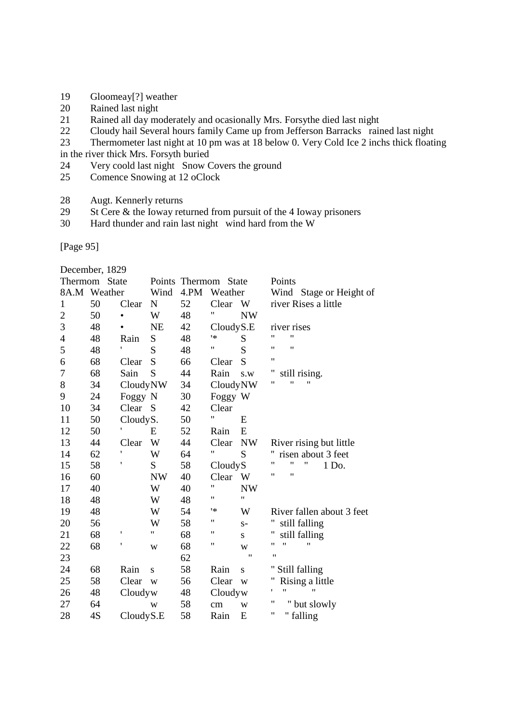- 19 Gloomeay[?] weather
- 20 Rained last night<br>21 Rained all day mo
- Rained all day moderately and ocasionally Mrs. For sythe died last night
- 22 Cloudy hail Several hours family Came up from Jefferson Barracks rained last night
- 23 Thermometer last night at 10 pm was at 18 below 0. Very Cold Ice 2 inchs thick floating
- in the river thick Mrs. Forsyth buried
- 24 Very coold last night Snow Covers the ground<br>25 Comence Snowing at 12 oClock
- Comence Snowing at 12 oClock
- 28 Augt. Kennerly returns<br>29 St Cere & the Ioway ret
- St Cere  $&$  the Ioway returned from pursuit of the 4 Ioway prisoners
- 30 Hard thunder and rain last night wind hard from the W

[Page 95]

December, 1829

| Thermom        | State        |           |             | Points Thermom State |           |           | Points                                |
|----------------|--------------|-----------|-------------|----------------------|-----------|-----------|---------------------------------------|
|                | 8A.M Weather |           | Wind        | 4.PM                 | Weather   |           | Wind Stage or Height of               |
| 1              | 50           | Clear     | $\mathbf N$ | 52                   | Clear     | W         | river Rises a little                  |
| $\overline{c}$ | 50           |           | W           | 48                   | Ħ         | <b>NW</b> |                                       |
| 3              | 48           |           | <b>NE</b>   | 42                   | CloudyS.E |           | river rises                           |
| 4              | 48           | Rain      | S           | 48                   | ١*        | S         | $\pmb{\mathsf{H}}$<br>11              |
| 5              | 48           | ,         | S           | 48                   | 11        | S         | $^{\dagger}$<br>11                    |
| 6              | 68           | Clear     | S           | 66                   | Clear     | S         | 11                                    |
| 7              | 68           | Sain      | S           | 44                   | Rain      | s.w       | Ħ<br>still rising.                    |
| 8              | 34           | CloudyNW  |             | 34                   | CloudyNW  |           | "<br>$^{\prime\prime}$<br>"           |
| 9              | 24           | Foggy N   |             | 30                   | Foggy W   |           |                                       |
| 10             | 34           | Clear     | S           | 42                   | Clear     |           |                                       |
| 11             | 50           | CloudyS.  |             | 50                   | 11        | E         |                                       |
| 12             | 50           |           | Ε           | 52                   | Rain      | E         |                                       |
| 13             | 44           | Clear     | W           | 44                   | Clear     | <b>NW</b> | River rising but little               |
| 14             | 62           | ,         | W           | 64                   | Ħ         | S         | risen about 3 feet                    |
| 15             | 58           |           | S           | 58                   | CloudyS   |           | $\pmb{\mathsf{H}}$<br>"<br>"<br>1 Do. |
| 16             | 60           |           | <b>NW</b>   | 40                   | Clear     | W         | "<br>"                                |
| 17             | 40           |           | W           | 40                   | 11        | <b>NW</b> |                                       |
| 18             | 48           |           | W           | 48                   | "         | 11        |                                       |
| 19             | 48           |           | W           | 54                   | 1*        | W         | River fallen about 3 feet             |
| 20             | 56           |           | W           | 58                   | 11        | $S-$      | still falling                         |
| 21             | 68           | ,         | 11          | 68                   | 11        | S         | Η<br>still falling                    |
| 22             | 68           | 1         | W           | 68                   | 11        | W         | $^{\prime}$<br>11<br>"                |
| 23             |              |           |             | 62                   |           | 11        | $^{\prime\prime}$                     |
| 24             | 68           | Rain      | S           | 58                   | Rain      | S         | " Still falling                       |
| 25             | 58           | Clear     | W           | 56                   | Clear     | W         | Rising a little                       |
| 26             | 48           | Cloudyw   |             | 48                   | Cloudyw   |           | ۱.<br>"<br>11                         |
| 27             | 64           |           | W           | 58                   | cm        | W         | Ħ<br>" but slowly                     |
| 28             | 4S           | CloudyS.E |             | 58                   | Rain      | E         | 11<br>" falling                       |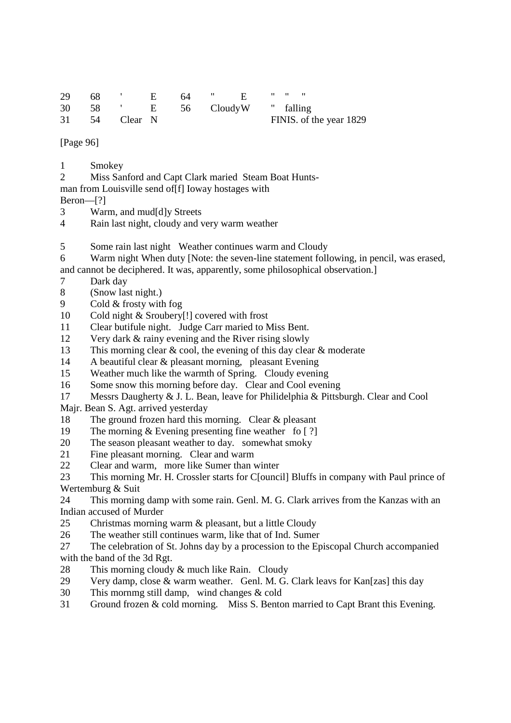| 29 68 ' E 64 " E " " "          |  |  |  |                         |
|---------------------------------|--|--|--|-------------------------|
| 30 58 ' E 56 Cloudy W " falling |  |  |  |                         |
| 31 54 Clear N                   |  |  |  | FINIS. of the year 1829 |

[Page 96]

- 1 Smokey
- 2 Miss Sanford and Capt Clark maried Steam Boat Hunts-
- man from Louisville send of[f] Ioway hostages with

Beron—[?]

- 3 Warm, and mud[d]y Streets
- 4 Rain last night, cloudy and very warm weather
- 5 Some rain last night Weather continues warm and Cloudy
- 6 Warm night When duty [Note: the seven-line statement following, in pencil, was erased,
- and cannot be deciphered. It was, apparently, some philosophical observation.]
- 7 Dark day
- 8 (Snow last night.)
- 9 Cold & frosty with fog
- 10 Cold night & Sroubery[!] covered with frost
- 11 Clear butifule night. Judge Carr maried to Miss Bent.
- 12 Very dark & rainy evening and the River rising slowly
- 13 This morning clear & cool, the evening of this day clear & moderate
- 14 A beautiful clear & pleasant morning, pleasant Evening
- 15 Weather much like the warmth of Spring. Cloudy evening
- 16 Some snow this morning before day. Clear and Cool evening
- 17 Messrs Daugherty & J. L. Bean, leave for Philidelphia & Pittsburgh. Clear and Cool
- Majr. Bean S. Agt. arrived yesterday
- 18 The ground frozen hard this morning. Clear & pleasant
- 19 The morning & Evening presenting fine weather fo [ ?]
- 20 The season pleasant weather to day. somewhat smoky
- 21 Fine pleasant morning. Clear and warm
- 22 Clear and warm, more like Sumer than winter

23 This morning Mr. H. Crossler starts for C[ouncil] Bluffs in company with Paul prince of Wertemburg & Suit

24 This morning damp with some rain. Genl. M. G. Clark arrives from the Kanzas with an Indian accused of Murder

- 25 Christmas morning warm & pleasant, but a little Cloudy
- 26 The weather still continues warm, like that of Ind. Sumer
- 27 The celebration of St. Johns day by a procession to the Episcopal Church accompanied with the band of the 3d Rgt.
- 28 This morning cloudy  $\&$  much like Rain. Cloudy
- 29 Very damp, close & warm weather. Genl. M. G. Clark leavs for Kan[zas] this day
- 30 This mornmg still damp, wind changes & cold
- 31 Ground frozen & cold morning. Miss S. Benton married to Capt Brant this Evening.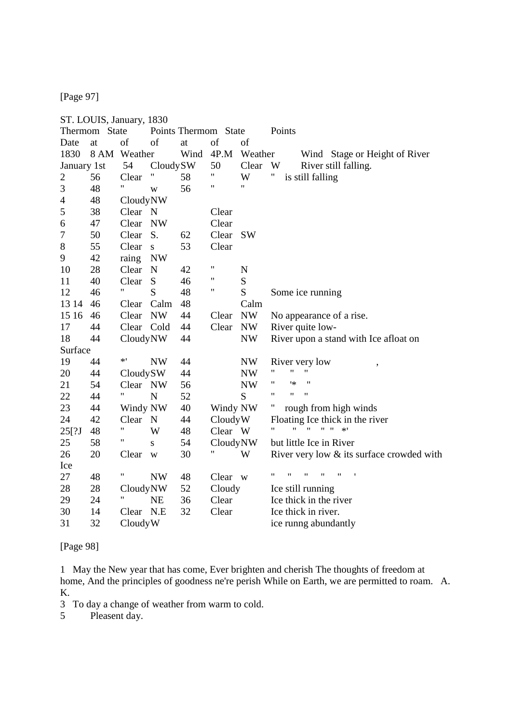[Page 97]

|              | ST. LOUIS, January, 1830 |                |              |          |                      |           |                                                                                                    |
|--------------|--------------------------|----------------|--------------|----------|----------------------|-----------|----------------------------------------------------------------------------------------------------|
|              | Thermom State            |                |              |          | Points Thermom State |           | Points                                                                                             |
| Date         | at                       | of             | of           | at       | of                   | of        |                                                                                                    |
| 1830         |                          | 8 AM Weather   |              | Wind     | 4P.M                 | Weather   | Wind Stage or Height of River                                                                      |
| January 1st  |                          | 54             | CloudySW     |          | 50<br>11             | Clear     | W<br>River still falling.                                                                          |
| $\mathbf{2}$ | 56                       | Clear<br>Η.    | $\mathbf{H}$ | 58       | 11                   | W<br>Ħ    | Ħ<br>is still falling                                                                              |
| 3            | 48                       |                | W            | 56       |                      |           |                                                                                                    |
| 4            | 48                       | CloudyNW       |              |          |                      |           |                                                                                                    |
| 5            | 38                       | Clear N        |              |          | Clear                |           |                                                                                                    |
| 6            | 47                       | Clear          | <b>NW</b>    |          | Clear                |           |                                                                                                    |
| 7            | 50                       | Clear          | S.           | 62       | Clear                | <b>SW</b> |                                                                                                    |
| 8            | 55                       | Clear          | S            | 53       | Clear                |           |                                                                                                    |
| 9            | 42                       | raing          | <b>NW</b>    |          | "                    |           |                                                                                                    |
| 10           | 28                       | Clear          | N            | 42       | "                    | N         |                                                                                                    |
| 11           | 40                       | Clear<br>11    | S<br>S       | 46       | 11                   | S<br>S    |                                                                                                    |
| 12           | 46                       |                |              | 48       |                      |           | Some ice running                                                                                   |
| 13 14        | 46                       | Clear          | Calm         | 48       |                      | Calm      |                                                                                                    |
| 15 16        | 46                       | Clear          | <b>NW</b>    | 44       | Clear                | <b>NW</b> | No appearance of a rise.                                                                           |
| 17           | 44                       | Clear Cold     |              | 44       | Clear                | <b>NW</b> | River quite low-                                                                                   |
| 18           | 44                       | CloudyNW       |              | 44       |                      | <b>NW</b> | River upon a stand with Ice afloat on                                                              |
| Surface      |                          | $*$ '          |              |          |                      |           |                                                                                                    |
| 19           | 44                       |                | <b>NW</b>    | 44       |                      | NW        | River very low<br>11<br>"<br>11                                                                    |
| 20           | 44                       | CloudySW       |              | 44       |                      | <b>NW</b> | 11<br>1∗<br>"                                                                                      |
| 21           | 54                       | Clear NW<br>Η. |              | 56       |                      | <b>NW</b> | 11<br>$\pmb{\mathsf{H}}$<br>$\pmb{\mathsf{H}}$                                                     |
| 22           | 44                       |                | $\mathbf N$  | 52       |                      | S         |                                                                                                    |
| 23           | 44                       | Windy NW       |              | 40       | Windy NW             |           | Π<br>rough from high winds                                                                         |
| 24           | 42                       | Clear N        |              | 44       | CloudyW              |           | Floating Ice thick in the river<br>$\mathbf{H}=\mathbf{H}$<br>$\mathbf{H}$<br>$\mathbf{H}$<br>$*1$ |
| 25[?J        | 48                       | 11             | W            | 48       | Clear W              |           |                                                                                                    |
| 25           | 58                       |                | S            | 54       | CloudyNW             |           | but little Ice in River                                                                            |
| 26           | 20                       | Clear          | W            | 30       |                      | W         | River very low & its surface crowded with                                                          |
| Ice          |                          | Ħ              | <b>NW</b>    |          |                      |           | $\pmb{\mathsf{H}}$<br>11<br>$\pmb{\mathsf{H}}$<br>$^{\prime}$<br>$^{\prime\prime}$                 |
| 27           | 48                       |                |              | 48<br>52 | Clear w              |           |                                                                                                    |
| 28           | 28                       | CloudyNW<br>Ħ  |              |          | Cloudy               |           | Ice still running                                                                                  |
| 29           | 24                       |                | <b>NE</b>    | 36       | Clear                |           | Ice thick in the river                                                                             |
| 30           | 14                       | Clear          | N.E          | 32       | Clear                |           | Ice thick in river.                                                                                |
| 31           | 32                       | CloudyW        |              |          |                      |           | ice runng abundantly                                                                               |

[Page 98]

1 May the New year that has come, Ever brighten and cherish The thoughts of freedom at home, And the principles of goodness ne're perish While on Earth, we are permitted to roam. A. K.

3 To day a change of weather from warm to cold.<br>5 Pleasent day.

Pleasent day.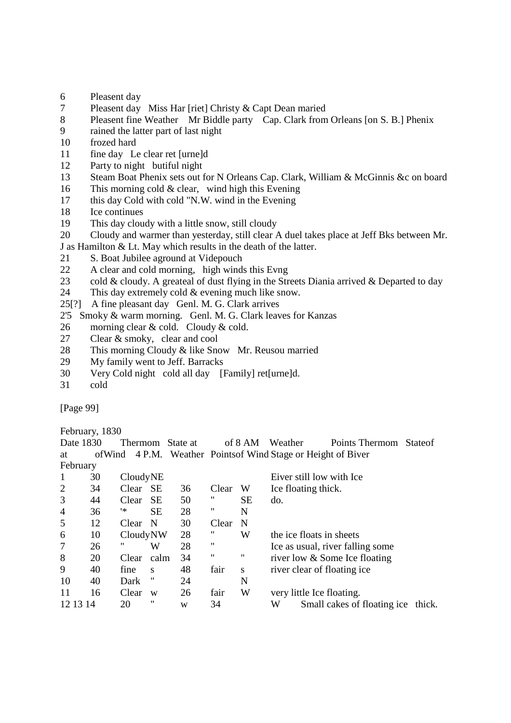- 6 Pleasent day
- 7 Pleasent day Miss Har [riet] Christy & Capt Dean maried
- 8 Pleasent fine Weather Mr Biddle party Cap. Clark from Orleans [on S. B.] Phenix
- 9 rained the latter part of last night
- 10 frozed hard
- 11 fine day Le clear ret [urne]d
- 12 Party to night butiful night
- 13 Steam Boat Phenix sets out for N Orleans Cap. Clark, William & McGinnis &c on board
- 16 This morning cold & clear, wind high this Evening
- 17 this day Cold with cold "N.W. wind in the Evening
- 18 Ice continues
- 19 This day cloudy with a little snow, still cloudy
- 20 Cloudy and warmer than yesterday, still clear A duel takes place at Jeff Bks between Mr.
- J as Hamilton & Lt. May which results in the death of the latter.
- 21 S. Boat Jubilee aground at Videpouch
- 22 A clear and cold morning, high winds this Evng
- 23 cold & cloudy. A greateal of dust flying in the Streets Diania arrived & Departed to day
- 24 This day extremely cold & evening much like snow.
- 25[?] A fine pleasant day Genl. M. G. Clark arrives
- 2'5 Smoky & warm morning. Genl. M. G. Clark leaves for Kanzas
- 26 morning clear  $& \text{cold}$ . Cloudy  $& \text{cold}$ .
- 27 Clear & smoky, clear and cool
- 28 This morning Cloudy & like Snow Mr. Reusou married
- 29 My family went to Jeff. Barracks
- 30 Very Cold night cold all day [Family] ret[urne]d.
- 31 cold

[Page 99]

February, 1830<br>Date 1830

| Date 1830      |    | Thermom      |           | State at |       | of 8 AM     | Weather |                           | Points Thermom                                                 | <b>Stateof</b> |
|----------------|----|--------------|-----------|----------|-------|-------------|---------|---------------------------|----------------------------------------------------------------|----------------|
| at             |    |              |           |          |       |             |         |                           | of Wind 4 P.M. Weather Points of Wind Stage or Height of Biver |                |
| February       |    |              |           |          |       |             |         |                           |                                                                |                |
|                | 30 | CloudyNE     |           |          |       |             |         | Eiver still low with Ice  |                                                                |                |
| 2              | 34 | Clear        | <b>SE</b> | 36       | Clear | W           |         | Ice floating thick.       |                                                                |                |
| 3              | 44 | Clear        | <b>SE</b> | 50       | "     | <b>SE</b>   | do.     |                           |                                                                |                |
| $\overline{4}$ | 36 | '*           | <b>SE</b> | 28       | "     | N           |         |                           |                                                                |                |
| 5              | 12 | <b>Clear</b> | -N        | 30       | Clear | $\mathbf N$ |         |                           |                                                                |                |
| 6              | 10 | CloudyNW     |           | 28       | "     | W           |         | the ice floats in sheets  |                                                                |                |
| $\overline{7}$ | 26 | "            | W         | 28       | 11    |             |         |                           | Ice as usual, river falling some                               |                |
| 8              | 20 | Clear        | calm      | 34       | "     | 11          |         |                           | river low & Some Ice floating                                  |                |
| 9              | 40 | fine         | S         | 48       | fair  | S           |         |                           | river clear of floating ice                                    |                |
| 10             | 40 | Dark         | "         | 24       |       | N           |         |                           |                                                                |                |
| 11             | 16 | Clear        | W         | 26       | fair  | W           |         | very little Ice floating. |                                                                |                |
| 12 13 14       |    | 20           | "         | W        | 34    |             | W       |                           | Small cakes of floating ice thick.                             |                |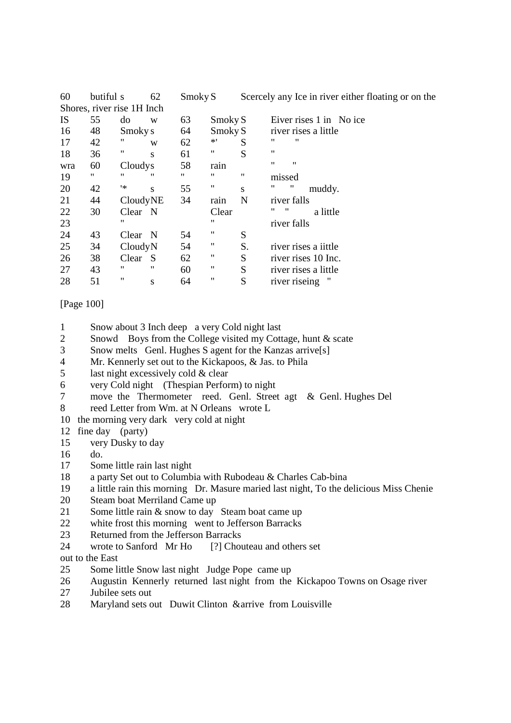| 60        | butiful s                  |          | 62 | Smoky S |         |    | Scercely any Ice in river either floating or on the |
|-----------|----------------------------|----------|----|---------|---------|----|-----------------------------------------------------|
|           | Shores, river rise 1H Inch |          |    |         |         |    |                                                     |
| <b>IS</b> | 55                         | do       | W  | 63      | Smoky S |    | Eiver rises 1 in No ice                             |
| 16        | 48                         | Smoky s  |    | 64      | Smoky S |    | river rises a little                                |
| 17        | 42                         | "        | W  | 62      | $*$ '   | S  | "<br>"                                              |
| 18        | 36                         | "        | S  | 61      | "       | S  | 11                                                  |
| wra       | 60                         | Cloudys  |    | 58      | rain    |    | 11<br>$^{\prime\prime}$                             |
| 19        | 11                         | 11       | "  | 11      | "       | 11 | missed                                              |
| 20        | 42                         | ۱∗       | S  | 55      | 11      | S  | 11<br>"<br>muddy.                                   |
| 21        | 44                         | CloudyNE |    | 34      | rain    | N  | river falls                                         |
| 22        | 30                         | Clear N  |    |         | Clear   |    | "<br>"<br>a little                                  |
| 23        |                            | 11       |    |         | 11      |    | river falls                                         |
| 24        | 43                         | Clear N  |    | 54      | "       | S  |                                                     |
| 25        | 34                         | CloudyN  |    | 54      | Ħ       | S. | river rises a <i>iittle</i>                         |
| 26        | 38                         | Clear    | -S | 62      | π       | S  | river rises 10 Inc.                                 |
| 27        | 43                         | 11       | "  | 60      | "       | S  | river rises a little                                |
| 28        | 51                         | Ħ        | S  | 64      | "       | S  | river riseing                                       |

### [Page 100]

- 1 Snow about 3 Inch deep a very Cold night last
- 2 Snowd Boys from the College visited my Cottage, hunt & scate
- 3 Snow melts Genl. Hughes S agent for the Kanzas arrive[s]
- 4 Mr. Kennerly set out to the Kickapoos, & Jas. to Phila
- 5 last night excessively cold  $&$  clear
- 6 very Cold night (Thespian Perform) to night
- 7 move the Thermometer reed. Genl. Street agt & Genl. Hughes Del
- 8 reed Letter from Wm. at N Orleans wrote L
- 10 the morning very dark very cold at night
- 12 fine day (party)
- 15 very Dusky to day
- 16 do.
- 17 Some little rain last night
- 18 a party Set out to Columbia with Rubodeau & Charles Cab-bina
- 19 a little rain this morning Dr. Masure maried last night, To the delicious Miss Chenie
- 20 Steam boat Merriland Came up
- 21 Some little rain & snow to day Steam boat came up
- 22 white frost this morning went to Jefferson Barracks
- 23 Returned from the Jefferson Barracks
- 24 wrote to Sanford Mr Ho [?] Chouteau and others set

#### out to the East

- 25 Some little Snow last night Judge Pope came up
- 26 Augustin Kennerly returned last night from the Kickapoo Towns on Osage river
- 27 Jubilee sets out
- 28 Maryland sets out Duwit Clinton & arrive from Louisville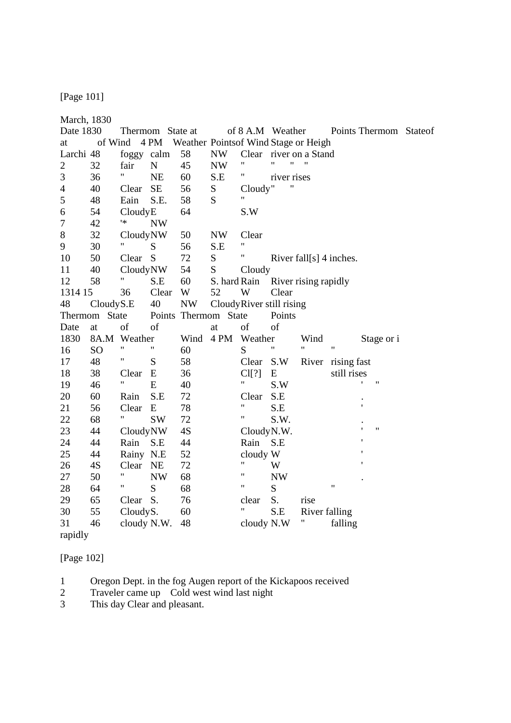[Page 101]

| March, 1830    |                |                    |                  |           |                                      |                          |                                         |                        |                            |                                           |  |
|----------------|----------------|--------------------|------------------|-----------|--------------------------------------|--------------------------|-----------------------------------------|------------------------|----------------------------|-------------------------------------------|--|
| Date 1830      |                |                    | Thermom State at |           |                                      |                          |                                         |                        |                            | of 8 A.M Weather Points Thermom State of  |  |
| at             | of Wind        |                    | 4 PM             |           | Weather Pointsof Wind Stage or Heigh |                          |                                         |                        |                            |                                           |  |
| Larchi 48      |                | foggy calm         |                  | 58        | <b>NW</b>                            |                          |                                         | Clear river on a Stand |                            |                                           |  |
| $\overline{2}$ | 32             | fair               | ${\bf N}$        | 45        | $\ensuremath{\text{NW}}$             | 11                       | $^{\prime\prime}$<br>$\pmb{\mathsf{H}}$ | $\pmb{\mathsf{H}}$     |                            |                                           |  |
| 3              | 36             | 11                 | <b>NE</b>        | 60        | S.E                                  | Η,                       | river rises                             |                        |                            |                                           |  |
| $\overline{4}$ | 40             | Clear              | SE               | 56        | ${\bf S}$                            | Cloudy"                  |                                         |                        |                            |                                           |  |
| 5              | 48             | Eain               | S.E.             | 58        | S                                    | Ħ                        |                                         |                        |                            |                                           |  |
| 6              | 54             | CloudyE            |                  | 64        |                                      | S.W                      |                                         |                        |                            |                                           |  |
| 7              | 42             | $\ast$             | <b>NW</b>        |           |                                      |                          |                                         |                        |                            |                                           |  |
| $8\,$          | 32             | CloudyNW           |                  | 50        | <b>NW</b>                            | Clear                    |                                         |                        |                            |                                           |  |
| 9              | 30             | $\mathbf{H}$       | S                | 56        | S.E                                  | 11                       |                                         |                        |                            |                                           |  |
| 10             | 50             | Clear              | S                | 72        | S                                    | Ħ                        |                                         |                        | River fall $[s]$ 4 inches. |                                           |  |
| 11             | 40             | CloudyNW           |                  | 54        | S                                    | Cloudy                   |                                         |                        |                            |                                           |  |
| 12             | 58             | 11                 | S.E              | 60        | S. hard Rain                         |                          |                                         | River rising rapidly   |                            |                                           |  |
| 1314 15        |                | 36                 | Clear            | W         | 52                                   | W                        | Clear                                   |                        |                            |                                           |  |
| 48             | CloudyS.E      |                    | 40               | <b>NW</b> |                                      | CloudyRiver still rising |                                         |                        |                            |                                           |  |
| Thermom        | <b>State</b>   |                    |                  |           | Points Thermom State                 |                          | Points                                  |                        |                            |                                           |  |
| Date           | at             | of                 | of               |           | at                                   | of                       | of                                      |                        |                            |                                           |  |
| 1830           |                | 8A.M Weather       |                  | Wind      | 4 PM                                 | Weather                  |                                         | Wind                   |                            | Stage or i                                |  |
| 16             | S <sub>O</sub> | $\pmb{\mathsf{H}}$ | 11               | 60        |                                      | S                        | 11                                      | 11                     | 11                         |                                           |  |
| 17             | 48             | Ħ                  | S                | 58        |                                      | Clear                    | S.W                                     | River                  | rising fast                |                                           |  |
| 18             | 38             | Clear              | E                | 36        |                                      | Cl[?]                    | E                                       |                        | still rises                |                                           |  |
| 19             | 46             | $\pmb{\mathsf{H}}$ | E                | 40        |                                      | Ħ                        | S.W                                     |                        |                            | $\boldsymbol{\mathsf{H}}$<br>$\mathbf{r}$ |  |
| 20             | 60             | Rain               | S.E              | 72        |                                      | Clear                    | S.E                                     |                        |                            |                                           |  |
| 21             | 56             | Clear              | E                | 78        |                                      | Ħ                        | S.E                                     |                        |                            | $\mathbf{I}$                              |  |
| 22             | 68             | Η.                 | <b>SW</b>        | 72        |                                      | 11                       | S.W.                                    |                        |                            |                                           |  |
| 23             | 44             | CloudyNW           |                  | 4S        |                                      | CloudyN.W.               |                                         |                        |                            | $\pmb{\mathsf{H}}$                        |  |
| 24             | 44             | Rain               | S.E              | 44        |                                      | Rain S.E                 |                                         |                        |                            |                                           |  |
| 25             | 44             | Rainy N.E          |                  | 52        |                                      | cloudy W                 |                                         |                        |                            |                                           |  |
| 26             | 4S             | Clear NE           |                  | 72        |                                      | Ħ                        | W                                       |                        |                            |                                           |  |
| 27             | 50             | $\pmb{\mathsf{H}}$ | <b>NW</b>        | 68        |                                      | 11                       | <b>NW</b>                               |                        |                            |                                           |  |
| 28             | 64             | Ħ                  | ${\bf S}$        | 68        |                                      | Ħ                        | S                                       |                        | $^{\dagger}$               |                                           |  |
| 29             | 65             | Clear              | S.               | 76        |                                      | clear                    | S.                                      | rise                   |                            |                                           |  |
| 30             | 55             | CloudyS.           |                  | 60        |                                      | Ħ                        | S.E                                     | River falling          |                            |                                           |  |
| 31             | 46             | cloudy N.W.        |                  | 48        |                                      | cloudy N.W               |                                         | Ħ                      | falling                    |                                           |  |
| rapidly        |                |                    |                  |           |                                      |                          |                                         |                        |                            |                                           |  |

[Page 102]

1 Oregon Dept. in the fog Augen report of the Kickapoos received

2 Traveler came up Cold west wind last night

3 This day Clear and pleasant.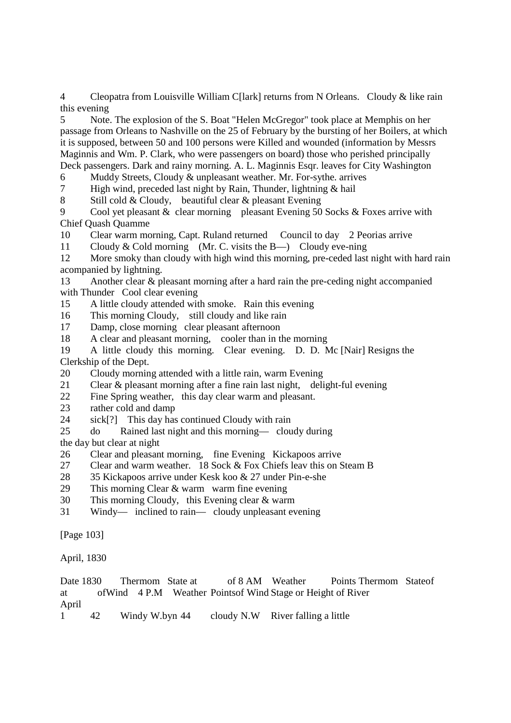4 Cleopatra from Louisville William C[lark] returns from N Orleans. Cloudy & like rain this evening

5 Note. The explosion of the S. Boat "Helen McGregor" took place at Memphis on her passage from Orleans to Nashville on the 25 of February by the bursting of her Boilers, at which it is supposed, between 50 and 100 persons were Killed and wounded (information by Messrs Maginnis and Wm. P. Clark, who were passengers on board) those who perished principally Deck passengers. Dark and rainy morning. A. L. Maginnis Esqr. leaves for City Washington

6 Muddy Streets, Cloudy & unpleasant weather. Mr. For-sythe. arrives<br>  $\overline{z}$  High wind. preceded last night by Rain. Thunder. lightning & hail

High wind, preceded last night by Rain, Thunder, lightning  $&$  hail

8 Still cold & Cloudy, beautiful clear & pleasant Evening

9 Cool yet pleasant & clear morning pleasant Evening 50 Socks & Foxes arrive with Chief Quash Quamme

10 Clear warm morning, Capt. Ruland returned Council to day 2 Peorias arrive

11 Cloudy & Cold morning (Mr. C. visits the B—) Cloudy eve-ning

12 More smoky than cloudy with high wind this morning, pre-ceded last night with hard rain acompanied by lightning.

13 Another clear & pleasant morning after a hard rain the pre-ceding night accompanied with Thunder Cool clear evening

15 A little cloudy attended with smoke. Rain this evening

16 This morning Cloudy, still cloudy and like rain

17 Damp, close morning clear pleasant afternoon

18 A clear and pleasant morning, cooler than in the morning

19 A little cloudy this morning. Clear evening. D. D. Mc [Nair] Resigns the Clerkship of the Dept.

20 Cloudy morning attended with a little rain, warm Evening

21 Clear & pleasant morning after a fine rain last night, delight-ful evening

22 Fine Spring weather, this day clear warm and pleasant.

23 rather cold and damp

24 sick[?] This day has continued Cloudy with rain

25 do Rained last night and this morning— cloudy during

the day but clear at night

- 26 Clear and pleasant morning, fine Evening Kickapoos arrive
- 27 Clear and warm weather. 18 Sock & Fox Chiefs leav this on Steam B
- 28 35 Kickapoos arrive under Kesk koo & 27 under Pin-e-she
- 29 This morning Clear & warm warm fine evening
- 30 This morning Cloudy, this Evening clear & warm
- 31 Windy— inclined to rain— cloudy unpleasant evening

[Page 103]

April, 1830

|                        |    |                | Date 1830 Thermom State at |                                   | of 8 AM Weather | <b>Points Thermom State of</b>                                |  |
|------------------------|----|----------------|----------------------------|-----------------------------------|-----------------|---------------------------------------------------------------|--|
| at                     |    |                |                            |                                   |                 | of Wind 4 P.M Weather Points of Wind Stage or Height of River |  |
| April                  |    |                |                            |                                   |                 |                                                               |  |
| $1 \quad \blacksquare$ | 42 | Windy W.byn 44 |                            | cloudy N.W River falling a little |                 |                                                               |  |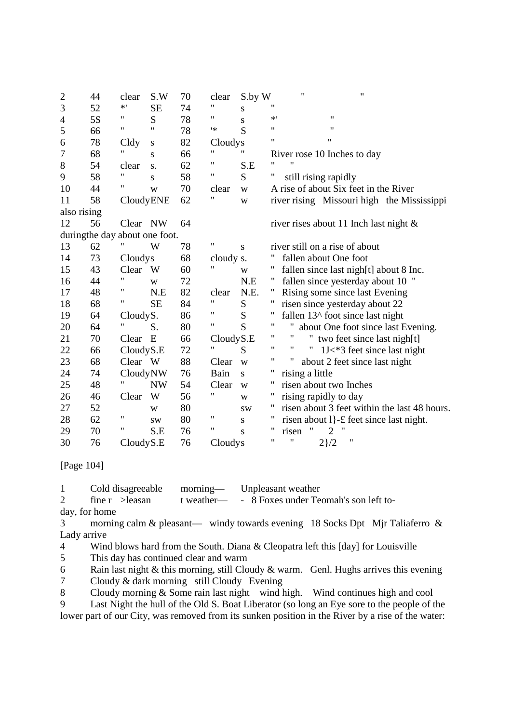| $\overline{c}$ | 44                            | clear              | S.W           | 70 | clear     | S.by W    | $\pmb{\mathsf{H}}$<br>$\pmb{\mathsf{H}}$           |
|----------------|-------------------------------|--------------------|---------------|----|-----------|-----------|----------------------------------------------------|
| 3              | 52                            | $\ast$ '           | SE            | 74 | 11        | S         | "                                                  |
| $\overline{4}$ | 5S                            | 11                 | S             | 78 | 11        | S         | 11<br>$*$ '                                        |
| 5              | 66                            | 11                 | 11            | 78 | '*        | S         | 11<br>11                                           |
| 6              | 78                            | Cldy               | S             | 82 | Cloudys   |           | 11<br>$\pmb{\mathsf{H}}$                           |
| 7              | 68                            |                    | S             | 66 | 11        | Ħ         | River rose 10 Inches to day                        |
| $8\,$          | 54                            | clear              | S.            | 62 | 11        | S.E       | $^{\dagger}$                                       |
| 9              | 58                            | $\pmb{\mathsf{H}}$ | S             | 58 | Ħ         | S         | Ħ<br>still rising rapidly                          |
| 10             | 44                            | Ħ                  | W             | 70 | clear     | W         | A rise of about Six feet in the River              |
| 11             | 58                            | CloudyENE          |               | 62 | 11        | W         | river rising Missouri high the Mississippi         |
| also rising    |                               |                    |               |    |           |           |                                                    |
| 12             | 56                            | Clear NW           |               | 64 |           |           | river rises about 11 Inch last night $\&$          |
|                | duringthe day about one foot. |                    |               |    |           |           |                                                    |
| 13             | 62                            | 11                 | W             | 78 | Ħ         | ${\bf S}$ | river still on a rise of about                     |
| 14             | 73                            | Cloudys            |               | 68 | cloudy s. |           | fallen about One foot                              |
| 15             | 43                            | Clear              | W <sub></sub> | 60 | 11        | W         | fallen since last nigh[t] about 8 Inc.             |
| 16             | 44                            | $\pmb{\mathsf{H}}$ | W             | 72 |           | N.E       | fallen since yesterday about 10 "                  |
| 17             | 48                            | 11                 | N.E           | 82 | clear     | N.E.      | Rising some since last Evening                     |
| 18             | 68                            | 11                 | <b>SE</b>     | 84 | 11        | ${\bf S}$ | risen since yesterday about 22                     |
| 19             | 64                            | CloudyS.           |               | 86 | 11        | ${\bf S}$ | Ħ<br>fallen $13^{\wedge}$ foot since last night    |
| 20             | 64                            | 11                 | S.            | 80 | Ħ         | S         | Ħ<br>about One foot since last Evening.            |
| 21             | 70                            | Clear              | E             | 66 | CloudyS.E |           | 11<br>$^{\prime}$<br>" two feet since last nigh[t] |
| 22             | 66                            | Cloudy S.E         |               | 72 | 11        | S         | 11<br>11<br>Ħ<br>1J<*3 feet since last night       |
| 23             | 68                            | Clear W            |               | 88 | Clear     | W         | "<br>Ħ<br>about 2 feet since last night            |
| 24             | 74                            | CloudyNW           |               | 76 | Bain      | S         | Π<br>rising a little                               |
| 25             | 48                            | Η                  | <b>NW</b>     | 54 | Clear     | W         | 11<br>risen about two Inches                       |
| 26             | 46                            | Clear              | W             | 56 | Ħ         | W         | Ħ<br>rising rapidly to day                         |
| 27             | 52                            |                    | W             | 80 |           | <b>SW</b> | 11<br>risen about 3 feet within the last 48 hours. |
| 28             | 62                            | $\pmb{\mathsf{H}}$ | SW.           | 80 | 11        | S         | "<br>risen about 1}-£ feet since last night.       |
| 29             | 70                            | 11                 | S.E           | 76 | 11        | S         | 11<br>"<br>risen<br>2                              |
| 30             | 76                            | CloudyS.E          |               | 76 | Cloudys   |           | 11<br>"<br>11<br>$2\}/2$                           |

### [Page 104]

1 Cold disagreeable morning— Unpleasant weather

2 fine r >leasan t weather— - 8 Foxes under Teomah's son left to-

day, for home

3 morning calm & pleasant— windy towards evening 18 Socks Dpt Mjr Taliaferro & Lady arrive

4 Wind blows hard from the South. Diana & Cleopatra left this [day] for Louisville

5 This day has continued clear and warm

6 Rain last night  $\&$  this morning, still Cloudy  $\&$  warm. Genl. Hughs arrives this evening

7 Cloudy & dark morning still Cloudy Evening

8 Cloudy morning & Some rain last night wind high. Wind continues high and cool

9 Last Night the hull of the Old S. Boat Liberator (so long an Eye sore to the people of the lower part of our City, was removed from its sunken position in the River by a rise of the water: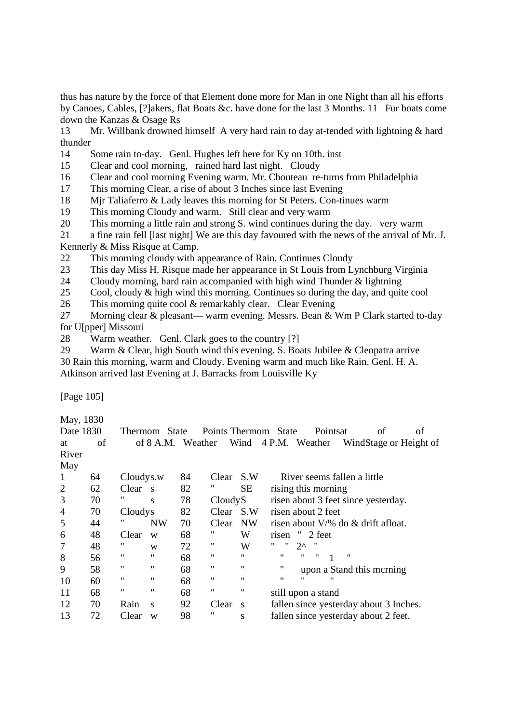thus has nature by the force of that Element done more for Man in one Night than all his efforts by Canoes, Cables, [?]akers, flat Boats &c. have done for the last 3 Months. 11 Fur boats come down the Kanzas & Osage Rs

13 Mr. Willbank drowned himself A very hard rain to day at-tended with lightning & hard thunder

14 Some rain to-day. Genl. Hughes left here for Ky on 10th. inst

15 Clear and cool morning, rained hard last night. Cloudy

16 Clear and cool morning Evening warm. Mr. Chouteau re-turns from Philadelphia

17 This morning Clear, a rise of about 3 Inches since last Evening

18 Mjr Taliaferro & Lady leaves this morning for St Peters. Con-tinues warm

19 This morning Cloudy and warm. Still clear and very warm

20 This morning a little rain and strong S. wind continues during the day. very warm

21 a fine rain fell [last night] We are this day favoured with the news of the arrival of Mr. J. Kennerly & Miss Risque at Camp.

22 This morning cloudy with appearance of Rain. Continues Cloudy

23 This day Miss H. Risque made her appearance in St Louis from Lynchburg Virginia

24 Cloudy morning, hard rain accompanied with high wind Thunder & lightning

25 Cool, cloudy & high wind this morning. Continues so during the day, and quite cool

26 This morning quite cool & remarkably clear. Clear Evening

27 Morning clear & pleasant— warm evening. Messrs. Bean & Wm P Clark started to-day for U[pper] Missouri

28 Warm weather. Genl. Clark goes to the country [?]

29 Warm & Clear, high South wind this evening. S. Boats Jubilee & Cleopatra arrive 30 Rain this morning, warm and Cloudy. Evening warm and much like Rain. Genl. H. A. Atkinson arrived last Evening at J. Barracks from Louisville Ky

[Page 105]

May, 1830

| Date 1830      |    |                    | Thermom State     |                   | Points Thermom State |              |                   | Pointsat                     | of                                       | οf |
|----------------|----|--------------------|-------------------|-------------------|----------------------|--------------|-------------------|------------------------------|------------------------------------------|----|
| at             | of |                    |                   | of 8 A.M. Weather |                      |              |                   | Wind 4 P.M. Weather          | WindStage or Height of                   |    |
| River          |    |                    |                   |                   |                      |              |                   |                              |                                          |    |
| May            |    |                    |                   |                   |                      |              |                   |                              |                                          |    |
| -1             | 64 | Cloudys.w          |                   | 84                | Clear                | S.W          |                   |                              | River seems fallen a little              |    |
| $\overline{2}$ | 62 | Clear <sub>s</sub> |                   | 82                | "                    | <b>SE</b>    |                   | rising this morning          |                                          |    |
| 3              | 70 | "                  | S                 | 78                | CloudyS              |              |                   |                              | risen about 3 feet since yesterday.      |    |
| $\overline{4}$ | 70 | Cloudys            |                   | 82                | Clear                | S.W          |                   | risen about 2 feet           |                                          |    |
| 5              | 44 | 11                 | <b>NW</b>         | 70                | Clear                | NW           |                   |                              | risen about $V/\%$ do $\&$ drift afloat. |    |
| 6              | 48 | Clear              | W                 | 68                | "                    | W            | risen             | $"$ 2 feet                   |                                          |    |
| $\overline{7}$ | 48 | "                  | W                 | 72                | 11                   | W            | "<br>"            | $2^{\wedge}$<br>$\mathbf{H}$ |                                          |    |
| 8              | 56 | 11                 | 11                | 68                | "                    | $^{\bullet}$ | 11                | 11<br>"                      | "                                        |    |
| 9              | 58 | 11                 | $^{\prime\prime}$ | 68                | "                    | "            | $^{\prime\prime}$ |                              | upon a Stand this merning                |    |
| 10             | 60 | ,,                 | $^{\prime\prime}$ | 68                | "                    | 11           | "                 | "<br>                        |                                          |    |
| 11             | 68 | $\pmb{\mathsf{H}}$ | $^{\prime\prime}$ | 68                | 11                   | "            |                   | still upon a stand           |                                          |    |
| 12             | 70 | Rain               | S                 | 92                | Clear                | - S          |                   |                              | fallen since yesterday about 3 Inches.   |    |
| 13             | 72 | Clear              | W                 | 98                | "                    | S            |                   |                              | fallen since yesterday about 2 feet.     |    |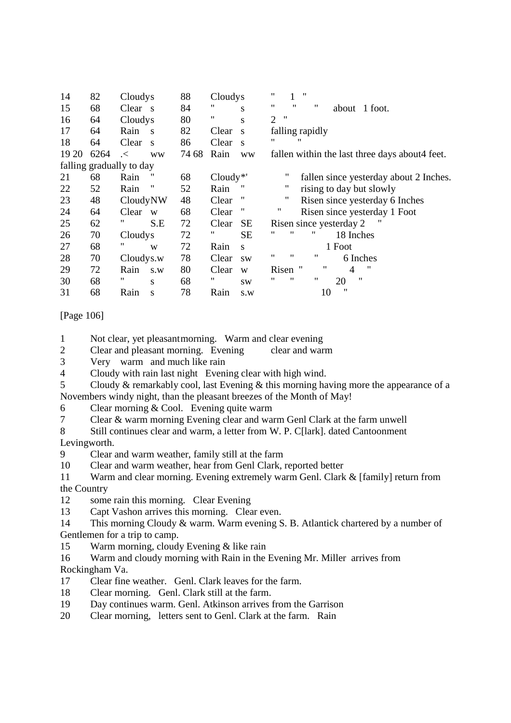| 14    | 82   | Cloudys                  | 88    | Cloudys                    | 11<br>"<br>1                                     |
|-------|------|--------------------------|-------|----------------------------|--------------------------------------------------|
| 15    | 68   | Clear s                  | 84    | "<br>S                     | 11<br>$^{\prime\prime}$<br>11<br>about 1 foot.   |
| 16    | 64   | Cloudys                  | 80    | 11<br>S                    | $^{\prime\prime}$<br>$\mathcal{D}_{\mathcal{L}}$ |
| 17    | 64   | Rain<br>S                | 82    | Clear<br>S                 | falling rapidly                                  |
| 18    | 64   | Clear<br>$\mathbf{s}$    | 86    | Clear<br>$\mathbf{s}$      | "<br>"                                           |
| 19 20 | 6264 | $\prec$<br><b>WW</b>     | 74 68 | Rain<br><b>WW</b>          | fallen within the last three days about 4 feet.  |
|       |      | falling gradually to day |       |                            |                                                  |
| 21    | 68   | Rain                     | 68    | $Cloudy*$                  | fallen since yesterday about 2 Inches.           |
| 22    | 52   | 11<br>Rain               | 52    | Rain                       | 11<br>rising to day but slowly                   |
| 23    | 48   | CloudyNW                 | 48    | $^{\prime\prime}$<br>Clear | 11<br>Risen since yesterday 6 Inches             |
| 24    | 64   | Clear<br>W               | 68    | $^{\prime\prime}$<br>Clear | 11<br>Risen since yesterday 1 Foot               |
| 25    | 62   | 11<br>S.E                | 72    | Clear<br><b>SE</b>         | Risen since yesterday 2                          |
| 26    | 70   | Cloudys                  | 72    | "<br><b>SE</b>             | "<br>"<br>"<br>18 Inches                         |
| 27    | 68   | 11<br>W                  | 72    | Rain<br>S                  | 1 Foot                                           |
| 28    | 70   | Cloudys.w                | 78    | Clear<br><b>SW</b>         | "<br>"<br>11<br>6 Inches                         |
| 29    | 72   | Rain<br>S.W              | 80    | Clear<br>W                 | 11<br>Risen "<br>"<br>4                          |
| 30    | 68   | "<br>S                   | 68    | "<br><b>SW</b>             | "<br>"<br>"<br>,,<br>20                          |
| 31    | 68   | Rain<br>S                | 78    | Rain<br>S.W                | 11<br>10                                         |

### [Page 106]

1 Not clear, yet pleasant morning. Warm and clear evening

2 Clear and pleasant morning. Evening clear and warm

3 Very warm and much like rain

- 4 Cloudy with rain last night Evening clear with high wind.
- 5 Cloudy & remarkably cool, last Evening & this morning having more the appearance of a Novembers windy night, than the pleasant breezes of the Month of May!
- 6 Clear morning & Cool. Evening quite warm

7 Clear & warm morning Evening clear and warm Genl Clark at the farm unwell

8 Still continues clear and warm, a letter from W. P. C[lark]. dated Cantoonment Levingworth.

9 Clear and warm weather, family still at the farm

10 Clear and warm weather, hear from Genl Clark, reported better

11 Warm and clear morning. Evening extremely warm Genl. Clark & [family] return from the Country

- 12 some rain this morning. Clear Evening
- 13 Capt Vashon arrives this morning. Clear even.

14 This morning Cloudy & warm. Warm evening S. B. Atlantick chartered by a number of Gentlemen for a trip to camp.

- 15 Warm morning, cloudy Evening & like rain
- 16 Warm and cloudy morning with Rain in the Evening Mr. Miller arrives from Rockingham Va.
- 17 Clear fine weather. Genl. Clark leaves for the farm.
- 18 Clear morning. Genl. Clark still at the farm.
- 19 Day continues warm. Genl. Atkinson arrives from the Garrison
- 20 Clear morning, letters sent to Genl. Clark at the farm. Rain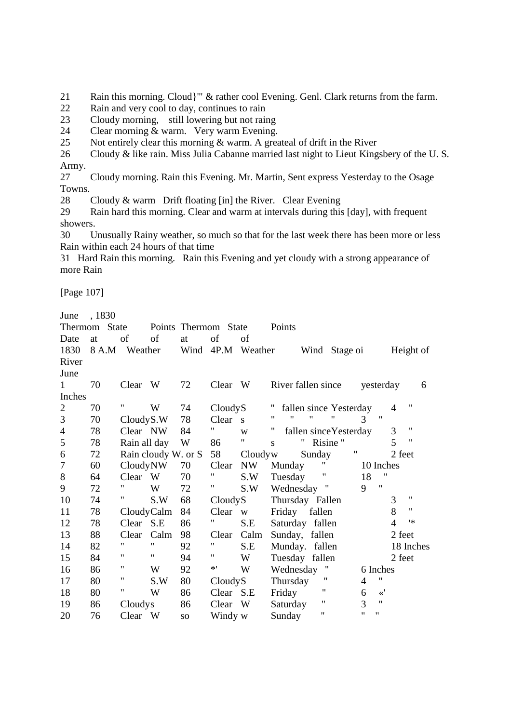21 Rain this morning. Cloud}'" & rather cool Evening. Genl. Clark returns from the farm.

- 22 Rain and very cool to day, continues to rain
- 23 Cloudy morning, still lowering but not raing
- 24 Clear morning & warm. Very warm Evening.
- 25 Not entirely clear this morning & warm. A greateal of drift in the River

26 Cloudy & like rain. Miss Julia Cabanne married last night to Lieut Kingsbery of the U.S. Army.

27 Cloudy morning. Rain this Evening. Mr. Martin, Sent express Yesterday to the Osage Towns.

28 Cloudy & warm Drift floating [in] the River. Clear Evening

29 Rain hard this morning. Clear and warm at intervals during this [day], with frequent showers.

30 Unusually Rainy weather, so much so that for the last week there has been more or less Rain within each 24 hours of that time

31 Hard Rain this morning. Rain this Evening and yet cloudy with a strong appearance of more Rain

[Page 107]

June , 1830

| <b>Thermom</b> | <b>State</b> |              |                     | Points Thermom  | <b>State</b>      |                         | Points                                                                         |
|----------------|--------------|--------------|---------------------|-----------------|-------------------|-------------------------|--------------------------------------------------------------------------------|
| Date           | at           | of           | of                  | at              | of                | of                      |                                                                                |
| 1830           | 8 A.M        | Weather      |                     |                 | Wind 4P.M Weather |                         | Wind Stage oi<br>Height of                                                     |
| River          |              |              |                     |                 |                   |                         |                                                                                |
| June           |              |              |                     |                 |                   |                         |                                                                                |
| 1              | 70           | Clear W      |                     | 72              | Clear W           |                         | River fallen since<br>yesterday<br>6                                           |
| Inches         |              |              |                     |                 |                   |                         |                                                                                |
| $\overline{2}$ | 70           | 11           | W                   | 74              | CloudyS           |                         | $\pmb{\mathsf{H}}$<br>fallen since Yesterday<br>4                              |
| 3              | 70           | CloudyS.W    |                     | 78              | Clear             | $\overline{\mathbf{s}}$ | 11<br>$^{\prime\prime}$<br>$\pmb{\mathsf{H}}$<br>$\pmb{\mathsf{H}}$<br>3<br>11 |
| $\overline{4}$ | 78           | Clear NW     |                     | 84              | Η.                | W                       | $\pmb{\mathsf{H}}$<br>$^{\prime\prime}$<br>3<br>fallen since Yesterday         |
| 5              | 78           | Rain all day |                     | W               | 86                | $\pmb{\mathsf{H}}$      | 5<br>$\pmb{\mathsf{H}}$<br>$^{\prime\prime}$<br>Risine"<br>S.                  |
| 6              | 72           |              | Rain cloudy W. or S |                 | 58                | Cloudyw                 | $\pmb{\mathsf{H}}$<br>Sunday<br>2 feet                                         |
| 7              | 60           | CloudyNW     |                     | 70              | Clear             | NW                      | 11<br>Munday<br>10 Inches                                                      |
| $8\,$          | 64           | Clear W      |                     | 70              | 11                | S.W                     | Ħ<br>11<br>18<br>Tuesday                                                       |
| 9              | 72           | 11           | W                   | 72              |                   | S.W                     | $\pmb{\mathsf{H}}$<br>9<br>Wednesday "                                         |
| 10             | 74           |              | S.W                 | 68              | CloudyS           |                         | $\pmb{\mathsf{H}}$<br>3<br>Thursday Fallen                                     |
| 11             | 78           | CloudyCalm   |                     | 84              | Clear             | W                       | 8<br>11<br>Friday fallen                                                       |
| 12             | 78           | Clear S.E    |                     | 86              | "                 | S.E                     | 1∗<br>$\overline{4}$<br>Saturday fallen                                        |
| 13             | 88           | Clear        | Calm                | 98              | Clear             | Calm                    | Sunday, fallen<br>2 feet                                                       |
| 14             | 82           | 11           | 11                  | 92              | 11                | S.E                     | 18 Inches<br>Munday. fallen                                                    |
| 15             | 84           | 11           | 11                  | 94              | Ħ                 | W                       | 2 feet<br>Tuesday fallen                                                       |
| 16             | 86           | 11           | W                   | 92              | $*$ '             | W                       | Wednesday<br>6 Inches                                                          |
| 17             | 80           | 11           | S.W                 | 80              | CloudyS           |                         | 11<br>$\pmb{\mathsf{H}}$<br>Thursday<br>$\overline{4}$                         |
| 18             | 80           | Π            | W                   | 86              | Clear S.E         |                         | 11<br>$\ll'$<br>Friday<br>6                                                    |
| 19             | 86           | Cloudys      |                     | 86              | Clear             | W                       | $\pmb{\mathsf{H}}$<br>11<br>3<br>Saturday                                      |
| 20             | 76           | Clear W      |                     | SO <sub>1</sub> | Windy w           |                         | $^{\prime\prime}$<br>11<br>11<br>Sunday                                        |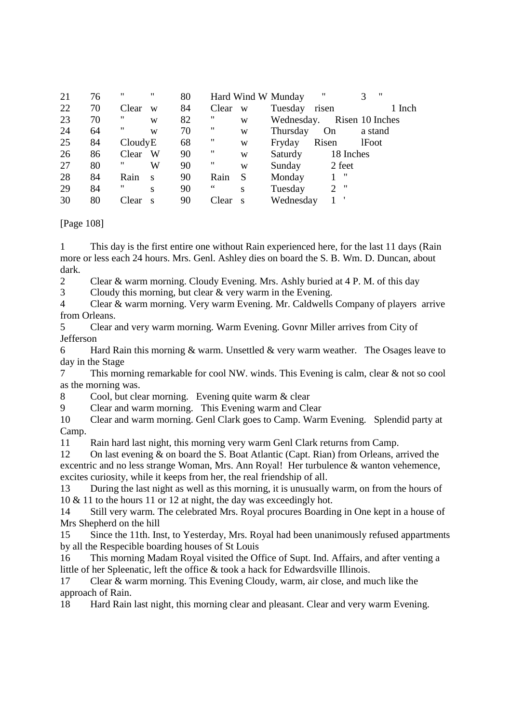| 21 | 76 | "       | " | 80 |       |     | Hard Wind W Munday | "               |              | ,, |        |
|----|----|---------|---|----|-------|-----|--------------------|-----------------|--------------|----|--------|
| 22 | 70 | Clear   | W | 84 | Clear | W   | Tuesday            | risen           |              |    | 1 Inch |
| 23 | 70 | "       | W | 82 | "     | W   | Wednesday.         | Risen 10 Inches |              |    |        |
| 24 | 64 | 11      | W | 70 | 11    | W   | Thursday           | On              | a stand      |    |        |
| 25 | 84 | CloudyE |   | 68 | 11    | W   | Fryday             | Risen           | <b>lFoot</b> |    |        |
| 26 | 86 | Clear   | W | 90 | 11    | W   | Saturdy            | 18 Inches       |              |    |        |
| 27 | 80 | 11      | W | 90 | "     | W   | Sunday             | 2 feet          |              |    |        |
| 28 | 84 | Rain    | S | 90 | Rain  | S   | Monday             | "               |              |    |        |
| 29 | 84 | 11      | S | 90 | 66    | S   | Tuesday            | $2$ "           |              |    |        |
| 30 | 80 | Clear   | S | 90 | Clear | - S | Wednesday          |                 |              |    |        |

[Page 108]

1 This day is the first entire one without Rain experienced here, for the last 11 days (Rain more or less each 24 hours. Mrs. Genl. Ashley dies on board the S. B. Wm. D. Duncan, about dark.

2 Clear & warm morning. Cloudy Evening. Mrs. Ashly buried at 4 P. M. of this day

3 Cloudy this morning, but clear & very warm in the Evening.

4 Clear & warm morning. Very warm Evening. Mr. Caldwells Company of players arrive from Orleans.

5 Clear and very warm morning. Warm Evening. Govnr Miller arrives from City of Jefferson

6 Hard Rain this morning & warm. Unsettled & very warm weather. The Osages leave to day in the Stage

7 This morning remarkable for cool NW. winds. This Evening is calm, clear & not so cool as the morning was.

8 Cool, but clear morning. Evening quite warm & clear

9 Clear and warm morning. This Evening warm and Clear

10 Clear and warm morning. Genl Clark goes to Camp. Warm Evening. Splendid party at Camp.

11 Rain hard last night, this morning very warm Genl Clark returns from Camp.

12 On last evening & on board the S. Boat Atlantic (Capt. Rian) from Orleans, arrived the excentric and no less strange Woman, Mrs. Ann Royal! Her turbulence & wanton vehemence, excites curiosity, while it keeps from her, the real friendship of all.

13 During the last night as well as this morning, it is unusually warm, on from the hours of 10 & 11 to the hours 11 or 12 at night, the day was exceedingly hot.

14 Still very warm. The celebrated Mrs. Royal procures Boarding in One kept in a house of Mrs Shepherd on the hill

15 Since the 11th. Inst, to Yesterday, Mrs. Royal had been unanimously refused appartments by all the Respecible boarding houses of St Louis

16 This morning Madam Royal visited the Office of Supt. Ind. Affairs, and after venting a little of her Spleenatic, left the office & took a hack for Edwardsville Illinois.

17 Clear & warm morning. This Evening Cloudy, warm, air close, and much like the approach of Rain.

18 Hard Rain last night, this morning clear and pleasant. Clear and very warm Evening.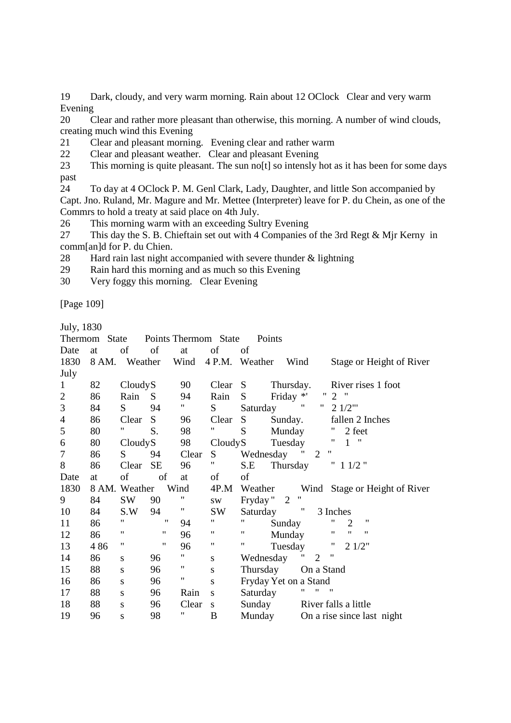19 Dark, cloudy, and very warm morning. Rain about 12 OClock Clear and very warm Evening

20 Clear and rather more pleasant than otherwise, this morning. A number of wind clouds, creating much wind this Evening

21 Clear and pleasant morning. Evening clear and rather warm

22 Clear and pleasant weather. Clear and pleasant Evening

23 This morning is quite pleasant. The sun no<sup>[t]</sup> so intensly hot as it has been for some days past

24 To day at 4 OClock P. M. Genl Clark, Lady, Daughter, and little Son accompanied by Capt. Jno. Ruland, Mr. Magure and Mr. Mettee (Interpreter) leave for P. du Chein, as one of the Commrs to hold a treaty at said place on 4th July.

26 This morning warm with an exceeding Sultry Evening

27 This day the S. B. Chieftain set out with 4 Companies of the 3rd Regt & Mjr Kerny in comm[an]d for P. du Chien.

28 Hard rain last night accompanied with severe thunder & lightning

29 Rain hard this morning and as much so this Evening

30 Very foggy this morning. Clear Evening

[Page 109]

July, 1830

|                          | Points Thermom State<br>Thermom State<br>Points |           |                    |                             |                    |                                                               |  |  |  |  |
|--------------------------|-------------------------------------------------|-----------|--------------------|-----------------------------|--------------------|---------------------------------------------------------------|--|--|--|--|
| Date                     | at                                              | of        | of                 | at                          | of                 | of                                                            |  |  |  |  |
| 1830                     | 8 AM. Weather                                   |           |                    | Wind                        |                    | 4 P.M. Weather<br>Wind<br>Stage or Height of River            |  |  |  |  |
| July                     |                                                 |           |                    |                             |                    |                                                               |  |  |  |  |
| $\mathbf{1}$             | 82                                              | CloudyS   |                    | 90                          | Clear S            | Thursday.<br>River rises 1 foot                               |  |  |  |  |
| $\mathbf{2}$             | 86                                              | Rain      | $S_{-}$            | 94                          | Rain               | Friday *'<br>"2"<br>$S_{-}$                                   |  |  |  |  |
| 3                        | 84                                              | S.        | 94                 | $\mathbf{H}_{\mathrm{max}}$ | S                  | $\pmb{\mathsf{H}}$<br>" $21/2$ "'<br>Saturday                 |  |  |  |  |
| $\overline{\mathcal{A}}$ | 86                                              | Clear     | S                  | 96                          | Clear              | $S \qquad \qquad$<br>Sunday.<br>fallen 2 Inches               |  |  |  |  |
| $\mathfrak{S}$           | 80                                              | Η.        | S.                 | 98                          | Ħ                  | S<br>Munday<br>2 feet                                         |  |  |  |  |
| 6                        | 80                                              | CloudyS   |                    | 98                          | CloudyS            | 11<br>$\overline{\phantom{a}}$<br>$\mathbf{1}$<br>Tuesday     |  |  |  |  |
| $\tau$                   | 86                                              | S.        | 94                 | Clear                       | S.                 | "<br>Wednesday<br>2                                           |  |  |  |  |
| 8                        | 86                                              | Clear     | <b>SE</b>          | 96                          | π.                 | " 11/2"<br>S.E<br>Thursday                                    |  |  |  |  |
| Date                     | at                                              | of        | of                 | at                          | $\sigma$           | of                                                            |  |  |  |  |
| 1830                     | 8 AM. Weather                                   |           |                    | Wind                        | 4P.M               | Wind Stage or Height of River<br>Weather                      |  |  |  |  |
| 9                        | 84                                              | SW        | 90                 |                             | SW <sub>1</sub>    | 11<br>Fryday "2                                               |  |  |  |  |
| 10                       | 84                                              | S.W       | 94                 | $\mathbf{H}_{\perp}$        | SW                 | $^{\prime}$<br>Saturday<br>3 Inches                           |  |  |  |  |
| 11                       | 86                                              | 11        | 11                 | 94                          | 11                 | "<br>$\pmb{\mathsf{H}}$<br>11<br>$\overline{2}$<br>Sunday     |  |  |  |  |
| 12                       | 86                                              | 11        | $\pmb{\mathsf{H}}$ | 96                          | 11                 | $\pmb{\mathsf{H}}$<br>$^{\prime\prime}$<br>11<br>11<br>Munday |  |  |  |  |
| 13                       | 486                                             | 11        | $\pmb{\mathsf{H}}$ | 96                          | $\pmb{\mathsf{H}}$ | Ħ<br>$\mathbf{H}$<br>21/2"<br>Tuesday                         |  |  |  |  |
| 14                       | 86                                              | S         | 96                 | $\pmb{\mathsf{H}}$          | ${\bf S}$          | "<br>$\mathbf{u}$<br>2<br>Wednesday                           |  |  |  |  |
| 15                       | 88                                              | ${\bf S}$ | 96                 | $\pmb{\mathsf{H}}$          | S                  | Thursday On a Stand                                           |  |  |  |  |
| 16                       | 86                                              | ${\bf S}$ | 96                 | $^{\prime\prime}$           | S                  | Fryday Yet on a Stand                                         |  |  |  |  |
| 17                       | 88                                              | ${\bf S}$ | 96                 | Rain                        | S                  | "<br>$^{\prime\prime}$<br>"<br>Saturday                       |  |  |  |  |
| 18                       | 88                                              | S         | 96                 | Clear                       | S                  | Sunday<br>River falls a little                                |  |  |  |  |
| 19                       | 96                                              | S         | 98                 | 11                          | B                  | Munday<br>On a rise since last night                          |  |  |  |  |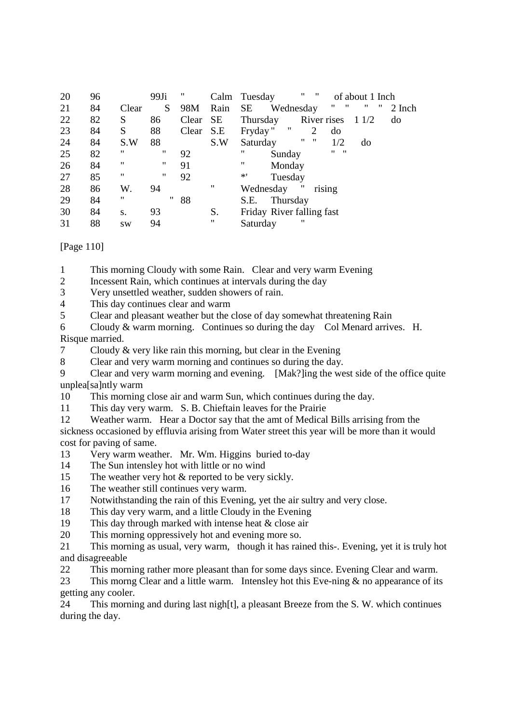| 20 | 96 |           | $99J_i$ | 11    | Calm      | $\pmb{\mathsf{H}}$<br>$\mathbf{H}$<br>Tuesday<br>of about 1 Inch |
|----|----|-----------|---------|-------|-----------|------------------------------------------------------------------|
| 21 | 84 | Clear     | S       | 98M   | Rain      | "<br>"<br>-11<br><b>SE</b><br>,,<br>Wednesday<br>2 Inch          |
| 22 | 82 | S         | 86      | Clear | <b>SE</b> | River rises<br>Thursday<br>1 1/2<br>do                           |
| 23 | 84 | S         | 88      | Clear | S.E       | 11<br>Fryday"<br>2<br>do                                         |
| 24 | 84 | S.W       | 88      |       | S.W       | $^{\prime\prime}$<br>"<br>1/2<br>Saturday<br>do                  |
| 25 | 82 | "         | 11      | 92    |           | $\mathbf{u}$ $\mathbf{u}$<br>"<br>Sunday                         |
| 26 | 84 | 11        | 11      | 91    |           | "<br>Monday                                                      |
| 27 | 85 | 11        | 11      | 92    |           | $*$ '<br>Tuesday                                                 |
| 28 | 86 | W.        | 94      |       | 11        | $^{\prime\prime}$<br>rising<br>Wednesday                         |
| 29 | 84 | 11        | 11      | 88    |           | Thursday<br>S.E.                                                 |
| 30 | 84 | S.        | 93      |       | S.        | Friday River falling fast                                        |
| 31 | 88 | <b>SW</b> | 94      |       | "         | "<br>Saturday                                                    |

[Page 110]

1 This morning Cloudy with some Rain. Clear and very warm Evening

- 2 Incessent Rain, which continues at intervals during the day
- 3 Very unsettled weather, sudden showers of rain.

4 This day continues clear and warm

5 Clear and pleasant weather but the close of day somewhat threatening Rain

6 Cloudy & warm morning. Continues so during the day Col Menard arrives. H. Risque married.

7 Cloudy & very like rain this morning, but clear in the Evening

8 Clear and very warm morning and continues so during the day.

9 Clear and very warm morning and evening. [Mak?]ing the west side of the office quite unplea[sa]ntly warm

10 This morning close air and warm Sun, which continues during the day.

11 This day very warm. S. B. Chieftain leaves for the Prairie

12 Weather warm. Hear a Doctor say that the amt of Medical Bills arrising from the

sickness occasioned by effluvia arising from Water street this year will be more than it would cost for paving of same.

13 Very warm weather. Mr. Wm. Higgins buried to-day

14 The Sun intensley hot with little or no wind

15 The weather very hot & reported to be very sickly.

- 16 The weather still continues very warm.
- 17 Notwithstanding the rain of this Evening, yet the air sultry and very close.
- 18 This day very warm, and a little Cloudy in the Evening

19 This day through marked with intense heat & close air

20 This morning oppressively hot and evening more so.

21 This morning as usual, very warm, though it has rained this-. Evening, yet it is truly hot and disagreeable

22 This morning rather more pleasant than for some days since. Evening Clear and warm.

23 This morng Clear and a little warm. Intensley hot this Eve-ning & no appearance of its getting any cooler.

24 This morning and during last nigh[t], a pleasant Breeze from the S. W. which continues during the day.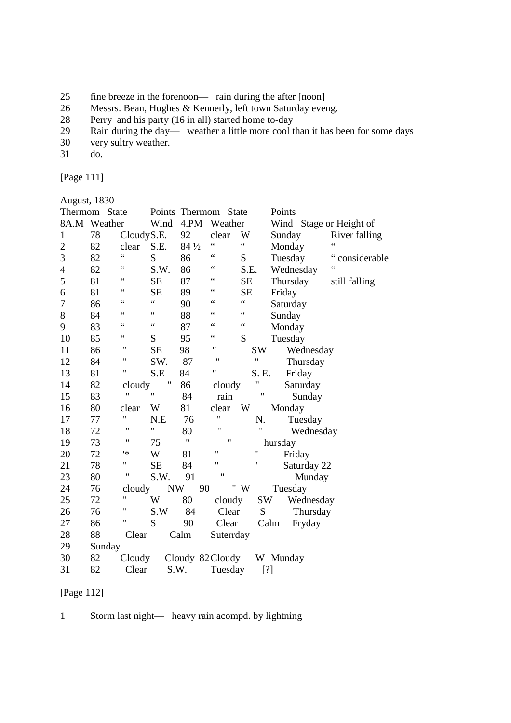- 25 fine breeze in the forenoon— rain during the after [noon]
- 26 Messrs. Bean, Hughes & Kennerly, left town Saturday eveng.<br>28 Perry and his party (16 in all) started home to-day
- 28 Perry and his party (16 in all) started home to-day
- 29 Rain during the day— weather a little more cool than it has been for some days
- 30 very sultry weather.
- 31 do.

[Page 111]

|                | August, 1830  |                    |                   |        |                      |                 |                         |               |  |  |  |
|----------------|---------------|--------------------|-------------------|--------|----------------------|-----------------|-------------------------|---------------|--|--|--|
|                | Thermom State |                    |                   |        | Points Thermom State |                 | Points                  |               |  |  |  |
|                | 8A.M Weather  |                    | Wind              | 4.PM   | Weather              |                 | Wind Stage or Height of |               |  |  |  |
| $\mathbf{1}$   | 78            | CloudyS.E.         |                   | 92     | clear                | W               | Sunday                  | River falling |  |  |  |
| $\overline{c}$ | 82            | clear              | S.E.              | 84 1/2 | $\zeta$ $\zeta$      | $\zeta$ $\zeta$ | Monday                  | 66            |  |  |  |
| 3              | 82            | 66                 | S                 | 86     | $\zeta$ $\zeta$      | S               | Tuesday                 | considerable  |  |  |  |
| $\overline{4}$ | 82            | 66                 | S.W.              | 86     | 66                   | S.E.            | Wednesday               | 66            |  |  |  |
| 5              | 81            | 66                 | <b>SE</b>         | 87     | 66                   | <b>SE</b>       | Thursday                | still falling |  |  |  |
| 6              | 81            | 66                 | <b>SE</b>         | 89     | 66                   | <b>SE</b>       | Friday                  |               |  |  |  |
| 7              | 86            | 66                 | $\zeta$ $\zeta$   | 90     | 66                   | $\epsilon$      | Saturday                |               |  |  |  |
| 8              | 84            | 66                 | $\zeta$ $\zeta$   | 88     | 66                   | 66              | Sunday                  |               |  |  |  |
| 9              | 83            | 66                 | $\zeta$ $\zeta$   | 87     | $\zeta$ $\zeta$      | $\zeta \zeta$   | Monday                  |               |  |  |  |
| 10             | 85            | $\zeta$ $\zeta$    | S                 | 95     | $\zeta$ $\zeta$      | S               | Tuesday                 |               |  |  |  |
| 11             | 86            | "                  | <b>SE</b>         | 98     | $\pmb{\mathsf{H}}$   | <b>SW</b>       | Wednesday               |               |  |  |  |
| 12             | 84            | 11                 | SW.               | 87     | $\pmb{\mathsf{H}}$   | $^{\dagger}$    | Thursday                |               |  |  |  |
| 13             | 81            | "                  | S.E               | 84     | 11                   | S. E.           | Friday                  |               |  |  |  |
| 14             | 82            | cloudy             | $^{\dagger}$      | 86     | cloudy               | 11              | Saturday                |               |  |  |  |
| 15             | 83            | $^{\dagger}$       | $^{\prime\prime}$ | 84     | rain                 | Ħ               | Sunday                  |               |  |  |  |
| 16             | 80            | clear              | W                 | 81     | clear                | W               | Monday                  |               |  |  |  |
| 17             | 77            | 11                 | N.E               | 76     | 11                   | N.              | Tuesday                 |               |  |  |  |
| 18             | 72            | $\pmb{\mathsf{H}}$ | 11                | 80     | $\mathbf{H}$         | Ħ               | Wednesday               |               |  |  |  |
| 19             | 73            | $^{\prime\prime}$  | 75                | 11     | $^{\dagger}$         |                 | hursday                 |               |  |  |  |
| 20             | 72            | '*                 | W                 | 81     | $^{\prime\prime}$    | 11              | Friday                  |               |  |  |  |
| 21             | 78            | 11                 | <b>SE</b>         | 84     | 11                   | 11              | Saturday 22             |               |  |  |  |
| 23             | 80            | 11                 | S.W.              | 91     | $^{\dagger}$         |                 | Munday                  |               |  |  |  |
| 24             | 76            | cloudy             | <b>NW</b>         |        | 90                   | $^{\rm u}$ W    | Tuesday                 |               |  |  |  |
| 25             | 72            | 11                 | W                 | 80     | cloudy               | <b>SW</b>       | Wednesday               |               |  |  |  |
| 26             | 76            | $\pmb{\mathsf{H}}$ | S.W               | 84     | Clear                | S               | Thursday                |               |  |  |  |
| 27             | 86            | 11                 | S                 | 90     | Clear                |                 | Calm<br>Fryday          |               |  |  |  |
| 28             | 88            | Clear              |                   | Calm   | Suterrday            |                 |                         |               |  |  |  |
| 29             | Sunday        |                    |                   |        |                      |                 |                         |               |  |  |  |
| 30             | 82            | Cloudy             |                   |        | Cloudy 82 Cloudy     |                 | W Munday                |               |  |  |  |
| 31             | 82            | Clear              | S.W.              |        | Tuesday              |                 | [?]                     |               |  |  |  |

# [Page 112]

1 Storm last night— heavy rain acompd. by lightning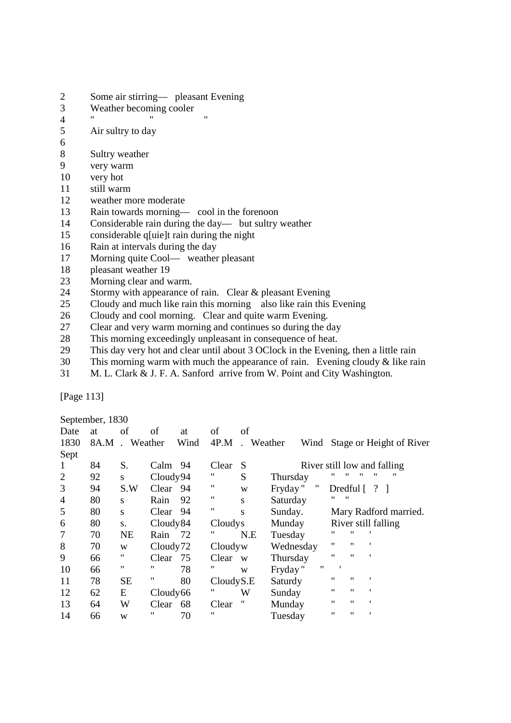- 2 Some air stirring— pleasant Evening
- 3 Weather becoming cooler
- 4 " " "
- 5 Air sultry to day
- 6
- 8 Sultry weather
- 9 very warm
- 10 very hot
- 11 still warm
- 12 weather more moderate<br>13 Rain towards morning—
- Rain towards morning— cool in the forenoon
- 14 Considerable rain during the day— but sultry weather
- 15 considerable q[uie]t rain during the night
- 16 Rain at intervals during the day
- 17 Morning quite Cool— weather pleasant
- 18 pleasant weather 19
- 23 Morning clear and warm.
- 24 Stormy with appearance of rain. Clear & pleasant Evening
- 25 Cloudy and much like rain this morning also like rain this Evening
- 26 Cloudy and cool morning. Clear and quite warm Evening.
- 27 Clear and very warm morning and continues so during the day
- 28 This morning exceedingly unpleasant in consequence of heat.
- 29 This day very hot and clear until about 3 OClock in the Evening, then a little rain
- 30 This morning warm with much the appearance of rain. Evening cloudy & like rain
- 31 M. L. Clark & J. F. A. Sanford arrive from W. Point and City Washington.

[Page 113]

September, 1830

| Date           | at | of            | of        | at   | of        | of        |           |   |                   |                   |                               |
|----------------|----|---------------|-----------|------|-----------|-----------|-----------|---|-------------------|-------------------|-------------------------------|
| 1830           |    | 8A.M. Weather |           | Wind | 4P.M      | . Weather |           |   |                   |                   | Wind Stage or Height of River |
| Sept           |    |               |           |      |           |           |           |   |                   |                   |                               |
| -1             | 84 | S.            | Calm 94   |      | Clear     | S         |           |   |                   |                   | River still low and falling   |
| $\overline{2}$ | 92 | S.            | Cloudy94  |      | 11        | S         | Thursday  |   | "                 | "                 | "<br>"                        |
| 3              | 94 | S.W           | Clear     | 94   | "         | W         | Fryday"   | " |                   |                   | Dredful $\lceil ? \rceil$     |
| $\overline{4}$ | 80 | S             | Rain      | 92   | 11        | S         | Saturday  |   | 11<br>"           |                   |                               |
| 5              | 80 | S             | Clear 94  |      | 11        | S         | Sunday.   |   |                   |                   | Mary Radford married.         |
| 6              | 80 | S.            | Cloudy 84 |      | Cloudys   |           | Munday    |   |                   |                   | River still falling           |
| $\overline{7}$ | 70 | <b>NE</b>     | Rain      | 72   | "         | N.E       | Tuesday   |   | "                 | "                 |                               |
| 8              | 70 | W             | Cloudy72  |      | Cloudyw   |           | Wednesday |   | "                 | "                 | 1                             |
| 9              | 66 | 11            | Clear     | 75   | Clear     | W         | Thursday  |   | 11                | $^{\prime\prime}$ |                               |
| 10             | 66 | 11            | "         | 78   | "         | W         | Fryday"   | " |                   |                   |                               |
| 11             | 78 | <b>SE</b>     | "         | 80   | CloudyS.E |           | Saturdy   |   | "                 | $^{\prime\prime}$ | 1                             |
| 12             | 62 | E             | Cloudy66  |      | "         | W         | Sunday    |   | $^{\prime\prime}$ | "                 | $\cdot$                       |
| 13             | 64 | W             | Clear     | 68   | Clear     | 11        | Munday    |   | $^{\prime\prime}$ | "                 | $\mathbf{r}$                  |
| 14             | 66 | W             | "         | 70   | "         |           | Tuesday   |   | $^{\prime\prime}$ | "                 |                               |
|                |    |               |           |      |           |           |           |   |                   |                   |                               |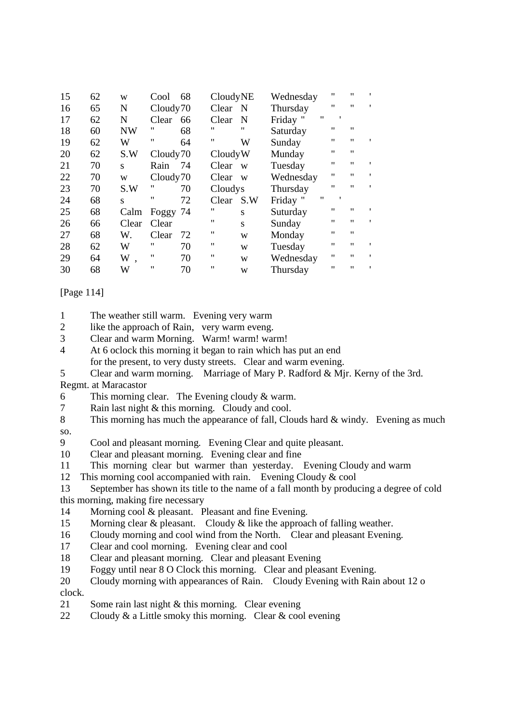| 15 | 62 | W         | Cool                 | 68 | CloudyNE          |                   | Wednesday                     | $^{\prime\prime}$ | "                 |              |
|----|----|-----------|----------------------|----|-------------------|-------------------|-------------------------------|-------------------|-------------------|--------------|
| 16 | 65 | N         | Cloudy70             |    | Clear             | -N                | Thursday                      | $^{\prime\prime}$ | $^{\prime\prime}$ |              |
| 17 | 62 | N         | Clear                | 66 | Clear             | N                 | $^{\prime\prime}$<br>Friday " | $\mathbf{r}$      |                   |              |
| 18 | 60 | <b>NW</b> | "                    | 68 | "                 | $^{\prime\prime}$ | Saturday                      | $^{\prime\prime}$ | "                 |              |
| 19 | 62 | W         | "                    | 64 | 11                | W                 | Sunday                        | $^{\prime\prime}$ | $^{\prime\prime}$ |              |
| 20 | 62 | S.W       | Cloudy <sub>70</sub> |    | CloudyW           |                   | Munday                        | $^{\prime\prime}$ | $^{\prime\prime}$ |              |
| 21 | 70 | S         | Rain                 | 74 | Clear             | W                 | Tuesday                       | $^{\prime\prime}$ | "                 |              |
| 22 | 70 | W         | Cloudy <sub>70</sub> |    | Clear             | W                 | Wednesday                     | $^{\prime\prime}$ | $^{\prime\prime}$ | $\mathbf{r}$ |
| 23 | 70 | S.W       | "                    | 70 | Cloudys           |                   | Thursday                      | $^{\prime\prime}$ | $^{\prime\prime}$ | $\mathbf{r}$ |
| 24 | 68 | S         | "                    | 72 | Clear             | S.W               | $^{\prime\prime}$<br>Friday " | $\mathbf{r}$      |                   |              |
| 25 | 68 | Calm      | Foggy 74             |    | "                 | S                 | Suturday                      | $^{\prime\prime}$ | $^{\prime\prime}$ |              |
| 26 | 66 | Clear     | Clear                |    | $^{\prime\prime}$ | S                 | Sunday                        | $^{\prime\prime}$ | $^{\prime\prime}$ | $\mathbf{r}$ |
| 27 | 68 | W.        | Clear                | 72 | 11                | W                 | Monday                        | $^{\prime\prime}$ | $^{\prime\prime}$ |              |
| 28 | 62 | W         | $^{\prime\prime}$    | 70 | $^{\prime\prime}$ | W                 | Tuesday                       | $^{\prime\prime}$ | $^{\prime\prime}$ | ,            |
| 29 | 64 | W,        | "                    | 70 | "                 | W                 | Wednesday                     | $^{\prime\prime}$ | $^{\prime\prime}$ | ٠            |
| 30 | 68 | W         | "                    | 70 | "                 | W                 | Thursday                      | "                 | $^{\prime\prime}$ |              |

[Page 114]

1 The weather still warm. Evening very warm

2 like the approach of Rain, very warm eveng.

3 Clear and warm Morning. Warm! warm! warm!

4 At 6 oclock this morning it began to rain which has put an end

for the present, to very dusty streets. Clear and warm evening.

5 Clear and warm morning. Marriage of Mary P. Radford & Mjr. Kerny of the 3rd. Regmt. at Maracastor

- 6 This morning clear. The Evening cloudy & warm.
- 7 Rain last night & this morning. Cloudy and cool.

8 This morning has much the appearance of fall, Clouds hard & windy. Evening as much so.

9 Cool and pleasant morning. Evening Clear and quite pleasant.

- 10 Clear and pleasant morning. Evening clear and fine
- 11 This morning clear but warmer than yesterday. Evening Cloudy and warm

12 This morning cool accompanied with rain. Evening Cloudy & cool

13 September has shown its title to the name of a fall month by producing a degree of cold this morning, making fire necessary

- 14 Morning cool & pleasant. Pleasant and fine Evening.
- 15 Morning clear & pleasant. Cloudy & like the approach of falling weather.
- 16 Cloudy morning and cool wind from the North. Clear and pleasant Evening.
- 17 Clear and cool morning. Evening clear and cool
- 18 Clear and pleasant morning. Clear and pleasant Evening
- 19 Foggy until near 8 O Clock this morning. Clear and pleasant Evening.
- 20 Cloudy morning with appearances of Rain. Cloudy Evening with Rain about 12 o clock.
- 21 Some rain last night & this morning. Clear evening
- 22 Cloudy  $\&$  a Little smoky this morning. Clear  $\&$  cool evening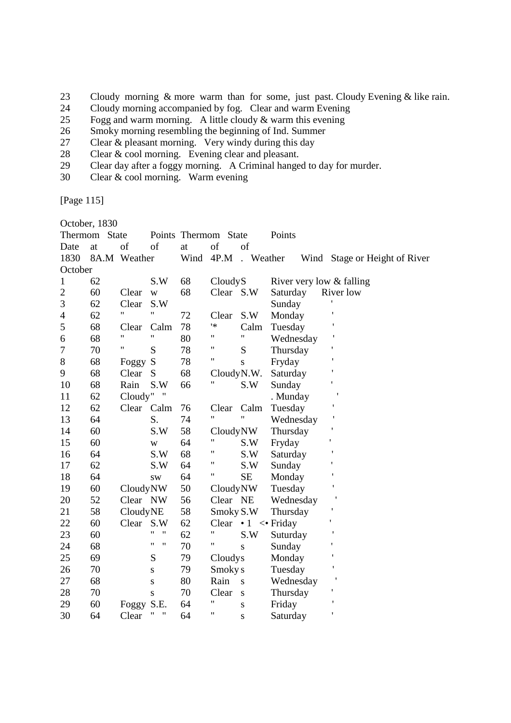- 23 Cloudy morning & more warm than for some, just past. Cloudy Evening & like rain.
- 24 Cloudy morning accompanied by fog. Clear and warm Evening<br>25 Fogg and warm morning. A little cloudy & warm this evening
- Fogg and warm morning. A little cloudy  $\&$  warm this evening
- 26 Smoky morning resembling the beginning of Ind. Summer
- 27 Clear & pleasant morning. Very windy during this day
- 28 Clear & cool morning. Evening clear and pleasant.<br>29 Clear day after a foggy morning. A Criminal hange
- 29 Clear day after a foggy morning. A Criminal hanged to day for murder.<br>
30 Clear & cool morning. Warm evening
- Clear  $& \text{cool morning.}$  Warm evening

[Page 115]

|                | October, 1830 |                    |                                         |                |                    |                                    |           |  |                               |  |  |
|----------------|---------------|--------------------|-----------------------------------------|----------------|--------------------|------------------------------------|-----------|--|-------------------------------|--|--|
|                | Thermom State |                    |                                         | Points Thermom | State              |                                    | Points    |  |                               |  |  |
| Date           | at            | of                 | of                                      | at             | of                 | of                                 |           |  |                               |  |  |
| 1830           |               | 8A.M Weather       |                                         | Wind           | 4P.M               | . Weather                          |           |  | Wind Stage or Height of River |  |  |
| October        |               |                    |                                         |                |                    |                                    |           |  |                               |  |  |
| $\mathbf{1}$   | 62            |                    | S.W                                     | 68             | CloudyS            |                                    |           |  | River very low & falling      |  |  |
| $\overline{2}$ | 60            | Clear              | W                                       | 68             | Clear S.W          |                                    | Saturday  |  | River low                     |  |  |
| 3              | 62            | Clear              | S.W                                     |                |                    |                                    | Sunday    |  |                               |  |  |
| $\overline{4}$ | 62            | 11                 | 11                                      | 72             | Clear              | S.W                                | Monday    |  |                               |  |  |
| 5              | 68            | Clear              | Calm                                    | 78             | '≭                 | Calm                               | Tuesday   |  |                               |  |  |
| 6              | 68            | $\pmb{\mathsf{H}}$ | $\pmb{\mathsf{H}}$                      | 80             | $\pmb{\mathsf{H}}$ | $\pmb{\mathsf{H}}$                 | Wednesday |  |                               |  |  |
| 7              | 70            | $\mathbf{H}$       | S                                       | 78             | $\pmb{\mathsf{H}}$ | S                                  | Thursday  |  |                               |  |  |
| $8\,$          | 68            | Foggy              | S                                       | 78             | 11                 | $\mathbf{s}$                       | Fryday    |  | $\mathbf{I}$                  |  |  |
| 9              | 68            | Clear              | S                                       | 68             | CloudyN.W.         |                                    | Saturday  |  |                               |  |  |
| 10             | 68            | Rain               | S.W                                     | 66             | 11                 | S.W                                | Sunday    |  |                               |  |  |
| 11             | 62            | Cloudy"            | Ħ                                       |                |                    |                                    | . Munday  |  |                               |  |  |
| 12             | 62            | Clear Calm         |                                         | 76             | Clear              | Calm                               | Tuesday   |  |                               |  |  |
| 13             | 64            |                    | S.                                      | 74             | $\pmb{\mathsf{H}}$ | $\pmb{\mathsf{H}}$                 | Wednesday |  |                               |  |  |
| 14             | 60            |                    | S.W                                     | 58             | CloudyNW           |                                    | Thursday  |  | ł                             |  |  |
| 15             | 60            |                    | W                                       | 64             | $\pmb{\mathsf{H}}$ | S.W                                | Fryday    |  |                               |  |  |
| 16             | 64            |                    | S.W                                     | 68             | $\pmb{\mathsf{H}}$ | S.W                                | Saturday  |  | 1                             |  |  |
| 17             | 62            |                    | S.W                                     | 64             | $\pmb{\mathsf{H}}$ | S.W                                | Sunday    |  |                               |  |  |
| 18             | 64            |                    | <b>SW</b>                               | 64             | "                  | <b>SE</b>                          | Monday    |  |                               |  |  |
| 19             | 60            | CloudyNW           |                                         | 50             | CloudyNW           |                                    | Tuesday   |  |                               |  |  |
| 20             | 52            | Clear NW           |                                         | 56             | Clear NE           |                                    | Wednesday |  |                               |  |  |
| 21             | 58            | CloudyNE           |                                         | 58             | Smoky S.W          |                                    | Thursday  |  | ٠                             |  |  |
| 22             | 60            | Clear S.W          |                                         | 62             |                    | Clear $\cdot 1 \leq \text{Friday}$ |           |  | ١                             |  |  |
| 23             | 60            |                    | 11<br>$\pmb{\mathsf{H}}$                | 62             | $\pmb{\mathsf{H}}$ | S.W                                | Suturday  |  |                               |  |  |
| 24             | 68            |                    | $\pmb{\mathsf{H}}$<br>$^{\prime\prime}$ | 70             | 11                 | S                                  | Sunday    |  |                               |  |  |
| 25             | 69            |                    | S                                       | 79             | Cloudys            |                                    | Monday    |  |                               |  |  |
| 26             | 70            |                    | S                                       | 79             | Smoky s            |                                    | Tuesday   |  |                               |  |  |
| 27             | 68            |                    | S                                       | 80             | Rain               | S                                  | Wednesday |  |                               |  |  |
| 28             | 70            |                    | $\bf S$                                 | 70             | Clear              | ${\bf S}$                          | Thursday  |  |                               |  |  |
| 29             | 60            | Foggy S.E.         |                                         | 64             | 11                 | $\mathbf S$                        | Friday    |  | I                             |  |  |
| 30             | 64            | Clear              | "<br>"                                  | 64             | 11                 | S                                  | Saturday  |  |                               |  |  |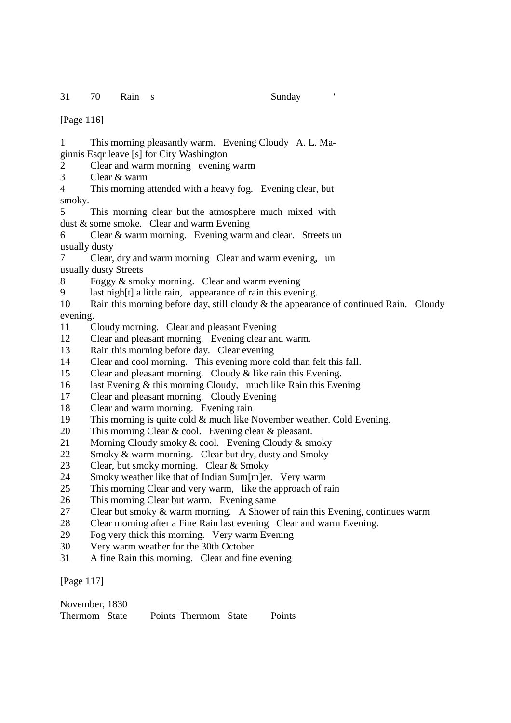31 70 Rain s Sunday '

[Page 116]

1 This morning pleasantly warm. Evening Cloudy A. L. Maginnis Esqr leave [s] for City Washington

2 Clear and warm morning evening warm

3 Clear & warm

4 This morning attended with a heavy fog. Evening clear, but smoky.

5 This morning clear but the atmosphere much mixed with dust & some smoke. Clear and warm Evening

6 Clear & warm morning. Evening warm and clear. Streets un usually dusty

7 Clear, dry and warm morning Clear and warm evening, un usually dusty Streets

8 Foggy & smoky morning. Clear and warm evening

9 last nigh[t] a little rain, appearance of rain this evening.

10 Rain this morning before day, still cloudy & the appearance of continued Rain. Cloudy evening.

- 11 Cloudy morning. Clear and pleasant Evening
- 12 Clear and pleasant morning. Evening clear and warm.
- 13 Rain this morning before day. Clear evening
- 14 Clear and cool morning. This evening more cold than felt this fall.
- 15 Clear and pleasant morning. Cloudy & like rain this Evening.
- 16 last Evening & this morning Cloudy, much like Rain this Evening
- 17 Clear and pleasant morning. Cloudy Evening
- 18 Clear and warm morning. Evening rain
- 19 This morning is quite cold & much like November weather. Cold Evening.
- 20 This morning Clear & cool. Evening clear & pleasant.
- 21 Morning Cloudy smoky & cool. Evening Cloudy & smoky
- 22 Smoky & warm morning. Clear but dry, dusty and Smoky
- 23 Clear, but smoky morning. Clear & Smoky
- 24 Smoky weather like that of Indian Sum[m]er. Very warm
- 25 This morning Clear and very warm, like the approach of rain
- 26 This morning Clear but warm. Evening same
- 27 Clear but smoky & warm morning. A Shower of rain this Evening, continues warm
- 28 Clear morning after a Fine Rain last evening Clear and warm Evening.
- 29 Fog very thick this morning. Very warm Evening
- 30 Very warm weather for the 30th October
- 31 A fine Rain this morning. Clear and fine evening

[Page 117]

| November, 1830 |  |                      |               |
|----------------|--|----------------------|---------------|
| Thermom State  |  | Points Thermom State | <b>Points</b> |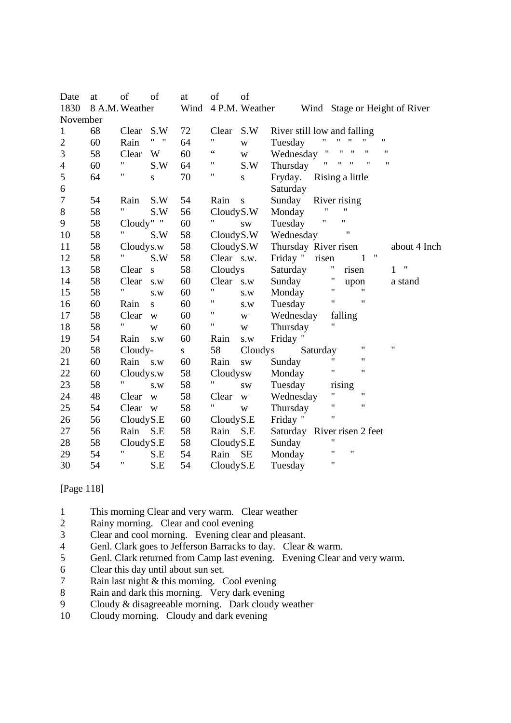| Date             | at       | of                | of                        | at        | of         | of                      |                                                                                                                        |
|------------------|----------|-------------------|---------------------------|-----------|------------|-------------------------|------------------------------------------------------------------------------------------------------------------------|
| 1830             |          | 8 A.M. Weather    |                           | Wind      |            | 4 P.M. Weather          | Wind Stage or Height of River                                                                                          |
|                  | November |                   |                           |           |            |                         |                                                                                                                        |
| $\mathbf{1}$     | 68       | Clear             | S.W                       | 72        | Clear      | S.W                     | River still low and falling                                                                                            |
| $\overline{c}$   | 60       | Rain              | $\mathbf{u} = \mathbf{u}$ | 64        | 11         | W                       | $\pmb{\mathsf{H}}$<br>11<br>11<br>11<br>Tuesday                                                                        |
| 3                | 58       | Clear             | W                         | 60        | 66         | W                       | $\pmb{\mathsf{H}}$<br>$\pmb{\mathsf{H}}$<br>$\pmb{\mathsf{H}}$<br>$\pmb{\mathsf{H}}$<br>$^{\prime\prime}$<br>Wednesday |
| $\overline{4}$   | 60       | Ħ                 | S.W                       | 64        | 11         | S.W                     | 11<br>11<br>$\pmb{\mathsf{H}}$<br>$^{\prime\prime}$<br>$^{\dagger}$<br>Thursday                                        |
| 5                | 64       | Ħ                 | S                         | 70        | 11         | $\mathbf S$             | Fryday.<br>Rising a little                                                                                             |
| 6                |          |                   |                           |           |            |                         | Saturday                                                                                                               |
| $\boldsymbol{7}$ | 54       | Rain              | S.W                       | 54        | Rain       | ${\bf S}$               | Sunday<br>River rising                                                                                                 |
| 8                | 58       | $^{\bullet}$      | S.W                       | 56        | CloudyS.W  |                         | $\pmb{\mathsf{H}}$<br>11<br>Monday                                                                                     |
| 9                | 58       | Cloudy" "         |                           | 60        |            | $\text{SW}\xspace$      | Ħ<br>$\pmb{\mathsf{H}}$<br>Tuesday                                                                                     |
| 10               | 58       | Ħ                 | S.W                       | 58        | CloudyS.W  |                         | Wednesday                                                                                                              |
| 11               | 58       | Cloudys.w         |                           | 58        | Cloudy S.W |                         | Thursday River risen<br>about 4 Inch                                                                                   |
| 12               | 58       | $^{\prime\prime}$ | S.W                       | 58        | Clear s.w. |                         | $\pmb{\mathsf{H}}$<br>Friday "<br>risen<br>1                                                                           |
| 13               | 58       | Clear             | ${\bf S}$                 | 58        | Cloudys    |                         | Ħ<br>$^{\prime}$<br>Saturday<br>risen<br>$\mathbf{1}$                                                                  |
| 14               | 58       | Clear             | s.w                       | 60        | Clear s.w  |                         | 11<br>Sunday<br>upon<br>a stand                                                                                        |
| 15               | 58       | Ħ                 | S.W                       | 60        | 11         | S.W                     | $\pmb{\mathsf{H}}$<br>$^{\dagger}$<br>Monday                                                                           |
| 16               | 60       | Rain              | S                         | 60        | Ħ          | $\text{S}.\text{W}$     | $\pmb{\mathsf{H}}$<br>$\pmb{\mathsf{H}}$<br>Tuesday                                                                    |
| 17               | 58       | Clear             | $\ensuremath{\text{W}}$   | 60        | Ħ          | W                       | Wednesday<br>falling                                                                                                   |
| 18               | 58       | Ħ                 | $\mathbf W$               | 60        | Ħ          | $\ensuremath{\text{W}}$ | 11<br>Thursday                                                                                                         |
| 19               | 54       | Rain              | s.w                       | 60        | Rain       | S.W                     | Friday "                                                                                                               |
| 20               | 58       | Cloudy-           |                           | ${\bf S}$ | 58         | Cloudys                 | $\pmb{\mathsf{H}}$<br>11<br>Saturday                                                                                   |
| 21               | 60       | Rain s.w          |                           | 60        | Rain       | $\text{SW}\xspace$      | $\pmb{\mathsf{H}}$<br>11<br>Sunday                                                                                     |
| 22               | 60       | Cloudys.w         |                           | 58        | Cloudysw   |                         | $\pmb{\mathsf{H}}$<br>11<br>Monday                                                                                     |
| 23               | 58       | Ħ                 | S.W                       | 58        | "          | <b>SW</b>               | Tuesday<br>rising                                                                                                      |
| 24               | 48       | Clear             | W                         | 58        | Clear      | $\mathbf W$             | $\pmb{\mathsf{H}}$<br>$\pmb{\mathsf{H}}$<br>Wednesday                                                                  |
| 25               | 54       | Clear             | W                         | 58        |            | $\mathbf W$             | $\pmb{\mathsf{H}}$<br>$\pmb{\mathsf{H}}$<br>Thursday                                                                   |
| 26               | 56       | CloudyS.E         |                           | 60        | CloudyS.E  |                         | $\pmb{\mathsf{H}}$<br>Friday "                                                                                         |
| 27               | 56       | Rain S.E          |                           | 58        | Rain       | S.E                     | Saturday River risen 2 feet                                                                                            |
| 28               | 58       | Cloudy S.E        |                           | 58        | CloudyS.E  |                         | 11<br>Sunday                                                                                                           |
| 29               | 54       | Ħ                 | S.E                       | 54        | Rain       | <b>SE</b>               | $^{\dagger}$<br>$\pmb{\mathsf{H}}$<br>Monday                                                                           |
| 30               | 54       | 11                | S.E                       | 54        | CloudyS.E  |                         | $\pmb{\mathsf{H}}$<br>Tuesday                                                                                          |

[Page 118]

- 1 This morning Clear and very warm. Clear weather<br>2 Rainy morning Clear and cool evening
- 2 Rainy morning. Clear and cool evening<br>3 Clear and cool morning. Evening clear a
- Clear and cool morning. Evening clear and pleasant.
- 4 Genl. Clark goes to Jefferson Barracks to day. Clear & warm.
- 5 Genl. Clark returned from Camp last evening. Evening Clear and very warm.
- 6 Clear this day until about sun set.
- 7 Rain last night & this morning. Cool evening
- 8 Rain and dark this morning. Very dark evening
- 9 Cloudy & disagreeable morning. Dark cloudy weather
- 10 Cloudy morning. Cloudy and dark evening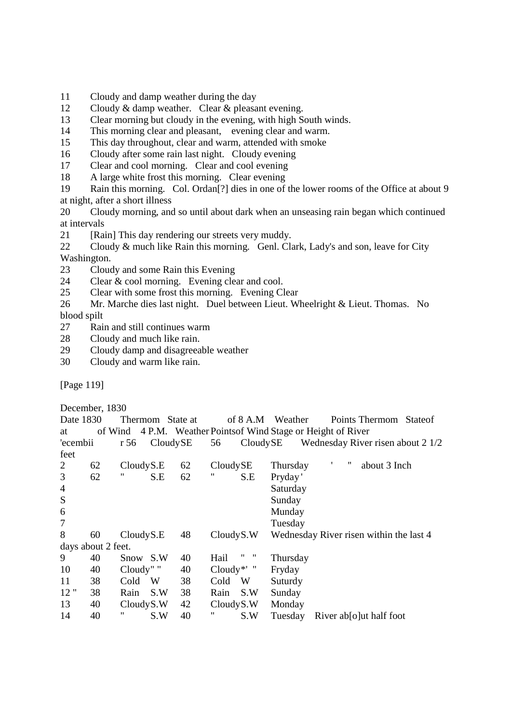- 11 Cloudy and damp weather during the day
- 12 Cloudy & damp weather. Clear & pleasant evening.
- 13 Clear morning but cloudy in the evening, with high South winds.
- 14 This morning clear and pleasant, evening clear and warm.
- 15 This day throughout, clear and warm, attended with smoke
- 16 Cloudy after some rain last night. Cloudy evening
- 17 Clear and cool morning. Clear and cool evening
- 18 A large white frost this morning. Clear evening

19 Rain this morning. Col. Ordan[?] dies in one of the lower rooms of the Office at about 9 at night, after a short illness

20 Cloudy morning, and so until about dark when an unseasing rain began which continued at intervals

21 [Rain] This day rendering our streets very muddy.

22 Cloudy & much like Rain this morning. Genl. Clark, Lady's and son, leave for City Washington.

- 23 Cloudy and some Rain this Evening
- 24 Clear & cool morning. Evening clear and cool.
- 25 Clear with some frost this morning. Evening Clear

26 Mr. Marche dies last night. Duel between Lieut. Wheelright & Lieut. Thomas. No blood spilt

- 27 Rain and still continues warm
- 28 Cloudy and much like rain.
- 29 Cloudy damp and disagreeable weather
- 30 Cloudy and warm like rain.

[Page 119]

December, 1830

| Date 1830      |                    |                  | Thermom State at |                |              | of 8 A.M           | Weather                           | Points Thermom<br><b>State</b> of                              |
|----------------|--------------------|------------------|------------------|----------------|--------------|--------------------|-----------------------------------|----------------------------------------------------------------|
| at             |                    |                  |                  |                |              |                    |                                   | of Wind 4 P.M. Weather Points of Wind Stage or Height of River |
| 'ecembii       |                    | CloudySE<br>r 56 |                  | CloudySE<br>56 |              |                    | Wednesday River risen about 2 1/2 |                                                                |
| feet           |                    |                  |                  |                |              |                    |                                   |                                                                |
| 2              | 62                 | CloudyS.E        |                  | 62             | CloudySE     |                    | Thursday                          | ,,<br>about 3 Inch                                             |
| 3              | 62                 | 11               | S.E              | 62             | "            | S.E                | Pryday'                           |                                                                |
| $\overline{4}$ |                    |                  |                  |                |              |                    | Saturday                          |                                                                |
| S              |                    |                  |                  |                |              |                    | Sunday                            |                                                                |
| 6              |                    |                  |                  |                |              |                    | Munday                            |                                                                |
| 7              |                    |                  |                  |                |              |                    | Tuesday                           |                                                                |
| 8              | 60                 | CloudyS.E        |                  | 48             | CloudyS.W    |                    |                                   | Wednesday River risen within the last 4                        |
|                | days about 2 feet. |                  |                  |                |              |                    |                                   |                                                                |
| 9              | 40                 | Snow S.W         |                  | 40             | Hail         | 11<br>$\mathbf{u}$ | Thursday                          |                                                                |
| 10             | 40                 | Cloudy" "        |                  | 40             | Cloudy*' $"$ |                    | Fryday                            |                                                                |
| 11             | 38                 | Cold             | W                | 38             | Cold         | W                  | Suturdy                           |                                                                |
| 12"            | 38                 | Rain             | S.W              | 38             | Rain         | S.W                | Sunday                            |                                                                |
| 13             | 40                 | CloudyS.W        |                  | 42             | CloudyS.W    |                    | Monday                            |                                                                |
| 14             | 40                 | "                | S.W              | 40             | "            | S.W                | Tuesday                           | River absolut half foot                                        |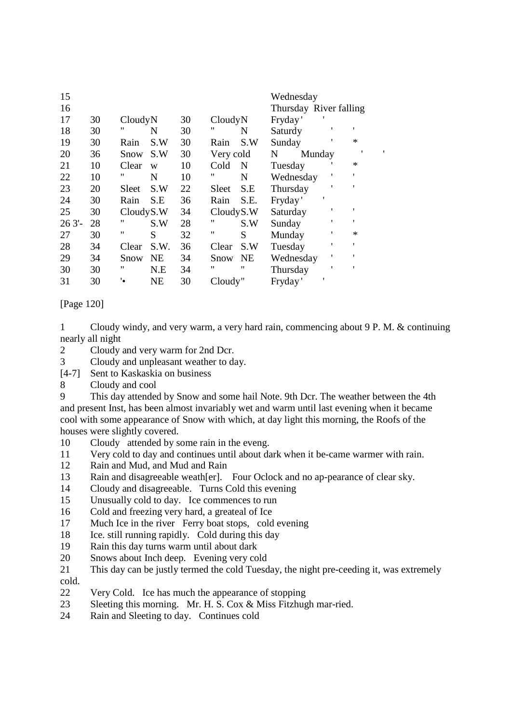| 15<br>16 |    |           |           |    |           |           | Wednesday<br>Thursday River falling |        |   |              |   |
|----------|----|-----------|-----------|----|-----------|-----------|-------------------------------------|--------|---|--------------|---|
| 17       | 30 | CloudyN   |           | 30 | CloudyN   |           | Fryday'                             |        |   |              |   |
| 18       | 30 | "         | N         | 30 | "         | N         | Saturdy                             |        |   | $\mathbf{r}$ |   |
| 19       | 30 | Rain      | S.W       | 30 | Rain      | S.W       | Sunday                              |        |   | $\ast$       |   |
| 20       | 36 | Snow      | S.W       | 30 | Very cold |           | N                                   | Munday |   |              | ٠ |
| 21       | 10 | Clear     | W         | 10 | Cold      | N         | Tuesday                             |        |   | $\ast$       |   |
| 22       | 10 | "         | N         | 10 | "         | N         | Wednesday                           |        |   |              |   |
| 23       | 20 | Sleet     | S.W       | 22 | Sleet     | S.E       | Thursday                            |        |   |              |   |
| 24       | 30 | Rain      | S.E       | 36 | Rain      | S.E.      | Fryday'                             |        |   |              |   |
| 25       | 30 | CloudyS.W |           | 34 | CloudyS.W |           | Saturday                            |        |   |              |   |
| 263'     | 28 | 11        | S.W       | 28 | 11        | S.W       | Sunday                              |        | 1 |              |   |
| 27       | 30 | "         | S         | 32 | 11        | S         | Munday                              |        |   | $\ast$       |   |
| 28       | 34 | Clear     | S.W.      | 36 | Clear     | S.W       | Tuesday                             |        | , | $\mathbf{r}$ |   |
| 29       | 34 | Snow      | <b>NE</b> | 34 | Snow      | <b>NE</b> | Wednesday                           |        | 1 |              |   |
| 30       | 30 | "         | N.E       | 34 | 11        | "         | Thursday                            |        |   | $\mathbf{r}$ |   |
| 31       | 30 | ٠.        | <b>NE</b> | 30 | Cloudy"   |           | Fryday'                             |        |   |              |   |

## [Page 120]

1 Cloudy windy, and very warm, a very hard rain, commencing about 9 P. M. & continuing nearly all night

2 Cloudy and very warm for 2nd Dcr.

3 Cloudy and unpleasant weather to day.

- [4-7] Sent to Kaskaskia on business
- 8 Cloudy and cool

9 This day attended by Snow and some hail Note. 9th Dcr. The weather between the 4th and present Inst, has been almost invariably wet and warm until last evening when it became cool with some appearance of Snow with which, at day light this morning, the Roofs of the houses were slightly covered.

- 10 Cloudy attended by some rain in the eveng.
- 11 Very cold to day and continues until about dark when it be-came warmer with rain.
- 12 Rain and Mud, and Mud and Rain
- 13 Rain and disagreeable weath[er]. Four Oclock and no ap-pearance of clear sky.
- 14 Cloudy and disagreeable. Turns Cold this evening
- 15 Unusually cold to day. Ice commences to run
- 16 Cold and freezing very hard, a greateal of Ice
- 17 Much Ice in the river Ferry boat stops, cold evening
- 18 Ice. still running rapidly. Cold during this day
- 19 Rain this day turns warm until about dark
- 20 Snows about Inch deep. Evening very cold
- 21 This day can be justly termed the cold Tuesday, the night pre-ceeding it, was extremely cold.
- 22 Very Cold. Ice has much the appearance of stopping
- 23 Sleeting this morning. Mr. H. S. Cox & Miss Fitzhugh mar-ried.
- 24 Rain and Sleeting to day. Continues cold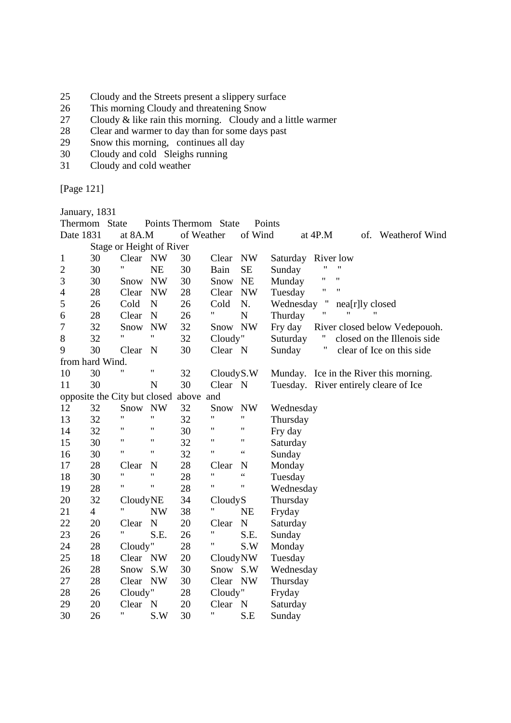- 25 Cloudy and the Streets present a slippery surface
- 26 This morning Cloudy and threatening Snow
- 27 Cloudy & like rain this morning. Cloudy and a little warmer
- 28 Clear and warmer to day than for some days past
- 29 Snow this morning, continues all day
- 30 Cloudy and cold Sleighs running
- 31 Cloudy and cold weather

[Page 121]

January, 1831

|                                        | Thermom State  |                          |                    |            | Points Thermom State |                    | Points                                   |  |  |  |
|----------------------------------------|----------------|--------------------------|--------------------|------------|----------------------|--------------------|------------------------------------------|--|--|--|
| Date 1831                              |                | at 8A.M                  |                    | of Weather |                      | of Wind            | at 4P.M<br>of. Weatherof Wind            |  |  |  |
|                                        |                | Stage or Height of River |                    |            |                      |                    |                                          |  |  |  |
| 1                                      | 30             | Clear NW                 |                    | 30         | Clear                | <b>NW</b>          | Saturday River low                       |  |  |  |
| $\overline{c}$                         | 30             | 11                       | <b>NE</b>          | 30         | Bain                 | <b>SE</b>          | $^{\dagger}$<br>Sunday                   |  |  |  |
| 3                                      | 30             | Snow                     | <b>NW</b>          | 30         | Snow                 | <b>NE</b>          | 11<br>Munday                             |  |  |  |
| $\overline{4}$                         | 28             | Clear                    | <b>NW</b>          | 28         | Clear                | <b>NW</b>          | Ħ<br>$^{\dagger}$<br>Tuesday             |  |  |  |
| 5                                      | 26             | Cold                     | N                  | 26         | Cold                 | N.                 | π<br>Wednesday<br>nea[r]ly closed        |  |  |  |
| 6                                      | 28             | Clear                    | $\mathbf N$        | 26         | Ħ                    | $\mathbf N$        | $^{\dagger}$<br>11<br>Thurday            |  |  |  |
| 7                                      | 32             | Snow                     | <b>NW</b>          | 32         | Snow NW              |                    | Fry day<br>River closed below Vedepouch. |  |  |  |
| 8                                      | 32             | 11                       | 11                 | 32         | Cloudy"              |                    | Suturday<br>closed on the Illenois side  |  |  |  |
| 9                                      | 30             | Clear                    | N                  | 30         | Clear N              |                    | Ħ<br>Sunday<br>clear of Ice on this side |  |  |  |
| from hard Wind.                        |                |                          |                    |            |                      |                    |                                          |  |  |  |
| 10                                     | 30             | Ħ                        | Ħ                  | 32         | CloudyS.W            |                    | Munday. Ice in the River this morning.   |  |  |  |
| 11                                     | 30             |                          | $\mathbf N$        | 30         | Clear N              |                    | Tuesday. River entirely cleare of Ice    |  |  |  |
| opposite the City but closed above and |                |                          |                    |            |                      |                    |                                          |  |  |  |
| 12                                     | 32             | Snow NW                  |                    | 32         | Snow                 | <b>NW</b>          | Wednesday                                |  |  |  |
| 13                                     | 32             | $^{\dagger}$             | 11                 | 32         |                      | $\pmb{\mathsf{H}}$ | Thursday                                 |  |  |  |
| 14                                     | 32             | 11                       | 11                 | 30         | "                    | $\pmb{\mathsf{H}}$ | Fry day                                  |  |  |  |
| 15                                     | 30             | 11                       | 11                 | 32         | 11                   | $\pmb{\mathsf{H}}$ | Saturday                                 |  |  |  |
| 16                                     | 30             | $\pmb{\mathsf{H}}$       | Ħ                  | 32         | 11                   | $\zeta\,\zeta$     | Sunday                                   |  |  |  |
| 17                                     | 28             | Clear                    | N                  | 28         | Clear                | N                  | Monday                                   |  |  |  |
| 18                                     | 30             | 11                       | 11                 | 28         | 11                   | $\zeta$ $\zeta$    | Tuesday                                  |  |  |  |
| 19                                     | 28             | $\pmb{\mathsf{H}}$       | $\pmb{\mathsf{H}}$ | 28         | $\pmb{\mathsf{H}}$   | $\pmb{\mathsf{H}}$ | Wednesday                                |  |  |  |
| 20                                     | 32             | CloudyNE                 |                    | 34         | CloudyS              |                    | Thursday                                 |  |  |  |
| 21                                     | $\overline{4}$ | Ħ                        | <b>NW</b>          | 38         | Ħ                    | NE                 | Fryday                                   |  |  |  |
| 22                                     | 20             | Clear                    | N                  | 20         | Clear                | N                  | Saturday                                 |  |  |  |
| 23                                     | 26             | Ħ                        | S.E.               | 26         | 11                   | S.E.               | Sunday                                   |  |  |  |
| 24                                     | 28             | Cloudy"                  |                    | 28         | "                    | S.W                | Monday                                   |  |  |  |
| 25                                     | 18             | Clear NW                 |                    | 20         | CloudyNW             |                    | Tuesday                                  |  |  |  |
| 26                                     | 28             | Snow                     | S.W                | 30         | Snow S.W             |                    | Wednesday                                |  |  |  |
| 27                                     | 28             | Clear                    | NW                 | 30         | Clear NW             |                    | Thursday                                 |  |  |  |
| 28                                     | 26             | Cloudy"                  |                    | 28         | Cloudy"              |                    | Fryday                                   |  |  |  |
| 29                                     | 20             | Clear                    | $\mathbf N$        | 20         | Clear N              |                    | Saturday                                 |  |  |  |
| 30                                     | 26             | 11                       | S.W                | 30         | 11                   | S.E                | Sunday                                   |  |  |  |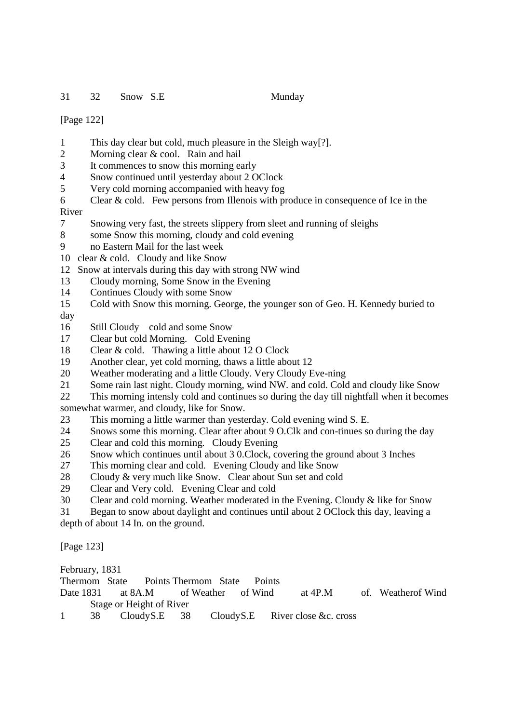31 32 Snow S.E Munday

[Page 122]

- 1 This day clear but cold, much pleasure in the Sleigh way[?].
- 2 Morning clear & cool. Rain and hail
- 3 It commences to snow this morning early
- 4 Snow continued until yesterday about 2 OClock
- 5 Very cold morning accompanied with heavy fog
- 6 Clear & cold. Few persons from Illenois with produce in consequence of Ice in the River
- 7 Snowing very fast, the streets slippery from sleet and running of sleighs
- 8 some Snow this morning, cloudy and cold evening
- 9 no Eastern Mail for the last week
- 10 clear & cold. Cloudy and like Snow
- 12 Snow at intervals during this day with strong NW wind
- 13 Cloudy morning, Some Snow in the Evening
- 14 Continues Cloudy with some Snow
- 15 Cold with Snow this morning. George, the younger son of Geo. H. Kennedy buried to day
- 16 Still Cloudy cold and some Snow
- 17 Clear but cold Morning. Cold Evening
- 18 Clear & cold. Thawing a little about 12 O Clock
- 19 Another clear, yet cold morning, thaws a little about 12
- 20 Weather moderating and a little Cloudy. Very Cloudy Eve-ning
- 21 Some rain last night. Cloudy morning, wind NW. and cold. Cold and cloudy like Snow
- 22 This morning intensly cold and continues so during the day till nightfall when it becomes somewhat warmer, and cloudy, like for Snow.
- 23 This morning a little warmer than yesterday. Cold evening wind S. E.
- 24 Snows some this morning. Clear after about 9 O.Clk and con-tinues so during the day
- 25 Clear and cold this morning. Cloudy Evening
- 26 Snow which continues until about 3 0.Clock, covering the ground about 3 Inches
- 27 This morning clear and cold. Evening Cloudy and like Snow
- 28 Cloudy & very much like Snow. Clear about Sun set and cold
- 29 Clear and Very cold. Evening Clear and cold
- 30 Clear and cold morning. Weather moderated in the Evening. Cloudy & like for Snow
- 31 Began to snow about daylight and continues until about 2 OClock this day, leaving a

depth of about 14 In. on the ground.

[Page 123]

February, 1831

Thermom State Points Thermom State Points

- Date 1831 at 8A.M of Weather of Wind at 4P.M of. Weatherof Wind Stage or Height of River
- 1 38 Cloudy S.E 38 Cloudy S.E River close &c. cross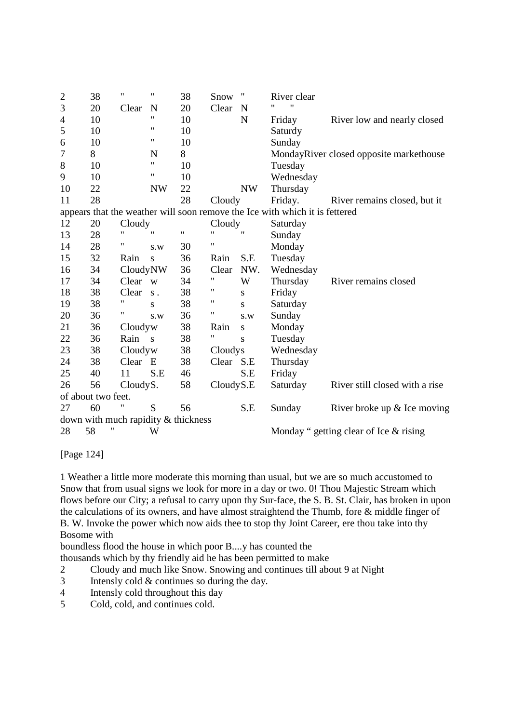| $\overline{c}$ | 38                                  | $\pmb{\mathsf{H}}$ | 11           | 38                 | Snow               | 11           | River clear                                                                 |                                          |  |  |  |
|----------------|-------------------------------------|--------------------|--------------|--------------------|--------------------|--------------|-----------------------------------------------------------------------------|------------------------------------------|--|--|--|
| 3              | 20                                  | Clear              | N            | 20                 | Clear              | N            | $^{\dagger}$<br>11                                                          |                                          |  |  |  |
| $\overline{4}$ | 10                                  |                    | 11           | 10                 |                    | N            | Friday                                                                      | River low and nearly closed              |  |  |  |
| 5              | 10                                  |                    | 11           | 10                 |                    |              | Saturdy                                                                     |                                          |  |  |  |
| 6              | 10                                  |                    | 11           | 10                 |                    |              | Sunday                                                                      |                                          |  |  |  |
| 7              | 8                                   |                    | N            | 8                  |                    |              |                                                                             | MondayRiver closed opposite markethouse  |  |  |  |
| $8\,$          | 10                                  |                    | 11           | 10                 |                    |              | Tuesday                                                                     |                                          |  |  |  |
| 9              | 10                                  |                    | 11           | 10                 |                    |              | Wednesday                                                                   |                                          |  |  |  |
| 10             | 22                                  |                    | <b>NW</b>    | 22                 |                    | NW           | Thursday                                                                    |                                          |  |  |  |
| 11             | 28                                  |                    |              | 28                 | Cloudy             |              | Friday.                                                                     | River remains closed, but it             |  |  |  |
|                |                                     |                    |              |                    |                    |              | appears that the weather will soon remove the Ice with which it is fettered |                                          |  |  |  |
| 12             | 20                                  | Cloudy             |              |                    | Cloudy             |              | Saturday                                                                    |                                          |  |  |  |
| 13             | 28                                  | $\mathbf{H}$       | $^{\dagger}$ | $\pmb{\mathsf{H}}$ | $^{\prime\prime}$  | $\mathbf{H}$ | Sunday                                                                      |                                          |  |  |  |
| 14             | 28                                  | 11                 | S.W          | 30                 | 11                 |              | Monday                                                                      |                                          |  |  |  |
| 15             | 32                                  | Rain               | S            | 36                 | Rain               | S.E          | Tuesday                                                                     |                                          |  |  |  |
| 16             | 34                                  | CloudyNW           |              | 36                 | Clear              | NW.          | Wednesday                                                                   |                                          |  |  |  |
| 17             | 34                                  | Clear w            |              | 34                 | 11                 | W            | Thursday                                                                    | River remains closed                     |  |  |  |
| 18             | 38                                  | Clear              | $S$ .        | 38                 | 11                 | S            | Friday                                                                      |                                          |  |  |  |
| 19             | 38                                  | 11                 | S            | 38                 | $\pmb{\mathsf{H}}$ | S            | Saturday                                                                    |                                          |  |  |  |
| 20             | 36                                  | Η                  | S.W          | 36                 | 11                 | S.W          | Sunday                                                                      |                                          |  |  |  |
| 21             | 36                                  | Cloudyw            |              | 38                 | Rain               | S            | Monday                                                                      |                                          |  |  |  |
| 22             | 36                                  | Rain               | $\mathbf{s}$ | 38                 | 11                 | S            | Tuesday                                                                     |                                          |  |  |  |
| 23             | 38                                  | Cloudyw            |              | 38                 | Cloudys            |              | Wednesday                                                                   |                                          |  |  |  |
| 24             | 38                                  | Clear              | E            | 38                 | Clear S.E          |              | Thursday                                                                    |                                          |  |  |  |
| 25             | 40                                  | 11                 | S.E          | 46                 |                    | S.E          | Friday                                                                      |                                          |  |  |  |
| 26             | 56                                  | CloudyS.           |              | 58                 | CloudyS.E          |              | Saturday                                                                    | River still closed with a rise           |  |  |  |
|                | of about two feet.                  |                    |              |                    |                    |              |                                                                             |                                          |  |  |  |
| 27             | 60                                  |                    | S            | 56                 |                    | S.E          | Sunday                                                                      | River broke up $&$ Ice moving            |  |  |  |
|                | down with much rapidity & thickness |                    |              |                    |                    |              |                                                                             |                                          |  |  |  |
| 28             | 11<br>58                            |                    | W            |                    |                    |              |                                                                             | Monday " getting clear of Ice $&$ rising |  |  |  |

[Page 124]

1 Weather a little more moderate this morning than usual, but we are so much accustomed to Snow that from usual signs we look for more in a day or two. 0! Thou Majestic Stream which flows before our City; a refusal to carry upon thy Sur-face, the S. B. St. Clair, has broken in upon the calculations of its owners, and have almost straightend the Thumb, fore & middle finger of B. W. Invoke the power which now aids thee to stop thy Joint Career, ere thou take into thy Bosome with

boundless flood the house in which poor B....y has counted the

thousands which by thy friendly aid he has been permitted to make

- 2 Cloudy and much like Snow. Snowing and continues till about 9 at Night
- 3 Intensly cold & continues so during the day.
- 4 Intensly cold throughout this day
- 5 Cold, cold, and continues cold.